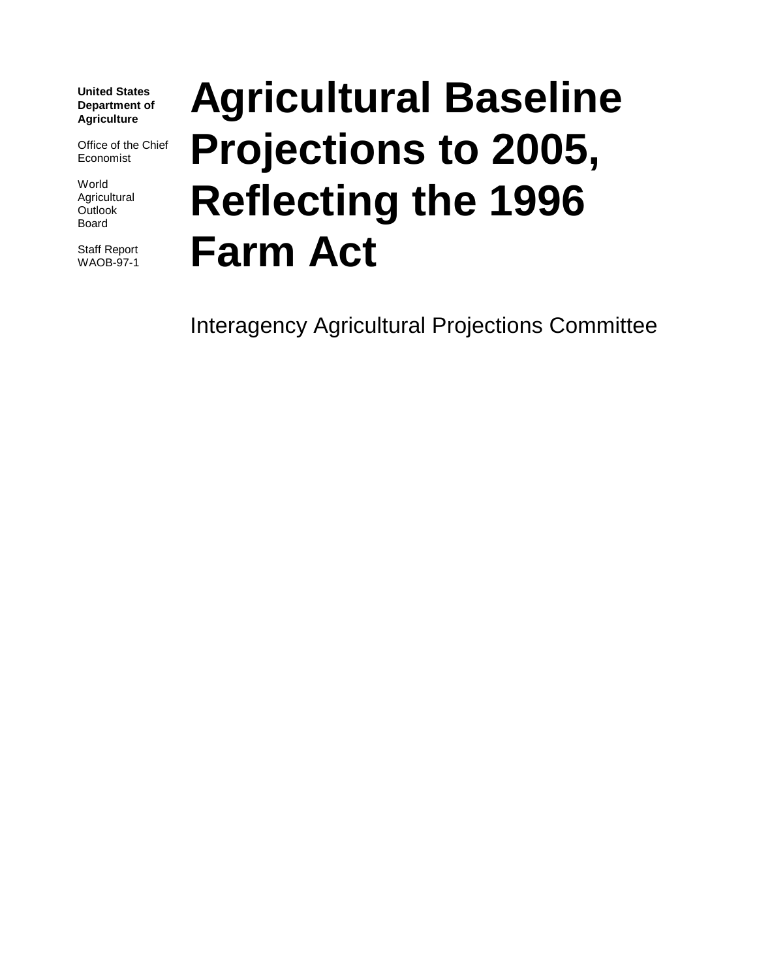**United States Department of Agriculture**

Office of the Chief Economist

World Agricultural **Outlook** Board

Staff Report WAOB-97-1

# **Agricultural Baseline Projections to 2005, Reflecting the 1996 Farm Act**

Interagency Agricultural Projections Committee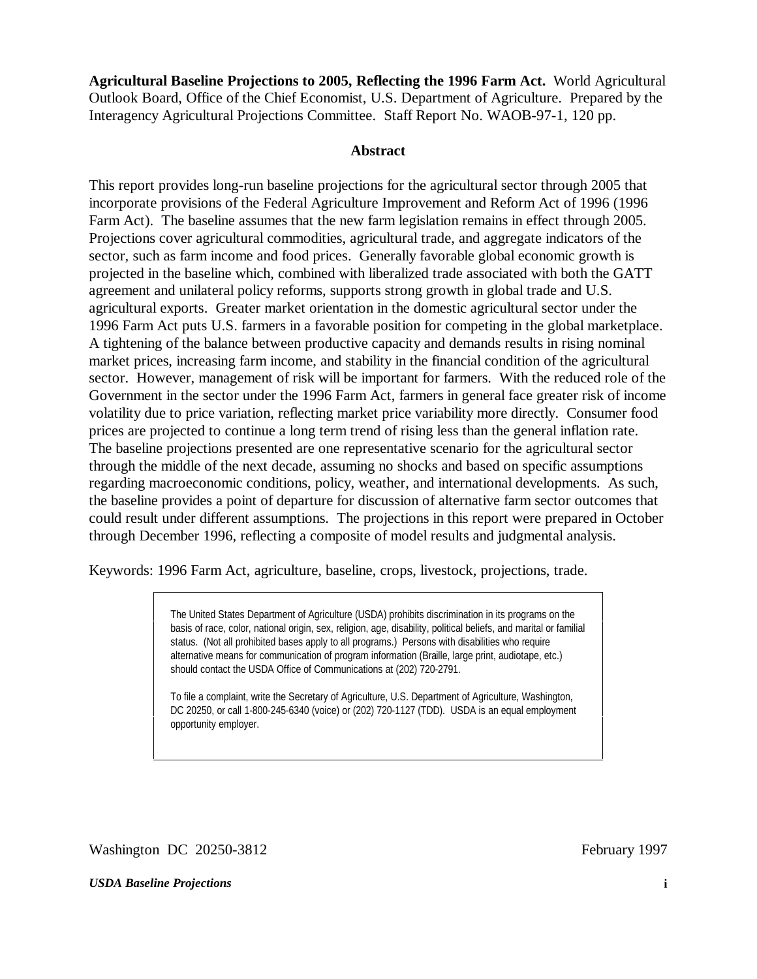**Agricultural Baseline Projections to 2005, Reflecting the 1996 Farm Act.** World Agricultural Outlook Board, Office of the Chief Economist, U.S. Department of Agriculture. Prepared by the Interagency Agricultural Projections Committee. Staff Report No. WAOB-97-1, 120 pp.

#### **Abstract**

This report provides long-run baseline projections for the agricultural sector through 2005 that incorporate provisions of the Federal Agriculture Improvement and Reform Act of 1996 (1996 Farm Act). The baseline assumes that the new farm legislation remains in effect through 2005. Projections cover agricultural commodities, agricultural trade, and aggregate indicators of the sector, such as farm income and food prices. Generally favorable global economic growth is projected in the baseline which, combined with liberalized trade associated with both the GATT agreement and unilateral policy reforms, supports strong growth in global trade and U.S. agricultural exports. Greater market orientation in the domestic agricultural sector under the 1996 Farm Act puts U.S. farmers in a favorable position for competing in the global marketplace. A tightening of the balance between productive capacity and demands results in rising nominal market prices, increasing farm income, and stability in the financial condition of the agricultural sector. However, management of risk will be important for farmers. With the reduced role of the Government in the sector under the 1996 Farm Act, farmers in general face greater risk of income volatility due to price variation, reflecting market price variability more directly. Consumer food prices are projected to continue a long term trend of rising less than the general inflation rate. The baseline projections presented are one representative scenario for the agricultural sector through the middle of the next decade, assuming no shocks and based on specific assumptions regarding macroeconomic conditions, policy, weather, and international developments. As such, the baseline provides a point of departure for discussion of alternative farm sector outcomes that could result under different assumptions. The projections in this report were prepared in October through December 1996, reflecting a composite of model results and judgmental analysis.

Keywords: 1996 Farm Act, agriculture, baseline, crops, livestock, projections, trade.

The United States Department of Agriculture (USDA) prohibits discrimination in its programs on the basis of race, color, national origin, sex, religion, age, disability, political beliefs, and marital or familial status. (Not all prohibited bases apply to all programs.) Persons with disabilities who require alternative means for communication of program information (Braille, large print, audiotape, etc.) should contact the USDA Office of Communications at (202) 720-2791.

To file a complaint, write the Secretary of Agriculture, U.S. Department of Agriculture, Washington, DC 20250, or call 1-800-245-6340 (voice) or (202) 720-1127 (TDD). USDA is an equal employment opportunity employer.

Washington DC 20250-3812

February 1997

#### *USDA Baseline Projections*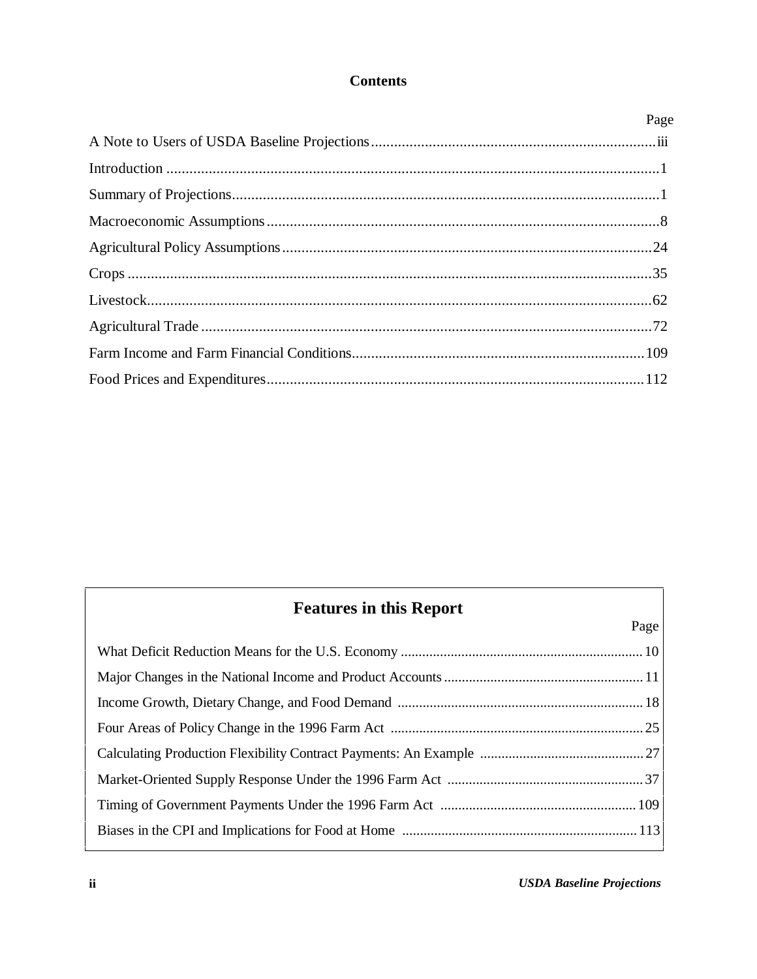#### **Contents**

| Page |
|------|
|      |
|      |
|      |
|      |
|      |
|      |
|      |
|      |
|      |
|      |

# **Features in this Report**

| Page |
|------|
|      |
|      |
|      |
|      |
|      |
|      |
|      |
|      |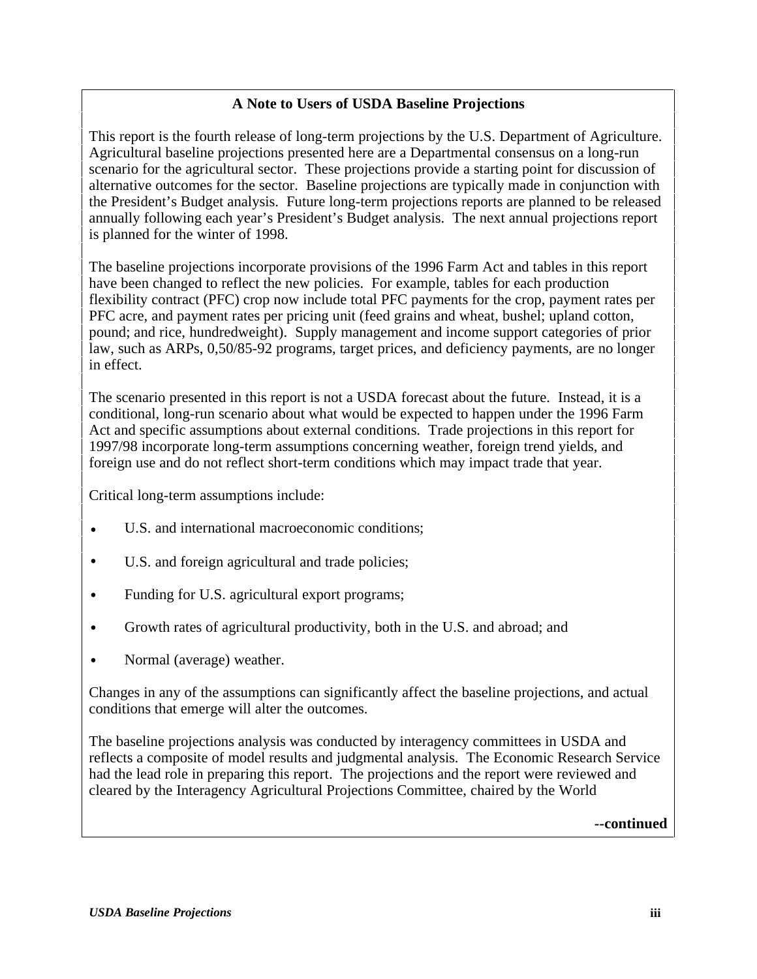#### **A Note to Users of USDA Baseline Projections**

This report is the fourth release of long-term projections by the U.S. Department of Agriculture. Agricultural baseline projections presented here are a Departmental consensus on a long-run scenario for the agricultural sector. These projections provide a starting point for discussion of alternative outcomes for the sector. Baseline projections are typically made in conjunction with the President's Budget analysis. Future long-term projections reports are planned to be released annually following each year's President's Budget analysis. The next annual projections report is planned for the winter of 1998.

The baseline projections incorporate provisions of the 1996 Farm Act and tables in this report have been changed to reflect the new policies. For example, tables for each production flexibility contract (PFC) crop now include total PFC payments for the crop, payment rates per PFC acre, and payment rates per pricing unit (feed grains and wheat, bushel; upland cotton, pound; and rice, hundredweight). Supply management and income support categories of prior law, such as ARPs, 0,50/85-92 programs, target prices, and deficiency payments, are no longer in effect.

The scenario presented in this report is not a USDA forecast about the future. Instead, it is a conditional, long-run scenario about what would be expected to happen under the 1996 Farm Act and specific assumptions about external conditions. Trade projections in this report for 1997/98 incorporate long-term assumptions concerning weather, foreign trend yields, and foreign use and do not reflect short-term conditions which may impact trade that year.

Critical long-term assumptions include:

- U.S. and international macroeconomic conditions;
- U.S. and foreign agricultural and trade policies;
- Funding for U.S. agricultural export programs;
- Growth rates of agricultural productivity, both in the U.S. and abroad; and
- Normal (average) weather.

Changes in any of the assumptions can significantly affect the baseline projections, and actual conditions that emerge will alter the outcomes.

The baseline projections analysis was conducted by interagency committees in USDA and reflects a composite of model results and judgmental analysis. The Economic Research Service had the lead role in preparing this report. The projections and the report were reviewed and cleared by the Interagency Agricultural Projections Committee, chaired by the World

**--continued**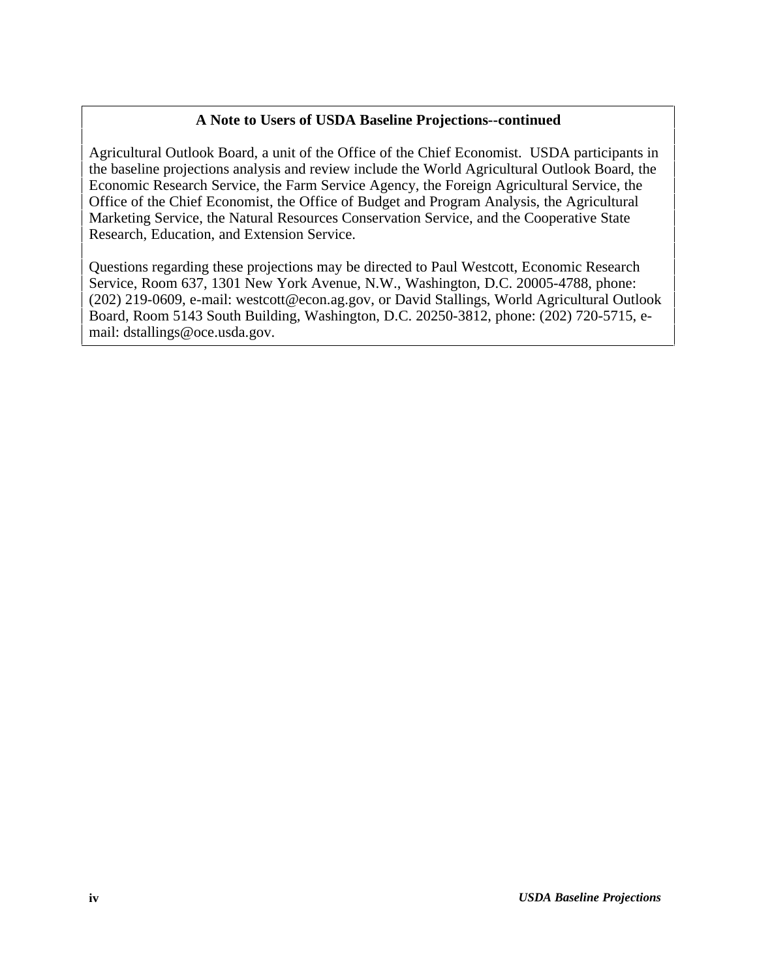#### **A Note to Users of USDA Baseline Projections--continued**

Agricultural Outlook Board, a unit of the Office of the Chief Economist. USDA participants in the baseline projections analysis and review include the World Agricultural Outlook Board, the Economic Research Service, the Farm Service Agency, the Foreign Agricultural Service, the Office of the Chief Economist, the Office of Budget and Program Analysis, the Agricultural Marketing Service, the Natural Resources Conservation Service, and the Cooperative State Research, Education, and Extension Service.

Questions regarding these projections may be directed to Paul Westcott, Economic Research Service, Room 637, 1301 New York Avenue, N.W., Washington, D.C. 20005-4788, phone: (202) 219-0609, e-mail: westcott@econ.ag.gov, or David Stallings, World Agricultural Outlook Board, Room 5143 South Building, Washington, D.C. 20250-3812, phone: (202) 720-5715, email: dstallings@oce.usda.gov.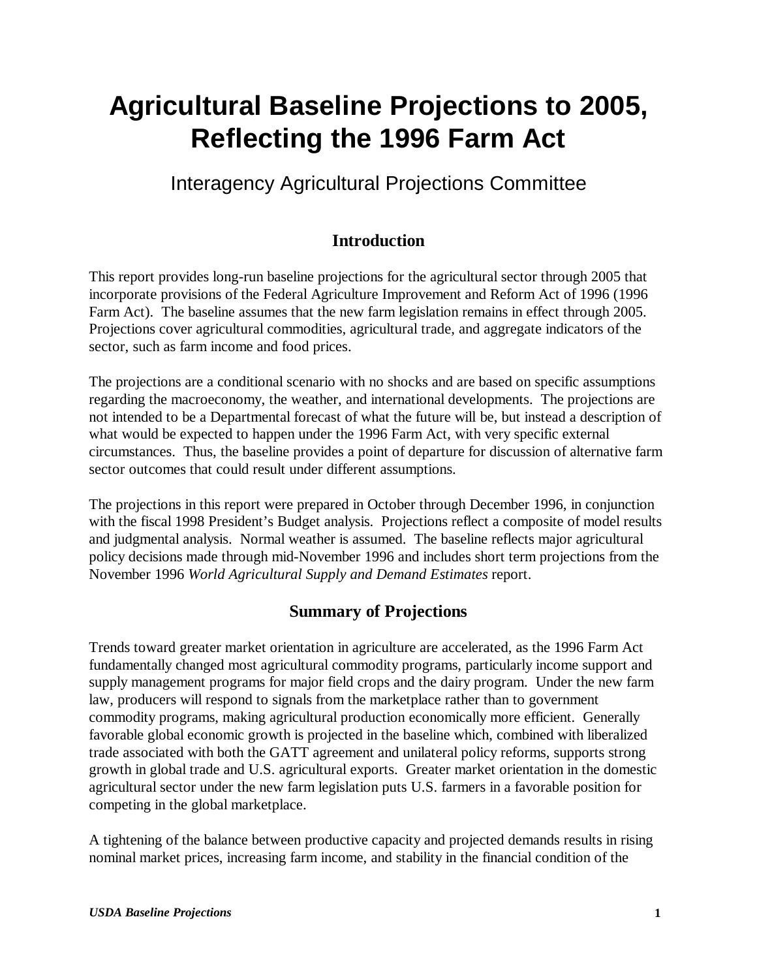# **Agricultural Baseline Projections to 2005, Reflecting the 1996 Farm Act**

# Interagency Agricultural Projections Committee

# **Introduction**

This report provides long-run baseline projections for the agricultural sector through 2005 that incorporate provisions of the Federal Agriculture Improvement and Reform Act of 1996 (1996 Farm Act). The baseline assumes that the new farm legislation remains in effect through 2005. Projections cover agricultural commodities, agricultural trade, and aggregate indicators of the sector, such as farm income and food prices.

The projections are a conditional scenario with no shocks and are based on specific assumptions regarding the macroeconomy, the weather, and international developments. The projections are not intended to be a Departmental forecast of what the future will be, but instead a description of what would be expected to happen under the 1996 Farm Act, with very specific external circumstances. Thus, the baseline provides a point of departure for discussion of alternative farm sector outcomes that could result under different assumptions.

The projections in this report were prepared in October through December 1996, in conjunction with the fiscal 1998 President's Budget analysis. Projections reflect a composite of model results and judgmental analysis. Normal weather is assumed. The baseline reflects major agricultural policy decisions made through mid-November 1996 and includes short term projections from the November 1996 *World Agricultural Supply and Demand Estimates* report.

## **Summary of Projections**

Trends toward greater market orientation in agriculture are accelerated, as the 1996 Farm Act fundamentally changed most agricultural commodity programs, particularly income support and supply management programs for major field crops and the dairy program. Under the new farm law, producers will respond to signals from the marketplace rather than to government commodity programs, making agricultural production economically more efficient. Generally favorable global economic growth is projected in the baseline which, combined with liberalized trade associated with both the GATT agreement and unilateral policy reforms, supports strong growth in global trade and U.S. agricultural exports. Greater market orientation in the domestic agricultural sector under the new farm legislation puts U.S. farmers in a favorable position for competing in the global marketplace.

A tightening of the balance between productive capacity and projected demands results in rising nominal market prices, increasing farm income, and stability in the financial condition of the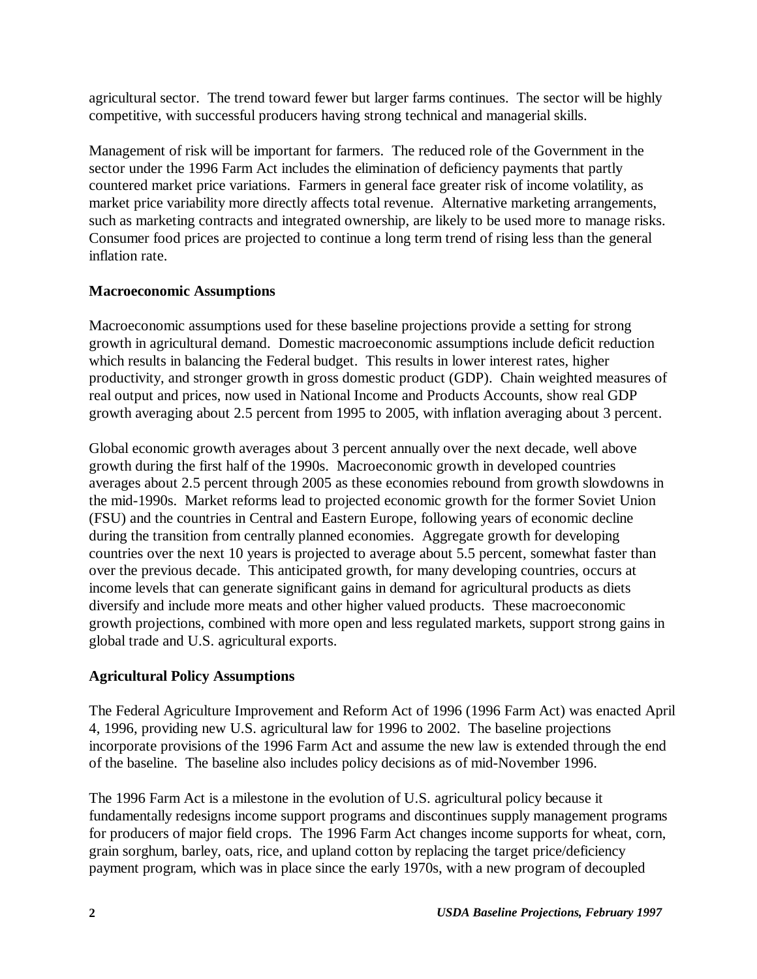agricultural sector. The trend toward fewer but larger farms continues. The sector will be highly competitive, with successful producers having strong technical and managerial skills.

Management of risk will be important for farmers. The reduced role of the Government in the sector under the 1996 Farm Act includes the elimination of deficiency payments that partly countered market price variations. Farmers in general face greater risk of income volatility, as market price variability more directly affects total revenue. Alternative marketing arrangements, such as marketing contracts and integrated ownership, are likely to be used more to manage risks. Consumer food prices are projected to continue a long term trend of rising less than the general inflation rate.

#### **Macroeconomic Assumptions**

Macroeconomic assumptions used for these baseline projections provide a setting for strong growth in agricultural demand. Domestic macroeconomic assumptions include deficit reduction which results in balancing the Federal budget. This results in lower interest rates, higher productivity, and stronger growth in gross domestic product (GDP). Chain weighted measures of real output and prices, now used in National Income and Products Accounts, show real GDP growth averaging about 2.5 percent from 1995 to 2005, with inflation averaging about 3 percent.

Global economic growth averages about 3 percent annually over the next decade, well above growth during the first half of the 1990s. Macroeconomic growth in developed countries averages about 2.5 percent through 2005 as these economies rebound from growth slowdowns in the mid-1990s. Market reforms lead to projected economic growth for the former Soviet Union (FSU) and the countries in Central and Eastern Europe, following years of economic decline during the transition from centrally planned economies. Aggregate growth for developing countries over the next 10 years is projected to average about 5.5 percent, somewhat faster than over the previous decade. This anticipated growth, for many developing countries, occurs at income levels that can generate significant gains in demand for agricultural products as diets diversify and include more meats and other higher valued products. These macroeconomic growth projections, combined with more open and less regulated markets, support strong gains in global trade and U.S. agricultural exports.

#### **Agricultural Policy Assumptions**

The Federal Agriculture Improvement and Reform Act of 1996 (1996 Farm Act) was enacted April 4, 1996, providing new U.S. agricultural law for 1996 to 2002. The baseline projections incorporate provisions of the 1996 Farm Act and assume the new law is extended through the end of the baseline. The baseline also includes policy decisions as of mid-November 1996.

The 1996 Farm Act is a milestone in the evolution of U.S. agricultural policy because it fundamentally redesigns income support programs and discontinues supply management programs for producers of major field crops. The 1996 Farm Act changes income supports for wheat, corn, grain sorghum, barley, oats, rice, and upland cotton by replacing the target price/deficiency payment program, which was in place since the early 1970s, with a new program of decoupled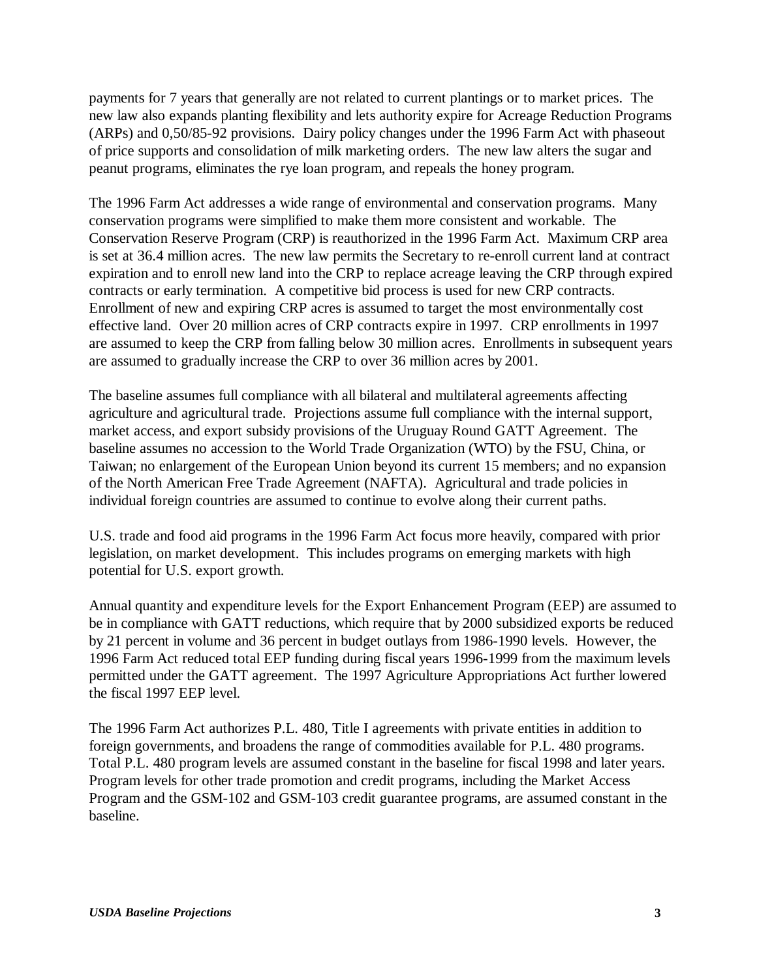payments for 7 years that generally are not related to current plantings or to market prices. The new law also expands planting flexibility and lets authority expire for Acreage Reduction Programs (ARPs) and 0,50/85-92 provisions. Dairy policy changes under the 1996 Farm Act with phaseout of price supports and consolidation of milk marketing orders. The new law alters the sugar and peanut programs, eliminates the rye loan program, and repeals the honey program.

The 1996 Farm Act addresses a wide range of environmental and conservation programs. Many conservation programs were simplified to make them more consistent and workable. The Conservation Reserve Program (CRP) is reauthorized in the 1996 Farm Act. Maximum CRP area is set at 36.4 million acres. The new law permits the Secretary to re-enroll current land at contract expiration and to enroll new land into the CRP to replace acreage leaving the CRP through expired contracts or early termination. A competitive bid process is used for new CRP contracts. Enrollment of new and expiring CRP acres is assumed to target the most environmentally cost effective land. Over 20 million acres of CRP contracts expire in 1997. CRP enrollments in 1997 are assumed to keep the CRP from falling below 30 million acres. Enrollments in subsequent years are assumed to gradually increase the CRP to over 36 million acres by 2001.

The baseline assumes full compliance with all bilateral and multilateral agreements affecting agriculture and agricultural trade. Projections assume full compliance with the internal support, market access, and export subsidy provisions of the Uruguay Round GATT Agreement. The baseline assumes no accession to the World Trade Organization (WTO) by the FSU, China, or Taiwan; no enlargement of the European Union beyond its current 15 members; and no expansion of the North American Free Trade Agreement (NAFTA). Agricultural and trade policies in individual foreign countries are assumed to continue to evolve along their current paths.

U.S. trade and food aid programs in the 1996 Farm Act focus more heavily, compared with prior legislation, on market development. This includes programs on emerging markets with high potential for U.S. export growth.

Annual quantity and expenditure levels for the Export Enhancement Program (EEP) are assumed to be in compliance with GATT reductions, which require that by 2000 subsidized exports be reduced by 21 percent in volume and 36 percent in budget outlays from 1986-1990 levels. However, the 1996 Farm Act reduced total EEP funding during fiscal years 1996-1999 from the maximum levels permitted under the GATT agreement. The 1997 Agriculture Appropriations Act further lowered the fiscal 1997 EEP level.

The 1996 Farm Act authorizes P.L. 480, Title I agreements with private entities in addition to foreign governments, and broadens the range of commodities available for P.L. 480 programs. Total P.L. 480 program levels are assumed constant in the baseline for fiscal 1998 and later years. Program levels for other trade promotion and credit programs, including the Market Access Program and the GSM-102 and GSM-103 credit guarantee programs, are assumed constant in the baseline.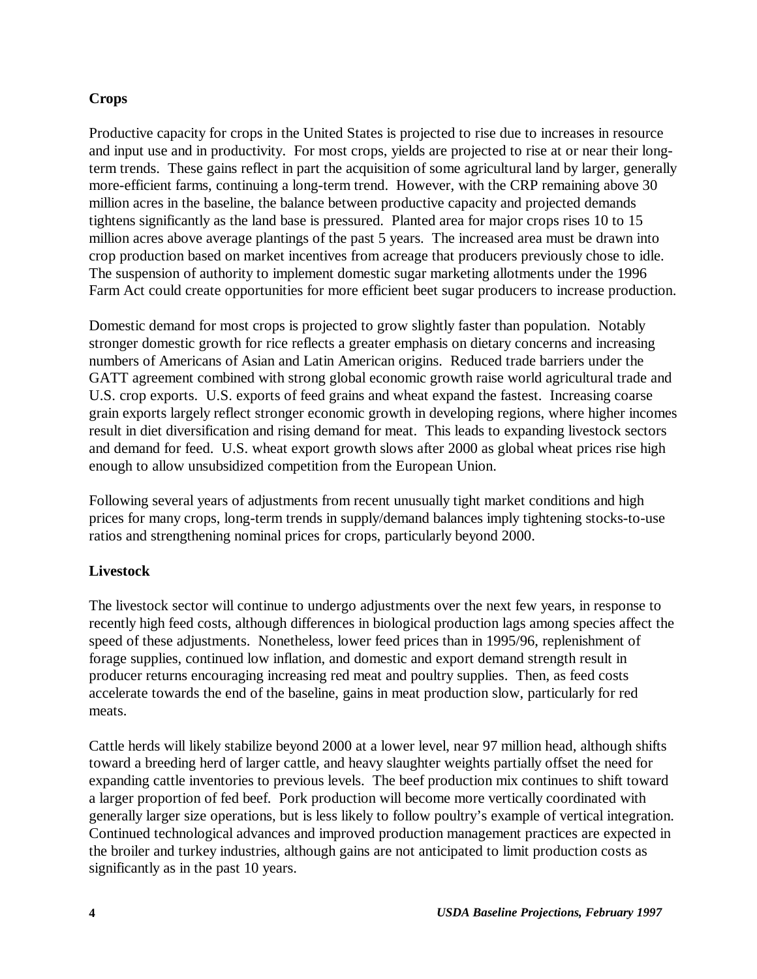#### **Crops**

Productive capacity for crops in the United States is projected to rise due to increases in resource and input use and in productivity. For most crops, yields are projected to rise at or near their longterm trends. These gains reflect in part the acquisition of some agricultural land by larger, generally more-efficient farms, continuing a long-term trend. However, with the CRP remaining above 30 million acres in the baseline, the balance between productive capacity and projected demands tightens significantly as the land base is pressured. Planted area for major crops rises 10 to 15 million acres above average plantings of the past 5 years. The increased area must be drawn into crop production based on market incentives from acreage that producers previously chose to idle. The suspension of authority to implement domestic sugar marketing allotments under the 1996 Farm Act could create opportunities for more efficient beet sugar producers to increase production.

Domestic demand for most crops is projected to grow slightly faster than population. Notably stronger domestic growth for rice reflects a greater emphasis on dietary concerns and increasing numbers of Americans of Asian and Latin American origins. Reduced trade barriers under the GATT agreement combined with strong global economic growth raise world agricultural trade and U.S. crop exports. U.S. exports of feed grains and wheat expand the fastest. Increasing coarse grain exports largely reflect stronger economic growth in developing regions, where higher incomes result in diet diversification and rising demand for meat. This leads to expanding livestock sectors and demand for feed. U.S. wheat export growth slows after 2000 as global wheat prices rise high enough to allow unsubsidized competition from the European Union.

Following several years of adjustments from recent unusually tight market conditions and high prices for many crops, long-term trends in supply/demand balances imply tightening stocks-to-use ratios and strengthening nominal prices for crops, particularly beyond 2000.

#### **Livestock**

The livestock sector will continue to undergo adjustments over the next few years, in response to recently high feed costs, although differences in biological production lags among species affect the speed of these adjustments. Nonetheless, lower feed prices than in 1995/96, replenishment of forage supplies, continued low inflation, and domestic and export demand strength result in producer returns encouraging increasing red meat and poultry supplies. Then, as feed costs accelerate towards the end of the baseline, gains in meat production slow, particularly for red meats.

Cattle herds will likely stabilize beyond 2000 at a lower level, near 97 million head, although shifts toward a breeding herd of larger cattle, and heavy slaughter weights partially offset the need for expanding cattle inventories to previous levels. The beef production mix continues to shift toward a larger proportion of fed beef. Pork production will become more vertically coordinated with generally larger size operations, but is less likely to follow poultry's example of vertical integration. Continued technological advances and improved production management practices are expected in the broiler and turkey industries, although gains are not anticipated to limit production costs as significantly as in the past 10 years.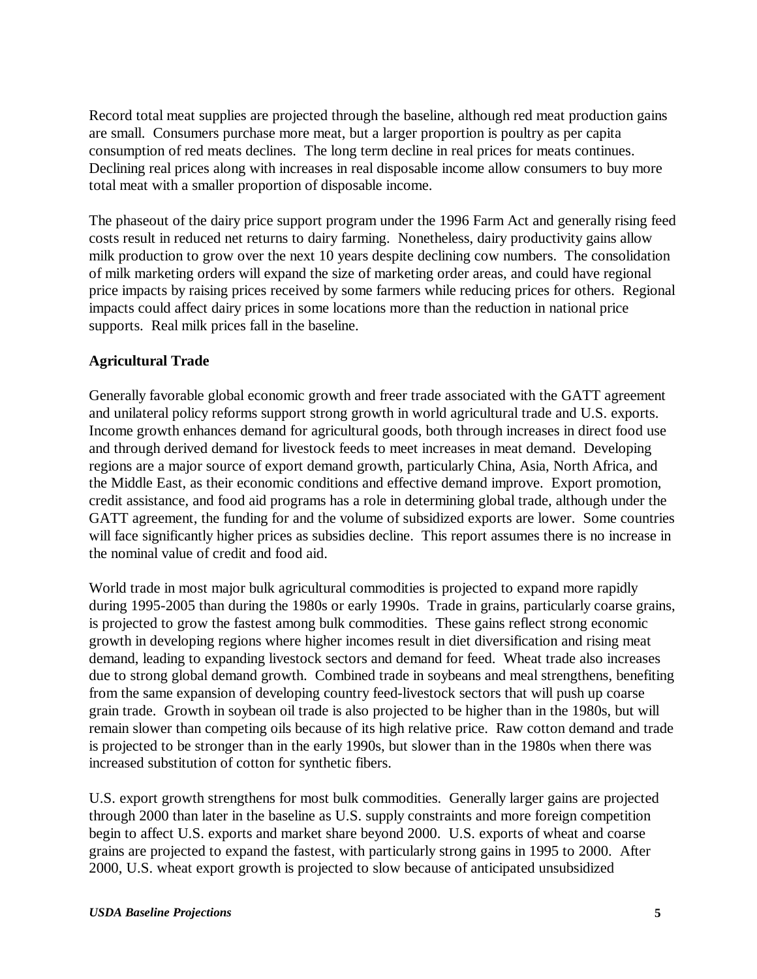Record total meat supplies are projected through the baseline, although red meat production gains are small. Consumers purchase more meat, but a larger proportion is poultry as per capita consumption of red meats declines. The long term decline in real prices for meats continues. Declining real prices along with increases in real disposable income allow consumers to buy more total meat with a smaller proportion of disposable income.

The phaseout of the dairy price support program under the 1996 Farm Act and generally rising feed costs result in reduced net returns to dairy farming. Nonetheless, dairy productivity gains allow milk production to grow over the next 10 years despite declining cow numbers. The consolidation of milk marketing orders will expand the size of marketing order areas, and could have regional price impacts by raising prices received by some farmers while reducing prices for others. Regional impacts could affect dairy prices in some locations more than the reduction in national price supports. Real milk prices fall in the baseline.

#### **Agricultural Trade**

Generally favorable global economic growth and freer trade associated with the GATT agreement and unilateral policy reforms support strong growth in world agricultural trade and U.S. exports. Income growth enhances demand for agricultural goods, both through increases in direct food use and through derived demand for livestock feeds to meet increases in meat demand. Developing regions are a major source of export demand growth, particularly China, Asia, North Africa, and the Middle East, as their economic conditions and effective demand improve. Export promotion, credit assistance, and food aid programs has a role in determining global trade, although under the GATT agreement, the funding for and the volume of subsidized exports are lower. Some countries will face significantly higher prices as subsidies decline. This report assumes there is no increase in the nominal value of credit and food aid.

World trade in most major bulk agricultural commodities is projected to expand more rapidly during 1995-2005 than during the 1980s or early 1990s. Trade in grains, particularly coarse grains, is projected to grow the fastest among bulk commodities. These gains reflect strong economic growth in developing regions where higher incomes result in diet diversification and rising meat demand, leading to expanding livestock sectors and demand for feed. Wheat trade also increases due to strong global demand growth. Combined trade in soybeans and meal strengthens, benefiting from the same expansion of developing country feed-livestock sectors that will push up coarse grain trade. Growth in soybean oil trade is also projected to be higher than in the 1980s, but will remain slower than competing oils because of its high relative price. Raw cotton demand and trade is projected to be stronger than in the early 1990s, but slower than in the 1980s when there was increased substitution of cotton for synthetic fibers.

U.S. export growth strengthens for most bulk commodities. Generally larger gains are projected through 2000 than later in the baseline as U.S. supply constraints and more foreign competition begin to affect U.S. exports and market share beyond 2000. U.S. exports of wheat and coarse grains are projected to expand the fastest, with particularly strong gains in 1995 to 2000. After 2000, U.S. wheat export growth is projected to slow because of anticipated unsubsidized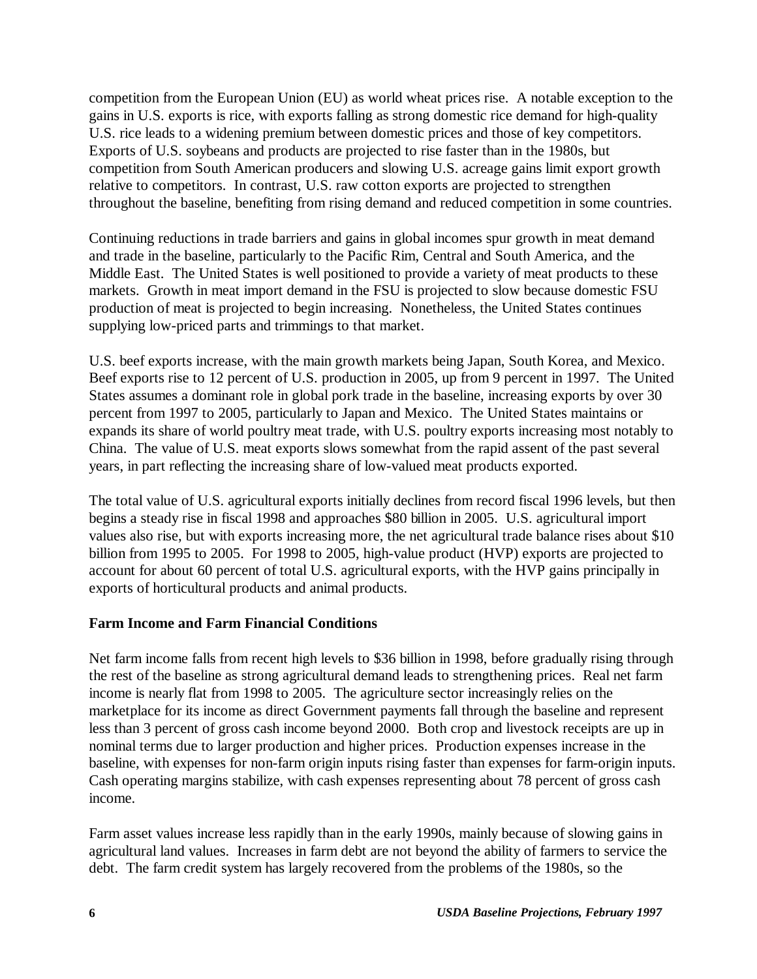competition from the European Union (EU) as world wheat prices rise. A notable exception to the gains in U.S. exports is rice, with exports falling as strong domestic rice demand for high-quality U.S. rice leads to a widening premium between domestic prices and those of key competitors. Exports of U.S. soybeans and products are projected to rise faster than in the 1980s, but competition from South American producers and slowing U.S. acreage gains limit export growth relative to competitors. In contrast, U.S. raw cotton exports are projected to strengthen throughout the baseline, benefiting from rising demand and reduced competition in some countries.

Continuing reductions in trade barriers and gains in global incomes spur growth in meat demand and trade in the baseline, particularly to the Pacific Rim, Central and South America, and the Middle East. The United States is well positioned to provide a variety of meat products to these markets. Growth in meat import demand in the FSU is projected to slow because domestic FSU production of meat is projected to begin increasing. Nonetheless, the United States continues supplying low-priced parts and trimmings to that market.

U.S. beef exports increase, with the main growth markets being Japan, South Korea, and Mexico. Beef exports rise to 12 percent of U.S. production in 2005, up from 9 percent in 1997. The United States assumes a dominant role in global pork trade in the baseline, increasing exports by over 30 percent from 1997 to 2005, particularly to Japan and Mexico. The United States maintains or expands its share of world poultry meat trade, with U.S. poultry exports increasing most notably to China. The value of U.S. meat exports slows somewhat from the rapid assent of the past several years, in part reflecting the increasing share of low-valued meat products exported.

The total value of U.S. agricultural exports initially declines from record fiscal 1996 levels, but then begins a steady rise in fiscal 1998 and approaches \$80 billion in 2005. U.S. agricultural import values also rise, but with exports increasing more, the net agricultural trade balance rises about \$10 billion from 1995 to 2005. For 1998 to 2005, high-value product (HVP) exports are projected to account for about 60 percent of total U.S. agricultural exports, with the HVP gains principally in exports of horticultural products and animal products.

#### **Farm Income and Farm Financial Conditions**

Net farm income falls from recent high levels to \$36 billion in 1998, before gradually rising through the rest of the baseline as strong agricultural demand leads to strengthening prices. Real net farm income is nearly flat from 1998 to 2005. The agriculture sector increasingly relies on the marketplace for its income as direct Government payments fall through the baseline and represent less than 3 percent of gross cash income beyond 2000. Both crop and livestock receipts are up in nominal terms due to larger production and higher prices. Production expenses increase in the baseline, with expenses for non-farm origin inputs rising faster than expenses for farm-origin inputs. Cash operating margins stabilize, with cash expenses representing about 78 percent of gross cash income.

Farm asset values increase less rapidly than in the early 1990s, mainly because of slowing gains in agricultural land values. Increases in farm debt are not beyond the ability of farmers to service the debt. The farm credit system has largely recovered from the problems of the 1980s, so the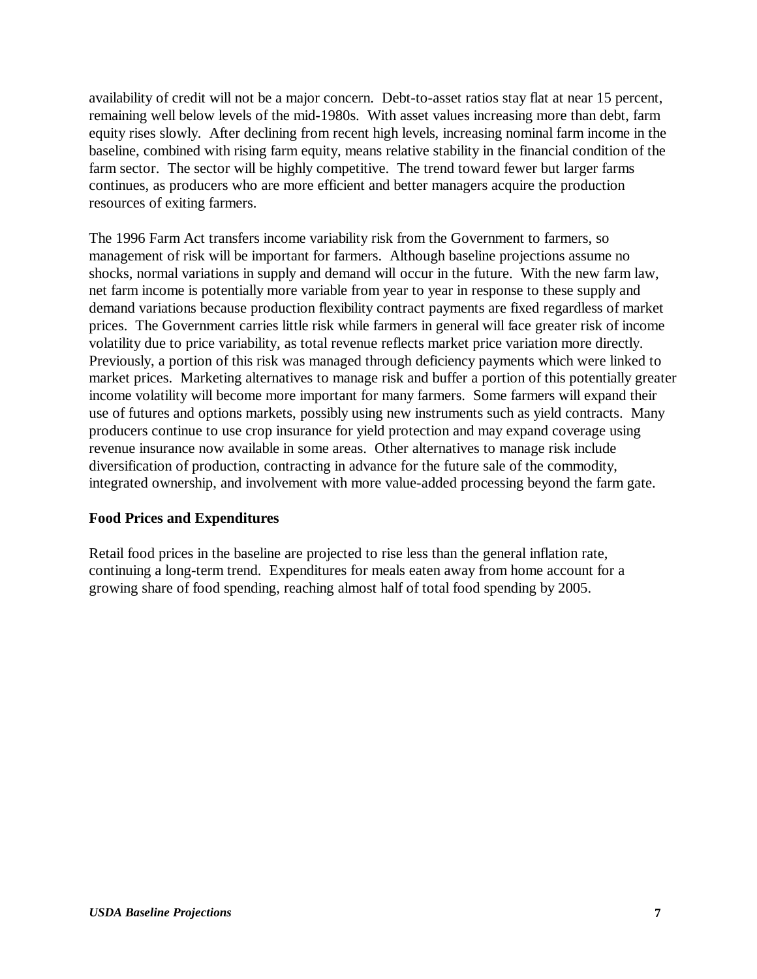availability of credit will not be a major concern. Debt-to-asset ratios stay flat at near 15 percent, remaining well below levels of the mid-1980s. With asset values increasing more than debt, farm equity rises slowly. After declining from recent high levels, increasing nominal farm income in the baseline, combined with rising farm equity, means relative stability in the financial condition of the farm sector. The sector will be highly competitive. The trend toward fewer but larger farms continues, as producers who are more efficient and better managers acquire the production resources of exiting farmers.

The 1996 Farm Act transfers income variability risk from the Government to farmers, so management of risk will be important for farmers. Although baseline projections assume no shocks, normal variations in supply and demand will occur in the future. With the new farm law, net farm income is potentially more variable from year to year in response to these supply and demand variations because production flexibility contract payments are fixed regardless of market prices. The Government carries little risk while farmers in general will face greater risk of income volatility due to price variability, as total revenue reflects market price variation more directly. Previously, a portion of this risk was managed through deficiency payments which were linked to market prices. Marketing alternatives to manage risk and buffer a portion of this potentially greater income volatility will become more important for many farmers. Some farmers will expand their use of futures and options markets, possibly using new instruments such as yield contracts. Many producers continue to use crop insurance for yield protection and may expand coverage using revenue insurance now available in some areas. Other alternatives to manage risk include diversification of production, contracting in advance for the future sale of the commodity, integrated ownership, and involvement with more value-added processing beyond the farm gate.

#### **Food Prices and Expenditures**

Retail food prices in the baseline are projected to rise less than the general inflation rate, continuing a long-term trend. Expenditures for meals eaten away from home account for a growing share of food spending, reaching almost half of total food spending by 2005.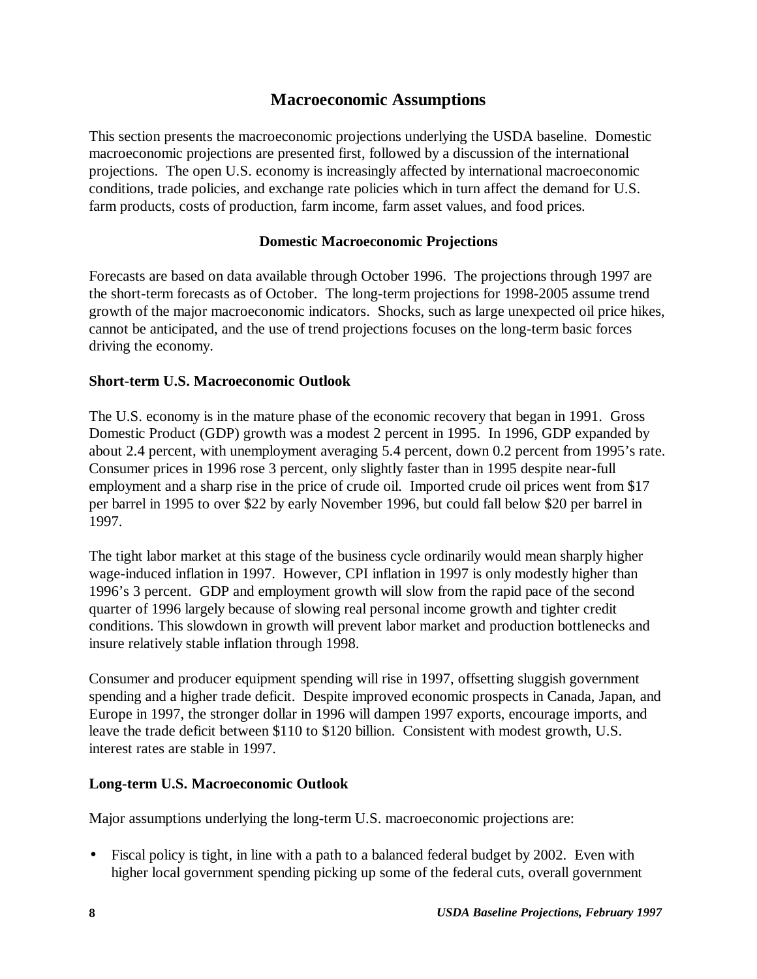### **Macroeconomic Assumptions**

This section presents the macroeconomic projections underlying the USDA baseline. Domestic macroeconomic projections are presented first, followed by a discussion of the international projections. The open U.S. economy is increasingly affected by international macroeconomic conditions, trade policies, and exchange rate policies which in turn affect the demand for U.S. farm products, costs of production, farm income, farm asset values, and food prices.

#### **Domestic Macroeconomic Projections**

Forecasts are based on data available through October 1996. The projections through 1997 are the short-term forecasts as of October. The long-term projections for 1998-2005 assume trend growth of the major macroeconomic indicators. Shocks, such as large unexpected oil price hikes, cannot be anticipated, and the use of trend projections focuses on the long-term basic forces driving the economy.

#### **Short-term U.S. Macroeconomic Outlook**

The U.S. economy is in the mature phase of the economic recovery that began in 1991. Gross Domestic Product (GDP) growth was a modest 2 percent in 1995. In 1996, GDP expanded by about 2.4 percent, with unemployment averaging 5.4 percent, down 0.2 percent from 1995's rate. Consumer prices in 1996 rose 3 percent, only slightly faster than in 1995 despite near-full employment and a sharp rise in the price of crude oil. Imported crude oil prices went from \$17 per barrel in 1995 to over \$22 by early November 1996, but could fall below \$20 per barrel in 1997.

The tight labor market at this stage of the business cycle ordinarily would mean sharply higher wage-induced inflation in 1997. However, CPI inflation in 1997 is only modestly higher than 1996's 3 percent. GDP and employment growth will slow from the rapid pace of the second quarter of 1996 largely because of slowing real personal income growth and tighter credit conditions. This slowdown in growth will prevent labor market and production bottlenecks and insure relatively stable inflation through 1998.

Consumer and producer equipment spending will rise in 1997, offsetting sluggish government spending and a higher trade deficit. Despite improved economic prospects in Canada, Japan, and Europe in 1997, the stronger dollar in 1996 will dampen 1997 exports, encourage imports, and leave the trade deficit between \$110 to \$120 billion. Consistent with modest growth, U.S. interest rates are stable in 1997.

#### **Long-term U.S. Macroeconomic Outlook**

Major assumptions underlying the long-term U.S. macroeconomic projections are:

• Fiscal policy is tight, in line with a path to a balanced federal budget by 2002. Even with higher local government spending picking up some of the federal cuts, overall government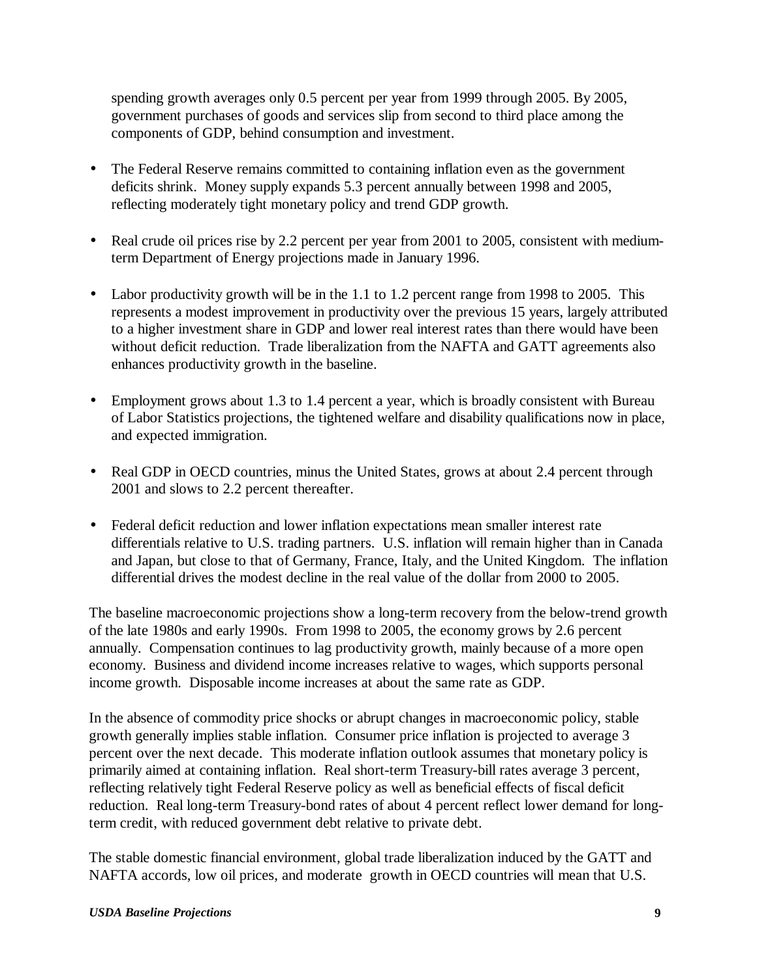spending growth averages only 0.5 percent per year from 1999 through 2005. By 2005, government purchases of goods and services slip from second to third place among the components of GDP, behind consumption and investment.

- The Federal Reserve remains committed to containing inflation even as the government deficits shrink. Money supply expands 5.3 percent annually between 1998 and 2005, reflecting moderately tight monetary policy and trend GDP growth.
- Real crude oil prices rise by 2.2 percent per year from 2001 to 2005, consistent with mediumterm Department of Energy projections made in January 1996.
- Labor productivity growth will be in the 1.1 to 1.2 percent range from 1998 to 2005. This represents a modest improvement in productivity over the previous 15 years, largely attributed to a higher investment share in GDP and lower real interest rates than there would have been without deficit reduction. Trade liberalization from the NAFTA and GATT agreements also enhances productivity growth in the baseline.
- Employment grows about 1.3 to 1.4 percent a year, which is broadly consistent with Bureau of Labor Statistics projections, the tightened welfare and disability qualifications now in place, and expected immigration.
- Real GDP in OECD countries, minus the United States, grows at about 2.4 percent through 2001 and slows to 2.2 percent thereafter.
- Federal deficit reduction and lower inflation expectations mean smaller interest rate differentials relative to U.S. trading partners. U.S. inflation will remain higher than in Canada and Japan, but close to that of Germany, France, Italy, and the United Kingdom. The inflation differential drives the modest decline in the real value of the dollar from 2000 to 2005.

The baseline macroeconomic projections show a long-term recovery from the below-trend growth of the late 1980s and early 1990s. From 1998 to 2005, the economy grows by 2.6 percent annually. Compensation continues to lag productivity growth, mainly because of a more open economy. Business and dividend income increases relative to wages, which supports personal income growth. Disposable income increases at about the same rate as GDP.

In the absence of commodity price shocks or abrupt changes in macroeconomic policy, stable growth generally implies stable inflation. Consumer price inflation is projected to average 3 percent over the next decade. This moderate inflation outlook assumes that monetary policy is primarily aimed at containing inflation. Real short-term Treasury-bill rates average 3 percent, reflecting relatively tight Federal Reserve policy as well as beneficial effects of fiscal deficit reduction. Real long-term Treasury-bond rates of about 4 percent reflect lower demand for longterm credit, with reduced government debt relative to private debt.

The stable domestic financial environment, global trade liberalization induced by the GATT and NAFTA accords, low oil prices, and moderate growth in OECD countries will mean that U.S.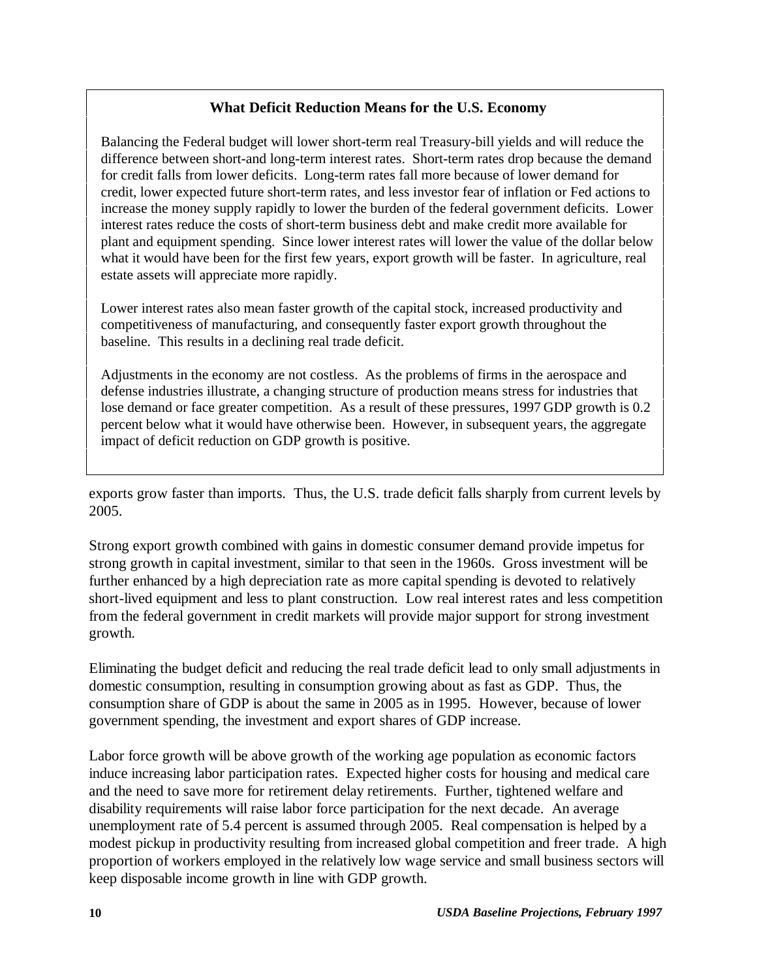#### **What Deficit Reduction Means for the U.S. Economy**

Balancing the Federal budget will lower short-term real Treasury-bill yields and will reduce the difference between short-and long-term interest rates. Short-term rates drop because the demand for credit falls from lower deficits. Long-term rates fall more because of lower demand for credit, lower expected future short-term rates, and less investor fear of inflation or Fed actions to increase the money supply rapidly to lower the burden of the federal government deficits. Lower interest rates reduce the costs of short-term business debt and make credit more available for plant and equipment spending. Since lower interest rates will lower the value of the dollar below what it would have been for the first few years, export growth will be faster. In agriculture, real estate assets will appreciate more rapidly.

Lower interest rates also mean faster growth of the capital stock, increased productivity and competitiveness of manufacturing, and consequently faster export growth throughout the baseline. This results in a declining real trade deficit.

Adjustments in the economy are not costless. As the problems of firms in the aerospace and defense industries illustrate, a changing structure of production means stress for industries that lose demand or face greater competition. As a result of these pressures, 1997 GDP growth is 0.2 percent below what it would have otherwise been. However, in subsequent years, the aggregate impact of deficit reduction on GDP growth is positive.

exports grow faster than imports. Thus, the U.S. trade deficit falls sharply from current levels by 2005.

Strong export growth combined with gains in domestic consumer demand provide impetus for strong growth in capital investment, similar to that seen in the 1960s. Gross investment will be further enhanced by a high depreciation rate as more capital spending is devoted to relatively short-lived equipment and less to plant construction. Low real interest rates and less competition from the federal government in credit markets will provide major support for strong investment growth.

Eliminating the budget deficit and reducing the real trade deficit lead to only small adjustments in domestic consumption, resulting in consumption growing about as fast as GDP. Thus, the consumption share of GDP is about the same in 2005 as in 1995. However, because of lower government spending, the investment and export shares of GDP increase.

Labor force growth will be above growth of the working age population as economic factors induce increasing labor participation rates. Expected higher costs for housing and medical care and the need to save more for retirement delay retirements. Further, tightened welfare and disability requirements will raise labor force participation for the next decade. An average unemployment rate of 5.4 percent is assumed through 2005. Real compensation is helped by a modest pickup in productivity resulting from increased global competition and freer trade. A high proportion of workers employed in the relatively low wage service and small business sectors will keep disposable income growth in line with GDP growth.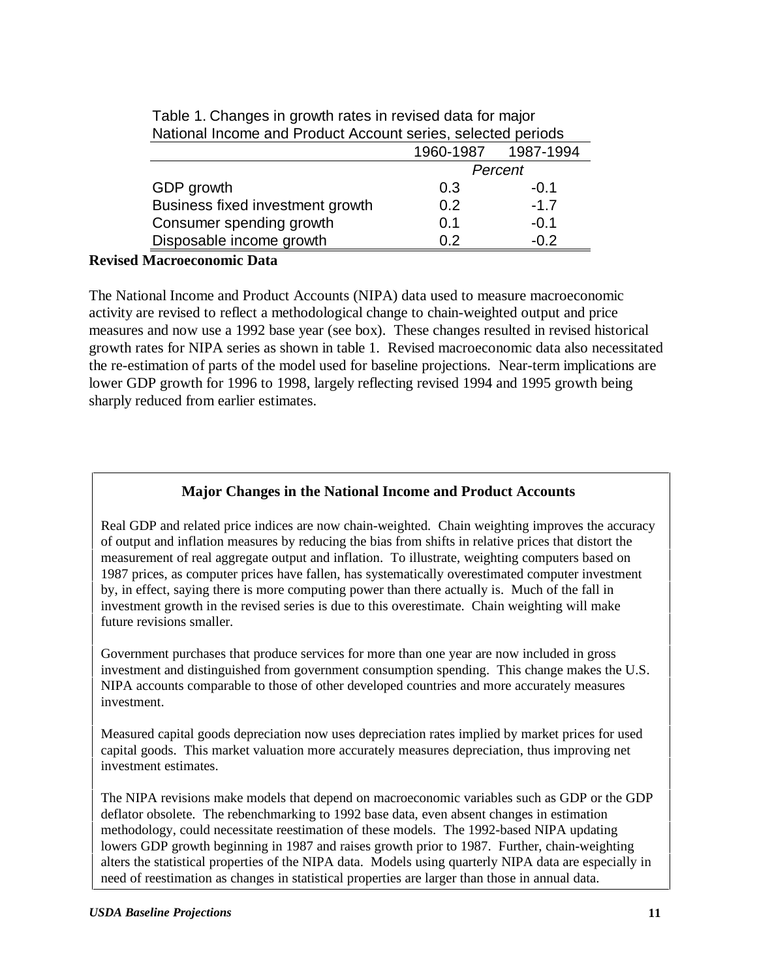| 1987-1994                  |
|----------------------------|
|                            |
|                            |
|                            |
|                            |
|                            |
|                            |
| $-1.7$<br>$-0.1$<br>$-0.2$ |

Table 1. Changes in growth rates in revised data for major National Income and Product Account series, selected periods

#### **Revised Macroeconomic Data**

The National Income and Product Accounts (NIPA) data used to measure macroeconomic activity are revised to reflect a methodological change to chain-weighted output and price measures and now use a 1992 base year (see box). These changes resulted in revised historical growth rates for NIPA series as shown in table 1. Revised macroeconomic data also necessitated the re-estimation of parts of the model used for baseline projections. Near-term implications are lower GDP growth for 1996 to 1998, largely reflecting revised 1994 and 1995 growth being sharply reduced from earlier estimates.

#### **Major Changes in the National Income and Product Accounts**

Real GDP and related price indices are now chain-weighted. Chain weighting improves the accuracy of output and inflation measures by reducing the bias from shifts in relative prices that distort the measurement of real aggregate output and inflation. To illustrate, weighting computers based on 1987 prices, as computer prices have fallen, has systematically overestimated computer investment by, in effect, saying there is more computing power than there actually is. Much of the fall in investment growth in the revised series is due to this overestimate. Chain weighting will make future revisions smaller.

Government purchases that produce services for more than one year are now included in gross investment and distinguished from government consumption spending. This change makes the U.S. NIPA accounts comparable to those of other developed countries and more accurately measures investment.

Measured capital goods depreciation now uses depreciation rates implied by market prices for used capital goods. This market valuation more accurately measures depreciation, thus improving net investment estimates.

The NIPA revisions make models that depend on macroeconomic variables such as GDP or the GDP deflator obsolete. The rebenchmarking to 1992 base data, even absent changes in estimation methodology, could necessitate reestimation of these models. The 1992-based NIPA updating lowers GDP growth beginning in 1987 and raises growth prior to 1987. Further, chain-weighting alters the statistical properties of the NIPA data. Models using quarterly NIPA data are especially in need of reestimation as changes in statistical properties are larger than those in annual data.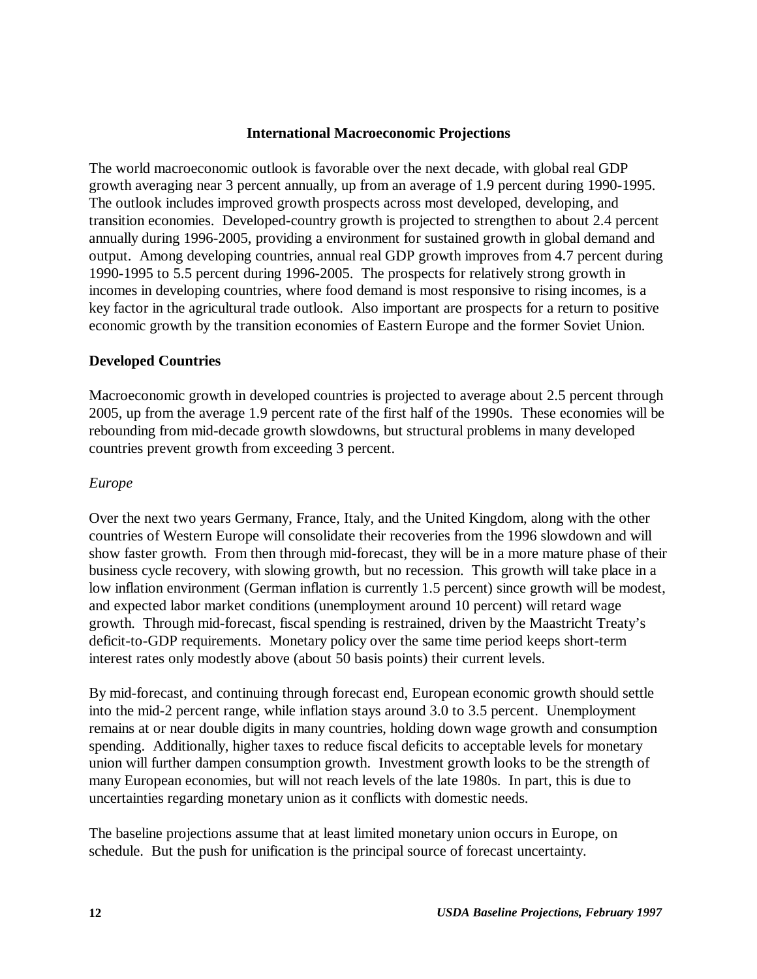#### **International Macroeconomic Projections**

The world macroeconomic outlook is favorable over the next decade, with global real GDP growth averaging near 3 percent annually, up from an average of 1.9 percent during 1990-1995. The outlook includes improved growth prospects across most developed, developing, and transition economies. Developed-country growth is projected to strengthen to about 2.4 percent annually during 1996-2005, providing a environment for sustained growth in global demand and output. Among developing countries, annual real GDP growth improves from 4.7 percent during 1990-1995 to 5.5 percent during 1996-2005. The prospects for relatively strong growth in incomes in developing countries, where food demand is most responsive to rising incomes, is a key factor in the agricultural trade outlook. Also important are prospects for a return to positive economic growth by the transition economies of Eastern Europe and the former Soviet Union.

#### **Developed Countries**

Macroeconomic growth in developed countries is projected to average about 2.5 percent through 2005, up from the average 1.9 percent rate of the first half of the 1990s. These economies will be rebounding from mid-decade growth slowdowns, but structural problems in many developed countries prevent growth from exceeding 3 percent.

#### *Europe*

Over the next two years Germany, France, Italy, and the United Kingdom, along with the other countries of Western Europe will consolidate their recoveries from the 1996 slowdown and will show faster growth. From then through mid-forecast, they will be in a more mature phase of their business cycle recovery, with slowing growth, but no recession. This growth will take place in a low inflation environment (German inflation is currently 1.5 percent) since growth will be modest, and expected labor market conditions (unemployment around 10 percent) will retard wage growth. Through mid-forecast, fiscal spending is restrained, driven by the Maastricht Treaty's deficit-to-GDP requirements. Monetary policy over the same time period keeps short-term interest rates only modestly above (about 50 basis points) their current levels.

By mid-forecast, and continuing through forecast end, European economic growth should settle into the mid-2 percent range, while inflation stays around 3.0 to 3.5 percent. Unemployment remains at or near double digits in many countries, holding down wage growth and consumption spending. Additionally, higher taxes to reduce fiscal deficits to acceptable levels for monetary union will further dampen consumption growth. Investment growth looks to be the strength of many European economies, but will not reach levels of the late 1980s. In part, this is due to uncertainties regarding monetary union as it conflicts with domestic needs.

The baseline projections assume that at least limited monetary union occurs in Europe, on schedule. But the push for unification is the principal source of forecast uncertainty.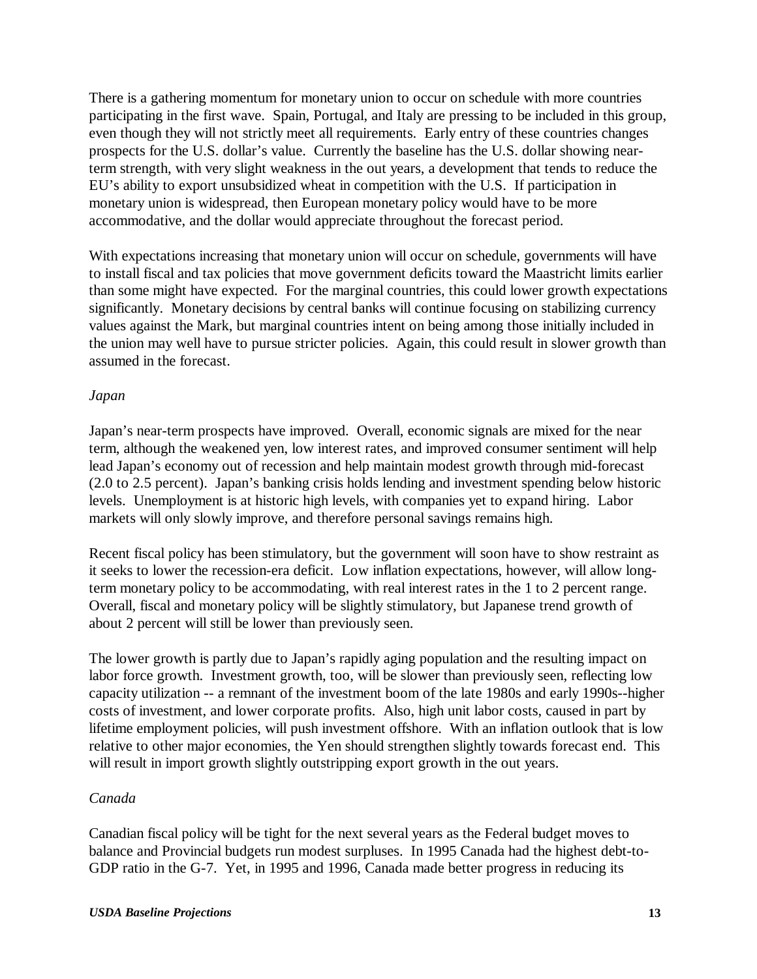There is a gathering momentum for monetary union to occur on schedule with more countries participating in the first wave. Spain, Portugal, and Italy are pressing to be included in this group, even though they will not strictly meet all requirements. Early entry of these countries changes prospects for the U.S. dollar's value. Currently the baseline has the U.S. dollar showing nearterm strength, with very slight weakness in the out years, a development that tends to reduce the EU's ability to export unsubsidized wheat in competition with the U.S. If participation in monetary union is widespread, then European monetary policy would have to be more accommodative, and the dollar would appreciate throughout the forecast period.

With expectations increasing that monetary union will occur on schedule, governments will have to install fiscal and tax policies that move government deficits toward the Maastricht limits earlier than some might have expected. For the marginal countries, this could lower growth expectations significantly. Monetary decisions by central banks will continue focusing on stabilizing currency values against the Mark, but marginal countries intent on being among those initially included in the union may well have to pursue stricter policies. Again, this could result in slower growth than assumed in the forecast.

#### *Japan*

Japan's near-term prospects have improved. Overall, economic signals are mixed for the near term, although the weakened yen, low interest rates, and improved consumer sentiment will help lead Japan's economy out of recession and help maintain modest growth through mid-forecast (2.0 to 2.5 percent). Japan's banking crisis holds lending and investment spending below historic levels. Unemployment is at historic high levels, with companies yet to expand hiring. Labor markets will only slowly improve, and therefore personal savings remains high.

Recent fiscal policy has been stimulatory, but the government will soon have to show restraint as it seeks to lower the recession-era deficit. Low inflation expectations, however, will allow longterm monetary policy to be accommodating, with real interest rates in the 1 to 2 percent range. Overall, fiscal and monetary policy will be slightly stimulatory, but Japanese trend growth of about 2 percent will still be lower than previously seen.

The lower growth is partly due to Japan's rapidly aging population and the resulting impact on labor force growth. Investment growth, too, will be slower than previously seen, reflecting low capacity utilization -- a remnant of the investment boom of the late 1980s and early 1990s--higher costs of investment, and lower corporate profits. Also, high unit labor costs, caused in part by lifetime employment policies, will push investment offshore. With an inflation outlook that is low relative to other major economies, the Yen should strengthen slightly towards forecast end. This will result in import growth slightly outstripping export growth in the out years.

#### *Canada*

Canadian fiscal policy will be tight for the next several years as the Federal budget moves to balance and Provincial budgets run modest surpluses. In 1995 Canada had the highest debt-to-GDP ratio in the G-7. Yet, in 1995 and 1996, Canada made better progress in reducing its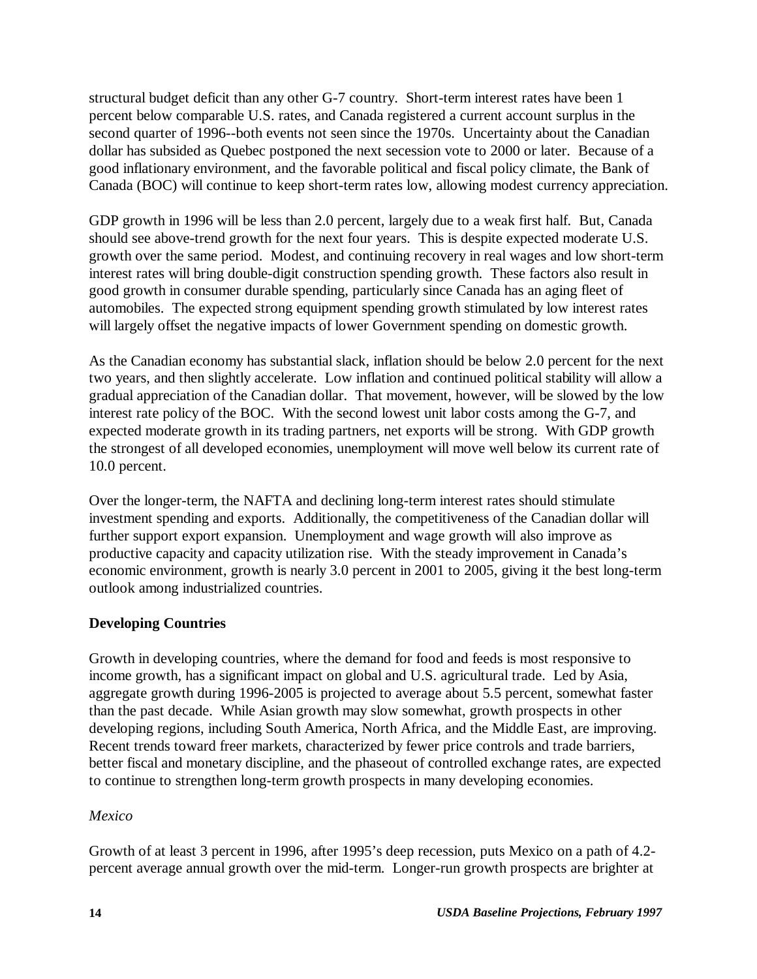structural budget deficit than any other G-7 country. Short-term interest rates have been 1 percent below comparable U.S. rates, and Canada registered a current account surplus in the second quarter of 1996--both events not seen since the 1970s. Uncertainty about the Canadian dollar has subsided as Quebec postponed the next secession vote to 2000 or later. Because of a good inflationary environment, and the favorable political and fiscal policy climate, the Bank of Canada (BOC) will continue to keep short-term rates low, allowing modest currency appreciation.

GDP growth in 1996 will be less than 2.0 percent, largely due to a weak first half. But, Canada should see above-trend growth for the next four years. This is despite expected moderate U.S. growth over the same period. Modest, and continuing recovery in real wages and low short-term interest rates will bring double-digit construction spending growth. These factors also result in good growth in consumer durable spending, particularly since Canada has an aging fleet of automobiles. The expected strong equipment spending growth stimulated by low interest rates will largely offset the negative impacts of lower Government spending on domestic growth.

As the Canadian economy has substantial slack, inflation should be below 2.0 percent for the next two years, and then slightly accelerate. Low inflation and continued political stability will allow a gradual appreciation of the Canadian dollar. That movement, however, will be slowed by the low interest rate policy of the BOC. With the second lowest unit labor costs among the G-7, and expected moderate growth in its trading partners, net exports will be strong. With GDP growth the strongest of all developed economies, unemployment will move well below its current rate of 10.0 percent.

Over the longer-term, the NAFTA and declining long-term interest rates should stimulate investment spending and exports. Additionally, the competitiveness of the Canadian dollar will further support export expansion. Unemployment and wage growth will also improve as productive capacity and capacity utilization rise. With the steady improvement in Canada's economic environment, growth is nearly 3.0 percent in 2001 to 2005, giving it the best long-term outlook among industrialized countries.

#### **Developing Countries**

Growth in developing countries, where the demand for food and feeds is most responsive to income growth, has a significant impact on global and U.S. agricultural trade. Led by Asia, aggregate growth during 1996-2005 is projected to average about 5.5 percent, somewhat faster than the past decade. While Asian growth may slow somewhat, growth prospects in other developing regions, including South America, North Africa, and the Middle East, are improving. Recent trends toward freer markets, characterized by fewer price controls and trade barriers, better fiscal and monetary discipline, and the phaseout of controlled exchange rates, are expected to continue to strengthen long-term growth prospects in many developing economies.

#### *Mexico*

Growth of at least 3 percent in 1996, after 1995's deep recession, puts Mexico on a path of 4.2 percent average annual growth over the mid-term. Longer-run growth prospects are brighter at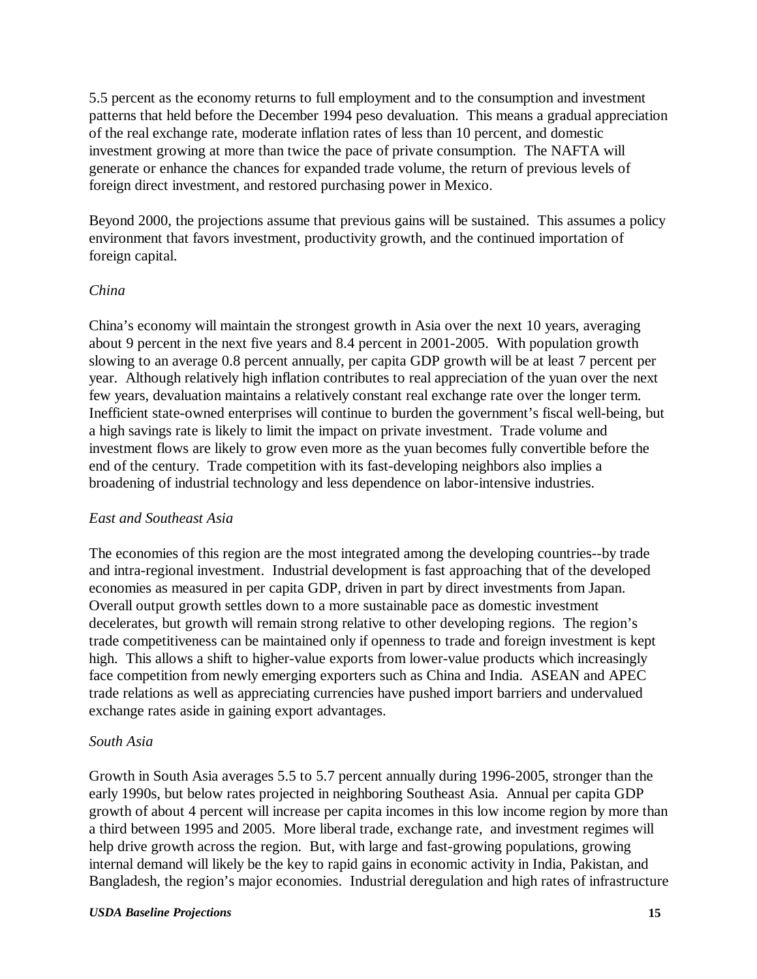5.5 percent as the economy returns to full employment and to the consumption and investment patterns that held before the December 1994 peso devaluation. This means a gradual appreciation of the real exchange rate, moderate inflation rates of less than 10 percent, and domestic investment growing at more than twice the pace of private consumption. The NAFTA will generate or enhance the chances for expanded trade volume, the return of previous levels of foreign direct investment, and restored purchasing power in Mexico.

Beyond 2000, the projections assume that previous gains will be sustained. This assumes a policy environment that favors investment, productivity growth, and the continued importation of foreign capital.

#### *China*

China's economy will maintain the strongest growth in Asia over the next 10 years, averaging about 9 percent in the next five years and 8.4 percent in 2001-2005. With population growth slowing to an average 0.8 percent annually, per capita GDP growth will be at least 7 percent per year. Although relatively high inflation contributes to real appreciation of the yuan over the next few years, devaluation maintains a relatively constant real exchange rate over the longer term. Inefficient state-owned enterprises will continue to burden the government's fiscal well-being, but a high savings rate is likely to limit the impact on private investment. Trade volume and investment flows are likely to grow even more as the yuan becomes fully convertible before the end of the century. Trade competition with its fast-developing neighbors also implies a broadening of industrial technology and less dependence on labor-intensive industries.

#### *East and Southeast Asia*

The economies of this region are the most integrated among the developing countries--by trade and intra-regional investment. Industrial development is fast approaching that of the developed economies as measured in per capita GDP, driven in part by direct investments from Japan. Overall output growth settles down to a more sustainable pace as domestic investment decelerates, but growth will remain strong relative to other developing regions. The region's trade competitiveness can be maintained only if openness to trade and foreign investment is kept high. This allows a shift to higher-value exports from lower-value products which increasingly face competition from newly emerging exporters such as China and India. ASEAN and APEC trade relations as well as appreciating currencies have pushed import barriers and undervalued exchange rates aside in gaining export advantages.

#### *South Asia*

Growth in South Asia averages 5.5 to 5.7 percent annually during 1996-2005, stronger than the early 1990s, but below rates projected in neighboring Southeast Asia. Annual per capita GDP growth of about 4 percent will increase per capita incomes in this low income region by more than a third between 1995 and 2005. More liberal trade, exchange rate, and investment regimes will help drive growth across the region. But, with large and fast-growing populations, growing internal demand will likely be the key to rapid gains in economic activity in India, Pakistan, and Bangladesh, the region's major economies. Industrial deregulation and high rates of infrastructure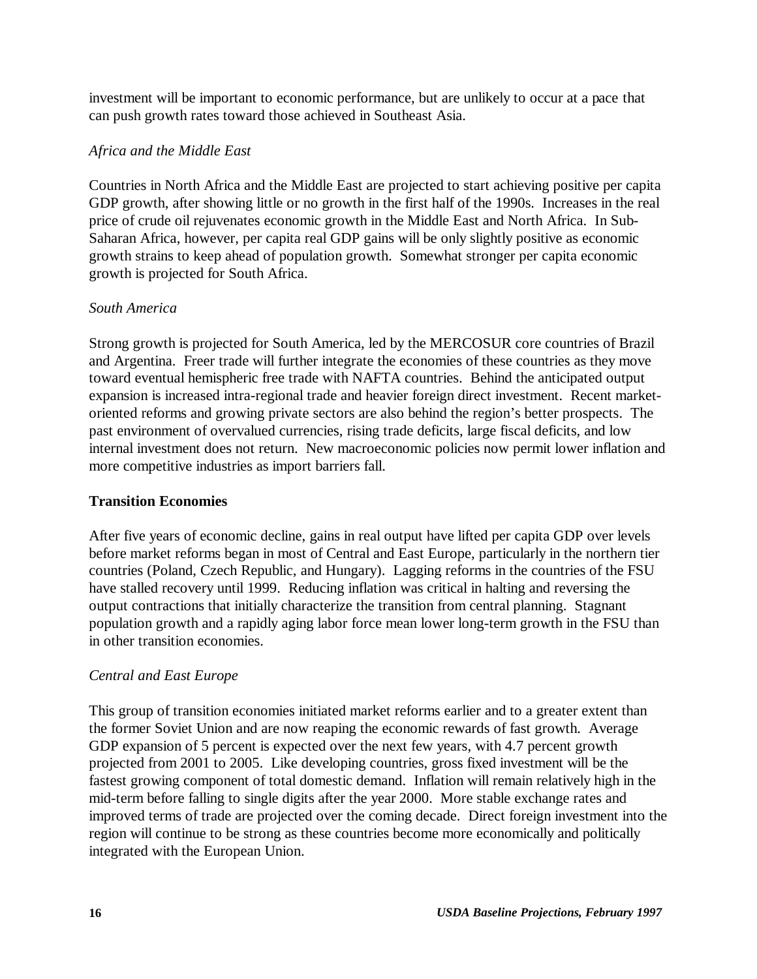investment will be important to economic performance, but are unlikely to occur at a pace that can push growth rates toward those achieved in Southeast Asia.

#### *Africa and the Middle East*

Countries in North Africa and the Middle East are projected to start achieving positive per capita GDP growth, after showing little or no growth in the first half of the 1990s. Increases in the real price of crude oil rejuvenates economic growth in the Middle East and North Africa. In Sub-Saharan Africa, however, per capita real GDP gains will be only slightly positive as economic growth strains to keep ahead of population growth. Somewhat stronger per capita economic growth is projected for South Africa.

#### *South America*

Strong growth is projected for South America, led by the MERCOSUR core countries of Brazil and Argentina. Freer trade will further integrate the economies of these countries as they move toward eventual hemispheric free trade with NAFTA countries. Behind the anticipated output expansion is increased intra-regional trade and heavier foreign direct investment. Recent marketoriented reforms and growing private sectors are also behind the region's better prospects. The past environment of overvalued currencies, rising trade deficits, large fiscal deficits, and low internal investment does not return. New macroeconomic policies now permit lower inflation and more competitive industries as import barriers fall.

#### **Transition Economies**

After five years of economic decline, gains in real output have lifted per capita GDP over levels before market reforms began in most of Central and East Europe, particularly in the northern tier countries (Poland, Czech Republic, and Hungary). Lagging reforms in the countries of the FSU have stalled recovery until 1999. Reducing inflation was critical in halting and reversing the output contractions that initially characterize the transition from central planning. Stagnant population growth and a rapidly aging labor force mean lower long-term growth in the FSU than in other transition economies.

#### *Central and East Europe*

This group of transition economies initiated market reforms earlier and to a greater extent than the former Soviet Union and are now reaping the economic rewards of fast growth. Average GDP expansion of 5 percent is expected over the next few years, with 4.7 percent growth projected from 2001 to 2005. Like developing countries, gross fixed investment will be the fastest growing component of total domestic demand. Inflation will remain relatively high in the mid-term before falling to single digits after the year 2000. More stable exchange rates and improved terms of trade are projected over the coming decade. Direct foreign investment into the region will continue to be strong as these countries become more economically and politically integrated with the European Union.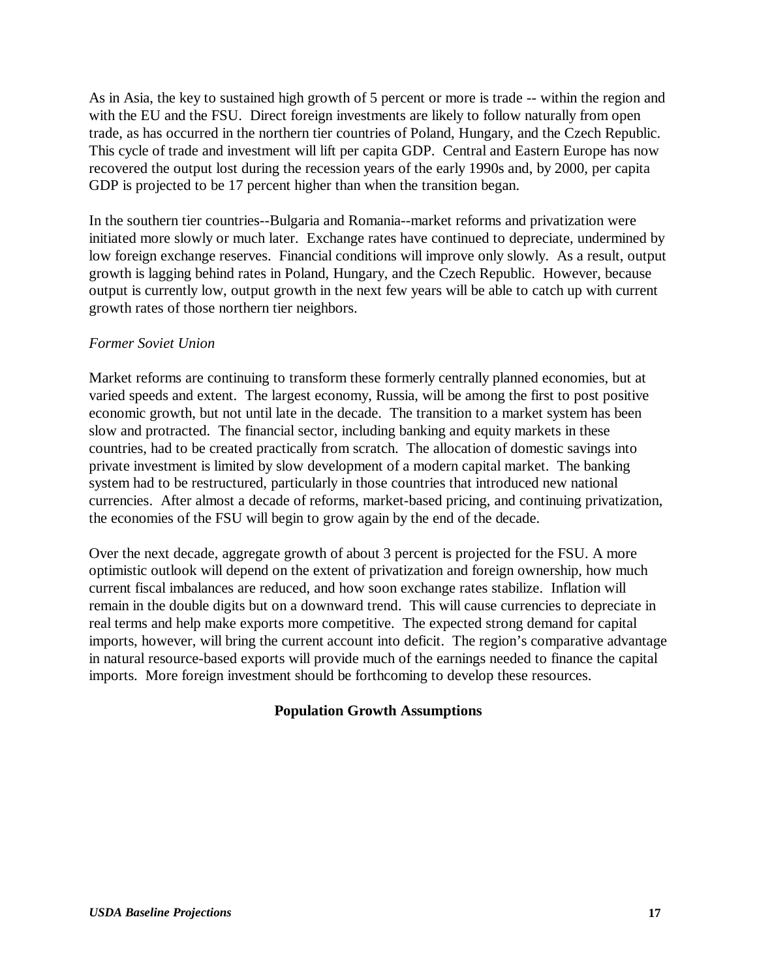As in Asia, the key to sustained high growth of 5 percent or more is trade -- within the region and with the EU and the FSU. Direct foreign investments are likely to follow naturally from open trade, as has occurred in the northern tier countries of Poland, Hungary, and the Czech Republic. This cycle of trade and investment will lift per capita GDP. Central and Eastern Europe has now recovered the output lost during the recession years of the early 1990s and, by 2000, per capita GDP is projected to be 17 percent higher than when the transition began.

In the southern tier countries--Bulgaria and Romania--market reforms and privatization were initiated more slowly or much later. Exchange rates have continued to depreciate, undermined by low foreign exchange reserves. Financial conditions will improve only slowly. As a result, output growth is lagging behind rates in Poland, Hungary, and the Czech Republic. However, because output is currently low, output growth in the next few years will be able to catch up with current growth rates of those northern tier neighbors.

#### *Former Soviet Union*

Market reforms are continuing to transform these formerly centrally planned economies, but at varied speeds and extent. The largest economy, Russia, will be among the first to post positive economic growth, but not until late in the decade. The transition to a market system has been slow and protracted. The financial sector, including banking and equity markets in these countries, had to be created practically from scratch. The allocation of domestic savings into private investment is limited by slow development of a modern capital market. The banking system had to be restructured, particularly in those countries that introduced new national currencies. After almost a decade of reforms, market-based pricing, and continuing privatization, the economies of the FSU will begin to grow again by the end of the decade.

Over the next decade, aggregate growth of about 3 percent is projected for the FSU. A more optimistic outlook will depend on the extent of privatization and foreign ownership, how much current fiscal imbalances are reduced, and how soon exchange rates stabilize. Inflation will remain in the double digits but on a downward trend. This will cause currencies to depreciate in real terms and help make exports more competitive. The expected strong demand for capital imports, however, will bring the current account into deficit. The region's comparative advantage in natural resource-based exports will provide much of the earnings needed to finance the capital imports. More foreign investment should be forthcoming to develop these resources.

#### **Population Growth Assumptions**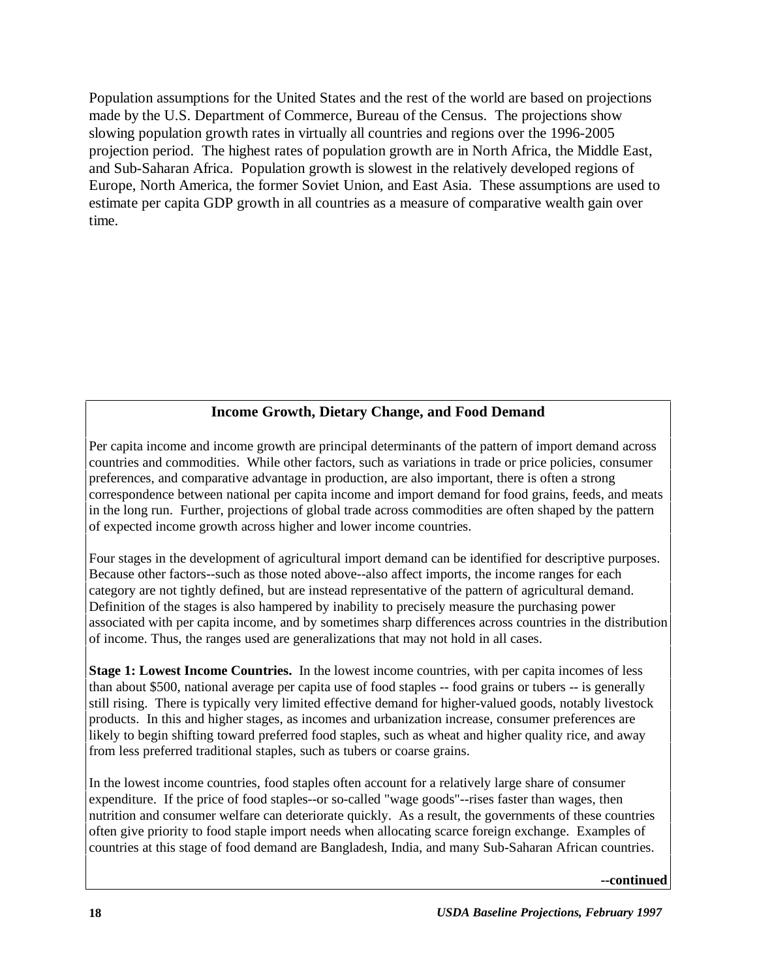Population assumptions for the United States and the rest of the world are based on projections made by the U.S. Department of Commerce, Bureau of the Census. The projections show slowing population growth rates in virtually all countries and regions over the 1996-2005 projection period. The highest rates of population growth are in North Africa, the Middle East, and Sub-Saharan Africa. Population growth is slowest in the relatively developed regions of Europe, North America, the former Soviet Union, and East Asia. These assumptions are used to estimate per capita GDP growth in all countries as a measure of comparative wealth gain over time.

#### **Income Growth, Dietary Change, and Food Demand**

Per capita income and income growth are principal determinants of the pattern of import demand across countries and commodities. While other factors, such as variations in trade or price policies, consumer preferences, and comparative advantage in production, are also important, there is often a strong correspondence between national per capita income and import demand for food grains, feeds, and meats in the long run. Further, projections of global trade across commodities are often shaped by the pattern of expected income growth across higher and lower income countries.

Four stages in the development of agricultural import demand can be identified for descriptive purposes. Because other factors--such as those noted above--also affect imports, the income ranges for each category are not tightly defined, but are instead representative of the pattern of agricultural demand. Definition of the stages is also hampered by inability to precisely measure the purchasing power associated with per capita income, and by sometimes sharp differences across countries in the distribution of income. Thus, the ranges used are generalizations that may not hold in all cases.

**Stage 1: Lowest Income Countries.** In the lowest income countries, with per capita incomes of less than about \$500, national average per capita use of food staples -- food grains or tubers -- is generally still rising. There is typically very limited effective demand for higher-valued goods, notably livestock products. In this and higher stages, as incomes and urbanization increase, consumer preferences are likely to begin shifting toward preferred food staples, such as wheat and higher quality rice, and away from less preferred traditional staples, such as tubers or coarse grains.

In the lowest income countries, food staples often account for a relatively large share of consumer expenditure. If the price of food staples--or so-called "wage goods"--rises faster than wages, then nutrition and consumer welfare can deteriorate quickly. As a result, the governments of these countries often give priority to food staple import needs when allocating scarce foreign exchange. Examples of countries at this stage of food demand are Bangladesh, India, and many Sub-Saharan African countries.

#### **--continued**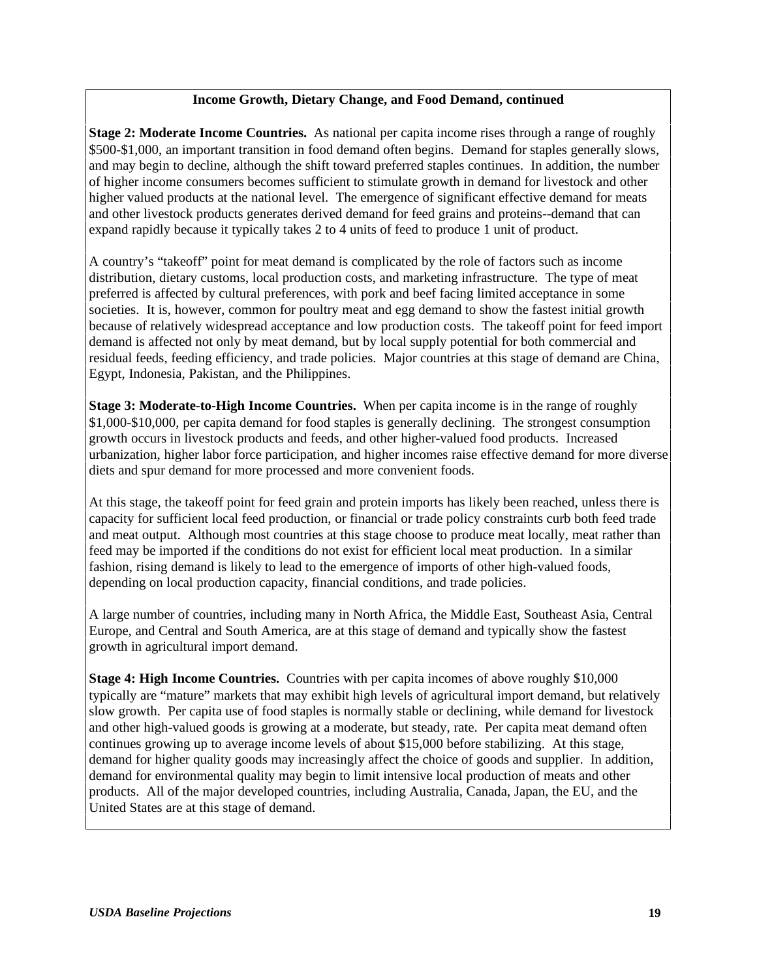#### **Income Growth, Dietary Change, and Food Demand, continued**

**Stage 2: Moderate Income Countries.** As national per capita income rises through a range of roughly \$500-\$1,000, an important transition in food demand often begins. Demand for staples generally slows, and may begin to decline, although the shift toward preferred staples continues. In addition, the number of higher income consumers becomes sufficient to stimulate growth in demand for livestock and other higher valued products at the national level. The emergence of significant effective demand for meats and other livestock products generates derived demand for feed grains and proteins--demand that can expand rapidly because it typically takes 2 to 4 units of feed to produce 1 unit of product.

A country's "takeoff" point for meat demand is complicated by the role of factors such as income distribution, dietary customs, local production costs, and marketing infrastructure. The type of meat preferred is affected by cultural preferences, with pork and beef facing limited acceptance in some societies. It is, however, common for poultry meat and egg demand to show the fastest initial growth because of relatively widespread acceptance and low production costs. The takeoff point for feed import demand is affected not only by meat demand, but by local supply potential for both commercial and residual feeds, feeding efficiency, and trade policies. Major countries at this stage of demand are China, Egypt, Indonesia, Pakistan, and the Philippines.

**Stage 3: Moderate-to-High Income Countries.** When per capita income is in the range of roughly \$1,000-\$10,000, per capita demand for food staples is generally declining. The strongest consumption growth occurs in livestock products and feeds, and other higher-valued food products. Increased urbanization, higher labor force participation, and higher incomes raise effective demand for more diverse diets and spur demand for more processed and more convenient foods.

At this stage, the takeoff point for feed grain and protein imports has likely been reached, unless there is capacity for sufficient local feed production, or financial or trade policy constraints curb both feed trade and meat output. Although most countries at this stage choose to produce meat locally, meat rather than feed may be imported if the conditions do not exist for efficient local meat production. In a similar fashion, rising demand is likely to lead to the emergence of imports of other high-valued foods, depending on local production capacity, financial conditions, and trade policies.

A large number of countries, including many in North Africa, the Middle East, Southeast Asia, Central Europe, and Central and South America, are at this stage of demand and typically show the fastest growth in agricultural import demand.

**Stage 4: High Income Countries.** Countries with per capita incomes of above roughly \$10,000 typically are "mature" markets that may exhibit high levels of agricultural import demand, but relatively slow growth. Per capita use of food staples is normally stable or declining, while demand for livestock and other high-valued goods is growing at a moderate, but steady, rate. Per capita meat demand often continues growing up to average income levels of about \$15,000 before stabilizing. At this stage, demand for higher quality goods may increasingly affect the choice of goods and supplier. In addition, demand for environmental quality may begin to limit intensive local production of meats and other products. All of the major developed countries, including Australia, Canada, Japan, the EU, and the United States are at this stage of demand.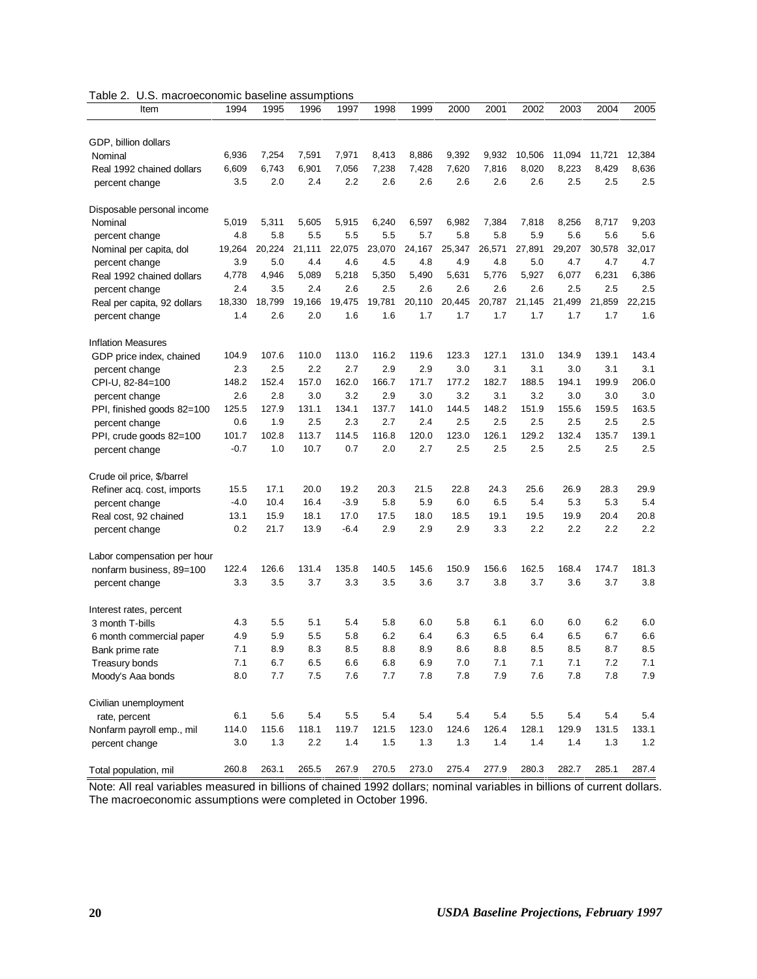|  |  | Table 2. U.S. macroeconomic baseline assumptions |  |  |
|--|--|--------------------------------------------------|--|--|
|--|--|--------------------------------------------------|--|--|

| Item                                        | 1994           | 1995           | 1996           | 1997           | 1998           | 1999           | 2000           | 2001           | 2002            | 2003            | 2004            | 2005            |
|---------------------------------------------|----------------|----------------|----------------|----------------|----------------|----------------|----------------|----------------|-----------------|-----------------|-----------------|-----------------|
|                                             |                |                |                |                |                |                |                |                |                 |                 |                 |                 |
| GDP, billion dollars                        |                |                |                |                |                |                |                |                |                 |                 |                 |                 |
| Nominal                                     | 6,936<br>6,609 | 7,254<br>6,743 | 7,591<br>6,901 | 7,971<br>7,056 | 8,413<br>7,238 | 8,886<br>7,428 | 9,392<br>7,620 | 9,932<br>7,816 | 10,506<br>8,020 | 11,094<br>8,223 | 11,721<br>8,429 | 12,384<br>8,636 |
| Real 1992 chained dollars<br>percent change | 3.5            | 2.0            | 2.4            | 2.2            | 2.6            | 2.6            | 2.6            | 2.6            | 2.6             | 2.5             | 2.5             | 2.5             |
|                                             |                |                |                |                |                |                |                |                |                 |                 |                 |                 |
| Disposable personal income                  |                |                |                |                |                |                |                |                |                 |                 |                 |                 |
| Nominal                                     | 5,019          | 5,311          | 5,605          | 5,915          | 6,240          | 6,597          | 6,982          | 7,384          | 7,818           | 8,256           | 8,717           | 9,203           |
| percent change                              | 4.8            | 5.8            | 5.5            | 5.5            | 5.5            | 5.7            | 5.8            | 5.8            | 5.9             | 5.6             | 5.6             | 5.6             |
| Nominal per capita, dol                     | 19,264         | 20,224         | 21,111         | 22,075         | 23,070         | 24,167         | 25,347         | 26,571         | 27,891          | 29,207          | 30,578          | 32,017          |
| percent change                              | 3.9            | 5.0            | 4.4            | 4.6            | 4.5            | 4.8            | 4.9            | 4.8            | 5.0             | 4.7             | 4.7             | 4.7             |
| Real 1992 chained dollars                   | 4,778          | 4,946          | 5,089          | 5,218          | 5,350          | 5,490          | 5,631          | 5,776          | 5,927           | 6,077           | 6,231           | 6,386           |
| percent change                              | 2.4            | 3.5            | 2.4            | 2.6            | 2.5            | 2.6            | 2.6            | 2.6            | 2.6             | 2.5             | 2.5             | 2.5             |
| Real per capita, 92 dollars                 | 18,330         | 18,799         | 19,166         | 19,475         | 19,781         | 20,110         | 20,445         | 20,787         | 21,145          | 21,499          | 21,859          | 22,215          |
| percent change                              | 1.4            | 2.6            | 2.0            | 1.6            | 1.6            | 1.7            | 1.7            | 1.7            | 1.7             | 1.7             | 1.7             | 1.6             |
| <b>Inflation Measures</b>                   |                |                |                |                |                |                |                |                |                 |                 |                 |                 |
| GDP price index, chained                    | 104.9          | 107.6          | 110.0          | 113.0          | 116.2          | 119.6          | 123.3          | 127.1          | 131.0           | 134.9           | 139.1           | 143.4           |
| percent change                              | 2.3            | 2.5            | 2.2            | 2.7            | 2.9            | 2.9            | 3.0            | 3.1            | 3.1             | 3.0             | 3.1             | 3.1             |
| CPI-U, 82-84=100                            | 148.2          | 152.4          | 157.0          | 162.0          | 166.7          | 171.7          | 177.2          | 182.7          | 188.5           | 194.1           | 199.9           | 206.0           |
| percent change                              | 2.6            | 2.8            | 3.0            | 3.2            | 2.9            | 3.0            | 3.2            | 3.1            | 3.2             | 3.0             | 3.0             | 3.0             |
| PPI, finished goods 82=100                  | 125.5          | 127.9          | 131.1          | 134.1          | 137.7          | 141.0          | 144.5          | 148.2          | 151.9           | 155.6           | 159.5           | 163.5           |
| percent change                              | 0.6            | 1.9            | 2.5            | 2.3            | 2.7            | 2.4            | 2.5            | 2.5            | 2.5             | 2.5             | 2.5             | 2.5             |
| PPI, crude goods 82=100                     | 101.7          | 102.8          | 113.7          | 114.5          | 116.8          | 120.0          | 123.0          | 126.1          | 129.2           | 132.4           | 135.7           | 139.1           |
| percent change                              | $-0.7$         | 1.0            | 10.7           | 0.7            | 2.0            | 2.7            | 2.5            | 2.5            | 2.5             | 2.5             | 2.5             | 2.5             |
| Crude oil price, \$/barrel                  |                |                |                |                |                |                |                |                |                 |                 |                 |                 |
| Refiner acq. cost, imports                  | 15.5           | 17.1           | 20.0           | 19.2           | 20.3           | 21.5           | 22.8           | 24.3           | 25.6            | 26.9            | 28.3            | 29.9            |
| percent change                              | $-4.0$         | 10.4           | 16.4           | $-3.9$         | 5.8            | 5.9            | 6.0            | 6.5            | 5.4             | 5.3             | 5.3             | 5.4             |
| Real cost, 92 chained                       | 13.1           | 15.9           | 18.1           | 17.0           | 17.5           | 18.0           | 18.5           | 19.1           | 19.5            | 19.9            | 20.4            | 20.8            |
| percent change                              | 0.2            | 21.7           | 13.9           | $-6.4$         | 2.9            | 2.9            | 2.9            | 3.3            | 2.2             | 2.2             | 2.2             | 2.2             |
|                                             |                |                |                |                |                |                |                |                |                 |                 |                 |                 |
| Labor compensation per hour                 |                |                |                |                |                |                |                |                |                 |                 |                 |                 |
| nonfarm business, 89=100                    | 122.4          | 126.6          | 131.4          | 135.8          | 140.5          | 145.6          | 150.9          | 156.6          | 162.5           | 168.4           | 174.7           | 181.3           |
| percent change                              | 3.3            | 3.5            | 3.7            | 3.3            | 3.5            | 3.6            | 3.7            | 3.8            | 3.7             | 3.6             | 3.7             | 3.8             |
| Interest rates, percent                     |                |                |                |                |                |                |                |                |                 |                 |                 |                 |
| 3 month T-bills                             | 4.3            | 5.5            | 5.1            | 5.4            | 5.8            | 6.0            | 5.8            | 6.1            | 6.0             | 6.0             | 6.2             | 6.0             |
| 6 month commercial paper                    | 4.9            | 5.9            | 5.5            | 5.8            | 6.2            | 6.4            | 6.3            | 6.5            | 6.4             | 6.5             | 6.7             | 6.6             |
| Bank prime rate                             | 7.1            | 8.9            | 8.3            | 8.5            | 8.8            | 8.9            | 8.6            | 8.8            | 8.5             | 8.5             | 8.7             | 8.5             |
| Treasury bonds                              | $\sqrt{.1}$    | 6.7            | 6.5            | 6.6            | 6.8            | 6.9            | $\sqrt{0}$     | $\sqrt{.1}$    | $\sqrt{1}$      | $\sqrt{.1}$     | 7.2             | 7.1             |
| Moody's Aaa bonds                           | 8.0            | 7.7            | 7.5            | 7.6            | 7.7            | 7.8            | 7.8            | 7.9            | 7.6             | 7.8             | 7.8             | 7.9             |
| Civilian unemployment                       |                |                |                |                |                |                |                |                |                 |                 |                 |                 |
| rate, percent                               | 6.1            | 5.6            | 5.4            | 5.5            | 5.4            | 5.4            | 5.4            | 5.4            | 5.5             | 5.4             | 5.4             | 5.4             |
| Nonfarm payroll emp., mil                   | 114.0          | 115.6          | 118.1          | 119.7          | 121.5          | 123.0          | 124.6          | 126.4          | 128.1           | 129.9           | 131.5           | 133.1           |
| percent change                              | 3.0            | 1.3            | 2.2            | 1.4            | 1.5            | $1.3$          | 1.3            | 1.4            | 1.4             | 1.4             | 1.3             | 1.2             |
| Total population, mil                       | 260.8          | 263.1          | 265.5          | 267.9          | 270.5          | 273.0          | 275.4          | 277.9          | 280.3           | 282.7           | 285.1           | 287.4           |

Note: All real variables measured in billions of chained 1992 dollars; nominal variables in billions of current dollars. The macroeconomic assumptions were completed in October 1996.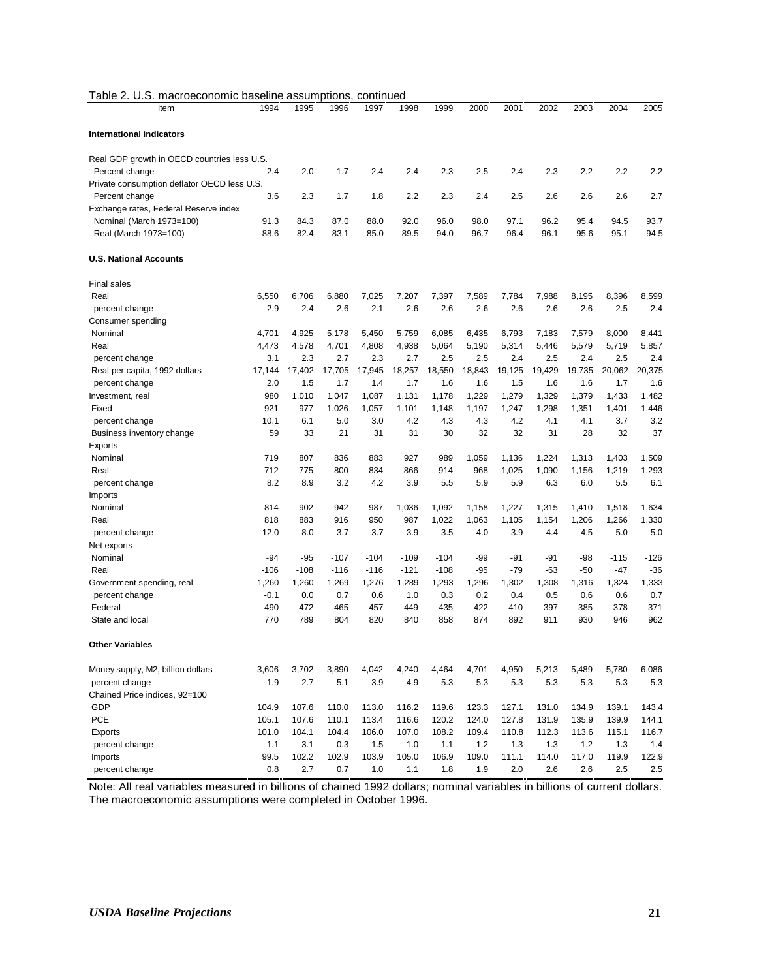| Table 2. U.S. macroeconomic baseline assumptions, continued |  |
|-------------------------------------------------------------|--|
|                                                             |  |

| Item                                        | 1994   | 1995   | 1996   | 1997   | 1998   | 1999   | 2000   | 2001   | 2002   | 2003   | 2004   | 2005   |
|---------------------------------------------|--------|--------|--------|--------|--------|--------|--------|--------|--------|--------|--------|--------|
| <b>International indicators</b>             |        |        |        |        |        |        |        |        |        |        |        |        |
| Real GDP growth in OECD countries less U.S. |        |        |        |        |        |        |        |        |        |        |        |        |
| Percent change                              | 2.4    | 2.0    | 1.7    | 2.4    | 2.4    | 2.3    | 2.5    | 2.4    | 2.3    | 2.2    | 2.2    | 2.2    |
| Private consumption deflator OECD less U.S. |        |        |        |        |        |        |        |        |        |        |        |        |
| Percent change                              | 3.6    | 2.3    | 1.7    | 1.8    | 2.2    | 2.3    | 2.4    | 2.5    | 2.6    | 2.6    | 2.6    | 2.7    |
| Exchange rates, Federal Reserve index       |        |        |        |        |        |        |        |        |        |        |        |        |
| Nominal (March 1973=100)                    | 91.3   | 84.3   | 87.0   | 88.0   | 92.0   | 96.0   | 98.0   | 97.1   | 96.2   | 95.4   | 94.5   | 93.7   |
| Real (March 1973=100)                       | 88.6   | 82.4   | 83.1   | 85.0   | 89.5   | 94.0   | 96.7   | 96.4   | 96.1   | 95.6   | 95.1   | 94.5   |
| <b>U.S. National Accounts</b>               |        |        |        |        |        |        |        |        |        |        |        |        |
| <b>Final sales</b>                          |        |        |        |        |        |        |        |        |        |        |        |        |
| Real                                        | 6,550  | 6,706  | 6,880  | 7,025  | 7,207  | 7,397  | 7,589  | 7,784  | 7,988  | 8,195  | 8,396  | 8,599  |
| percent change                              | 2.9    | 2.4    | 2.6    | 2.1    | 2.6    | 2.6    | 2.6    | 2.6    | 2.6    | 2.6    | 2.5    | 2.4    |
| Consumer spending                           |        |        |        |        |        |        |        |        |        |        |        |        |
| Nominal                                     | 4,701  | 4,925  | 5,178  | 5,450  | 5,759  | 6,085  | 6,435  | 6,793  | 7,183  | 7,579  | 8,000  | 8,441  |
| Real                                        | 4,473  | 4,578  | 4,701  | 4,808  | 4,938  | 5,064  | 5,190  | 5,314  | 5,446  | 5,579  | 5,719  | 5,857  |
| percent change                              | 3.1    | 2.3    | 2.7    | 2.3    | 2.7    | 2.5    | 2.5    | 2.4    | 2.5    | 2.4    | 2.5    | 2.4    |
| Real per capita, 1992 dollars               | 17,144 | 17,402 | 17,705 | 17,945 | 18,257 | 18,550 | 18,843 | 19,125 | 19,429 | 19,735 | 20,062 | 20,375 |
| percent change                              | 2.0    | 1.5    | 1.7    | 1.4    | 1.7    | 1.6    | 1.6    | 1.5    | 1.6    | 1.6    | 1.7    | 1.6    |
| Investment, real                            | 980    | 1,010  | 1,047  | 1,087  | 1,131  | 1,178  | 1,229  | 1,279  | 1,329  | 1,379  | 1,433  | 1,482  |
| Fixed                                       | 921    | 977    | 1,026  | 1,057  | 1,101  | 1,148  | 1,197  | 1,247  | 1,298  | 1,351  | 1,401  | 1,446  |
| percent change                              | 10.1   | 6.1    | 5.0    | 3.0    | 4.2    | 4.3    | 4.3    | 4.2    | 4.1    | 4.1    | 3.7    | 3.2    |
| Business inventory change                   | 59     | 33     | 21     | 31     | 31     | 30     | 32     | 32     | 31     | 28     | 32     | 37     |
| Exports                                     |        |        |        |        |        |        |        |        |        |        |        |        |
| Nominal                                     | 719    | 807    | 836    | 883    | 927    | 989    | 1,059  | 1,136  | 1,224  | 1,313  | 1,403  | 1,509  |
| Real                                        | 712    | 775    | 800    | 834    | 866    | 914    | 968    | 1,025  | 1,090  | 1,156  | 1,219  | 1,293  |
| percent change                              | 8.2    | 8.9    | 3.2    | 4.2    | 3.9    | 5.5    | 5.9    | 5.9    | 6.3    | 6.0    | 5.5    | 6.1    |
| Imports                                     |        |        |        |        |        |        |        |        |        |        |        |        |
| Nominal                                     | 814    | 902    | 942    | 987    | 1,036  | 1,092  | 1,158  | 1,227  | 1,315  | 1,410  | 1,518  | 1,634  |
| Real                                        | 818    | 883    | 916    | 950    | 987    | 1,022  | 1,063  | 1,105  | 1,154  | 1,206  | 1,266  | 1,330  |
| percent change                              | 12.0   | 8.0    | 3.7    | 3.7    | 3.9    | 3.5    | 4.0    | 3.9    | 4.4    | 4.5    | 5.0    | 5.0    |
| Net exports                                 |        |        |        |        |        |        |        |        |        |        |        |        |
| Nominal                                     | -94    | $-95$  | $-107$ | $-104$ | $-109$ | $-104$ | -99    | -91    | $-91$  | -98    | $-115$ | $-126$ |
| Real                                        | $-106$ | $-108$ | $-116$ | $-116$ | $-121$ | $-108$ | -95    | $-79$  | -63    | $-50$  | -47    | $-36$  |
| Government spending, real                   | 1,260  | 1,260  | 1,269  | 1,276  | 1,289  | 1,293  | 1,296  | 1,302  | 1,308  | 1,316  | 1,324  | 1,333  |
| percent change                              | $-0.1$ | 0.0    | 0.7    | 0.6    | 1.0    | 0.3    | 0.2    | 0.4    | 0.5    | 0.6    | 0.6    | 0.7    |
| Federal                                     | 490    | 472    | 465    | 457    | 449    | 435    | 422    | 410    | 397    | 385    | 378    | 371    |
| State and local                             | 770    | 789    | 804    | 820    | 840    | 858    | 874    | 892    | 911    | 930    | 946    | 962    |
| <b>Other Variables</b>                      |        |        |        |        |        |        |        |        |        |        |        |        |
| Money supply, M2, billion dollars           | 3,606  | 3,702  | 3,890  | 4,042  | 4,240  | 4,464  | 4,701  | 4,950  | 5,213  | 5,489  | 5,780  | 6,086  |
| percent change                              | 1.9    | 2.7    | 5.1    | 3.9    | 4.9    | 5.3    | 5.3    | 5.3    | 5.3    | 5.3    | 5.3    | 5.3    |
| Chained Price indices, 92=100               |        |        |        |        |        |        |        |        |        |        |        |        |
| GDP                                         | 104.9  | 107.6  | 110.0  | 113.0  | 116.2  | 119.6  | 123.3  | 127.1  | 131.0  | 134.9  | 139.1  | 143.4  |
| PCE                                         | 105.1  | 107.6  | 110.1  | 113.4  | 116.6  | 120.2  | 124.0  | 127.8  | 131.9  | 135.9  | 139.9  | 144.1  |
| Exports                                     | 101.0  | 104.1  | 104.4  | 106.0  | 107.0  | 108.2  | 109.4  | 110.8  | 112.3  | 113.6  | 115.1  | 116.7  |
| percent change                              | 1.1    | 3.1    | 0.3    | 1.5    | 1.0    | 1.1    | 1.2    | 1.3    | 1.3    | 1.2    | 1.3    | 1.4    |
| Imports                                     | 99.5   | 102.2  | 102.9  | 103.9  | 105.0  | 106.9  | 109.0  | 111.1  | 114.0  | 117.0  | 119.9  | 122.9  |
| percent change                              | 0.8    | 2.7    | 0.7    | 1.0    | 1.1    | 1.8    | 1.9    | 2.0    | 2.6    | 2.6    | 2.5    | 2.5    |

Note: All real variables measured in billions of chained 1992 dollars; nominal variables in billions of current dollars. The macroeconomic assumptions were completed in October 1996.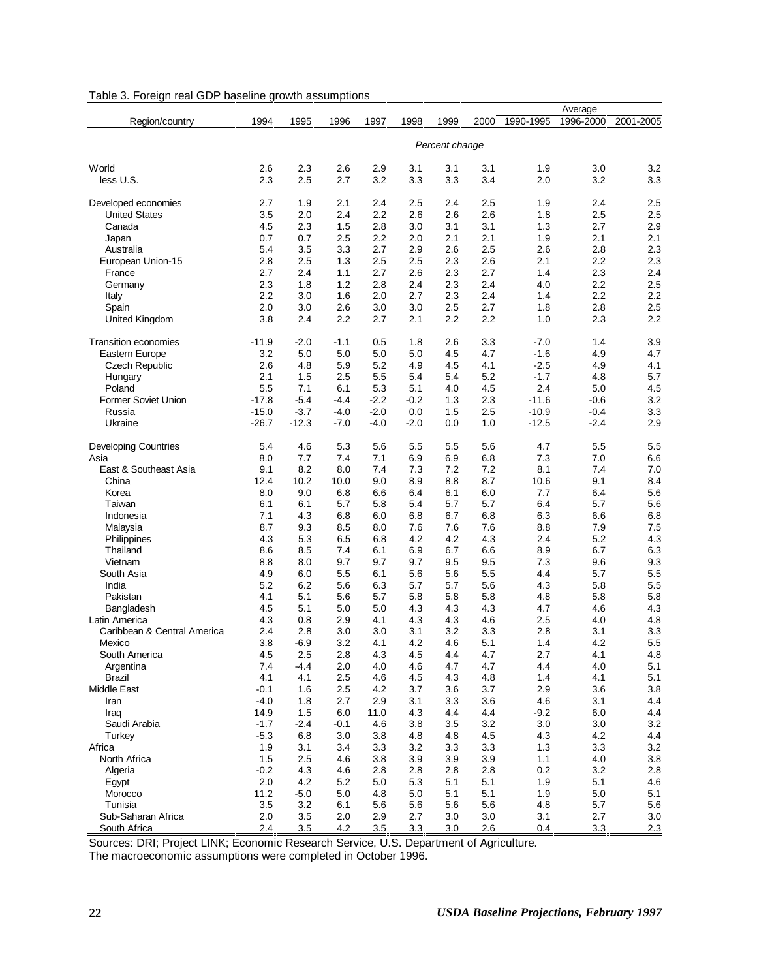| Table 3. Foreign real GDP baseline growth assumptions |  |  |  |  |  |  |  |  |
|-------------------------------------------------------|--|--|--|--|--|--|--|--|
|-------------------------------------------------------|--|--|--|--|--|--|--|--|

|                             |         |         |        |        |        |                |      |           | Average   |           |
|-----------------------------|---------|---------|--------|--------|--------|----------------|------|-----------|-----------|-----------|
| Region/country              | 1994    | 1995    | 1996   | 1997   | 1998   | 1999           | 2000 | 1990-1995 | 1996-2000 | 2001-2005 |
|                             |         |         |        |        |        |                |      |           |           |           |
|                             |         |         |        |        |        | Percent change |      |           |           |           |
| World                       | 2.6     | 2.3     | 2.6    | 2.9    | 3.1    | 3.1            | 3.1  | 1.9       | 3.0       | 3.2       |
|                             |         |         |        |        |        |                | 3.4  |           |           |           |
| less U.S.                   | 2.3     | 2.5     | 2.7    | 3.2    | 3.3    | 3.3            |      | 2.0       | 3.2       | 3.3       |
| Developed economies         | 2.7     | 1.9     | 2.1    | 2.4    | 2.5    | 2.4            | 2.5  | 1.9       | 2.4       | 2.5       |
| <b>United States</b>        | 3.5     | 2.0     | 2.4    | 2.2    | 2.6    | 2.6            | 2.6  | 1.8       | 2.5       | 2.5       |
| Canada                      | 4.5     | 2.3     | 1.5    | 2.8    | 3.0    | 3.1            | 3.1  | 1.3       | 2.7       | 2.9       |
| Japan                       | 0.7     | 0.7     | 2.5    | 2.2    | 2.0    | 2.1            | 2.1  | 1.9       | 2.1       | 2.1       |
| Australia                   | 5.4     | 3.5     | 3.3    | 2.7    | 2.9    | 2.6            | 2.5  | 2.6       | 2.8       | 2.3       |
| European Union-15           | 2.8     | 2.5     | 1.3    | 2.5    | 2.5    | 2.3            | 2.6  | 2.1       | 2.2       | 2.3       |
| France                      | 2.7     | 2.4     | 1.1    | 2.7    | 2.6    | 2.3            | 2.7  | 1.4       | 2.3       | 2.4       |
| Germany                     | 2.3     | 1.8     | 1.2    | 2.8    | 2.4    | 2.3            | 2.4  | 4.0       | 2.2       | 2.5       |
| Italy                       | 2.2     | 3.0     | 1.6    | 2.0    | 2.7    | 2.3            | 2.4  | 1.4       | 2.2       | 2.2       |
| Spain                       | 2.0     | 3.0     | 2.6    | 3.0    | 3.0    | 2.5            | 2.7  | 1.8       | 2.8       | 2.5       |
| United Kingdom              | 3.8     | 2.4     | 2.2    | 2.7    | 2.1    | 2.2            | 2.2  | 1.0       | 2.3       | 2.2       |
|                             |         |         |        |        |        |                |      |           |           |           |
| <b>Transition economies</b> | $-11.9$ | $-2.0$  | $-1.1$ | 0.5    | 1.8    | 2.6            | 3.3  | $-7.0$    | 1.4       | 3.9       |
| Eastern Europe              | 3.2     | 5.0     | 5.0    | 5.0    | 5.0    | 4.5            | 4.7  | $-1.6$    | 4.9       | 4.7       |
| <b>Czech Republic</b>       | 2.6     | 4.8     | 5.9    | 5.2    | 4.9    | 4.5            | 4.1  | $-2.5$    | 4.9       | 4.1       |
| Hungary                     | 2.1     | 1.5     | 2.5    | 5.5    | 5.4    | 5.4            | 5.2  | $-1.7$    | 4.8       | 5.7       |
| Poland                      | 5.5     | 7.1     | 6.1    | 5.3    | 5.1    | 4.0            | 4.5  | 2.4       | 5.0       | 4.5       |
| <b>Former Soviet Union</b>  | $-17.8$ | $-5.4$  | $-4.4$ | $-2.2$ | $-0.2$ | 1.3            | 2.3  | $-11.6$   | $-0.6$    | 3.2       |
| Russia                      | $-15.0$ | $-3.7$  | $-4.0$ | $-2.0$ | 0.0    | 1.5            | 2.5  | $-10.9$   | $-0.4$    | 3.3       |
| Ukraine                     | $-26.7$ | $-12.3$ | $-7.0$ | $-4.0$ | $-2.0$ | 0.0            | 1.0  | $-12.5$   | $-2.4$    | 2.9       |
| <b>Developing Countries</b> | 5.4     | 4.6     | 5.3    | 5.6    | 5.5    | 5.5            | 5.6  | 4.7       | 5.5       | 5.5       |
| Asia                        | 8.0     | 7.7     | 7.4    | 7.1    | 6.9    | 6.9            | 6.8  | 7.3       | 7.0       | 6.6       |
| East & Southeast Asia       | 9.1     | 8.2     | 8.0    | 7.4    | 7.3    | 7.2            | 7.2  | 8.1       | 7.4       | 7.0       |
| China                       | 12.4    | 10.2    | 10.0   | 9.0    | 8.9    | 8.8            | 8.7  | 10.6      | 9.1       | 8.4       |
| Korea                       | 8.0     | 9.0     | 6.8    | 6.6    | 6.4    | 6.1            | 6.0  | 7.7       | 6.4       | 5.6       |
| Taiwan                      | 6.1     | 6.1     | 5.7    | 5.8    | 5.4    | 5.7            | 5.7  | 6.4       | 5.7       | 5.6       |
| Indonesia                   | 7.1     | 4.3     | 6.8    | 6.0    | 6.8    | 6.7            | 6.8  | 6.3       | 6.6       | 6.8       |
|                             |         |         |        |        |        |                |      |           |           |           |
| Malaysia                    | 8.7     | 9.3     | 8.5    | 8.0    | 7.6    | 7.6            | 7.6  | 8.8       | 7.9       | 7.5       |
| Philippines                 | 4.3     | 5.3     | 6.5    | 6.8    | 4.2    | 4.2            | 4.3  | 2.4       | 5.2       | 4.3       |
| Thailand                    | 8.6     | 8.5     | 7.4    | 6.1    | 6.9    | 6.7            | 6.6  | 8.9       | 6.7       | 6.3       |
| Vietnam                     | 8.8     | 8.0     | 9.7    | 9.7    | 9.7    | 9.5            | 9.5  | 7.3       | 9.6       | 9.3       |
| South Asia                  | 4.9     | 6.0     | 5.5    | 6.1    | 5.6    | 5.6            | 5.5  | 4.4       | 5.7       | 5.5       |
| India                       | 5.2     | 6.2     | 5.6    | 6.3    | 5.7    | 5.7            | 5.6  | 4.3       | 5.8       | 5.5       |
| Pakistan                    | 4.1     | 5.1     | 5.6    | 5.7    | 5.8    | 5.8            | 5.8  | 4.8       | 5.8       | 5.8       |
| Bangladesh                  | 4.5     | 5.1     | 5.0    | 5.0    | 4.3    | 4.3            | 4.3  | 4.7       | 4.6       | 4.3       |
| Latin America               | 4.3     | 0.8     | 2.9    | 4.1    | 4.3    | 4.3            | 4.6  | 2.5       | 4.0       | 4.8       |
| Caribbean & Central America | 2.4     | 2.8     | 3.0    | 3.0    | 3.1    | 3.2            | 3.3  | 2.8       | 3.1       | 3.3       |
| Mexico                      | 3.8     | $-6.9$  | 3.2    | 4.1    | 4.2    | 4.6            | 5.1  | 1.4       | 4.2       | 5.5       |
| South America               | 4.5     | 2.5     | 2.8    | 4.3    | 4.5    | 4.4            | 4.7  | 2.7       | 4.1       | 4.8       |
| Argentina                   | 7.4     | $-4.4$  | 2.0    | 4.0    | 4.6    | 4.7            | 4.7  | 4.4       | 4.0       | 5.1       |
| <b>Brazil</b>               | 4.1     | 4.1     | 2.5    | 4.6    | 4.5    | 4.3            | 4.8  | 1.4       | 4.1       | 5.1       |
| Middle East                 | $-0.1$  | 1.6     | 2.5    | 4.2    | 3.7    | 3.6            | 3.7  | 2.9       | 3.6       | 3.8       |
| Iran                        | $-4.0$  | 1.8     | 2.7    | 2.9    | 3.1    | 3.3            | 3.6  | 4.6       | 3.1       | 4.4       |
| Iraq                        | 14.9    | 1.5     | 6.0    | 11.0   | 4.3    | 4.4            | 4.4  | $-9.2$    | 6.0       | 4.4       |
| Saudi Arabia                | $-1.7$  | $-2.4$  | $-0.1$ | 4.6    | 3.8    | 3.5            | 3.2  | 3.0       | 3.0       | 3.2       |
| Turkey                      | $-5.3$  | 6.8     | 3.0    | 3.8    | 4.8    | 4.8            | 4.5  | 4.3       | 4.2       | 4.4       |
| Africa                      | 1.9     | 3.1     | 3.4    | 3.3    | 3.2    | 3.3            | 3.3  | 1.3       | 3.3       | 3.2       |
| North Africa                | 1.5     | 2.5     | 4.6    | 3.8    | 3.9    | 3.9            | 3.9  | 1.1       | 4.0       | 3.8       |
| Algeria                     | $-0.2$  | 4.3     | 4.6    | 2.8    | 2.8    | 2.8            | 2.8  | 0.2       | 3.2       | 2.8       |
| Egypt                       | 2.0     | 4.2     | 5.2    | 5.0    | 5.3    | 5.1            | 5.1  | 1.9       | 5.1       | 4.6       |
| Morocco                     | 11.2    | $-5.0$  | 5.0    | 4.8    | 5.0    | 5.1            | 5.1  | 1.9       | 5.0       | 5.1       |
| Tunisia                     | 3.5     | 3.2     | 6.1    | 5.6    | 5.6    | 5.6            | 5.6  | 4.8       | 5.7       | 5.6       |
| Sub-Saharan Africa          | 2.0     | 3.5     | 2.0    | 2.9    | 2.7    | 3.0            | 3.0  | 3.1       | 2.7       | 3.0       |
| South Africa                | 2.4     | 3.5     | 4.2    | 3.5    | 3.3    | 3.0            | 2.6  | 0.4       | 3.3       | 2.3       |

Sources: DRI; Project LINK; Economic Research Service, U.S. Department of Agriculture.

The macroeconomic assumptions were completed in October 1996.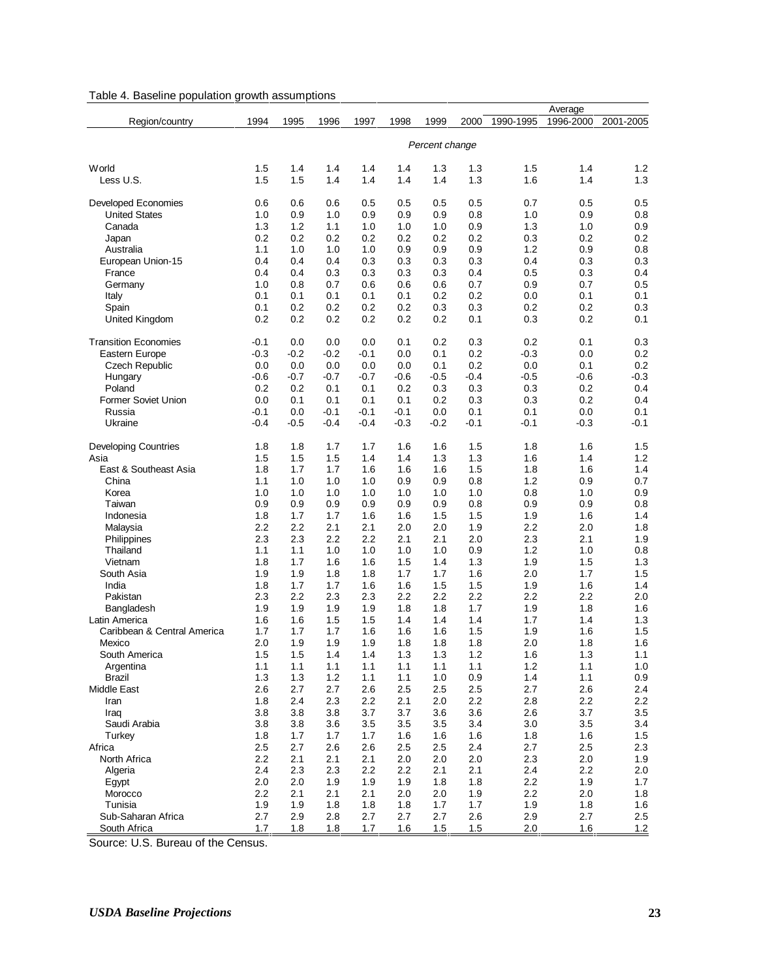| Table 4. Baseline population growth assumptions |  |  |  |  |  |
|-------------------------------------------------|--|--|--|--|--|
|-------------------------------------------------|--|--|--|--|--|

|                             |        |        |        |        |        |                |        |           | Average   |           |
|-----------------------------|--------|--------|--------|--------|--------|----------------|--------|-----------|-----------|-----------|
| Region/country              | 1994   | 1995   | 1996   | 1997   | 1998   | 1999           | 2000   | 1990-1995 | 1996-2000 | 2001-2005 |
|                             |        |        |        |        |        |                |        |           |           |           |
|                             |        |        |        |        |        | Percent change |        |           |           |           |
|                             |        |        |        |        |        |                |        |           |           |           |
| World                       | 1.5    | 1.4    | 1.4    | 1.4    | 1.4    | 1.3            | 1.3    | 1.5       | 1.4       | 1.2       |
| Less U.S.                   | 1.5    | 1.5    | 1.4    | 1.4    | 1.4    | 1.4            | 1.3    | 1.6       | 1.4       | 1.3       |
|                             |        |        |        |        |        |                |        |           |           |           |
| <b>Developed Economies</b>  | 0.6    | 0.6    | 0.6    | 0.5    | 0.5    | 0.5            | 0.5    | 0.7       | 0.5       | 0.5       |
| <b>United States</b>        | 1.0    | 0.9    | 1.0    | 0.9    | 0.9    | 0.9            | 0.8    | 1.0       | 0.9       | 0.8       |
| Canada                      | 1.3    | 1.2    | 1.1    | 1.0    | 1.0    | 1.0            | 0.9    | 1.3       | 1.0       | 0.9       |
| Japan                       | 0.2    | 0.2    | 0.2    | 0.2    | 0.2    | 0.2            | 0.2    | 0.3       | 0.2       | 0.2       |
| Australia                   | 1.1    | 1.0    | 1.0    | 1.0    | 0.9    | 0.9            | 0.9    | 1.2       | 0.9       | 0.8       |
| European Union-15           | 0.4    | 0.4    | 0.4    | 0.3    | 0.3    | 0.3            | 0.3    | 0.4       | 0.3       | 0.3       |
| France                      | 0.4    | 0.4    | 0.3    | 0.3    | 0.3    | 0.3            | 0.4    | 0.5       | 0.3       | 0.4       |
| Germany                     | 1.0    | 0.8    | 0.7    | 0.6    | 0.6    | 0.6            | 0.7    | 0.9       | 0.7       | 0.5       |
| Italy                       | 0.1    | 0.1    | 0.1    | 0.1    | 0.1    | 0.2            | 0.2    | 0.0       | 0.1       | 0.1       |
| Spain                       | 0.1    | 0.2    | 0.2    | 0.2    | 0.2    | 0.3            | 0.3    | 0.2       | 0.2       | 0.3       |
| United Kingdom              | 0.2    | 0.2    | 0.2    | 0.2    | 0.2    | 0.2            | 0.1    | 0.3       | 0.2       | 0.1       |
|                             |        |        |        |        |        |                |        |           |           |           |
| <b>Transition Economies</b> | $-0.1$ | 0.0    | 0.0    | 0.0    | 0.1    | 0.2            | 0.3    | 0.2       | 0.1       | 0.3       |
| Eastern Europe              | $-0.3$ | $-0.2$ | $-0.2$ | $-0.1$ | 0.0    | 0.1            | 0.2    | $-0.3$    | 0.0       | 0.2       |
| <b>Czech Republic</b>       | 0.0    | 0.0    | 0.0    | 0.0    | 0.0    | 0.1            | 0.2    | 0.0       | 0.1       | 0.2       |
| Hungary                     | $-0.6$ | $-0.7$ | $-0.7$ | $-0.7$ | $-0.6$ | $-0.5$         | $-0.4$ | $-0.5$    | $-0.6$    | $-0.3$    |
| Poland                      | 0.2    | 0.2    | 0.1    | 0.1    | 0.2    | 0.3            | 0.3    | 0.3       | 0.2       | 0.4       |
| <b>Former Soviet Union</b>  | 0.0    | 0.1    | 0.1    | 0.1    | 0.1    | 0.2            | 0.3    | 0.3       | 0.2       | 0.4       |
| Russia                      | $-0.1$ | 0.0    | $-0.1$ | $-0.1$ | $-0.1$ | 0.0            | 0.1    | 0.1       | 0.0       | 0.1       |
| Ukraine                     | $-0.4$ | $-0.5$ | $-0.4$ | $-0.4$ | $-0.3$ | $-0.2$         | -0.1   | $-0.1$    | $-0.3$    | -0.1      |
|                             |        |        |        |        |        |                |        |           |           |           |
| <b>Developing Countries</b> | 1.8    | 1.8    | 1.7    | 1.7    | 1.6    | 1.6            | 1.5    | 1.8       | 1.6       | 1.5       |
| Asia                        | 1.5    | 1.5    | 1.5    | 1.4    | 1.4    | 1.3            | 1.3    | 1.6       | 1.4       | 1.2       |
| East & Southeast Asia       | 1.8    | 1.7    | 1.7    | 1.6    | 1.6    | 1.6            | 1.5    | 1.8       | 1.6       | 1.4       |
| China                       | 1.1    | 1.0    | 1.0    | 1.0    | 0.9    | 0.9            | 0.8    | 1.2       | 0.9       | 0.7       |
| Korea                       | 1.0    | 1.0    | 1.0    | 1.0    | 1.0    | 1.0            | 1.0    | 0.8       | 1.0       | 0.9       |
| Taiwan                      | 0.9    | 0.9    | 0.9    | 0.9    | 0.9    | 0.9            | 0.8    | 0.9       | 0.9       | 0.8       |
| Indonesia                   | 1.8    | 1.7    | 1.7    | 1.6    | 1.6    | 1.5            | 1.5    | 1.9       | 1.6       | 1.4       |
| Malaysia                    | 2.2    | 2.2    | 2.1    | 2.1    | 2.0    | 2.0            | 1.9    | 2.2       | 2.0       | 1.8       |
| Philippines                 | 2.3    | 2.3    | 2.2    | 2.2    | 2.1    | 2.1            | 2.0    | 2.3       | 2.1       | 1.9       |
| Thailand                    | 1.1    | 1.1    | 1.0    | 1.0    | 1.0    | 1.0            | 0.9    | 1.2       | 1.0       | 0.8       |
| Vietnam                     | 1.8    | 1.7    | 1.6    | 1.6    | 1.5    | 1.4            | 1.3    | 1.9       | 1.5       | 1.3       |
| South Asia                  | 1.9    | 1.9    | 1.8    | 1.8    | 1.7    | 1.7            | 1.6    | 2.0       | 1.7       | 1.5       |
| India                       | 1.8    | 1.7    | 1.7    | 1.6    | 1.6    | 1.5            | 1.5    | 1.9       | 1.6       | 1.4       |
| Pakistan                    | 2.3    | 2.2    | 2.3    | 2.3    | 2.2    | 2.2            | 2.2    | 2.2       | 2.2       | 2.0       |
| Bangladesh                  | 1.9    | 1.9    | 1.9    | 1.9    | 1.8    | 1.8            | 1.7    | 1.9       | 1.8       | 1.6       |
| Latin America               | 1.6    | 1.6    | 1.5    | 1.5    | 1.4    | 1.4            | 1.4    | 1.7       | 1.4       | 1.3       |
| Caribbean & Central America | 1.7    | 1.7    | 1.7    | 1.6    | 1.6    | 1.6            | 1.5    | 1.9       | 1.6       | 1.5       |
| Mexico                      | 2.0    | 1.9    | 1.9    | 1.9    | 1.8    | 1.8            | 1.8    | 2.0       | 1.8       | 1.6       |
| South America               | 1.5    | 1.5    | 1.4    | 1.4    | 1.3    | 1.3            | 1.2    | 1.6       | 1.3       | 1.1       |
| Argentina                   | 1.1    | 1.1    | 1.1    | 1.1    | 1.1    | 1.1            | 1.1    | $1.2$     | 1.1       | 1.0       |
| <b>Brazil</b>               | 1.3    | 1.3    | 1.2    | 1.1    | 1.1    | 1.0            | 0.9    | 1.4       | 1.1       | $0.9\,$   |
| Middle East                 | 2.6    | 2.7    | 2.7    | 2.6    | 2.5    | 2.5            | 2.5    | 2.7       | 2.6       | 2.4       |
| Iran                        | 1.8    | 2.4    | 2.3    | 2.2    | 2.1    | 2.0            | 2.2    | 2.8       | 2.2       | $2.2\,$   |
| Iraq                        | 3.8    | 3.8    | 3.8    | 3.7    | 3.7    | 3.6            | 3.6    | 2.6       | 3.7       | 3.5       |
| Saudi Arabia                | 3.8    | 3.8    | 3.6    | 3.5    | 3.5    | 3.5            | 3.4    | 3.0       | 3.5       | 3.4       |
| Turkey                      | 1.8    | 1.7    | 1.7    | 1.7    | 1.6    | 1.6            | 1.6    | 1.8       | 1.6       | 1.5       |
| Africa                      | 2.5    | 2.7    | 2.6    | 2.6    | 2.5    | 2.5            | 2.4    | 2.7       | 2.5       | 2.3       |
| North Africa                | 2.2    | 2.1    | 2.1    | 2.1    | 2.0    | 2.0            | 2.0    | 2.3       | 2.0       | 1.9       |
| Algeria                     | 2.4    | 2.3    | 2.3    | 2.2    | 2.2    | 2.1            | 2.1    | 2.4       | 2.2       | 2.0       |
| Egypt                       | 2.0    | 2.0    | 1.9    | 1.9    | 1.9    | 1.8            | 1.8    | 2.2       | 1.9       | 1.7       |
| Morocco                     | 2.2    | 2.1    | 2.1    | 2.1    | 2.0    | 2.0            | 1.9    | 2.2       | 2.0       | 1.8       |
| Tunisia                     | 1.9    | 1.9    | 1.8    | 1.8    | 1.8    | 1.7            | 1.7    | 1.9       | 1.8       | 1.6       |
| Sub-Saharan Africa          | 2.7    | 2.9    | 2.8    | 2.7    | 2.7    | 2.7            | 2.6    | 2.9       | 2.7       | 2.5       |
| South Africa                | 1.7    | 1.8    | 1.8    | 1.7    | 1.6    | 1.5            | 1.5    | 2.0       | 1.6       | 1.2       |

Source: U.S. Bureau of the Census.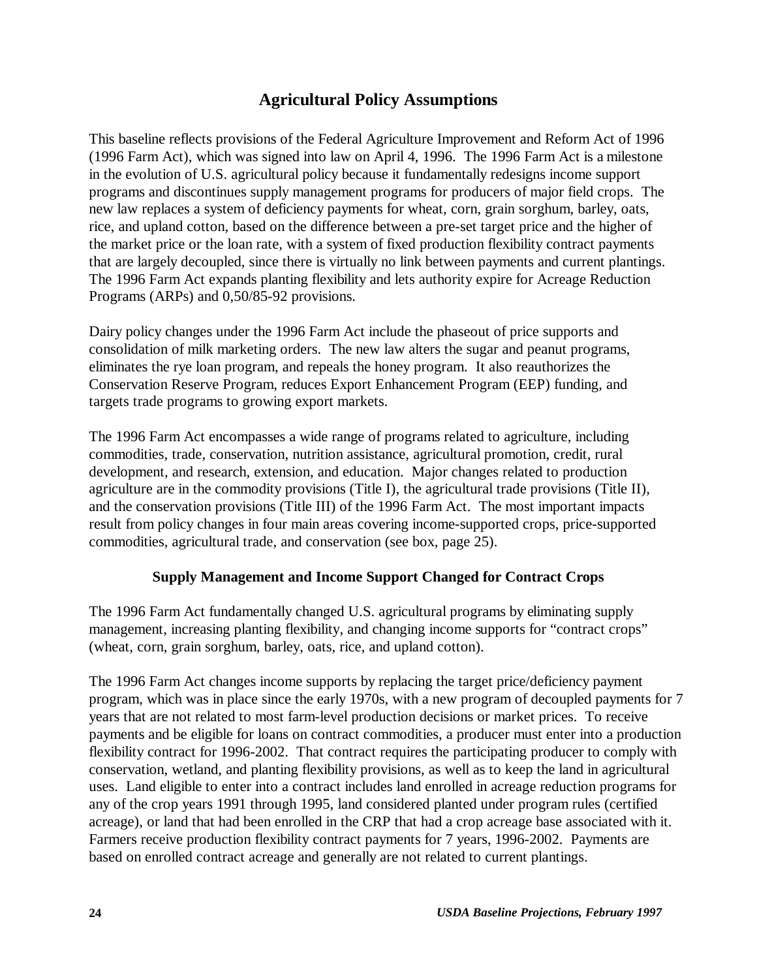# **Agricultural Policy Assumptions**

This baseline reflects provisions of the Federal Agriculture Improvement and Reform Act of 1996 (1996 Farm Act), which was signed into law on April 4, 1996. The 1996 Farm Act is a milestone in the evolution of U.S. agricultural policy because it fundamentally redesigns income support programs and discontinues supply management programs for producers of major field crops. The new law replaces a system of deficiency payments for wheat, corn, grain sorghum, barley, oats, rice, and upland cotton, based on the difference between a pre-set target price and the higher of the market price or the loan rate, with a system of fixed production flexibility contract payments that are largely decoupled, since there is virtually no link between payments and current plantings. The 1996 Farm Act expands planting flexibility and lets authority expire for Acreage Reduction Programs (ARPs) and 0,50/85-92 provisions.

Dairy policy changes under the 1996 Farm Act include the phaseout of price supports and consolidation of milk marketing orders. The new law alters the sugar and peanut programs, eliminates the rye loan program, and repeals the honey program. It also reauthorizes the Conservation Reserve Program, reduces Export Enhancement Program (EEP) funding, and targets trade programs to growing export markets.

The 1996 Farm Act encompasses a wide range of programs related to agriculture, including commodities, trade, conservation, nutrition assistance, agricultural promotion, credit, rural development, and research, extension, and education. Major changes related to production agriculture are in the commodity provisions (Title I), the agricultural trade provisions (Title II), and the conservation provisions (Title III) of the 1996 Farm Act. The most important impacts result from policy changes in four main areas covering income-supported crops, price-supported commodities, agricultural trade, and conservation (see box, page 25).

#### **Supply Management and Income Support Changed for Contract Crops**

The 1996 Farm Act fundamentally changed U.S. agricultural programs by eliminating supply management, increasing planting flexibility, and changing income supports for "contract crops" (wheat, corn, grain sorghum, barley, oats, rice, and upland cotton).

The 1996 Farm Act changes income supports by replacing the target price/deficiency payment program, which was in place since the early 1970s, with a new program of decoupled payments for 7 years that are not related to most farm-level production decisions or market prices. To receive payments and be eligible for loans on contract commodities, a producer must enter into a production flexibility contract for 1996-2002. That contract requires the participating producer to comply with conservation, wetland, and planting flexibility provisions, as well as to keep the land in agricultural uses. Land eligible to enter into a contract includes land enrolled in acreage reduction programs for any of the crop years 1991 through 1995, land considered planted under program rules (certified acreage), or land that had been enrolled in the CRP that had a crop acreage base associated with it. Farmers receive production flexibility contract payments for 7 years, 1996-2002. Payments are based on enrolled contract acreage and generally are not related to current plantings.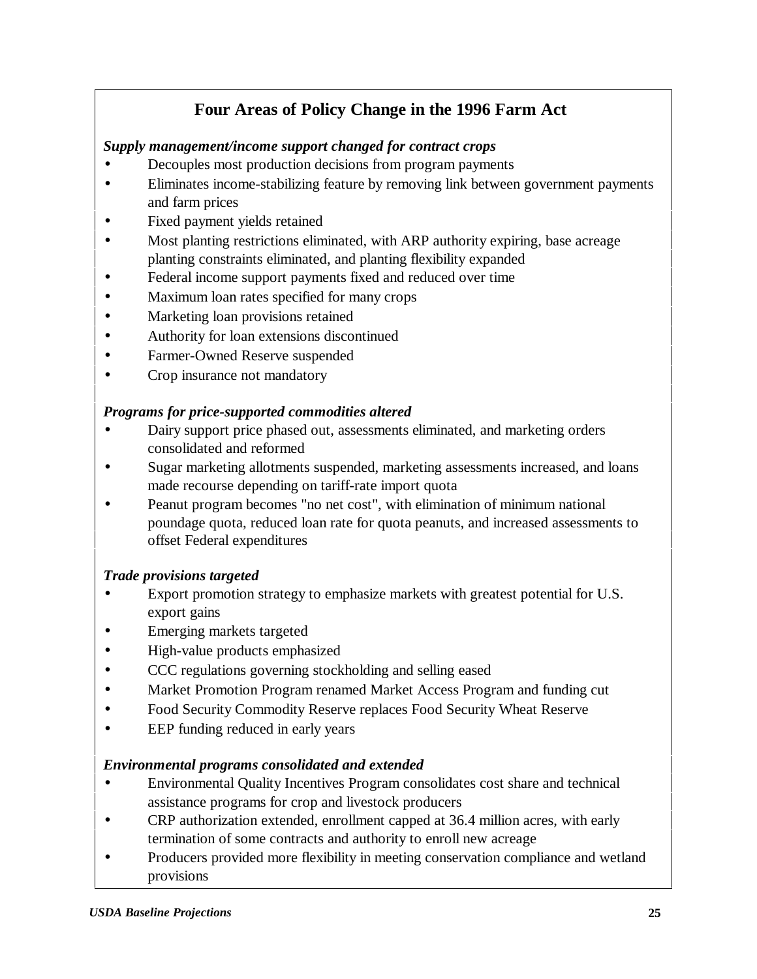# **Four Areas of Policy Change in the 1996 Farm Act**

#### *Supply management/income support changed for contract crops*

- Decouples most production decisions from program payments
- Eliminates income-stabilizing feature by removing link between government payments and farm prices
- Fixed payment yields retained
- Most planting restrictions eliminated, with ARP authority expiring, base acreage planting constraints eliminated, and planting flexibility expanded
- Federal income support payments fixed and reduced over time
- Maximum loan rates specified for many crops
- Marketing loan provisions retained
- Authority for loan extensions discontinued
- Farmer-Owned Reserve suspended
- Crop insurance not mandatory

#### *Programs for price-supported commodities altered*

- Dairy support price phased out, assessments eliminated, and marketing orders consolidated and reformed
- Sugar marketing allotments suspended, marketing assessments increased, and loans made recourse depending on tariff-rate import quota
- Peanut program becomes "no net cost", with elimination of minimum national poundage quota, reduced loan rate for quota peanuts, and increased assessments to offset Federal expenditures

#### *Trade provisions targeted*

- Export promotion strategy to emphasize markets with greatest potential for U.S. export gains
- Emerging markets targeted
- High-value products emphasized
- CCC regulations governing stockholding and selling eased
- Market Promotion Program renamed Market Access Program and funding cut
- Food Security Commodity Reserve replaces Food Security Wheat Reserve
- EEP funding reduced in early years

#### *Environmental programs consolidated and extended*

- Environmental Quality Incentives Program consolidates cost share and technical assistance programs for crop and livestock producers
- CRP authorization extended, enrollment capped at 36.4 million acres, with early termination of some contracts and authority to enroll new acreage
- Producers provided more flexibility in meeting conservation compliance and wetland provisions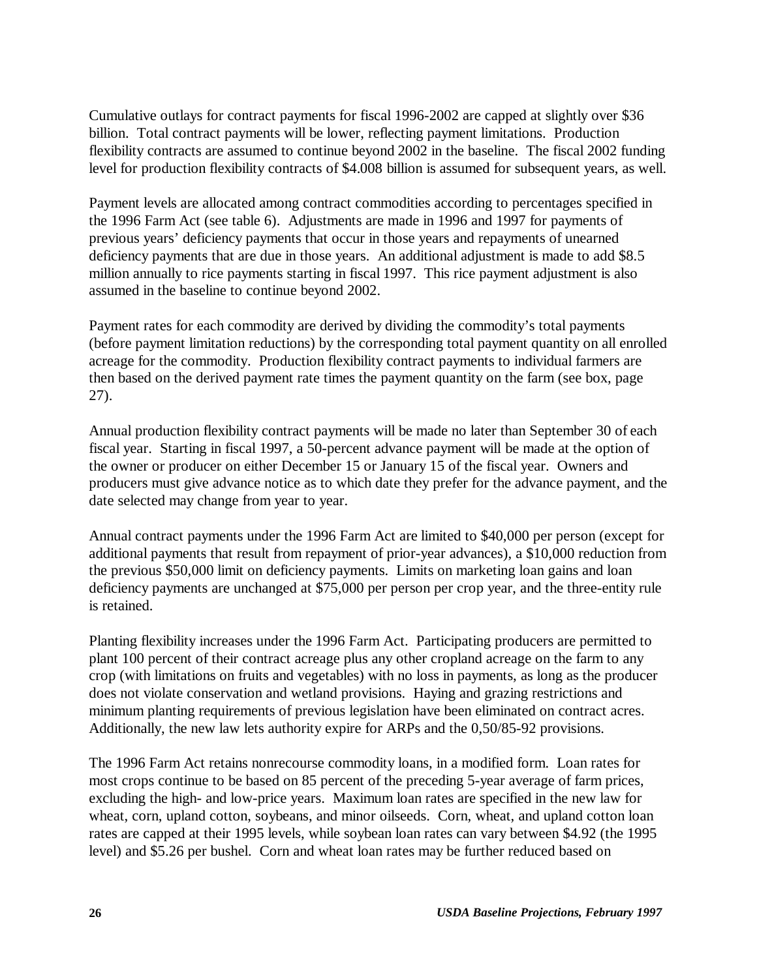Cumulative outlays for contract payments for fiscal 1996-2002 are capped at slightly over \$36 billion. Total contract payments will be lower, reflecting payment limitations. Production flexibility contracts are assumed to continue beyond 2002 in the baseline. The fiscal 2002 funding level for production flexibility contracts of \$4.008 billion is assumed for subsequent years, as well.

Payment levels are allocated among contract commodities according to percentages specified in the 1996 Farm Act (see table 6). Adjustments are made in 1996 and 1997 for payments of previous years' deficiency payments that occur in those years and repayments of unearned deficiency payments that are due in those years. An additional adjustment is made to add \$8.5 million annually to rice payments starting in fiscal 1997. This rice payment adjustment is also assumed in the baseline to continue beyond 2002.

Payment rates for each commodity are derived by dividing the commodity's total payments (before payment limitation reductions) by the corresponding total payment quantity on all enrolled acreage for the commodity. Production flexibility contract payments to individual farmers are then based on the derived payment rate times the payment quantity on the farm (see box, page 27).

Annual production flexibility contract payments will be made no later than September 30 of each fiscal year. Starting in fiscal 1997, a 50-percent advance payment will be made at the option of the owner or producer on either December 15 or January 15 of the fiscal year. Owners and producers must give advance notice as to which date they prefer for the advance payment, and the date selected may change from year to year.

Annual contract payments under the 1996 Farm Act are limited to \$40,000 per person (except for additional payments that result from repayment of prior-year advances), a \$10,000 reduction from the previous \$50,000 limit on deficiency payments. Limits on marketing loan gains and loan deficiency payments are unchanged at \$75,000 per person per crop year, and the three-entity rule is retained.

Planting flexibility increases under the 1996 Farm Act. Participating producers are permitted to plant 100 percent of their contract acreage plus any other cropland acreage on the farm to any crop (with limitations on fruits and vegetables) with no loss in payments, as long as the producer does not violate conservation and wetland provisions. Haying and grazing restrictions and minimum planting requirements of previous legislation have been eliminated on contract acres. Additionally, the new law lets authority expire for ARPs and the 0,50/85-92 provisions.

The 1996 Farm Act retains nonrecourse commodity loans, in a modified form. Loan rates for most crops continue to be based on 85 percent of the preceding 5-year average of farm prices, excluding the high- and low-price years. Maximum loan rates are specified in the new law for wheat, corn, upland cotton, soybeans, and minor oilseeds. Corn, wheat, and upland cotton loan rates are capped at their 1995 levels, while soybean loan rates can vary between \$4.92 (the 1995 level) and \$5.26 per bushel. Corn and wheat loan rates may be further reduced based on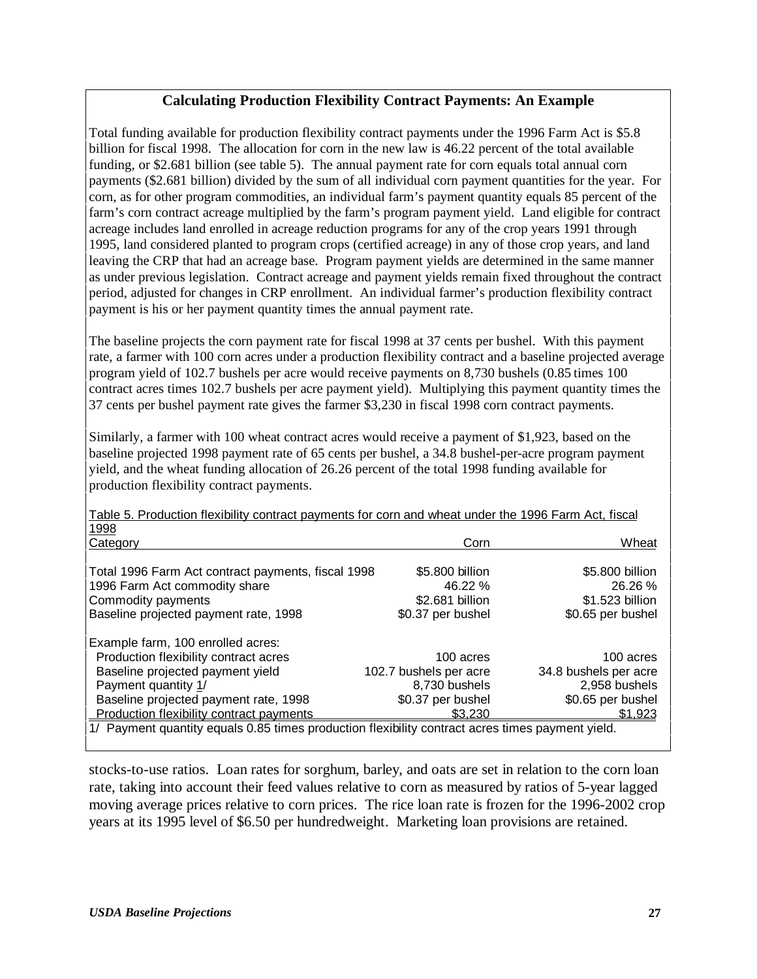#### **Calculating Production Flexibility Contract Payments: An Example**

Total funding available for production flexibility contract payments under the 1996 Farm Act is \$5.8 billion for fiscal 1998. The allocation for corn in the new law is 46.22 percent of the total available funding, or \$2.681 billion (see table 5). The annual payment rate for corn equals total annual corn payments (\$2.681 billion) divided by the sum of all individual corn payment quantities for the year. For corn, as for other program commodities, an individual farm's payment quantity equals 85 percent of the farm's corn contract acreage multiplied by the farm's program payment yield. Land eligible for contract acreage includes land enrolled in acreage reduction programs for any of the crop years 1991 through 1995, land considered planted to program crops (certified acreage) in any of those crop years, and land leaving the CRP that had an acreage base. Program payment yields are determined in the same manner as under previous legislation. Contract acreage and payment yields remain fixed throughout the contract period, adjusted for changes in CRP enrollment. An individual farmer's production flexibility contract payment is his or her payment quantity times the annual payment rate.

The baseline projects the corn payment rate for fiscal 1998 at 37 cents per bushel. With this payment rate, a farmer with 100 corn acres under a production flexibility contract and a baseline projected average program yield of 102.7 bushels per acre would receive payments on 8,730 bushels (0.85 times 100 contract acres times 102.7 bushels per acre payment yield). Multiplying this payment quantity times the 37 cents per bushel payment rate gives the farmer \$3,230 in fiscal 1998 corn contract payments.

Similarly, a farmer with 100 wheat contract acres would receive a payment of \$1,923, based on the baseline projected 1998 payment rate of 65 cents per bushel, a 34.8 bushel-per-acre program payment yield, and the wheat funding allocation of 26.26 percent of the total 1998 funding available for production flexibility contract payments.

1998 Category Corn Wheat Total 1996 Farm Act contract payments, fiscal 1998  $$5.800$  billion \$5.800 billion 1996 Farm Act commodity share 1996 26.26 % 26.26 % 26.26 % Commodity payments \$2.681 billion \$1.523 billion Baseline projected payment rate, 1998  $$0.37$  per bushel  $$0.65$  per bushel Example farm, 100 enrolled acres: Production flexibility contract acres 100 acres 100 acres Baseline projected payment yield 102.7 bushels per acre 34.8 bushels per acre Payment quantity 1/ The state of the state of the state  $8,730$  bushels  $2,958$  bushels Baseline projected payment rate, 1998  $$0.37$  per bushel  $$0.65$  per bushel Production flexibility contract payments  $$3,230$ Production flexibility contract payments  $$3,230$   $$1,923$ 1/ Payment quantity equals 0.85 times production flexibility contract acres times payment yield.

Table 5. Production flexibility contract payments for corn and wheat under the 1996 Farm Act, fiscal

stocks-to-use ratios. Loan rates for sorghum, barley, and oats are set in relation to the corn loan rate, taking into account their feed values relative to corn as measured by ratios of 5-year lagged moving average prices relative to corn prices. The rice loan rate is frozen for the 1996-2002 crop years at its 1995 level of \$6.50 per hundredweight. Marketing loan provisions are retained.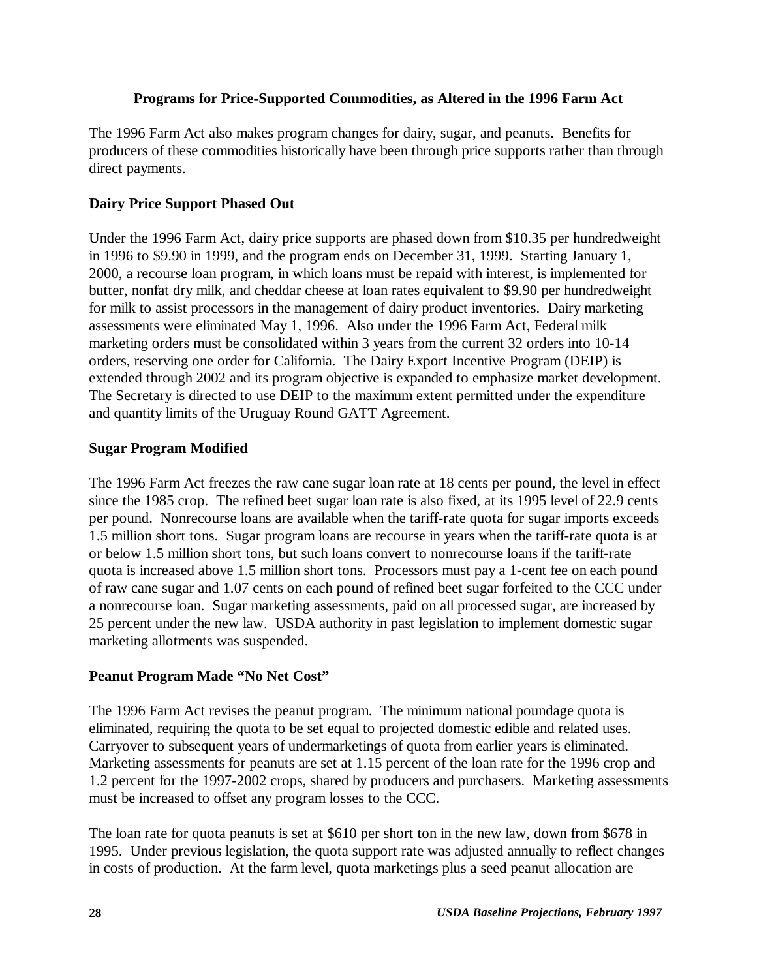#### **Programs for Price-Supported Commodities, as Altered in the 1996 Farm Act**

The 1996 Farm Act also makes program changes for dairy, sugar, and peanuts. Benefits for producers of these commodities historically have been through price supports rather than through direct payments.

#### **Dairy Price Support Phased Out**

Under the 1996 Farm Act, dairy price supports are phased down from \$10.35 per hundredweight in 1996 to \$9.90 in 1999, and the program ends on December 31, 1999. Starting January 1, 2000, a recourse loan program, in which loans must be repaid with interest, is implemented for butter, nonfat dry milk, and cheddar cheese at loan rates equivalent to \$9.90 per hundredweight for milk to assist processors in the management of dairy product inventories. Dairy marketing assessments were eliminated May 1, 1996. Also under the 1996 Farm Act, Federal milk marketing orders must be consolidated within 3 years from the current 32 orders into 10-14 orders, reserving one order for California. The Dairy Export Incentive Program (DEIP) is extended through 2002 and its program objective is expanded to emphasize market development. The Secretary is directed to use DEIP to the maximum extent permitted under the expenditure and quantity limits of the Uruguay Round GATT Agreement.

#### **Sugar Program Modified**

The 1996 Farm Act freezes the raw cane sugar loan rate at 18 cents per pound, the level in effect since the 1985 crop. The refined beet sugar loan rate is also fixed, at its 1995 level of 22.9 cents per pound. Nonrecourse loans are available when the tariff-rate quota for sugar imports exceeds 1.5 million short tons. Sugar program loans are recourse in years when the tariff-rate quota is at or below 1.5 million short tons, but such loans convert to nonrecourse loans if the tariff-rate quota is increased above 1.5 million short tons. Processors must pay a 1-cent fee on each pound of raw cane sugar and 1.07 cents on each pound of refined beet sugar forfeited to the CCC under a nonrecourse loan. Sugar marketing assessments, paid on all processed sugar, are increased by 25 percent under the new law. USDA authority in past legislation to implement domestic sugar marketing allotments was suspended.

#### **Peanut Program Made "No Net Cost"**

The 1996 Farm Act revises the peanut program. The minimum national poundage quota is eliminated, requiring the quota to be set equal to projected domestic edible and related uses. Carryover to subsequent years of undermarketings of quota from earlier years is eliminated. Marketing assessments for peanuts are set at 1.15 percent of the loan rate for the 1996 crop and 1.2 percent for the 1997-2002 crops, shared by producers and purchasers. Marketing assessments must be increased to offset any program losses to the CCC.

The loan rate for quota peanuts is set at \$610 per short ton in the new law, down from \$678 in 1995. Under previous legislation, the quota support rate was adjusted annually to reflect changes in costs of production. At the farm level, quota marketings plus a seed peanut allocation are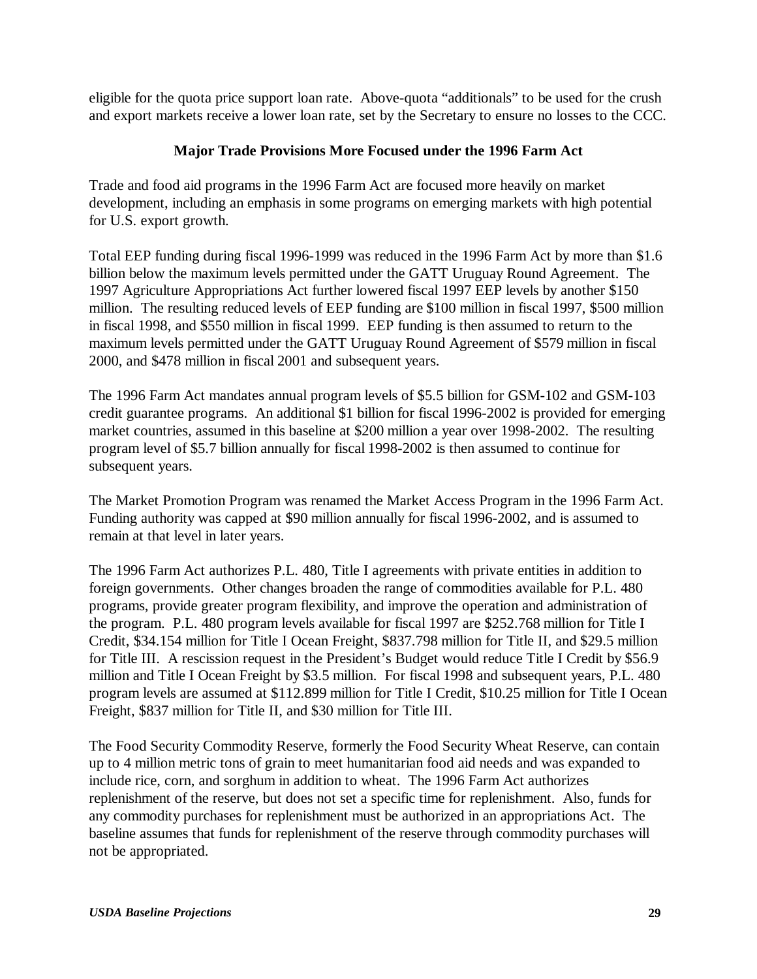eligible for the quota price support loan rate. Above-quota "additionals" to be used for the crush and export markets receive a lower loan rate, set by the Secretary to ensure no losses to the CCC.

#### **Major Trade Provisions More Focused under the 1996 Farm Act**

Trade and food aid programs in the 1996 Farm Act are focused more heavily on market development, including an emphasis in some programs on emerging markets with high potential for U.S. export growth.

Total EEP funding during fiscal 1996-1999 was reduced in the 1996 Farm Act by more than \$1.6 billion below the maximum levels permitted under the GATT Uruguay Round Agreement. The 1997 Agriculture Appropriations Act further lowered fiscal 1997 EEP levels by another \$150 million. The resulting reduced levels of EEP funding are \$100 million in fiscal 1997, \$500 million in fiscal 1998, and \$550 million in fiscal 1999. EEP funding is then assumed to return to the maximum levels permitted under the GATT Uruguay Round Agreement of \$579 million in fiscal 2000, and \$478 million in fiscal 2001 and subsequent years.

The 1996 Farm Act mandates annual program levels of \$5.5 billion for GSM-102 and GSM-103 credit guarantee programs. An additional \$1 billion for fiscal 1996-2002 is provided for emerging market countries, assumed in this baseline at \$200 million a year over 1998-2002. The resulting program level of \$5.7 billion annually for fiscal 1998-2002 is then assumed to continue for subsequent years.

The Market Promotion Program was renamed the Market Access Program in the 1996 Farm Act. Funding authority was capped at \$90 million annually for fiscal 1996-2002, and is assumed to remain at that level in later years.

The 1996 Farm Act authorizes P.L. 480, Title I agreements with private entities in addition to foreign governments. Other changes broaden the range of commodities available for P.L. 480 programs, provide greater program flexibility, and improve the operation and administration of the program. P.L. 480 program levels available for fiscal 1997 are \$252.768 million for Title I Credit, \$34.154 million for Title I Ocean Freight, \$837.798 million for Title II, and \$29.5 million for Title III. A rescission request in the President's Budget would reduce Title I Credit by \$56.9 million and Title I Ocean Freight by \$3.5 million. For fiscal 1998 and subsequent years, P.L. 480 program levels are assumed at \$112.899 million for Title I Credit, \$10.25 million for Title I Ocean Freight, \$837 million for Title II, and \$30 million for Title III.

The Food Security Commodity Reserve, formerly the Food Security Wheat Reserve, can contain up to 4 million metric tons of grain to meet humanitarian food aid needs and was expanded to include rice, corn, and sorghum in addition to wheat. The 1996 Farm Act authorizes replenishment of the reserve, but does not set a specific time for replenishment. Also, funds for any commodity purchases for replenishment must be authorized in an appropriations Act. The baseline assumes that funds for replenishment of the reserve through commodity purchases will not be appropriated.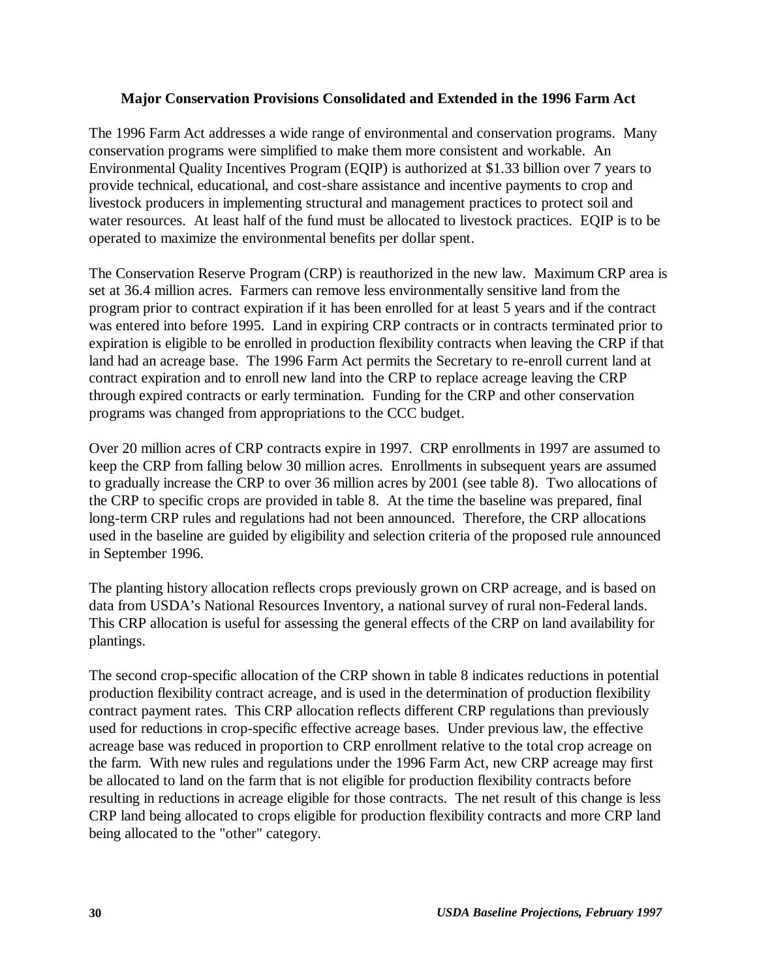#### **Major Conservation Provisions Consolidated and Extended in the 1996 Farm Act**

The 1996 Farm Act addresses a wide range of environmental and conservation programs. Many conservation programs were simplified to make them more consistent and workable. An Environmental Quality Incentives Program (EQIP) is authorized at \$1.33 billion over 7 years to provide technical, educational, and cost-share assistance and incentive payments to crop and livestock producers in implementing structural and management practices to protect soil and water resources. At least half of the fund must be allocated to livestock practices. EQIP is to be operated to maximize the environmental benefits per dollar spent.

The Conservation Reserve Program (CRP) is reauthorized in the new law. Maximum CRP area is set at 36.4 million acres. Farmers can remove less environmentally sensitive land from the program prior to contract expiration if it has been enrolled for at least 5 years and if the contract was entered into before 1995. Land in expiring CRP contracts or in contracts terminated prior to expiration is eligible to be enrolled in production flexibility contracts when leaving the CRP if that land had an acreage base. The 1996 Farm Act permits the Secretary to re-enroll current land at contract expiration and to enroll new land into the CRP to replace acreage leaving the CRP through expired contracts or early termination. Funding for the CRP and other conservation programs was changed from appropriations to the CCC budget.

Over 20 million acres of CRP contracts expire in 1997. CRP enrollments in 1997 are assumed to keep the CRP from falling below 30 million acres. Enrollments in subsequent years are assumed to gradually increase the CRP to over 36 million acres by 2001 (see table 8). Two allocations of the CRP to specific crops are provided in table 8. At the time the baseline was prepared, final long-term CRP rules and regulations had not been announced. Therefore, the CRP allocations used in the baseline are guided by eligibility and selection criteria of the proposed rule announced in September 1996.

The planting history allocation reflects crops previously grown on CRP acreage, and is based on data from USDA's National Resources Inventory, a national survey of rural non-Federal lands. This CRP allocation is useful for assessing the general effects of the CRP on land availability for plantings.

The second crop-specific allocation of the CRP shown in table 8 indicates reductions in potential production flexibility contract acreage, and is used in the determination of production flexibility contract payment rates. This CRP allocation reflects different CRP regulations than previously used for reductions in crop-specific effective acreage bases. Under previous law, the effective acreage base was reduced in proportion to CRP enrollment relative to the total crop acreage on the farm. With new rules and regulations under the 1996 Farm Act, new CRP acreage may first be allocated to land on the farm that is not eligible for production flexibility contracts before resulting in reductions in acreage eligible for those contracts. The net result of this change is less CRP land being allocated to crops eligible for production flexibility contracts and more CRP land being allocated to the "other" category.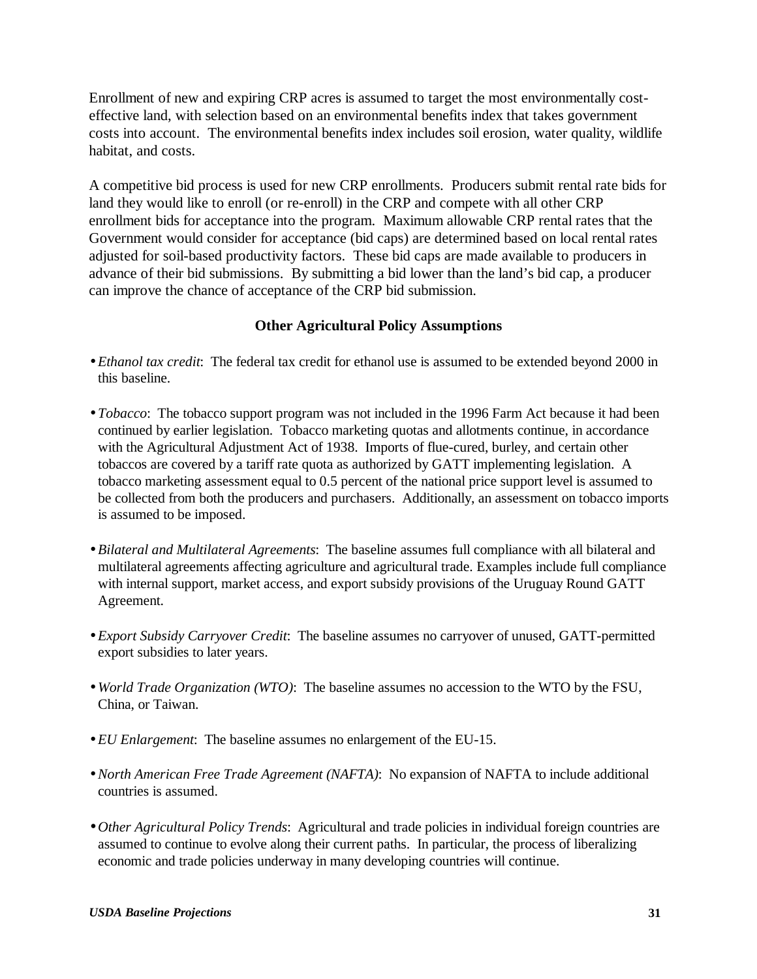Enrollment of new and expiring CRP acres is assumed to target the most environmentally costeffective land, with selection based on an environmental benefits index that takes government costs into account. The environmental benefits index includes soil erosion, water quality, wildlife habitat, and costs.

A competitive bid process is used for new CRP enrollments. Producers submit rental rate bids for land they would like to enroll (or re-enroll) in the CRP and compete with all other CRP enrollment bids for acceptance into the program. Maximum allowable CRP rental rates that the Government would consider for acceptance (bid caps) are determined based on local rental rates adjusted for soil-based productivity factors. These bid caps are made available to producers in advance of their bid submissions. By submitting a bid lower than the land's bid cap, a producer can improve the chance of acceptance of the CRP bid submission.

#### **Other Agricultural Policy Assumptions**

- *Ethanol tax credit*: The federal tax credit for ethanol use is assumed to be extended beyond 2000 in this baseline.
- *Tobacco*: The tobacco support program was not included in the 1996 Farm Act because it had been continued by earlier legislation. Tobacco marketing quotas and allotments continue, in accordance with the Agricultural Adjustment Act of 1938. Imports of flue-cured, burley, and certain other tobaccos are covered by a tariff rate quota as authorized by GATT implementing legislation. A tobacco marketing assessment equal to 0.5 percent of the national price support level is assumed to be collected from both the producers and purchasers. Additionally, an assessment on tobacco imports is assumed to be imposed.
- *Bilateral and Multilateral Agreements*: The baseline assumes full compliance with all bilateral and multilateral agreements affecting agriculture and agricultural trade. Examples include full compliance with internal support, market access, and export subsidy provisions of the Uruguay Round GATT Agreement.
- *Export Subsidy Carryover Credit*: The baseline assumes no carryover of unused, GATT-permitted export subsidies to later years.
- *World Trade Organization (WTO)*: The baseline assumes no accession to the WTO by the FSU, China, or Taiwan.
- *EU Enlargement*: The baseline assumes no enlargement of the EU-15.
- •*North American Free Trade Agreement (NAFTA)*: No expansion of NAFTA to include additional countries is assumed.
- *Other Agricultural Policy Trends*: Agricultural and trade policies in individual foreign countries are assumed to continue to evolve along their current paths. In particular, the process of liberalizing economic and trade policies underway in many developing countries will continue.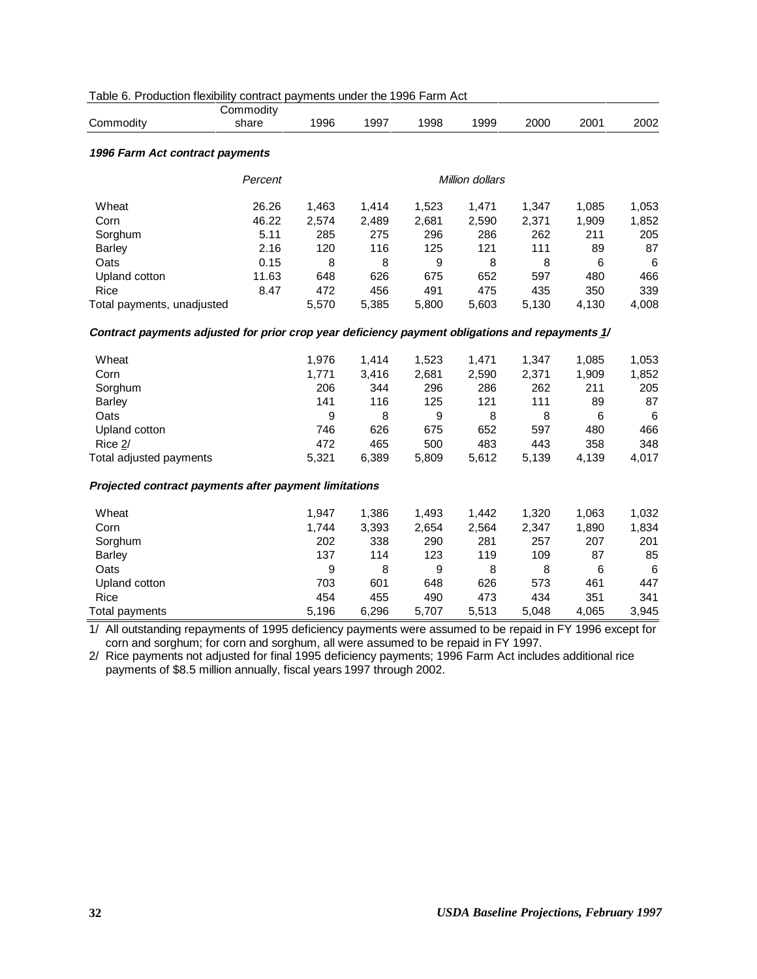| Table 6. Production flexibility contract payments under the 1996 Farm Act |  |  |  |  |
|---------------------------------------------------------------------------|--|--|--|--|
|---------------------------------------------------------------------------|--|--|--|--|

|                                                                                                           | Commodity |       |       |       |                 |       |       |       |
|-----------------------------------------------------------------------------------------------------------|-----------|-------|-------|-------|-----------------|-------|-------|-------|
| Commodity                                                                                                 | share     | 1996  | 1997  | 1998  | 1999            | 2000  | 2001  | 2002  |
| 1996 Farm Act contract payments                                                                           |           |       |       |       |                 |       |       |       |
|                                                                                                           | Percent   |       |       |       | Million dollars |       |       |       |
| Wheat                                                                                                     | 26.26     | 1,463 | 1,414 | 1,523 | 1,471           | 1,347 | 1,085 | 1,053 |
| Corn                                                                                                      | 46.22     | 2,574 | 2,489 | 2,681 | 2,590           | 2,371 | 1,909 | 1,852 |
| Sorghum                                                                                                   | 5.11      | 285   | 275   | 296   | 286             | 262   | 211   | 205   |
| <b>Barley</b>                                                                                             | 2.16      | 120   | 116   | 125   | 121             | 111   | 89    | 87    |
| Oats                                                                                                      | 0.15      | 8     | 8     | 9     | 8               | 8     | 6     | 6     |
| Upland cotton                                                                                             | 11.63     | 648   | 626   | 675   | 652             | 597   | 480   | 466   |
| Rice                                                                                                      | 8.47      | 472   | 456   | 491   | 475             | 435   | 350   | 339   |
| Total payments, unadjusted                                                                                |           | 5,570 | 5,385 | 5,800 | 5,603           | 5,130 | 4,130 | 4,008 |
| Contract payments adjusted for prior crop year deficiency payment obligations and repayments 1/           |           |       |       |       |                 |       |       |       |
| Wheat                                                                                                     |           | 1,976 | 1,414 | 1,523 | 1,471           | 1,347 | 1,085 | 1,053 |
| Corn                                                                                                      |           | 1,771 | 3,416 | 2,681 | 2,590           | 2,371 | 1,909 | 1,852 |
| Sorghum                                                                                                   |           | 206   | 344   | 296   | 286             | 262   | 211   | 205   |
| <b>Barley</b>                                                                                             |           | 141   | 116   | 125   | 121             | 111   | 89    | 87    |
| Oats                                                                                                      |           | 9     | 8     | 9     | 8               | 8     | 6     | 6     |
| Upland cotton                                                                                             |           | 746   | 626   | 675   | 652             | 597   | 480   | 466   |
| Rice $2/$                                                                                                 |           | 472   | 465   | 500   | 483             | 443   | 358   | 348   |
| Total adjusted payments                                                                                   |           | 5,321 | 6,389 | 5,809 | 5,612           | 5,139 | 4,139 | 4,017 |
| Projected contract payments after payment limitations                                                     |           |       |       |       |                 |       |       |       |
| Wheat                                                                                                     |           | 1,947 | 1,386 | 1,493 | 1,442           | 1,320 | 1,063 | 1,032 |
| Corn                                                                                                      |           | 1,744 | 3,393 | 2,654 | 2,564           | 2,347 | 1,890 | 1,834 |
| Sorghum                                                                                                   |           | 202   | 338   | 290   | 281             | 257   | 207   | 201   |
| <b>Barley</b>                                                                                             |           | 137   | 114   | 123   | 119             | 109   | 87    | 85    |
| Oats                                                                                                      |           | 9     | 8     | 9     | 8               | 8     | 6     | 6     |
| Upland cotton                                                                                             |           | 703   | 601   | 648   | 626             | 573   | 461   | 447   |
| Rice                                                                                                      |           | 454   | 455   | 490   | 473             | 434   | 351   | 341   |
| <b>Total payments</b>                                                                                     |           | 5,196 | 6,296 | 5,707 | 5,513           | 5,048 | 4,065 | 3,945 |
| 1/ All outstanding repayments of 1995 deficiency payments were assumed to be repaid in FY 1996 except for |           |       |       |       |                 |       |       |       |

1/ All outstanding repayments of 1995 deficiency payments were assumed to be repaid in FY 1996 except for corn and sorghum; for corn and sorghum, all were assumed to be repaid in FY 1997.

2/ Rice payments not adjusted for final 1995 deficiency payments; 1996 Farm Act includes additional rice payments of \$8.5 million annually, fiscal years 1997 through 2002.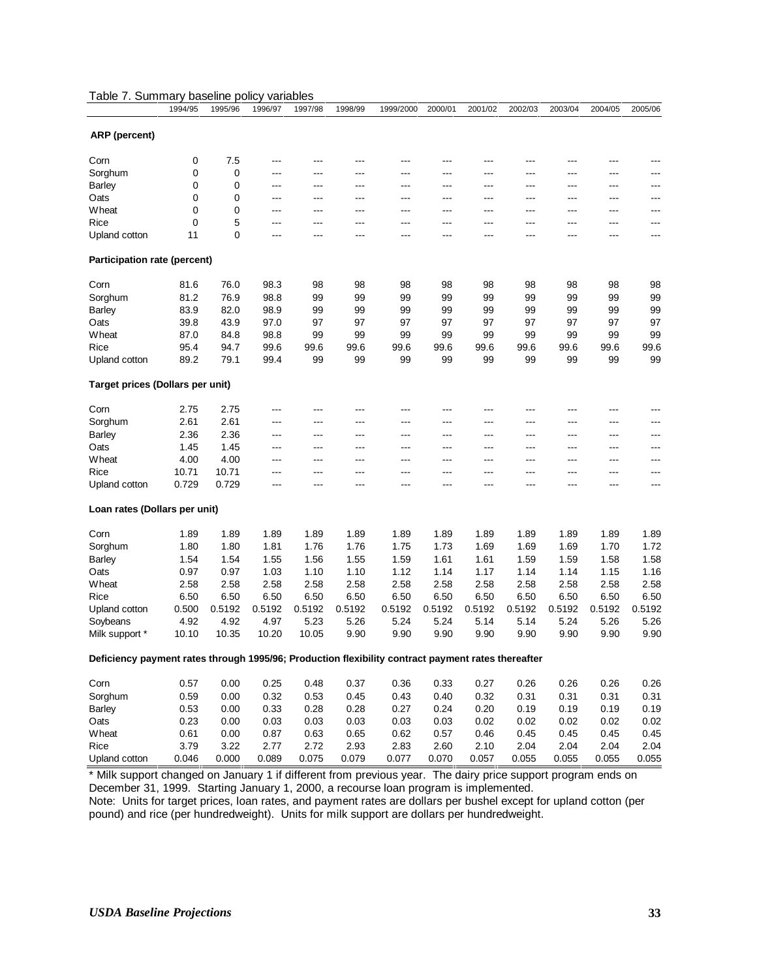|                                                                                                    | 1994/95 | 1995/96 | 1996/97 | 1997/98 | 1998/99 | 1999/2000 | 2000/01 | 2001/02 | 2002/03 | 2003/04        | 2004/05 | 2005/06 |
|----------------------------------------------------------------------------------------------------|---------|---------|---------|---------|---------|-----------|---------|---------|---------|----------------|---------|---------|
| ARP (percent)                                                                                      |         |         |         |         |         |           |         |         |         |                |         |         |
| Corn                                                                                               | 0       | 7.5     | ---     |         | ---     | ---       | ---     | ---     | ---     | ---            | ---     | ---     |
| Sorghum                                                                                            | 0       | 0       | ---     | $---$   | ---     | ---       | ---     | ---     | ---     | ---            | ---     | ---     |
| <b>Barley</b>                                                                                      | 0       | 0       | ---     | ---     | ---     | ---       | ---     | ---     | ---     | ---            | ---     | ---     |
| Oats                                                                                               | 0       | 0       | ---     | ---     | ---     | ---       | ---     | ---     | ---     | ---            | ---     | ---     |
| Wheat                                                                                              | 0       | 0       | ---     | $---$   | ---     | ---       | ---     | ---     | ---     | $---$          | ---     | ---     |
| Rice                                                                                               | 0       | 5       | ---     | $---$   | $---$   | ---       | ---     | ---     | ---     | ---            | ---     | ---     |
| Upland cotton                                                                                      | 11      | 0       | ---     | ---     | ---     | ---       | ---     | ---     | ---     | $\overline{a}$ | ---     | ---     |
| Participation rate (percent)                                                                       |         |         |         |         |         |           |         |         |         |                |         |         |
|                                                                                                    |         |         |         |         |         |           |         |         |         |                |         |         |
| Corn                                                                                               | 81.6    | 76.0    | 98.3    | 98      | 98      | 98        | 98      | 98      | 98      | 98             | 98      | 98      |
| Sorghum                                                                                            | 81.2    | 76.9    | 98.8    | 99      | 99      | 99        | 99      | 99      | 99      | 99             | 99      | 99      |
| <b>Barley</b>                                                                                      | 83.9    | 82.0    | 98.9    | 99      | 99      | 99        | 99      | 99      | 99      | 99             | 99      | 99      |
| Oats                                                                                               | 39.8    | 43.9    | 97.0    | 97      | 97      | 97        | 97      | 97      | 97      | 97             | 97      | 97      |
| Wheat                                                                                              | 87.0    | 84.8    | 98.8    | 99      | 99      | 99        | 99      | 99      | 99      | 99             | 99      | 99      |
| Rice                                                                                               | 95.4    | 94.7    | 99.6    | 99.6    | 99.6    | 99.6      | 99.6    | 99.6    | 99.6    | 99.6           | 99.6    | 99.6    |
| Upland cotton                                                                                      | 89.2    | 79.1    | 99.4    | 99      | 99      | 99        | 99      | 99      | 99      | 99             | 99      | 99      |
| Target prices (Dollars per unit)                                                                   |         |         |         |         |         |           |         |         |         |                |         |         |
|                                                                                                    |         |         |         |         |         |           |         |         |         |                |         |         |
| Corn                                                                                               | 2.75    | 2.75    | ---     | ---     | ---     | ---       | $---$   | ---     | ---     | ---            | ---     | ---     |
| Sorghum                                                                                            | 2.61    | 2.61    | ---     | ---     | ---     | ---       | ---     | ---     | ---     | ---            | ---     | ---     |
| <b>Barley</b>                                                                                      | 2.36    | 2.36    | ---     | ---     | ---     | ---       | ---     | ---     | ---     | ---            | ---     | ---     |
| Oats                                                                                               | 1.45    | 1.45    | ---     | $---$   | $---$   | ---       | ---     | ---     | ---     | ---            | ---     | ---     |
| Wheat                                                                                              | 4.00    | 4.00    | ---     | ---     | ---     | ---       | ---     | ---     | ---     | $---$          | ---     | ---     |
| Rice                                                                                               | 10.71   | 10.71   | ---     | ---     | ---     | ---       | ---     | ---     | ---     | ---            | ---     | ---     |
| Upland cotton                                                                                      | 0.729   | 0.729   | ---     | $---$   | ---     | ---       | ---     | ---     | ---     | $---$          | ---     | $---$   |
| Loan rates (Dollars per unit)                                                                      |         |         |         |         |         |           |         |         |         |                |         |         |
| Corn                                                                                               | 1.89    | 1.89    | 1.89    | 1.89    | 1.89    | 1.89      | 1.89    | 1.89    | 1.89    | 1.89           | 1.89    | 1.89    |
| Sorghum                                                                                            | 1.80    | 1.80    | 1.81    | 1.76    | 1.76    | 1.75      | 1.73    | 1.69    | 1.69    | 1.69           | 1.70    | 1.72    |
| <b>Barley</b>                                                                                      | 1.54    | 1.54    | 1.55    | 1.56    | 1.55    | 1.59      | 1.61    | 1.61    | 1.59    | 1.59           | 1.58    | 1.58    |
| Oats                                                                                               | 0.97    | 0.97    | 1.03    | 1.10    | 1.10    | 1.12      | 1.14    | 1.17    | 1.14    | 1.14           | 1.15    | 1.16    |
| Wheat                                                                                              | 2.58    | 2.58    | 2.58    | 2.58    | 2.58    | 2.58      | 2.58    | 2.58    | 2.58    | 2.58           | 2.58    | 2.58    |
| Rice                                                                                               | 6.50    | 6.50    | 6.50    | 6.50    | 6.50    | 6.50      | 6.50    | 6.50    | 6.50    | 6.50           | 6.50    | 6.50    |
| Upland cotton                                                                                      | 0.500   | 0.5192  | 0.5192  | 0.5192  | 0.5192  | 0.5192    | 0.5192  | 0.5192  | 0.5192  | 0.5192         | 0.5192  | 0.5192  |
| Soybeans                                                                                           | 4.92    | 4.92    | 4.97    | 5.23    | 5.26    | 5.24      | 5.24    | 5.14    | 5.14    | 5.24           | 5.26    | 5.26    |
| Milk support *                                                                                     | 10.10   | 10.35   | 10.20   | 10.05   | 9.90    | 9.90      | 9.90    | 9.90    | 9.90    | 9.90           | 9.90    | 9.90    |
|                                                                                                    |         |         |         |         |         |           |         |         |         |                |         |         |
| Deficiency payment rates through 1995/96; Production flexibility contract payment rates thereafter |         |         |         |         |         |           |         |         |         |                |         |         |
| Corn                                                                                               | 0.57    | 0.00    | 0.25    | 0.48    | 0.37    | 0.36      | 0.33    | 0.27    | 0.26    | 0.26           | 0.26    | 0.26    |
| Sorghum                                                                                            | 0.59    | 0.00    | 0.32    | 0.53    | 0.45    | 0.43      | 0.40    | 0.32    | 0.31    | 0.31           | 0.31    | 0.31    |
| <b>Barley</b>                                                                                      | 0.53    | 0.00    | 0.33    | 0.28    | 0.28    | 0.27      | 0.24    | 0.20    | 0.19    | 0.19           | 0.19    | 0.19    |
| Oats                                                                                               | 0.23    | 0.00    | 0.03    | 0.03    | 0.03    | 0.03      | 0.03    | 0.02    | 0.02    | 0.02           | 0.02    | 0.02    |
| Wheat                                                                                              | 0.61    | 0.00    | 0.87    | 0.63    | 0.65    | 0.62      | 0.57    | 0.46    | 0.45    | 0.45           | 0.45    | 0.45    |
| Rice                                                                                               | 3.79    | 3.22    | 2.77    | 2.72    | 2.93    | 2.83      | 2.60    | 2.10    | 2.04    | 2.04           | 2.04    | 2.04    |
| Upland cotton                                                                                      | 0.046   | 0.000   | 0.089   | 0.075   | 0.079   | 0.077     | 0.070   | 0.057   | 0.055   | 0.055          | 0.055   | 0.055   |
|                                                                                                    |         |         |         |         |         |           |         |         |         |                |         |         |

#### Table 7. Summary baseline policy variables

\* Milk support changed on January 1 if different from previous year. The dairy price support program ends on December 31, 1999. Starting January 1, 2000, a recourse loan program is implemented. Note: Units for target prices, loan rates, and payment rates are dollars per bushel except for upland cotton (per pound) and rice (per hundredweight). Units for milk support are dollars per hundredweight.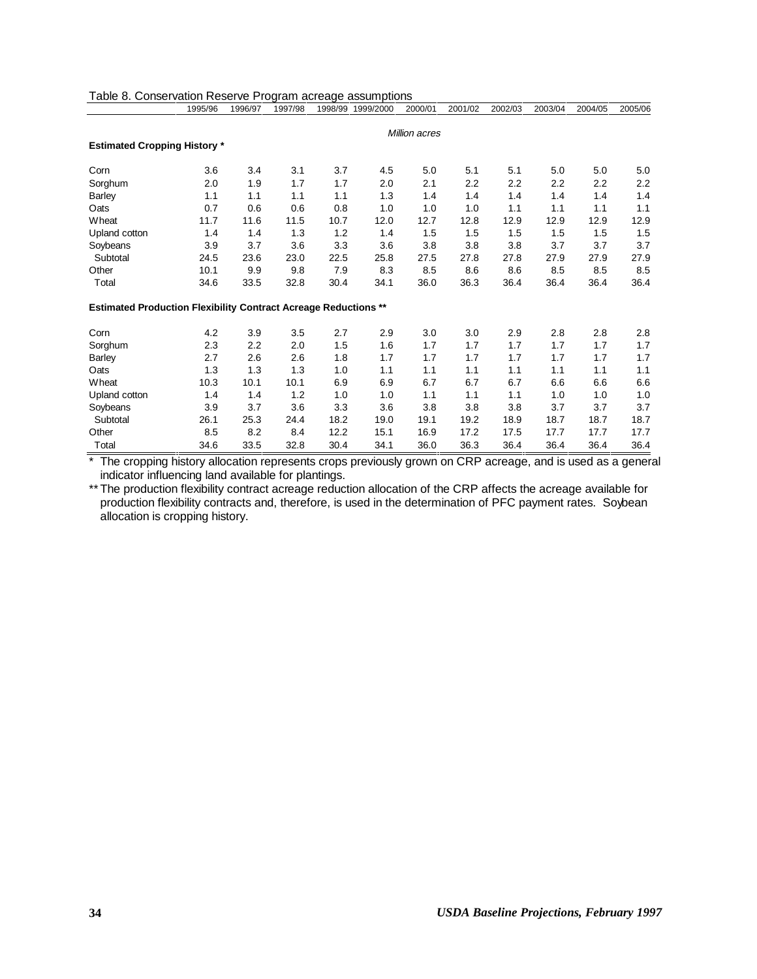|                                                                        | 1995/96 | 1996/97 | 1997/98 | 1998/99 | 1999/2000 | 2000/01       | 2001/02 | 2002/03 | 2003/04 | 2004/05 | 2005/06 |
|------------------------------------------------------------------------|---------|---------|---------|---------|-----------|---------------|---------|---------|---------|---------|---------|
|                                                                        |         |         |         |         |           | Million acres |         |         |         |         |         |
| <b>Estimated Cropping History *</b>                                    |         |         |         |         |           |               |         |         |         |         |         |
| Corn                                                                   | 3.6     | 3.4     | 3.1     | 3.7     | 4.5       | 5.0           | 5.1     | 5.1     | 5.0     | 5.0     | 5.0     |
| Sorghum                                                                | 2.0     | 1.9     | 1.7     | 1.7     | 2.0       | 2.1           | 2.2     | 2.2     | 2.2     | 2.2     | 2.2     |
| <b>Barley</b>                                                          | 1.1     | 1.1     | 1.1     | 1.1     | 1.3       | 1.4           | 1.4     | 1.4     | 1.4     | 1.4     | 1.4     |
| Oats                                                                   | 0.7     | 0.6     | 0.6     | 0.8     | 1.0       | 1.0           | 1.0     | 1.1     | 1.1     | 1.1     | 1.1     |
| Wheat                                                                  | 11.7    | 11.6    | 11.5    | 10.7    | 12.0      | 12.7          | 12.8    | 12.9    | 12.9    | 12.9    | 12.9    |
| Upland cotton                                                          | 1.4     | 1.4     | 1.3     | 1.2     | 1.4       | 1.5           | 1.5     | 1.5     | 1.5     | 1.5     | 1.5     |
| Soybeans                                                               | 3.9     | 3.7     | 3.6     | 3.3     | 3.6       | 3.8           | 3.8     | 3.8     | 3.7     | 3.7     | 3.7     |
| Subtotal                                                               | 24.5    | 23.6    | 23.0    | 22.5    | 25.8      | 27.5          | 27.8    | 27.8    | 27.9    | 27.9    | 27.9    |
| Other                                                                  | 10.1    | 9.9     | 9.8     | 7.9     | 8.3       | 8.5           | 8.6     | 8.6     | 8.5     | 8.5     | 8.5     |
| Total                                                                  | 34.6    | 33.5    | 32.8    | 30.4    | 34.1      | 36.0          | 36.3    | 36.4    | 36.4    | 36.4    | 36.4    |
| <b>Estimated Production Flexibility Contract Acreage Reductions **</b> |         |         |         |         |           |               |         |         |         |         |         |
| Corn                                                                   | 4.2     | 3.9     | 3.5     | 2.7     | 2.9       | 3.0           | 3.0     | 2.9     | 2.8     | 2.8     | 2.8     |
| Sorghum                                                                | 2.3     | 2.2     | 2.0     | 1.5     | 1.6       | 1.7           | 1.7     | 1.7     | 1.7     | 1.7     | 1.7     |
| <b>Barley</b>                                                          | 2.7     | 2.6     | 2.6     | 1.8     | 1.7       | 1.7           | 1.7     | 1.7     | 1.7     | 1.7     | 1.7     |
| Oats                                                                   | 1.3     | 1.3     | 1.3     | 1.0     | 1.1       | 1.1           | 1.1     | 1.1     | 1.1     | 1.1     | 1.1     |
| Wheat                                                                  | 10.3    | 10.1    | 10.1    | 6.9     | 6.9       | 6.7           | 6.7     | 6.7     | 6.6     | 6.6     | 6.6     |
| Upland cotton                                                          | 1.4     | 1.4     | 1.2     | 1.0     | 1.0       | 1.1           | 1.1     | 1.1     | 1.0     | 1.0     | 1.0     |
| Soybeans                                                               | 3.9     | 3.7     | 3.6     | 3.3     | 3.6       | 3.8           | 3.8     | 3.8     | 3.7     | 3.7     | 3.7     |
| Subtotal                                                               | 26.1    | 25.3    | 24.4    | 18.2    | 19.0      | 19.1          | 19.2    | 18.9    | 18.7    | 18.7    | 18.7    |
| Other                                                                  | 8.5     | 8.2     | 8.4     | 12.2    | 15.1      | 16.9          | 17.2    | 17.5    | 17.7    | 17.7    | 17.7    |
| Total                                                                  | 34.6    | 33.5    | 32.8    | 30.4    | 34.1      | 36.0          | 36.3    | 36.4    | 36.4    | 36.4    | 36.4    |

| Table 8. Conservation Reserve Program acreage assumptions |  |  |
|-----------------------------------------------------------|--|--|
|                                                           |  |  |

\* The cropping history allocation represents crops previously grown on CRP acreage, and is used as a general indicator influencing land available for plantings.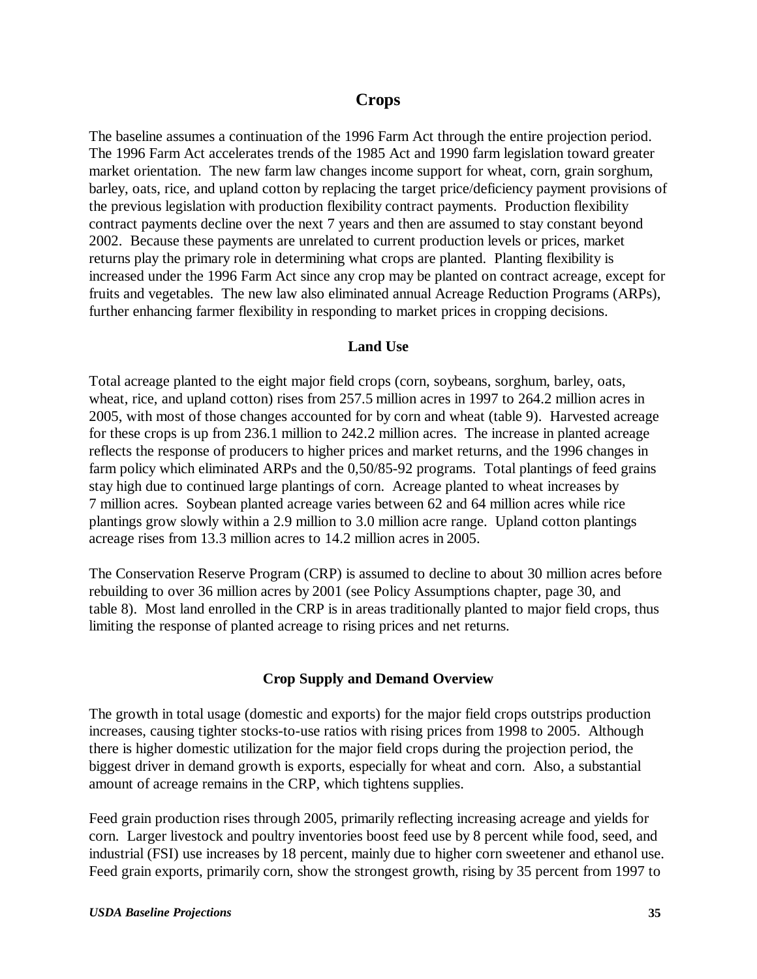# **Crops**

The baseline assumes a continuation of the 1996 Farm Act through the entire projection period. The 1996 Farm Act accelerates trends of the 1985 Act and 1990 farm legislation toward greater market orientation. The new farm law changes income support for wheat, corn, grain sorghum, barley, oats, rice, and upland cotton by replacing the target price/deficiency payment provisions of the previous legislation with production flexibility contract payments. Production flexibility contract payments decline over the next 7 years and then are assumed to stay constant beyond 2002. Because these payments are unrelated to current production levels or prices, market returns play the primary role in determining what crops are planted. Planting flexibility is increased under the 1996 Farm Act since any crop may be planted on contract acreage, except for fruits and vegetables. The new law also eliminated annual Acreage Reduction Programs (ARPs), further enhancing farmer flexibility in responding to market prices in cropping decisions.

#### **Land Use**

Total acreage planted to the eight major field crops (corn, soybeans, sorghum, barley, oats, wheat, rice, and upland cotton) rises from 257.5 million acres in 1997 to 264.2 million acres in 2005, with most of those changes accounted for by corn and wheat (table 9). Harvested acreage for these crops is up from 236.1 million to 242.2 million acres. The increase in planted acreage reflects the response of producers to higher prices and market returns, and the 1996 changes in farm policy which eliminated ARPs and the 0,50/85-92 programs. Total plantings of feed grains stay high due to continued large plantings of corn. Acreage planted to wheat increases by 7 million acres. Soybean planted acreage varies between 62 and 64 million acres while rice plantings grow slowly within a 2.9 million to 3.0 million acre range. Upland cotton plantings acreage rises from 13.3 million acres to 14.2 million acres in 2005.

The Conservation Reserve Program (CRP) is assumed to decline to about 30 million acres before rebuilding to over 36 million acres by 2001 (see Policy Assumptions chapter, page 30, and table 8). Most land enrolled in the CRP is in areas traditionally planted to major field crops, thus limiting the response of planted acreage to rising prices and net returns.

### **Crop Supply and Demand Overview**

The growth in total usage (domestic and exports) for the major field crops outstrips production increases, causing tighter stocks-to-use ratios with rising prices from 1998 to 2005. Although there is higher domestic utilization for the major field crops during the projection period, the biggest driver in demand growth is exports, especially for wheat and corn. Also, a substantial amount of acreage remains in the CRP, which tightens supplies.

Feed grain production rises through 2005, primarily reflecting increasing acreage and yields for corn. Larger livestock and poultry inventories boost feed use by 8 percent while food, seed, and industrial (FSI) use increases by 18 percent, mainly due to higher corn sweetener and ethanol use. Feed grain exports, primarily corn, show the strongest growth, rising by 35 percent from 1997 to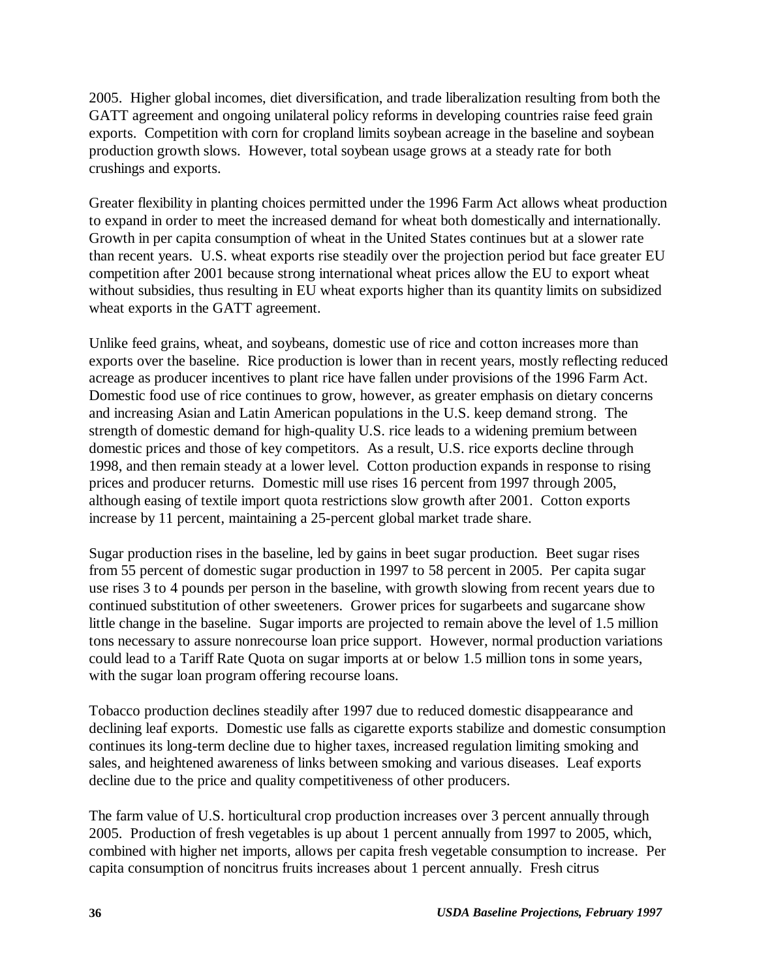2005. Higher global incomes, diet diversification, and trade liberalization resulting from both the GATT agreement and ongoing unilateral policy reforms in developing countries raise feed grain exports. Competition with corn for cropland limits soybean acreage in the baseline and soybean production growth slows. However, total soybean usage grows at a steady rate for both crushings and exports.

Greater flexibility in planting choices permitted under the 1996 Farm Act allows wheat production to expand in order to meet the increased demand for wheat both domestically and internationally. Growth in per capita consumption of wheat in the United States continues but at a slower rate than recent years. U.S. wheat exports rise steadily over the projection period but face greater EU competition after 2001 because strong international wheat prices allow the EU to export wheat without subsidies, thus resulting in EU wheat exports higher than its quantity limits on subsidized wheat exports in the GATT agreement.

Unlike feed grains, wheat, and soybeans, domestic use of rice and cotton increases more than exports over the baseline. Rice production is lower than in recent years, mostly reflecting reduced acreage as producer incentives to plant rice have fallen under provisions of the 1996 Farm Act. Domestic food use of rice continues to grow, however, as greater emphasis on dietary concerns and increasing Asian and Latin American populations in the U.S. keep demand strong. The strength of domestic demand for high-quality U.S. rice leads to a widening premium between domestic prices and those of key competitors. As a result, U.S. rice exports decline through 1998, and then remain steady at a lower level. Cotton production expands in response to rising prices and producer returns. Domestic mill use rises 16 percent from 1997 through 2005, although easing of textile import quota restrictions slow growth after 2001. Cotton exports increase by 11 percent, maintaining a 25-percent global market trade share.

Sugar production rises in the baseline, led by gains in beet sugar production. Beet sugar rises from 55 percent of domestic sugar production in 1997 to 58 percent in 2005. Per capita sugar use rises 3 to 4 pounds per person in the baseline, with growth slowing from recent years due to continued substitution of other sweeteners. Grower prices for sugarbeets and sugarcane show little change in the baseline. Sugar imports are projected to remain above the level of 1.5 million tons necessary to assure nonrecourse loan price support. However, normal production variations could lead to a Tariff Rate Quota on sugar imports at or below 1.5 million tons in some years, with the sugar loan program offering recourse loans.

Tobacco production declines steadily after 1997 due to reduced domestic disappearance and declining leaf exports. Domestic use falls as cigarette exports stabilize and domestic consumption continues its long-term decline due to higher taxes, increased regulation limiting smoking and sales, and heightened awareness of links between smoking and various diseases. Leaf exports decline due to the price and quality competitiveness of other producers.

The farm value of U.S. horticultural crop production increases over 3 percent annually through 2005. Production of fresh vegetables is up about 1 percent annually from 1997 to 2005, which, combined with higher net imports, allows per capita fresh vegetable consumption to increase. Per capita consumption of noncitrus fruits increases about 1 percent annually. Fresh citrus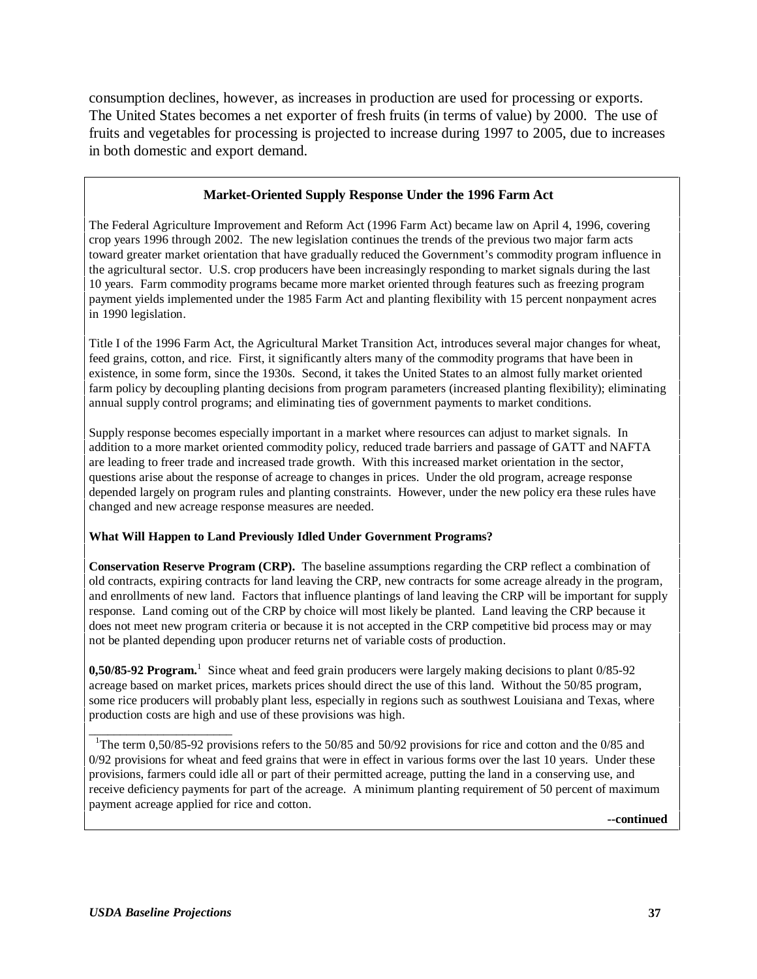consumption declines, however, as increases in production are used for processing or exports. The United States becomes a net exporter of fresh fruits (in terms of value) by 2000. The use of fruits and vegetables for processing is projected to increase during 1997 to 2005, due to increases in both domestic and export demand.

### **Market-Oriented Supply Response Under the 1996 Farm Act**

The Federal Agriculture Improvement and Reform Act (1996 Farm Act) became law on April 4, 1996, covering crop years 1996 through 2002. The new legislation continues the trends of the previous two major farm acts toward greater market orientation that have gradually reduced the Government's commodity program influence in the agricultural sector. U.S. crop producers have been increasingly responding to market signals during the last 10 years. Farm commodity programs became more market oriented through features such as freezing program payment yields implemented under the 1985 Farm Act and planting flexibility with 15 percent nonpayment acres in 1990 legislation.

Title I of the 1996 Farm Act, the Agricultural Market Transition Act, introduces several major changes for wheat, feed grains, cotton, and rice. First, it significantly alters many of the commodity programs that have been in existence, in some form, since the 1930s. Second, it takes the United States to an almost fully market oriented farm policy by decoupling planting decisions from program parameters (increased planting flexibility); eliminating annual supply control programs; and eliminating ties of government payments to market conditions.

Supply response becomes especially important in a market where resources can adjust to market signals. In addition to a more market oriented commodity policy, reduced trade barriers and passage of GATT and NAFTA are leading to freer trade and increased trade growth. With this increased market orientation in the sector, questions arise about the response of acreage to changes in prices. Under the old program, acreage response depended largely on program rules and planting constraints. However, under the new policy era these rules have changed and new acreage response measures are needed.

#### **What Will Happen to Land Previously Idled Under Government Programs?**

**Conservation Reserve Program (CRP).** The baseline assumptions regarding the CRP reflect a combination of old contracts, expiring contracts for land leaving the CRP, new contracts for some acreage already in the program, and enrollments of new land. Factors that influence plantings of land leaving the CRP will be important for supply response. Land coming out of the CRP by choice will most likely be planted. Land leaving the CRP because it does not meet new program criteria or because it is not accepted in the CRP competitive bid process may or may not be planted depending upon producer returns net of variable costs of production.

**0,50/85-92 Program.**<sup>1</sup> Since wheat and feed grain producers were largely making decisions to plant 0/85-92 acreage based on market prices, markets prices should direct the use of this land. Without the 50/85 program, some rice producers will probably plant less, especially in regions such as southwest Louisiana and Texas, where production costs are high and use of these provisions was high.

\_\_\_\_\_\_\_\_\_\_\_\_\_\_\_\_\_\_\_\_\_\_\_ <sup>1</sup>The term 0,50/85-92 provisions refers to the 50/85 and 50/92 provisions for rice and cotton and the 0/85 and 0/92 provisions for wheat and feed grains that were in effect in various forms over the last 10 years. Under these provisions, farmers could idle all or part of their permitted acreage, putting the land in a conserving use, and receive deficiency payments for part of the acreage. A minimum planting requirement of 50 percent of maximum payment acreage applied for rice and cotton.

**--continued**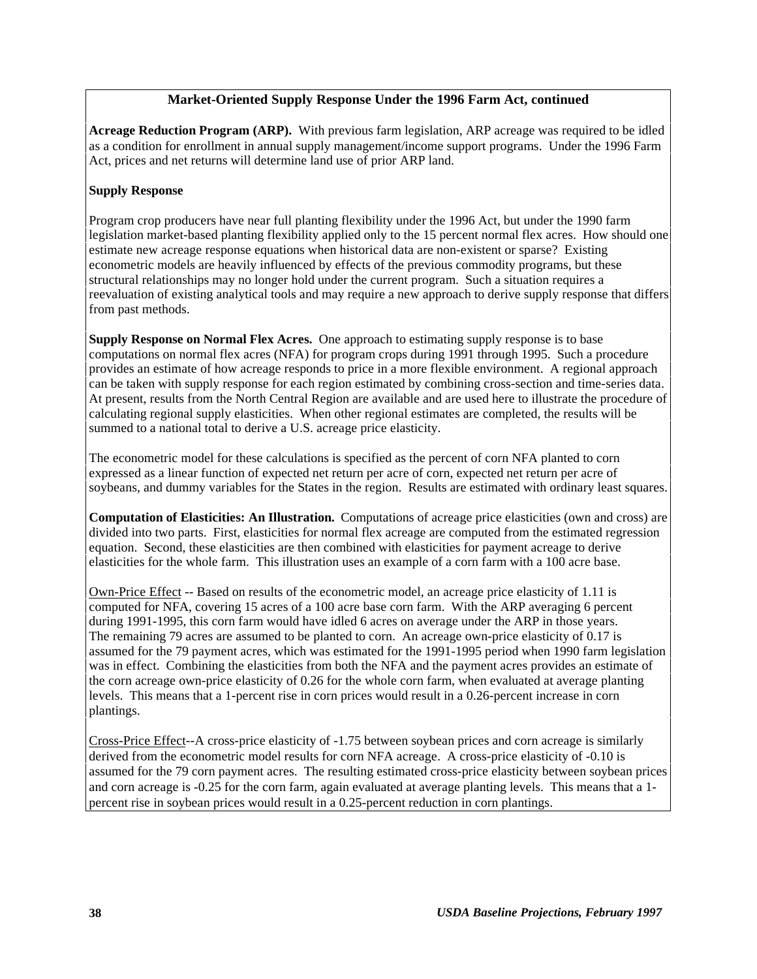#### **Market-Oriented Supply Response Under the 1996 Farm Act, continued**

**Acreage Reduction Program (ARP).** With previous farm legislation, ARP acreage was required to be idled as a condition for enrollment in annual supply management/income support programs. Under the 1996 Farm Act, prices and net returns will determine land use of prior ARP land.

#### **Supply Response**

Program crop producers have near full planting flexibility under the 1996 Act, but under the 1990 farm legislation market-based planting flexibility applied only to the 15 percent normal flex acres. How should one estimate new acreage response equations when historical data are non-existent or sparse? Existing econometric models are heavily influenced by effects of the previous commodity programs, but these structural relationships may no longer hold under the current program. Such a situation requires a reevaluation of existing analytical tools and may require a new approach to derive supply response that differs from past methods.

**Supply Response on Normal Flex Acres.** One approach to estimating supply response is to base computations on normal flex acres (NFA) for program crops during 1991 through 1995. Such a procedure provides an estimate of how acreage responds to price in a more flexible environment. A regional approach can be taken with supply response for each region estimated by combining cross-section and time-series data. At present, results from the North Central Region are available and are used here to illustrate the procedure of calculating regional supply elasticities. When other regional estimates are completed, the results will be summed to a national total to derive a U.S. acreage price elasticity.

The econometric model for these calculations is specified as the percent of corn NFA planted to corn expressed as a linear function of expected net return per acre of corn, expected net return per acre of soybeans, and dummy variables for the States in the region. Results are estimated with ordinary least squares.

**Computation of Elasticities: An Illustration.** Computations of acreage price elasticities (own and cross) are divided into two parts. First, elasticities for normal flex acreage are computed from the estimated regression equation. Second, these elasticities are then combined with elasticities for payment acreage to derive elasticities for the whole farm. This illustration uses an example of a corn farm with a 100 acre base.

Own-Price Effect -- Based on results of the econometric model, an acreage price elasticity of 1.11 is computed for NFA, covering 15 acres of a 100 acre base corn farm. With the ARP averaging 6 percent during 1991-1995, this corn farm would have idled 6 acres on average under the ARP in those years. The remaining 79 acres are assumed to be planted to corn. An acreage own-price elasticity of 0.17 is assumed for the 79 payment acres, which was estimated for the 1991-1995 period when 1990 farm legislation was in effect. Combining the elasticities from both the NFA and the payment acres provides an estimate of the corn acreage own-price elasticity of 0.26 for the whole corn farm, when evaluated at average planting levels. This means that a 1-percent rise in corn prices would result in a 0.26-percent increase in corn plantings.

Cross-Price Effect--A cross-price elasticity of -1.75 between soybean prices and corn acreage is similarly derived from the econometric model results for corn NFA acreage. A cross-price elasticity of -0.10 is assumed for the 79 corn payment acres. The resulting estimated cross-price elasticity between soybean prices and corn acreage is -0.25 for the corn farm, again evaluated at average planting levels. This means that a 1 percent rise in soybean prices would result in a 0.25-percent reduction in corn plantings.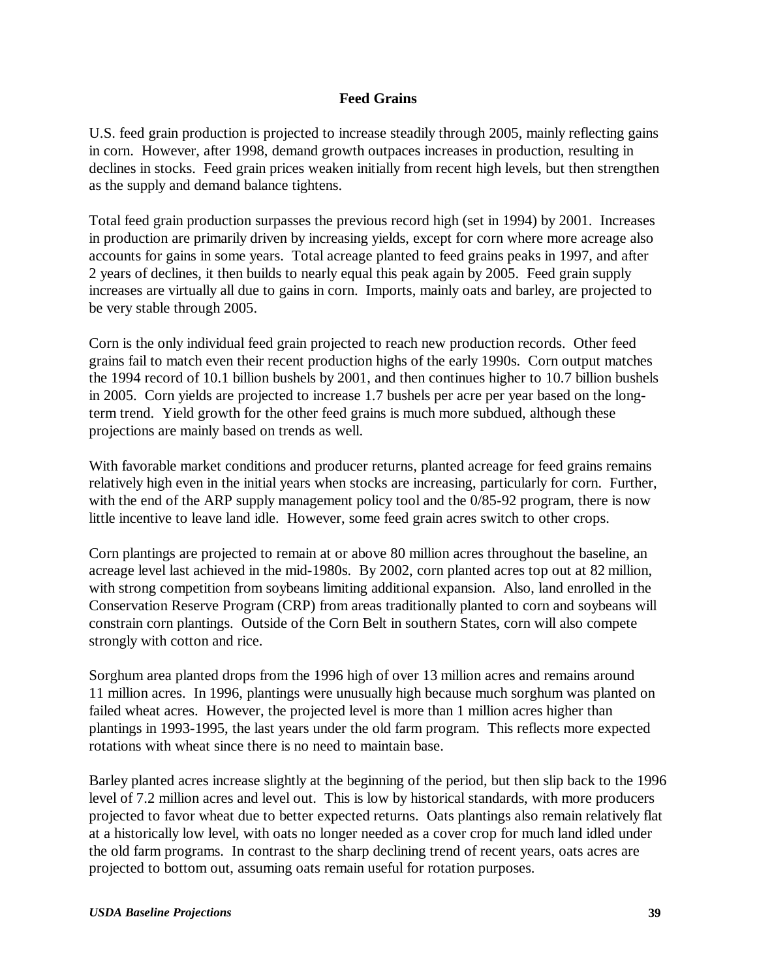### **Feed Grains**

U.S. feed grain production is projected to increase steadily through 2005, mainly reflecting gains in corn. However, after 1998, demand growth outpaces increases in production, resulting in declines in stocks. Feed grain prices weaken initially from recent high levels, but then strengthen as the supply and demand balance tightens.

Total feed grain production surpasses the previous record high (set in 1994) by 2001. Increases in production are primarily driven by increasing yields, except for corn where more acreage also accounts for gains in some years. Total acreage planted to feed grains peaks in 1997, and after 2 years of declines, it then builds to nearly equal this peak again by 2005. Feed grain supply increases are virtually all due to gains in corn. Imports, mainly oats and barley, are projected to be very stable through 2005.

Corn is the only individual feed grain projected to reach new production records. Other feed grains fail to match even their recent production highs of the early 1990s. Corn output matches the 1994 record of 10.1 billion bushels by 2001, and then continues higher to 10.7 billion bushels in 2005. Corn yields are projected to increase 1.7 bushels per acre per year based on the longterm trend. Yield growth for the other feed grains is much more subdued, although these projections are mainly based on trends as well.

With favorable market conditions and producer returns, planted acreage for feed grains remains relatively high even in the initial years when stocks are increasing, particularly for corn. Further, with the end of the ARP supply management policy tool and the  $0/85-92$  program, there is now little incentive to leave land idle. However, some feed grain acres switch to other crops.

Corn plantings are projected to remain at or above 80 million acres throughout the baseline, an acreage level last achieved in the mid-1980s. By 2002, corn planted acres top out at 82 million, with strong competition from soybeans limiting additional expansion. Also, land enrolled in the Conservation Reserve Program (CRP) from areas traditionally planted to corn and soybeans will constrain corn plantings. Outside of the Corn Belt in southern States, corn will also compete strongly with cotton and rice.

Sorghum area planted drops from the 1996 high of over 13 million acres and remains around 11 million acres. In 1996, plantings were unusually high because much sorghum was planted on failed wheat acres. However, the projected level is more than 1 million acres higher than plantings in 1993-1995, the last years under the old farm program. This reflects more expected rotations with wheat since there is no need to maintain base.

Barley planted acres increase slightly at the beginning of the period, but then slip back to the 1996 level of 7.2 million acres and level out. This is low by historical standards, with more producers projected to favor wheat due to better expected returns. Oats plantings also remain relatively flat at a historically low level, with oats no longer needed as a cover crop for much land idled under the old farm programs. In contrast to the sharp declining trend of recent years, oats acres are projected to bottom out, assuming oats remain useful for rotation purposes.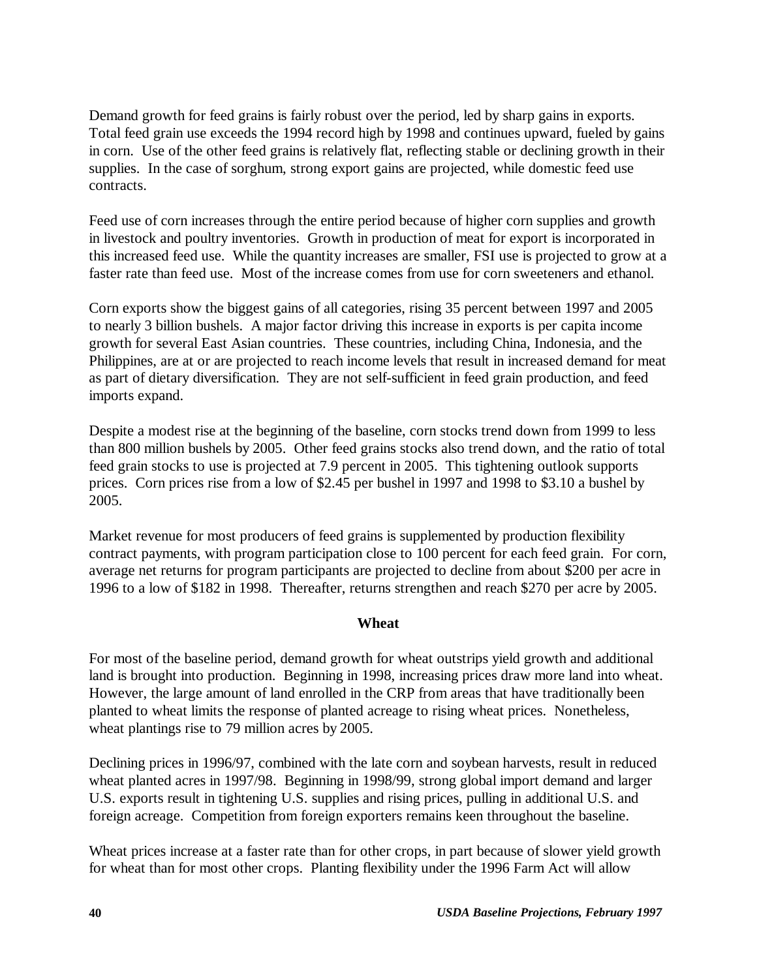Demand growth for feed grains is fairly robust over the period, led by sharp gains in exports. Total feed grain use exceeds the 1994 record high by 1998 and continues upward, fueled by gains in corn. Use of the other feed grains is relatively flat, reflecting stable or declining growth in their supplies. In the case of sorghum, strong export gains are projected, while domestic feed use contracts.

Feed use of corn increases through the entire period because of higher corn supplies and growth in livestock and poultry inventories. Growth in production of meat for export is incorporated in this increased feed use. While the quantity increases are smaller, FSI use is projected to grow at a faster rate than feed use. Most of the increase comes from use for corn sweeteners and ethanol.

Corn exports show the biggest gains of all categories, rising 35 percent between 1997 and 2005 to nearly 3 billion bushels. A major factor driving this increase in exports is per capita income growth for several East Asian countries. These countries, including China, Indonesia, and the Philippines, are at or are projected to reach income levels that result in increased demand for meat as part of dietary diversification. They are not self-sufficient in feed grain production, and feed imports expand.

Despite a modest rise at the beginning of the baseline, corn stocks trend down from 1999 to less than 800 million bushels by 2005. Other feed grains stocks also trend down, and the ratio of total feed grain stocks to use is projected at 7.9 percent in 2005. This tightening outlook supports prices. Corn prices rise from a low of \$2.45 per bushel in 1997 and 1998 to \$3.10 a bushel by 2005.

Market revenue for most producers of feed grains is supplemented by production flexibility contract payments, with program participation close to 100 percent for each feed grain. For corn, average net returns for program participants are projected to decline from about \$200 per acre in 1996 to a low of \$182 in 1998. Thereafter, returns strengthen and reach \$270 per acre by 2005.

### **Wheat**

For most of the baseline period, demand growth for wheat outstrips yield growth and additional land is brought into production. Beginning in 1998, increasing prices draw more land into wheat. However, the large amount of land enrolled in the CRP from areas that have traditionally been planted to wheat limits the response of planted acreage to rising wheat prices. Nonetheless, wheat plantings rise to 79 million acres by 2005.

Declining prices in 1996/97, combined with the late corn and soybean harvests, result in reduced wheat planted acres in 1997/98. Beginning in 1998/99, strong global import demand and larger U.S. exports result in tightening U.S. supplies and rising prices, pulling in additional U.S. and foreign acreage. Competition from foreign exporters remains keen throughout the baseline.

Wheat prices increase at a faster rate than for other crops, in part because of slower yield growth for wheat than for most other crops. Planting flexibility under the 1996 Farm Act will allow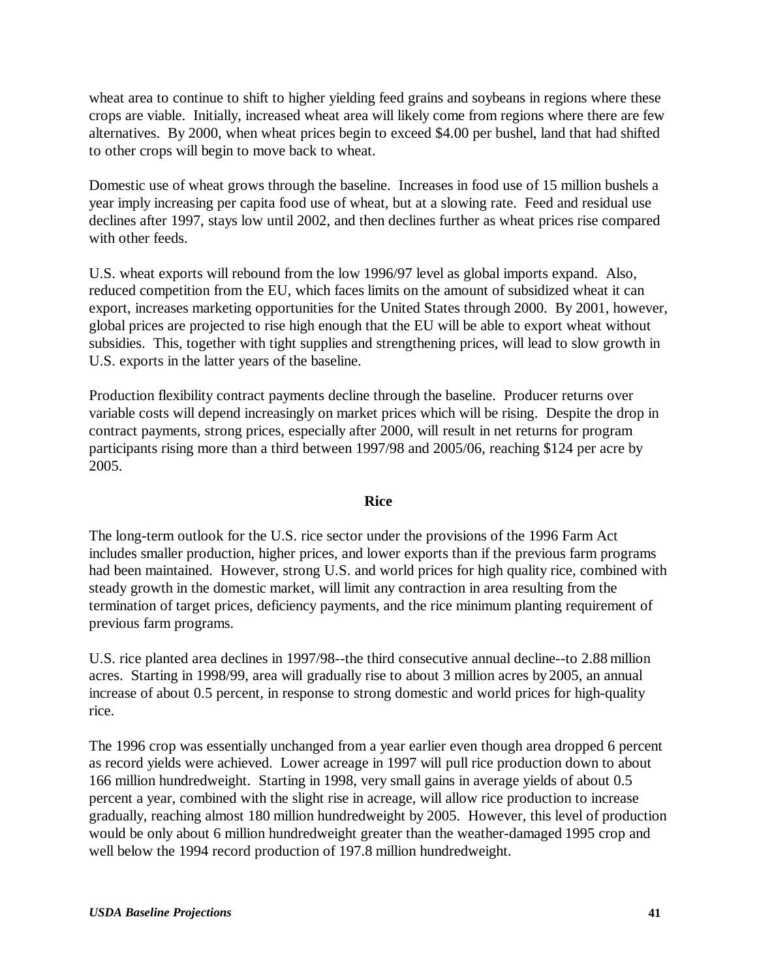wheat area to continue to shift to higher yielding feed grains and soybeans in regions where these crops are viable. Initially, increased wheat area will likely come from regions where there are few alternatives. By 2000, when wheat prices begin to exceed \$4.00 per bushel, land that had shifted to other crops will begin to move back to wheat.

Domestic use of wheat grows through the baseline. Increases in food use of 15 million bushels a year imply increasing per capita food use of wheat, but at a slowing rate. Feed and residual use declines after 1997, stays low until 2002, and then declines further as wheat prices rise compared with other feeds.

U.S. wheat exports will rebound from the low 1996/97 level as global imports expand. Also, reduced competition from the EU, which faces limits on the amount of subsidized wheat it can export, increases marketing opportunities for the United States through 2000. By 2001, however, global prices are projected to rise high enough that the EU will be able to export wheat without subsidies. This, together with tight supplies and strengthening prices, will lead to slow growth in U.S. exports in the latter years of the baseline.

Production flexibility contract payments decline through the baseline. Producer returns over variable costs will depend increasingly on market prices which will be rising. Despite the drop in contract payments, strong prices, especially after 2000, will result in net returns for program participants rising more than a third between 1997/98 and 2005/06, reaching \$124 per acre by 2005.

### **Rice**

The long-term outlook for the U.S. rice sector under the provisions of the 1996 Farm Act includes smaller production, higher prices, and lower exports than if the previous farm programs had been maintained. However, strong U.S. and world prices for high quality rice, combined with steady growth in the domestic market, will limit any contraction in area resulting from the termination of target prices, deficiency payments, and the rice minimum planting requirement of previous farm programs.

U.S. rice planted area declines in 1997/98--the third consecutive annual decline--to 2.88 million acres. Starting in 1998/99, area will gradually rise to about 3 million acres by 2005, an annual increase of about 0.5 percent, in response to strong domestic and world prices for high-quality rice.

The 1996 crop was essentially unchanged from a year earlier even though area dropped 6 percent as record yields were achieved. Lower acreage in 1997 will pull rice production down to about 166 million hundredweight. Starting in 1998, very small gains in average yields of about 0.5 percent a year, combined with the slight rise in acreage, will allow rice production to increase gradually, reaching almost 180 million hundredweight by 2005. However, this level of production would be only about 6 million hundredweight greater than the weather-damaged 1995 crop and well below the 1994 record production of 197.8 million hundredweight.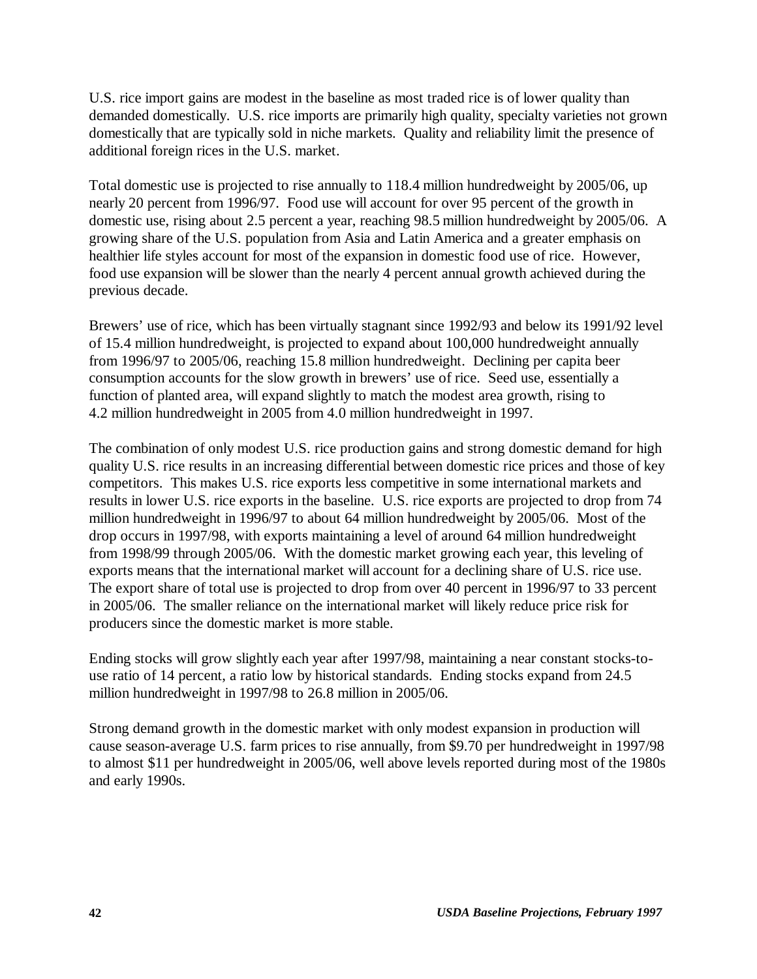U.S. rice import gains are modest in the baseline as most traded rice is of lower quality than demanded domestically. U.S. rice imports are primarily high quality, specialty varieties not grown domestically that are typically sold in niche markets. Quality and reliability limit the presence of additional foreign rices in the U.S. market.

Total domestic use is projected to rise annually to 118.4 million hundredweight by 2005/06, up nearly 20 percent from 1996/97. Food use will account for over 95 percent of the growth in domestic use, rising about 2.5 percent a year, reaching 98.5 million hundredweight by 2005/06. A growing share of the U.S. population from Asia and Latin America and a greater emphasis on healthier life styles account for most of the expansion in domestic food use of rice. However, food use expansion will be slower than the nearly 4 percent annual growth achieved during the previous decade.

Brewers' use of rice, which has been virtually stagnant since 1992/93 and below its 1991/92 level of 15.4 million hundredweight, is projected to expand about 100,000 hundredweight annually from 1996/97 to 2005/06, reaching 15.8 million hundredweight. Declining per capita beer consumption accounts for the slow growth in brewers' use of rice. Seed use, essentially a function of planted area, will expand slightly to match the modest area growth, rising to 4.2 million hundredweight in 2005 from 4.0 million hundredweight in 1997.

The combination of only modest U.S. rice production gains and strong domestic demand for high quality U.S. rice results in an increasing differential between domestic rice prices and those of key competitors. This makes U.S. rice exports less competitive in some international markets and results in lower U.S. rice exports in the baseline. U.S. rice exports are projected to drop from 74 million hundredweight in 1996/97 to about 64 million hundredweight by 2005/06. Most of the drop occurs in 1997/98, with exports maintaining a level of around 64 million hundredweight from 1998/99 through 2005/06. With the domestic market growing each year, this leveling of exports means that the international market will account for a declining share of U.S. rice use. The export share of total use is projected to drop from over 40 percent in 1996/97 to 33 percent in 2005/06. The smaller reliance on the international market will likely reduce price risk for producers since the domestic market is more stable.

Ending stocks will grow slightly each year after 1997/98, maintaining a near constant stocks-touse ratio of 14 percent, a ratio low by historical standards. Ending stocks expand from 24.5 million hundredweight in 1997/98 to 26.8 million in 2005/06.

Strong demand growth in the domestic market with only modest expansion in production will cause season-average U.S. farm prices to rise annually, from \$9.70 per hundredweight in 1997/98 to almost \$11 per hundredweight in 2005/06, well above levels reported during most of the 1980s and early 1990s.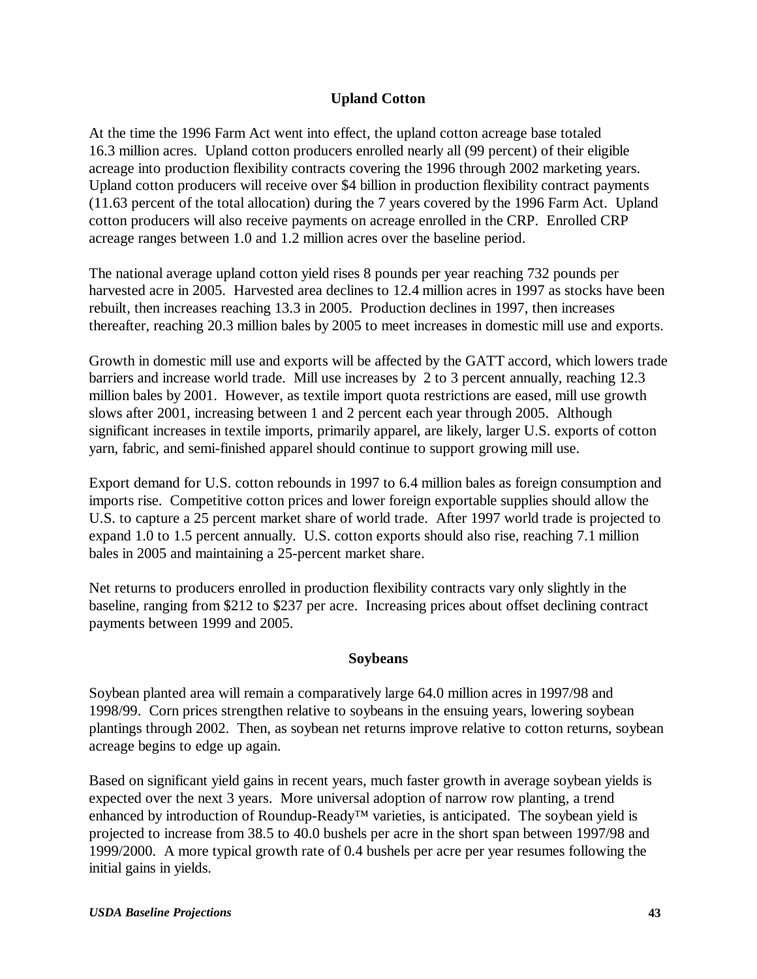## **Upland Cotton**

At the time the 1996 Farm Act went into effect, the upland cotton acreage base totaled 16.3 million acres. Upland cotton producers enrolled nearly all (99 percent) of their eligible acreage into production flexibility contracts covering the 1996 through 2002 marketing years. Upland cotton producers will receive over \$4 billion in production flexibility contract payments (11.63 percent of the total allocation) during the 7 years covered by the 1996 Farm Act. Upland cotton producers will also receive payments on acreage enrolled in the CRP. Enrolled CRP acreage ranges between 1.0 and 1.2 million acres over the baseline period.

The national average upland cotton yield rises 8 pounds per year reaching 732 pounds per harvested acre in 2005. Harvested area declines to 12.4 million acres in 1997 as stocks have been rebuilt, then increases reaching 13.3 in 2005. Production declines in 1997, then increases thereafter, reaching 20.3 million bales by 2005 to meet increases in domestic mill use and exports.

Growth in domestic mill use and exports will be affected by the GATT accord, which lowers trade barriers and increase world trade. Mill use increases by 2 to 3 percent annually, reaching 12.3 million bales by 2001. However, as textile import quota restrictions are eased, mill use growth slows after 2001, increasing between 1 and 2 percent each year through 2005. Although significant increases in textile imports, primarily apparel, are likely, larger U.S. exports of cotton yarn, fabric, and semi-finished apparel should continue to support growing mill use.

Export demand for U.S. cotton rebounds in 1997 to 6.4 million bales as foreign consumption and imports rise. Competitive cotton prices and lower foreign exportable supplies should allow the U.S. to capture a 25 percent market share of world trade. After 1997 world trade is projected to expand 1.0 to 1.5 percent annually. U.S. cotton exports should also rise, reaching 7.1 million bales in 2005 and maintaining a 25-percent market share.

Net returns to producers enrolled in production flexibility contracts vary only slightly in the baseline, ranging from \$212 to \$237 per acre. Increasing prices about offset declining contract payments between 1999 and 2005.

### **Soybeans**

Soybean planted area will remain a comparatively large 64.0 million acres in 1997/98 and 1998/99. Corn prices strengthen relative to soybeans in the ensuing years, lowering soybean plantings through 2002. Then, as soybean net returns improve relative to cotton returns, soybean acreage begins to edge up again.

Based on significant yield gains in recent years, much faster growth in average soybean yields is expected over the next 3 years. More universal adoption of narrow row planting, a trend enhanced by introduction of Roundup-Ready™ varieties, is anticipated. The soybean yield is projected to increase from 38.5 to 40.0 bushels per acre in the short span between 1997/98 and 1999/2000. A more typical growth rate of 0.4 bushels per acre per year resumes following the initial gains in yields.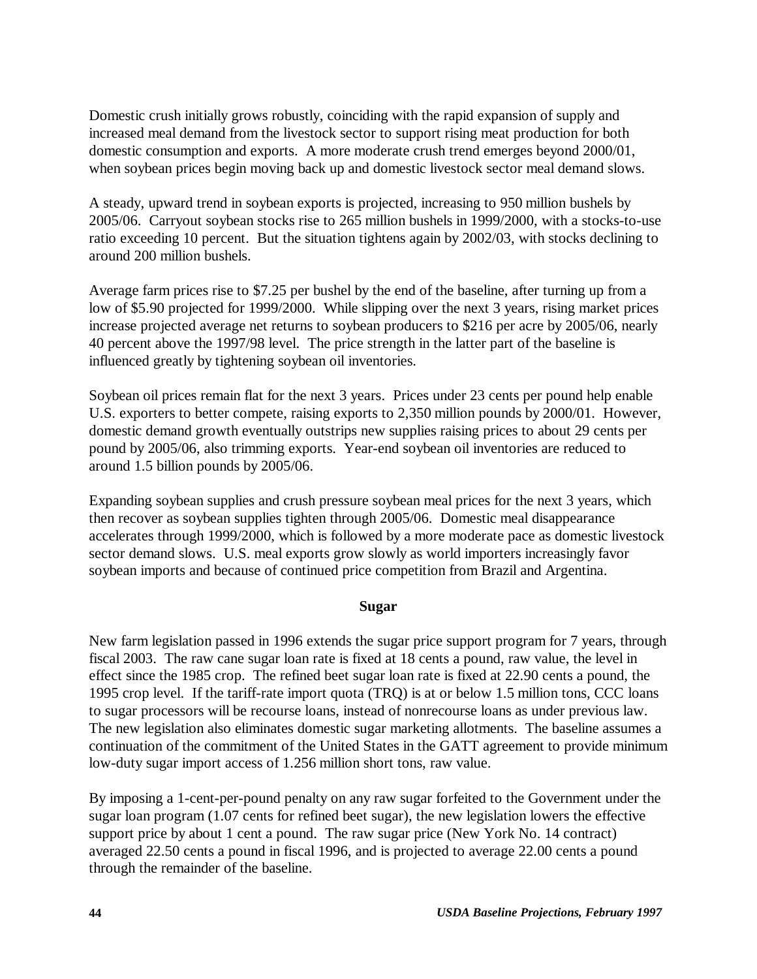Domestic crush initially grows robustly, coinciding with the rapid expansion of supply and increased meal demand from the livestock sector to support rising meat production for both domestic consumption and exports. A more moderate crush trend emerges beyond 2000/01, when soybean prices begin moving back up and domestic livestock sector meal demand slows.

A steady, upward trend in soybean exports is projected, increasing to 950 million bushels by 2005/06. Carryout soybean stocks rise to 265 million bushels in 1999/2000, with a stocks-to-use ratio exceeding 10 percent. But the situation tightens again by 2002/03, with stocks declining to around 200 million bushels.

Average farm prices rise to \$7.25 per bushel by the end of the baseline, after turning up from a low of \$5.90 projected for 1999/2000. While slipping over the next 3 years, rising market prices increase projected average net returns to soybean producers to \$216 per acre by 2005/06, nearly 40 percent above the 1997/98 level. The price strength in the latter part of the baseline is influenced greatly by tightening soybean oil inventories.

Soybean oil prices remain flat for the next 3 years. Prices under 23 cents per pound help enable U.S. exporters to better compete, raising exports to 2,350 million pounds by 2000/01. However, domestic demand growth eventually outstrips new supplies raising prices to about 29 cents per pound by 2005/06, also trimming exports. Year-end soybean oil inventories are reduced to around 1.5 billion pounds by 2005/06.

Expanding soybean supplies and crush pressure soybean meal prices for the next 3 years, which then recover as soybean supplies tighten through 2005/06. Domestic meal disappearance accelerates through 1999/2000, which is followed by a more moderate pace as domestic livestock sector demand slows. U.S. meal exports grow slowly as world importers increasingly favor soybean imports and because of continued price competition from Brazil and Argentina.

### **Sugar**

New farm legislation passed in 1996 extends the sugar price support program for 7 years, through fiscal 2003. The raw cane sugar loan rate is fixed at 18 cents a pound, raw value, the level in effect since the 1985 crop. The refined beet sugar loan rate is fixed at 22.90 cents a pound, the 1995 crop level. If the tariff-rate import quota (TRQ) is at or below 1.5 million tons, CCC loans to sugar processors will be recourse loans, instead of nonrecourse loans as under previous law. The new legislation also eliminates domestic sugar marketing allotments. The baseline assumes a continuation of the commitment of the United States in the GATT agreement to provide minimum low-duty sugar import access of 1.256 million short tons, raw value.

By imposing a 1-cent-per-pound penalty on any raw sugar forfeited to the Government under the sugar loan program (1.07 cents for refined beet sugar), the new legislation lowers the effective support price by about 1 cent a pound. The raw sugar price (New York No. 14 contract) averaged 22.50 cents a pound in fiscal 1996, and is projected to average 22.00 cents a pound through the remainder of the baseline.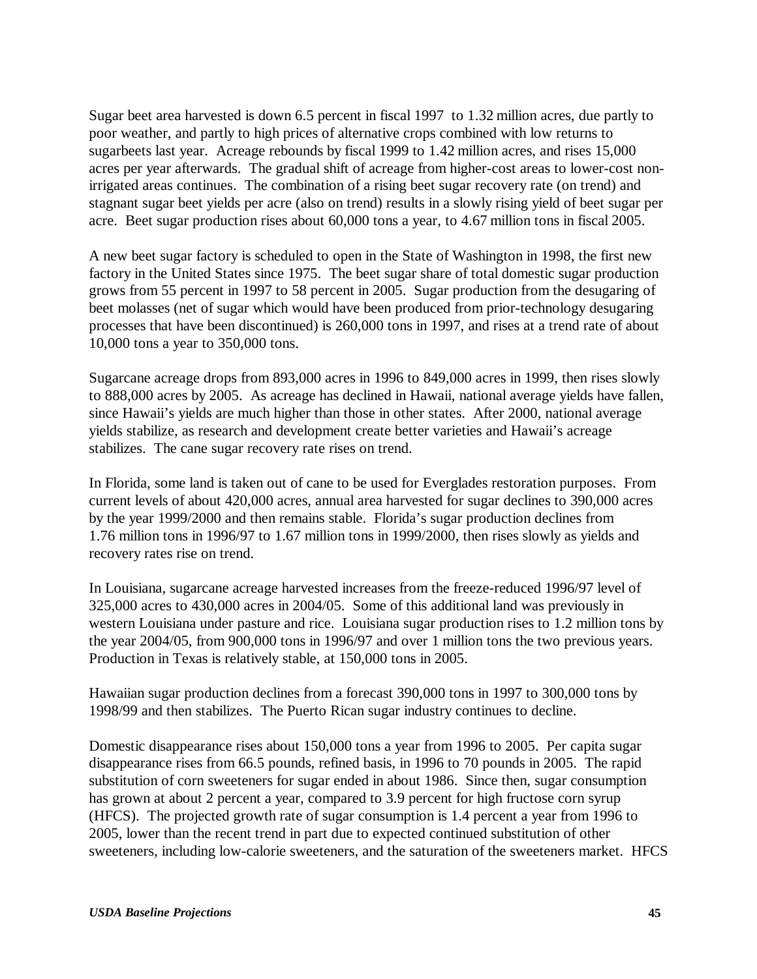Sugar beet area harvested is down 6.5 percent in fiscal 1997 to 1.32 million acres, due partly to poor weather, and partly to high prices of alternative crops combined with low returns to sugarbeets last year. Acreage rebounds by fiscal 1999 to 1.42 million acres, and rises 15,000 acres per year afterwards. The gradual shift of acreage from higher-cost areas to lower-cost nonirrigated areas continues. The combination of a rising beet sugar recovery rate (on trend) and stagnant sugar beet yields per acre (also on trend) results in a slowly rising yield of beet sugar per acre. Beet sugar production rises about 60,000 tons a year, to 4.67 million tons in fiscal 2005.

A new beet sugar factory is scheduled to open in the State of Washington in 1998, the first new factory in the United States since 1975. The beet sugar share of total domestic sugar production grows from 55 percent in 1997 to 58 percent in 2005. Sugar production from the desugaring of beet molasses (net of sugar which would have been produced from prior-technology desugaring processes that have been discontinued) is 260,000 tons in 1997, and rises at a trend rate of about 10,000 tons a year to 350,000 tons.

Sugarcane acreage drops from 893,000 acres in 1996 to 849,000 acres in 1999, then rises slowly to 888,000 acres by 2005. As acreage has declined in Hawaii, national average yields have fallen, since Hawaii's yields are much higher than those in other states. After 2000, national average yields stabilize, as research and development create better varieties and Hawaii's acreage stabilizes. The cane sugar recovery rate rises on trend.

In Florida, some land is taken out of cane to be used for Everglades restoration purposes. From current levels of about 420,000 acres, annual area harvested for sugar declines to 390,000 acres by the year 1999/2000 and then remains stable. Florida's sugar production declines from 1.76 million tons in 1996/97 to 1.67 million tons in 1999/2000, then rises slowly as yields and recovery rates rise on trend.

In Louisiana, sugarcane acreage harvested increases from the freeze-reduced 1996/97 level of 325,000 acres to 430,000 acres in 2004/05. Some of this additional land was previously in western Louisiana under pasture and rice. Louisiana sugar production rises to 1.2 million tons by the year 2004/05, from 900,000 tons in 1996/97 and over 1 million tons the two previous years. Production in Texas is relatively stable, at 150,000 tons in 2005.

Hawaiian sugar production declines from a forecast 390,000 tons in 1997 to 300,000 tons by 1998/99 and then stabilizes. The Puerto Rican sugar industry continues to decline.

Domestic disappearance rises about 150,000 tons a year from 1996 to 2005. Per capita sugar disappearance rises from 66.5 pounds, refined basis, in 1996 to 70 pounds in 2005. The rapid substitution of corn sweeteners for sugar ended in about 1986. Since then, sugar consumption has grown at about 2 percent a year, compared to 3.9 percent for high fructose corn syrup (HFCS). The projected growth rate of sugar consumption is 1.4 percent a year from 1996 to 2005, lower than the recent trend in part due to expected continued substitution of other sweeteners, including low-calorie sweeteners, and the saturation of the sweeteners market. HFCS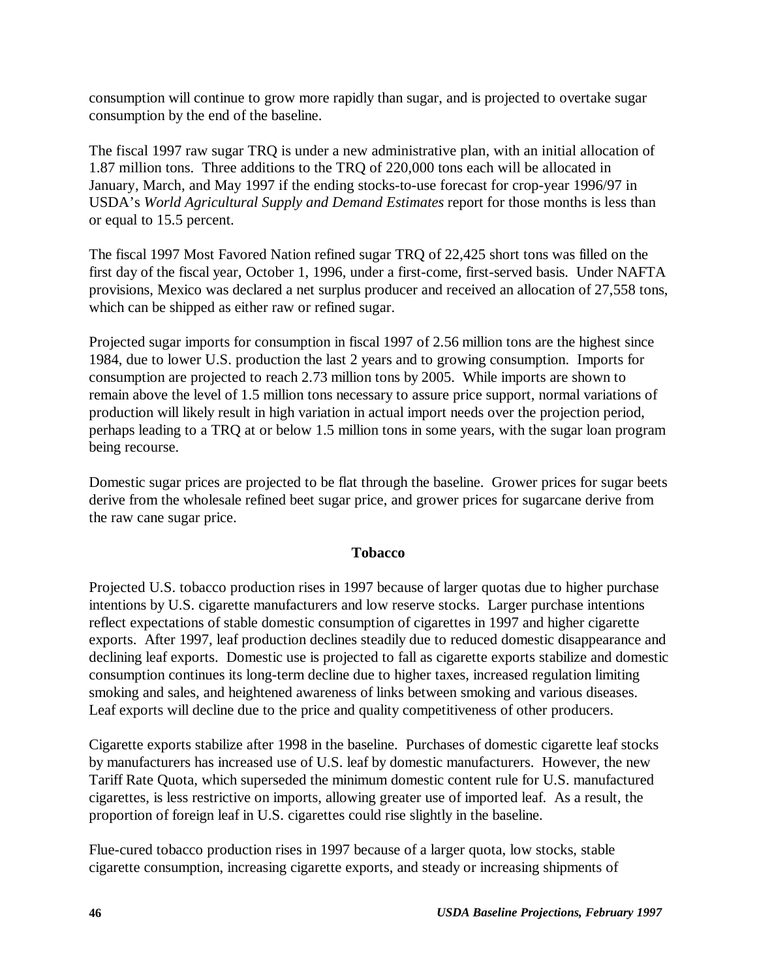consumption will continue to grow more rapidly than sugar, and is projected to overtake sugar consumption by the end of the baseline.

The fiscal 1997 raw sugar TRQ is under a new administrative plan, with an initial allocation of 1.87 million tons. Three additions to the TRQ of 220,000 tons each will be allocated in January, March, and May 1997 if the ending stocks-to-use forecast for crop-year 1996/97 in USDA's *World Agricultural Supply and Demand Estimates* report for those months is less than or equal to 15.5 percent.

The fiscal 1997 Most Favored Nation refined sugar TRQ of 22,425 short tons was filled on the first day of the fiscal year, October 1, 1996, under a first-come, first-served basis. Under NAFTA provisions, Mexico was declared a net surplus producer and received an allocation of 27,558 tons, which can be shipped as either raw or refined sugar.

Projected sugar imports for consumption in fiscal 1997 of 2.56 million tons are the highest since 1984, due to lower U.S. production the last 2 years and to growing consumption. Imports for consumption are projected to reach 2.73 million tons by 2005. While imports are shown to remain above the level of 1.5 million tons necessary to assure price support, normal variations of production will likely result in high variation in actual import needs over the projection period, perhaps leading to a TRQ at or below 1.5 million tons in some years, with the sugar loan program being recourse.

Domestic sugar prices are projected to be flat through the baseline. Grower prices for sugar beets derive from the wholesale refined beet sugar price, and grower prices for sugarcane derive from the raw cane sugar price.

### **Tobacco**

Projected U.S. tobacco production rises in 1997 because of larger quotas due to higher purchase intentions by U.S. cigarette manufacturers and low reserve stocks. Larger purchase intentions reflect expectations of stable domestic consumption of cigarettes in 1997 and higher cigarette exports. After 1997, leaf production declines steadily due to reduced domestic disappearance and declining leaf exports. Domestic use is projected to fall as cigarette exports stabilize and domestic consumption continues its long-term decline due to higher taxes, increased regulation limiting smoking and sales, and heightened awareness of links between smoking and various diseases. Leaf exports will decline due to the price and quality competitiveness of other producers.

Cigarette exports stabilize after 1998 in the baseline. Purchases of domestic cigarette leaf stocks by manufacturers has increased use of U.S. leaf by domestic manufacturers. However, the new Tariff Rate Quota, which superseded the minimum domestic content rule for U.S. manufactured cigarettes, is less restrictive on imports, allowing greater use of imported leaf. As a result, the proportion of foreign leaf in U.S. cigarettes could rise slightly in the baseline.

Flue-cured tobacco production rises in 1997 because of a larger quota, low stocks, stable cigarette consumption, increasing cigarette exports, and steady or increasing shipments of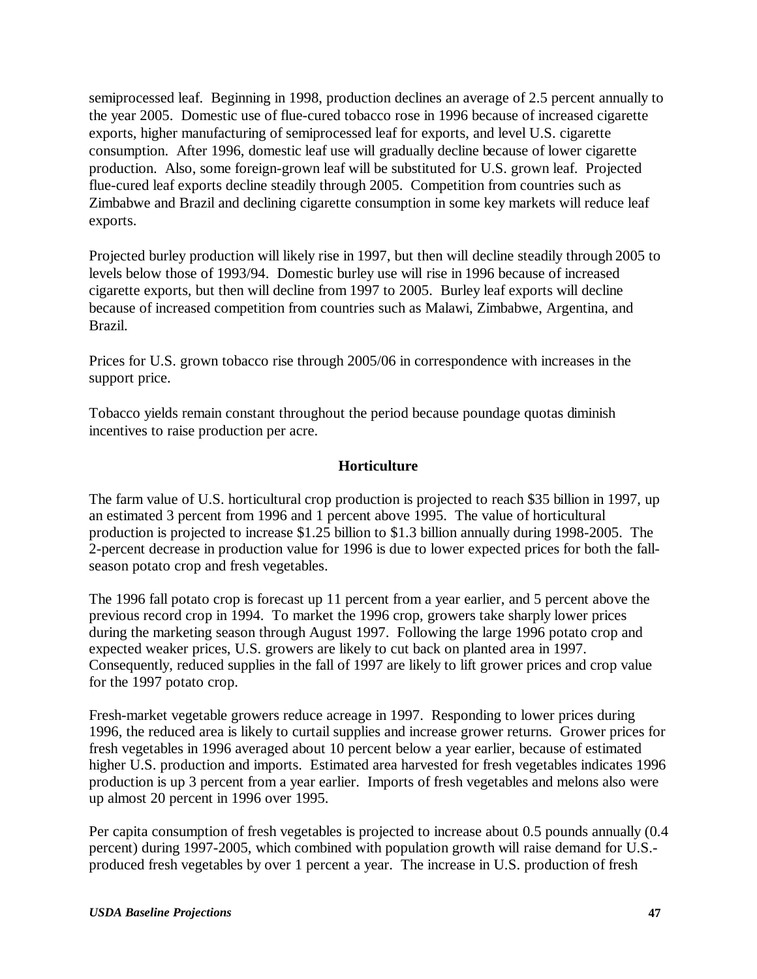semiprocessed leaf. Beginning in 1998, production declines an average of 2.5 percent annually to the year 2005. Domestic use of flue-cured tobacco rose in 1996 because of increased cigarette exports, higher manufacturing of semiprocessed leaf for exports, and level U.S. cigarette consumption. After 1996, domestic leaf use will gradually decline because of lower cigarette production. Also, some foreign-grown leaf will be substituted for U.S. grown leaf. Projected flue-cured leaf exports decline steadily through 2005. Competition from countries such as Zimbabwe and Brazil and declining cigarette consumption in some key markets will reduce leaf exports.

Projected burley production will likely rise in 1997, but then will decline steadily through 2005 to levels below those of 1993/94. Domestic burley use will rise in 1996 because of increased cigarette exports, but then will decline from 1997 to 2005. Burley leaf exports will decline because of increased competition from countries such as Malawi, Zimbabwe, Argentina, and Brazil.

Prices for U.S. grown tobacco rise through 2005/06 in correspondence with increases in the support price.

Tobacco yields remain constant throughout the period because poundage quotas diminish incentives to raise production per acre.

### **Horticulture**

The farm value of U.S. horticultural crop production is projected to reach \$35 billion in 1997, up an estimated 3 percent from 1996 and 1 percent above 1995. The value of horticultural production is projected to increase \$1.25 billion to \$1.3 billion annually during 1998-2005. The 2-percent decrease in production value for 1996 is due to lower expected prices for both the fallseason potato crop and fresh vegetables.

The 1996 fall potato crop is forecast up 11 percent from a year earlier, and 5 percent above the previous record crop in 1994. To market the 1996 crop, growers take sharply lower prices during the marketing season through August 1997. Following the large 1996 potato crop and expected weaker prices, U.S. growers are likely to cut back on planted area in 1997. Consequently, reduced supplies in the fall of 1997 are likely to lift grower prices and crop value for the 1997 potato crop.

Fresh-market vegetable growers reduce acreage in 1997. Responding to lower prices during 1996, the reduced area is likely to curtail supplies and increase grower returns. Grower prices for fresh vegetables in 1996 averaged about 10 percent below a year earlier, because of estimated higher U.S. production and imports. Estimated area harvested for fresh vegetables indicates 1996 production is up 3 percent from a year earlier. Imports of fresh vegetables and melons also were up almost 20 percent in 1996 over 1995.

Per capita consumption of fresh vegetables is projected to increase about 0.5 pounds annually (0.4 percent) during 1997-2005, which combined with population growth will raise demand for U.S. produced fresh vegetables by over 1 percent a year. The increase in U.S. production of fresh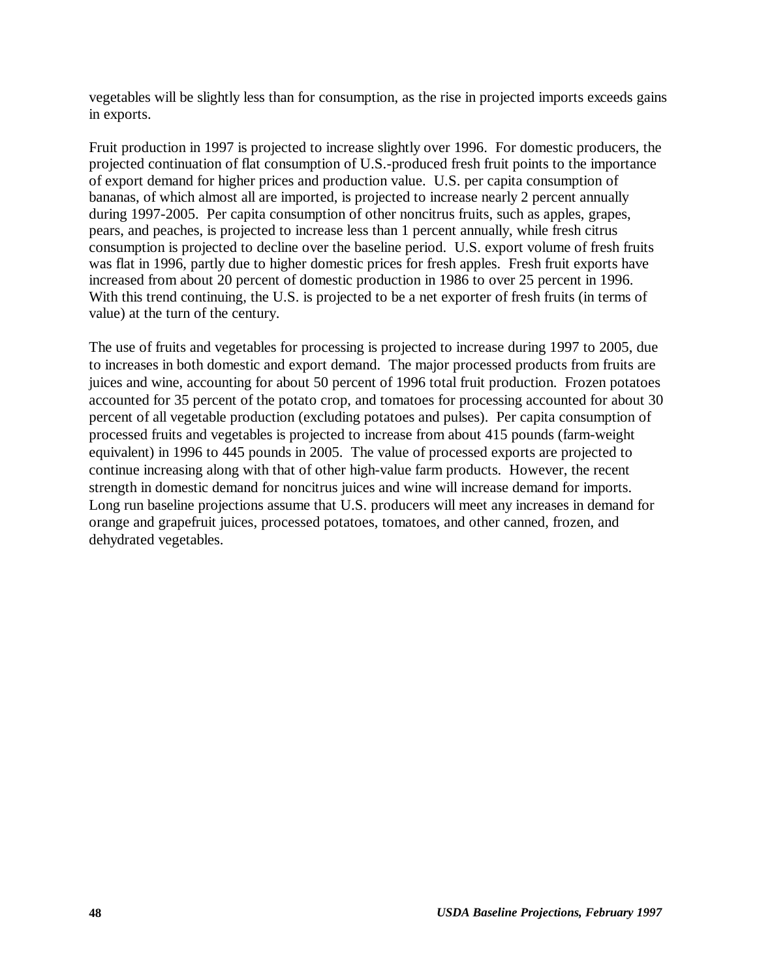vegetables will be slightly less than for consumption, as the rise in projected imports exceeds gains in exports.

Fruit production in 1997 is projected to increase slightly over 1996. For domestic producers, the projected continuation of flat consumption of U.S.-produced fresh fruit points to the importance of export demand for higher prices and production value. U.S. per capita consumption of bananas, of which almost all are imported, is projected to increase nearly 2 percent annually during 1997-2005. Per capita consumption of other noncitrus fruits, such as apples, grapes, pears, and peaches, is projected to increase less than 1 percent annually, while fresh citrus consumption is projected to decline over the baseline period. U.S. export volume of fresh fruits was flat in 1996, partly due to higher domestic prices for fresh apples. Fresh fruit exports have increased from about 20 percent of domestic production in 1986 to over 25 percent in 1996. With this trend continuing, the U.S. is projected to be a net exporter of fresh fruits (in terms of value) at the turn of the century.

The use of fruits and vegetables for processing is projected to increase during 1997 to 2005, due to increases in both domestic and export demand. The major processed products from fruits are juices and wine, accounting for about 50 percent of 1996 total fruit production. Frozen potatoes accounted for 35 percent of the potato crop, and tomatoes for processing accounted for about 30 percent of all vegetable production (excluding potatoes and pulses). Per capita consumption of processed fruits and vegetables is projected to increase from about 415 pounds (farm-weight equivalent) in 1996 to 445 pounds in 2005. The value of processed exports are projected to continue increasing along with that of other high-value farm products. However, the recent strength in domestic demand for noncitrus juices and wine will increase demand for imports. Long run baseline projections assume that U.S. producers will meet any increases in demand for orange and grapefruit juices, processed potatoes, tomatoes, and other canned, frozen, and dehydrated vegetables.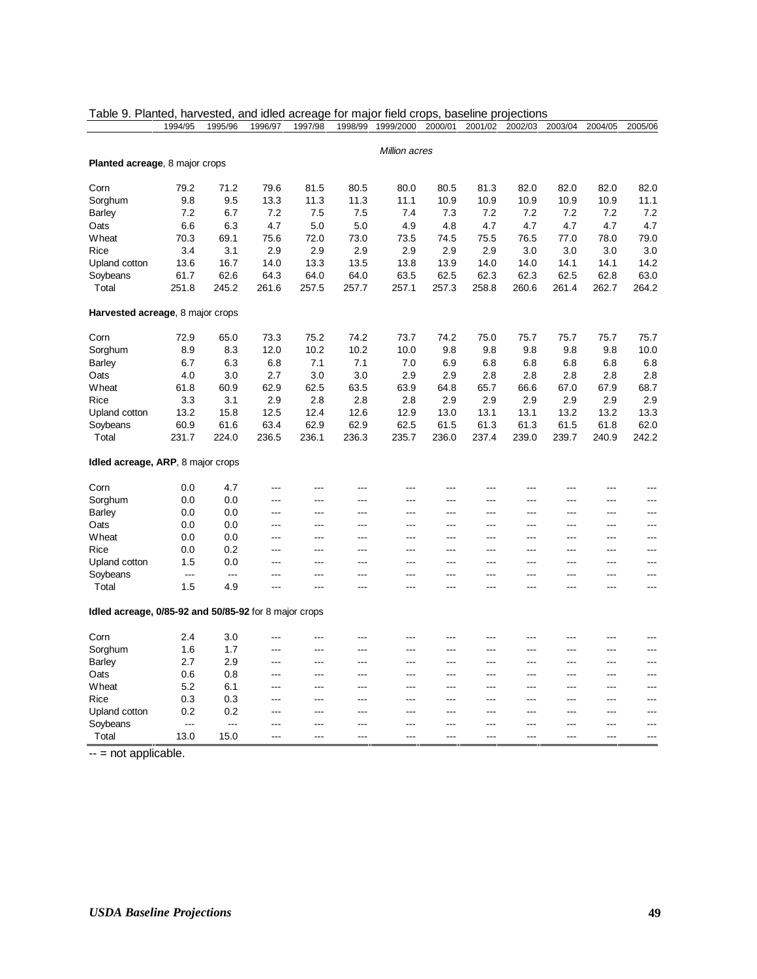|                                                       | 1994/95                  | 1995/96 | 1996/97                | 1997/98        | 1998/99        | 1999/2000            | 2000/01        | 2001/02 | 2002/03        | 2003/04 | 2004/05        | 2005/06        |
|-------------------------------------------------------|--------------------------|---------|------------------------|----------------|----------------|----------------------|----------------|---------|----------------|---------|----------------|----------------|
|                                                       |                          |         |                        |                |                |                      |                |         |                |         |                |                |
|                                                       |                          |         |                        |                |                | <b>Million acres</b> |                |         |                |         |                |                |
| Planted acreage, 8 major crops                        |                          |         |                        |                |                |                      |                |         |                |         |                |                |
| Corn                                                  | 79.2                     | 71.2    | 79.6                   | 81.5           | 80.5           | 80.0                 | 80.5           | 81.3    | 82.0           | 82.0    | 82.0           | 82.0           |
| Sorghum                                               | 9.8                      | 9.5     | 13.3                   | 11.3           | 11.3           | 11.1                 | 10.9           | 10.9    | 10.9           | 10.9    | 10.9           | 11.1           |
| <b>Barley</b>                                         | 7.2                      | 6.7     | 7.2                    | 7.5            | 7.5            | 7.4                  | 7.3            | 7.2     | 7.2            | 7.2     | 7.2            | 7.2            |
| Oats                                                  | 6.6                      | 6.3     | 4.7                    | 5.0            | 5.0            | 4.9                  | 4.8            | 4.7     | 4.7            | 4.7     | 4.7            | 4.7            |
| Wheat                                                 | 70.3                     | 69.1    | 75.6                   | 72.0           | 73.0           | 73.5                 | 74.5           | 75.5    | 76.5           | 77.0    | 78.0           | 79.0           |
| Rice                                                  | 3.4                      | 3.1     | 2.9                    | 2.9            | 2.9            | 2.9                  | 2.9            | 2.9     | 3.0            | 3.0     | 3.0            | 3.0            |
| Upland cotton                                         | 13.6                     | 16.7    | 14.0                   | 13.3           | 13.5           | 13.8                 | 13.9           | 14.0    | 14.0           | 14.1    | 14.1           | 14.2           |
| Soybeans                                              | 61.7                     | 62.6    | 64.3                   | 64.0           | 64.0           | 63.5                 | 62.5           | 62.3    | 62.3           | 62.5    | 62.8           | 63.0           |
| Total                                                 | 251.8                    | 245.2   | 261.6                  | 257.5          | 257.7          | 257.1                | 257.3          | 258.8   | 260.6          | 261.4   | 262.7          | 264.2          |
| Harvested acreage, 8 major crops                      |                          |         |                        |                |                |                      |                |         |                |         |                |                |
| Corn                                                  | 72.9                     | 65.0    | 73.3                   | 75.2           | 74.2           | 73.7                 | 74.2           | 75.0    | 75.7           | 75.7    | 75.7           | 75.7           |
| Sorghum                                               | 8.9                      | 8.3     | 12.0                   | 10.2           | 10.2           | 10.0                 | 9.8            | 9.8     | 9.8            | 9.8     | 9.8            | 10.0           |
| <b>Barley</b>                                         | 6.7                      | 6.3     | 6.8                    | 7.1            | 7.1            | 7.0                  | 6.9            | 6.8     | 6.8            | 6.8     | 6.8            | 6.8            |
| Oats                                                  | 4.0                      | 3.0     | 2.7                    | 3.0            | 3.0            | 2.9                  | 2.9            | 2.8     | 2.8            | 2.8     | 2.8            | 2.8            |
| Wheat                                                 | 61.8                     | 60.9    | 62.9                   | 62.5           | 63.5           | 63.9                 | 64.8           | 65.7    | 66.6           | 67.0    | 67.9           | 68.7           |
| Rice                                                  | 3.3                      | 3.1     | 2.9                    | 2.8            | 2.8            | 2.8                  | 2.9            | 2.9     | 2.9            | 2.9     | 2.9            | 2.9            |
| Upland cotton                                         | 13.2                     | 15.8    | 12.5                   | 12.4           | 12.6           | 12.9                 | 13.0           | 13.1    | 13.1           | 13.2    | 13.2           | 13.3           |
| Soybeans                                              | 60.9                     | 61.6    | 63.4                   | 62.9           | 62.9           | 62.5                 | 61.5           | 61.3    | 61.3           | 61.5    | 61.8           | 62.0           |
| Total                                                 | 231.7                    | 224.0   | 236.5                  | 236.1          | 236.3          | 235.7                | 236.0          | 237.4   | 239.0          | 239.7   | 240.9          | 242.2          |
| <b>Idled acreage, ARP, 8 major crops</b>              |                          |         |                        |                |                |                      |                |         |                |         |                |                |
| Corn                                                  | 0.0                      | 4.7     | ---                    | ---            | $---$          | ---                  | $\overline{a}$ | ---     | ---            | ---     | ---            | ---            |
| Sorghum                                               | 0.0                      | 0.0     | $---$                  | ---            | $---$          | $\overline{a}$       | $\overline{a}$ | ---     | $---$          | $---$   | ---            | $---$          |
| <b>Barley</b>                                         | 0.0                      | 0.0     | $---$                  | ---            | $---$          | ---                  | $---$          | ---     | ---            | ---     | ---            | $\overline{a}$ |
| Oats                                                  | 0.0                      | 0.0     | ---                    | ---            | $---$          | $---$                | $\overline{a}$ | ---     | ---            | $---$   | ---            | $---$          |
| Wheat                                                 | 0.0                      | 0.0     | ---                    | ---            | $---$          | ---                  | $\overline{a}$ | ---     | ---            | ---     | ---            | $\overline{a}$ |
| Rice                                                  | 0.0                      | 0.2     | ---                    | ---            | $---$          | ---                  | $---$          | ---     | ---            | ---     | ---            | ---            |
| Upland cotton                                         | 1.5                      | 0.0     | ---                    | ---            | ---            | ---                  | $---$          | ---     | ---            | ---     | ---            | ---            |
| Soybeans                                              | $\overline{a}$           | ---     | ---                    | ---            | ---            | ---                  | $\overline{a}$ | ---     | ---            | ---     | ---            | ---            |
| Total                                                 | 1.5                      | 4.9     | ---                    | $\overline{a}$ | $---$          | ---                  | $\overline{a}$ | ---     | $---$          | ---     | $\overline{a}$ | ---            |
| Idled acreage, 0/85-92 and 50/85-92 for 8 major crops |                          |         |                        |                |                |                      |                |         |                |         |                |                |
| Corn                                                  | 2.4                      | 3.0     | ---                    | ---            | ---            | ---                  | ---            | ---     | ---            | ---     | ---            | $---$          |
| Sorghum                                               | 1.6                      | 1.7     | $---$                  | ---            | $---$          | ---                  | $---$          | ---     | $\overline{a}$ | ---     | ---            | $---$          |
| <b>Barley</b>                                         | 2.7                      | 2.9     | ---                    | ---            | $\overline{a}$ | $---$                | $---$          | ---     | ---            | $---$   | ---            | $---$          |
| Oats                                                  | 0.6                      | 0.8     | $\qquad \qquad \cdots$ | ---            | $\overline{a}$ | ---                  | $\overline{a}$ | $---$   | $\overline{a}$ | $---$   | ---            | $---$          |
| Wheat                                                 | 5.2                      | 6.1     | ---                    | ---            | $\overline{a}$ | $---$                | $\overline{a}$ | ---     | $---$          | $---$   | ---            | $---$          |
| Rice                                                  | 0.3                      | 0.3     | $---$                  | ---            | $\overline{a}$ | $---$                | $\overline{a}$ | $---$   | $---$          | ---     | ---            | $\overline{a}$ |
| Upland cotton                                         | 0.2                      | 0.2     | ---                    | ---            | $---$          | ---                  | $---$          | ---     | $---$          | ---     | ---            | $---$          |
| Soybeans                                              | $\overline{\phantom{a}}$ | ---     | $---$                  | ---            | $---$          | $---$                | $\overline{a}$ | ---     | $---$          | ---     | ---            | $\overline{a}$ |
| Total                                                 | 13.0                     | 15.0    | $---$                  | ---            | $---$          | $---$                | $---$          | ---     | $---$          | $---$   | ---            | $---$          |

|  |  |  |  | Table 9. Planted, harvested, and idled acreage for major field crops, baseline projections |
|--|--|--|--|--------------------------------------------------------------------------------------------|
|  |  |  |  |                                                                                            |

 $\frac{1}{1}$  -- = not applicable.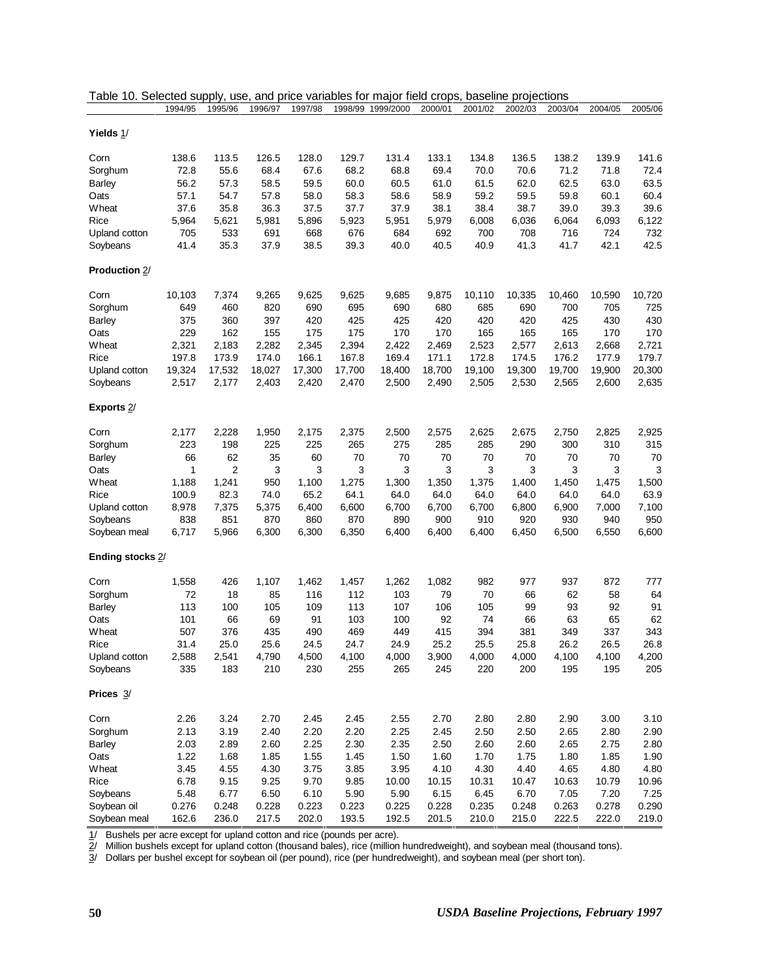|                       | 1994/95 | 1995/96 | 1996/97 | 1997/98 | 1998/99 | 1999/2000 | 2000/01 | 2001/02 | 2002/03 | 2003/04 | 2004/05 | 2005/06 |
|-----------------------|---------|---------|---------|---------|---------|-----------|---------|---------|---------|---------|---------|---------|
| Yields 1/             |         |         |         |         |         |           |         |         |         |         |         |         |
|                       |         |         |         |         |         |           |         |         |         |         |         |         |
| Corn                  | 138.6   | 113.5   | 126.5   | 128.0   | 129.7   | 131.4     | 133.1   | 134.8   | 136.5   | 138.2   | 139.9   | 141.6   |
| Sorghum               | 72.8    | 55.6    | 68.4    | 67.6    | 68.2    | 68.8      | 69.4    | 70.0    | 70.6    | 71.2    | 71.8    | 72.4    |
| <b>Barley</b>         | 56.2    | 57.3    | 58.5    | 59.5    | 60.0    | 60.5      | 61.0    | 61.5    | 62.0    | 62.5    | 63.0    | 63.5    |
| Oats                  | 57.1    | 54.7    | 57.8    | 58.0    | 58.3    | 58.6      | 58.9    | 59.2    | 59.5    | 59.8    | 60.1    | 60.4    |
| Wheat                 | 37.6    | 35.8    | 36.3    | 37.5    | 37.7    | 37.9      | 38.1    | 38.4    | 38.7    | 39.0    | 39.3    | 39.6    |
| Rice                  | 5,964   | 5,621   | 5,981   | 5,896   | 5,923   | 5,951     | 5,979   | 6,008   | 6,036   | 6,064   | 6,093   | 6,122   |
| Upland cotton         | 705     | 533     | 691     | 668     | 676     | 684       | 692     | 700     | 708     | 716     | 724     | 732     |
| Soybeans              | 41.4    | 35.3    | 37.9    | 38.5    | 39.3    | 40.0      | 40.5    | 40.9    | 41.3    | 41.7    | 42.1    | 42.5    |
| <b>Production 2/</b>  |         |         |         |         |         |           |         |         |         |         |         |         |
| Corn                  | 10,103  | 7,374   | 9,265   | 9,625   | 9,625   | 9,685     | 9,875   | 10,110  | 10,335  | 10,460  | 10,590  | 10,720  |
| Sorghum               | 649     | 460     | 820     | 690     | 695     | 690       | 680     | 685     | 690     | 700     | 705     | 725     |
| <b>Barley</b>         | 375     | 360     | 397     | 420     | 425     | 425       | 420     | 420     | 420     | 425     | 430     | 430     |
| Oats                  | 229     | 162     | 155     | 175     | 175     | 170       | 170     | 165     | 165     | 165     | 170     | 170     |
| Wheat                 | 2,321   | 2,183   | 2,282   | 2,345   | 2,394   | 2,422     | 2,469   | 2,523   | 2,577   | 2,613   | 2,668   | 2,721   |
| Rice                  | 197.8   | 173.9   | 174.0   | 166.1   | 167.8   | 169.4     | 171.1   | 172.8   | 174.5   | 176.2   | 177.9   | 179.7   |
| Upland cotton         | 19,324  | 17,532  | 18,027  | 17,300  | 17,700  | 18,400    | 18,700  | 19,100  | 19,300  | 19,700  | 19,900  | 20,300  |
| Soybeans              | 2,517   | 2,177   | 2,403   | 2,420   | 2,470   | 2,500     | 2,490   | 2,505   | 2,530   | 2,565   | 2,600   | 2,635   |
| Exports <sub>2/</sub> |         |         |         |         |         |           |         |         |         |         |         |         |
| Corn                  | 2,177   | 2,228   | 1,950   | 2,175   | 2,375   | 2,500     | 2,575   | 2,625   | 2,675   | 2,750   | 2,825   | 2,925   |
| Sorghum               | 223     | 198     | 225     | 225     | 265     | 275       | 285     | 285     | 290     | 300     | 310     | 315     |
| <b>Barley</b>         | 66      | 62      | 35      | 60      | 70      | 70        | 70      | 70      | 70      | 70      | 70      | 70      |
| Oats                  | 1       | 2       | 3       | 3       | 3       | 3         | 3       | 3       | 3       | 3       | 3       | 3       |
| Wheat                 | 1,188   | 1,241   | 950     | 1,100   | 1,275   | 1,300     | 1,350   | 1,375   | 1,400   | 1,450   | 1,475   | 1,500   |
| Rice                  | 100.9   | 82.3    | 74.0    | 65.2    | 64.1    | 64.0      | 64.0    | 64.0    | 64.0    | 64.0    | 64.0    | 63.9    |
| Upland cotton         | 8,978   | 7,375   | 5,375   | 6,400   | 6,600   | 6,700     | 6,700   | 6,700   | 6,800   | 6,900   | 7,000   | 7,100   |
| Soybeans              | 838     | 851     | 870     | 860     | 870     | 890       | 900     | 910     | 920     | 930     | 940     | 950     |
| Soybean meal          | 6,717   | 5,966   | 6,300   | 6,300   | 6,350   | 6,400     | 6,400   | 6,400   | 6,450   | 6,500   | 6,550   | 6,600   |
| Ending stocks 2/      |         |         |         |         |         |           |         |         |         |         |         |         |
| Corn                  | 1,558   | 426     | 1,107   | 1,462   | 1,457   | 1,262     | 1,082   | 982     | 977     | 937     | 872     | 777     |
|                       | 72      | 18      | 85      | 116     | 112     |           | 79      | 70      | 66      | 62      | 58      | 64      |
| Sorghum               |         |         |         |         |         | 103       |         |         |         |         |         |         |
| <b>Barley</b>         | 113     | 100     | 105     | 109     | 113     | 107       | 106     | 105     | 99      | 93      | 92      | 91      |
| Oats                  | 101     | 66      | 69      | 91      | 103     | 100       | 92      | 74      | 66      | 63      | 65      | 62      |
| Wheat                 | 507     | 376     | 435     | 490     | 469     | 449       | 415     | 394     | 381     | 349     | 337     | 343     |
| Rice                  | 31.4    | 25.0    | 25.6    | 24.5    | 24.7    | 24.9      | 25.2    | 25.5    | 25.8    | 26.2    | 26.5    | 26.8    |
| Upland cotton         | 2,588   | 2,541   | 4,790   | 4,500   | 4,100   | 4,000     | 3,900   | 4,000   | 4,000   | 4,100   | 4,100   | 4,200   |
| Soybeans              | 335     | 183     | 210     | 230     | 255     | 265       | 245     | 220     | 200     | 195     | 195     | 205     |
| Prices $3/$           |         |         |         |         |         |           |         |         |         |         |         |         |
| Corn                  | 2.26    | 3.24    | 2.70    | 2.45    | 2.45    | 2.55      | 2.70    | 2.80    | 2.80    | 2.90    | 3.00    | 3.10    |
| Sorghum               | 2.13    | 3.19    | 2.40    | 2.20    | 2.20    | 2.25      | 2.45    | 2.50    | 2.50    | 2.65    | 2.80    | 2.90    |
| <b>Barley</b>         | 2.03    | 2.89    | 2.60    | 2.25    | 2.30    | 2.35      | 2.50    | 2.60    | 2.60    | 2.65    | 2.75    | 2.80    |
| Oats                  | 1.22    | 1.68    | 1.85    | 1.55    | 1.45    | 1.50      | 1.60    | 1.70    | 1.75    | 1.80    | 1.85    | 1.90    |
| Wheat                 | 3.45    | 4.55    | 4.30    | 3.75    | 3.85    | 3.95      | 4.10    | 4.30    | 4.40    | 4.65    | 4.80    | 4.80    |
| Rice                  | 6.78    | 9.15    | 9.25    | 9.70    | 9.85    | 10.00     | 10.15   | 10.31   | 10.47   | 10.63   | 10.79   | 10.96   |
| Soybeans              | 5.48    | 6.77    | 6.50    | 6.10    | 5.90    | 5.90      | 6.15    | 6.45    | 6.70    | 7.05    | 7.20    | 7.25    |
| Soybean oil           | 0.276   | 0.248   | 0.228   | 0.223   | 0.223   | 0.225     | 0.228   | 0.235   | 0.248   | 0.263   | 0.278   | 0.290   |
| Soybean meal          | 162.6   | 236.0   | 217.5   | 202.0   | 193.5   | 192.5     | 201.5   | 210.0   | 215.0   | 222.5   | 222.0   | 219.0   |
|                       |         |         |         |         |         |           |         |         |         |         |         |         |

| Table 10. Selected supply, use, and price variables for major field crops, baseline projections |  |  |
|-------------------------------------------------------------------------------------------------|--|--|
|                                                                                                 |  |  |

1/ Bushels per acre except for upland cotton and rice (pounds per acre).

2/ Million bushels except for upland cotton (thousand bales), rice (million hundredweight), and soybean meal (thousand tons).

3/ Dollars per bushel except for soybean oil (per pound), rice (per hundredweight), and soybean meal (per short ton).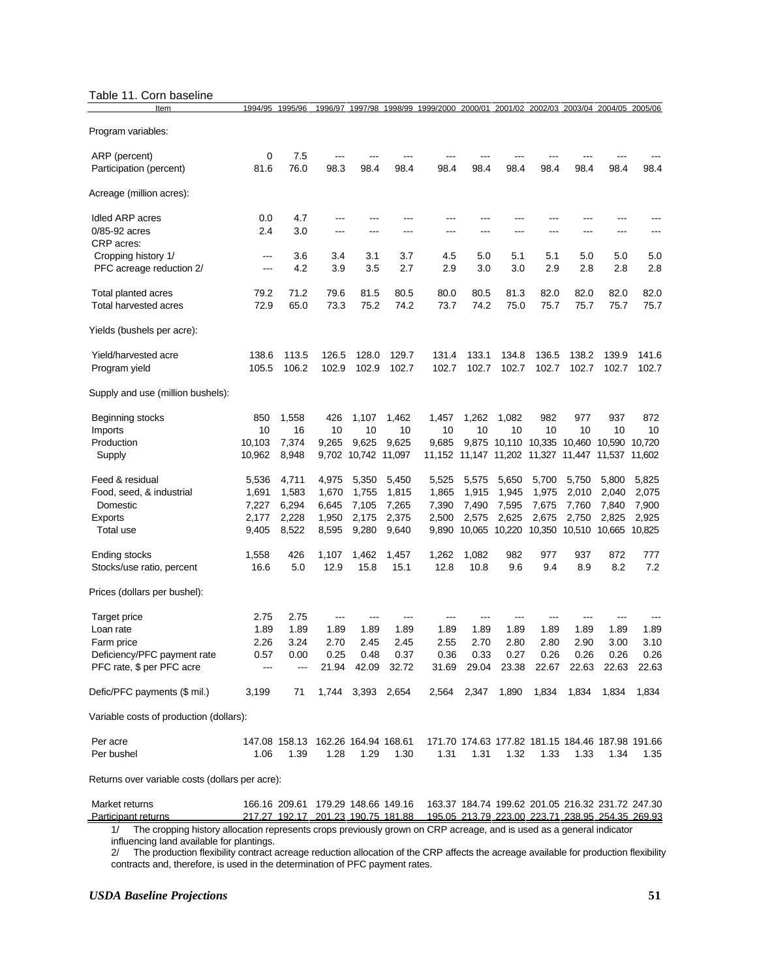#### Table 11. Corn baseline

| Item                                                     | 1994/95          | 1995/96        | 1996/97                            |                              |       | 1997/98 1998/99 1999/2000 2000/01 2001/02 2002/03 2003/04 2004/05 2005/06           |                   |               |       |                                                   |                  |                  |
|----------------------------------------------------------|------------------|----------------|------------------------------------|------------------------------|-------|-------------------------------------------------------------------------------------|-------------------|---------------|-------|---------------------------------------------------|------------------|------------------|
| Program variables:                                       |                  |                |                                    |                              |       |                                                                                     |                   |               |       |                                                   |                  |                  |
| ARP (percent)                                            | 0                | 7.5            |                                    |                              |       |                                                                                     |                   |               |       |                                                   |                  |                  |
| Participation (percent)                                  | 81.6             | 76.0           | 98.3                               | 98.4                         | 98.4  | 98.4                                                                                | 98.4              | 98.4          | 98.4  | 98.4                                              | 98.4             | 98.4             |
| Acreage (million acres):                                 |                  |                |                                    |                              |       |                                                                                     |                   |               |       |                                                   |                  |                  |
| Idled ARP acres                                          | 0.0              | 4.7            | ---                                |                              |       |                                                                                     |                   |               |       |                                                   |                  |                  |
| 0/85-92 acres<br>CRP acres:                              | 2.4              | 3.0            | ---                                | ---                          |       | ---                                                                                 |                   |               |       |                                                   |                  |                  |
| Cropping history 1/                                      | ---              | 3.6            | 3.4                                | 3.1                          | 3.7   | 4.5                                                                                 | 5.0               | 5.1           | 5.1   | 5.0                                               | 5.0              | 5.0              |
| PFC acreage reduction 2/                                 | ---              | 4.2            | 3.9                                | 3.5                          | 2.7   | 2.9                                                                                 | 3.0               | 3.0           | 2.9   | 2.8                                               | 2.8              | 2.8              |
| Total planted acres                                      | 79.2             | 71.2           | 79.6                               | 81.5                         | 80.5  | 80.0                                                                                | 80.5              | 81.3          | 82.0  | 82.0                                              | 82.0             | 82.0             |
| Total harvested acres                                    | 72.9             | 65.0           | 73.3                               | 75.2                         | 74.2  | 73.7                                                                                | 74.2              | 75.0          | 75.7  | 75.7                                              | 75.7             | 75.7             |
| Yields (bushels per acre):                               |                  |                |                                    |                              |       |                                                                                     |                   |               |       |                                                   |                  |                  |
| Yield/harvested acre                                     | 138.6            | 113.5          | 126.5                              | 128.0                        | 129.7 | 131.4                                                                               | 133.1             | 134.8         | 136.5 | 138.2                                             | 139.9            | 141.6            |
| Program yield                                            | 105.5            | 106.2          | 102.9                              | 102.9                        | 102.7 | 102.7                                                                               | 102.7             | 102.7         | 102.7 | 102.7                                             | 102.7            | 102.7            |
| Supply and use (million bushels):                        |                  |                |                                    |                              |       |                                                                                     |                   |               |       |                                                   |                  |                  |
| Beginning stocks                                         | 850              | 1,558          | 426                                | 1,107                        | 1,462 | 1,457                                                                               | 1,262             | 1,082         | 982   | 977                                               | 937              | 872              |
| Imports                                                  | 10               | 16             | 10                                 | 10                           | 10    | 10                                                                                  | 10                | 10            | 10    | 10                                                | 10               | 10               |
| Production<br>Supply                                     | 10,103<br>10,962 | 7,374<br>8,948 | 9.265                              | 9,625<br>9,702 10,742 11,097 | 9,625 | 9,685<br>11,152                                                                     | 9,875             | 10,110 10,335 |       | 10,460<br>11,147 11,202 11,327 11,447             | 10,590<br>11,537 | 10,720<br>11,602 |
| Feed & residual                                          | 5,536            | 4,711          | 4,975                              | 5,350                        | 5,450 | 5,525                                                                               | 5,575             | 5,650         | 5,700 | 5,750                                             | 5,800            | 5,825            |
| Food, seed, & industrial                                 | 1,691            | 1,583          | 1,670                              | 1,755                        | 1,815 | 1,865                                                                               | 1,915             | 1,945         | 1,975 | 2,010                                             | 2,040            | 2,075            |
| Domestic                                                 | 7,227            | 6,294          | 6,645                              | 7,105                        | 7,265 | 7,390                                                                               | 7,490             | 7,595         | 7,675 | 7,760                                             | 7,840            | 7,900            |
| Exports                                                  | 2,177            | 2,228          | 1,950                              | 2,175                        | 2,375 | 2,500                                                                               | 2,575             | 2,625         | 2,675 | 2,750                                             | 2,825            | 2,925            |
| Total use                                                | 9,405            | 8,522          | 8,595                              | 9,280                        | 9,640 | 9,890                                                                               | 10,065 10,220     |               |       | 10,350 10,510 10,665                              |                  | 10,825           |
| Ending stocks                                            | 1,558            | 426            | 1,107                              | 1,462                        | 1,457 | 1,262                                                                               | 1,082             | 982           | 977   | 937                                               | 872              | 777              |
| Stocks/use ratio, percent                                | 16.6             | 5.0            | 12.9                               | 15.8                         | 15.1  | 12.8                                                                                | 10.8              | 9.6           | 9.4   | 8.9                                               | 8.2              | 7.2              |
| Prices (dollars per bushel):                             |                  |                |                                    |                              |       |                                                                                     |                   |               |       |                                                   |                  |                  |
| Target price                                             | 2.75             | 2.75           | ---                                | ---                          |       | ---                                                                                 |                   |               |       |                                                   |                  |                  |
| Loan rate                                                | 1.89             | 1.89           | 1.89                               | 1.89                         | 1.89  | 1.89                                                                                | 1.89              | 1.89          | 1.89  | 1.89                                              | 1.89             | 1.89             |
| Farm price                                               | 2.26             | 3.24           | 2.70                               | 2.45                         | 2.45  | 2.55                                                                                | 2.70              | 2.80          | 2.80  | 2.90                                              | 3.00             | 3.10             |
| Deficiency/PFC payment rate<br>PFC rate, \$ per PFC acre | 0.57             | 0.00           | 0.25                               | 0.48<br>21.94 42.09 32.72    | 0.37  | 0.36                                                                                | 0.33              | 0.27          | 0.26  | 0.26<br>31.69 29.04 23.38 22.67 22.63 22.63 22.63 | 0.26             | 0.26             |
|                                                          |                  |                |                                    |                              |       |                                                                                     |                   |               |       |                                                   |                  |                  |
| Defic/PFC payments (\$ mil.)                             | 3,199            | 71             |                                    | 1,744 3,393 2,654            |       |                                                                                     | 2,564 2,347 1,890 |               |       | 1,834  1,834  1,834                               |                  | 1,834            |
| Variable costs of production (dollars):                  |                  |                |                                    |                              |       |                                                                                     |                   |               |       |                                                   |                  |                  |
| Per acre                                                 |                  |                | 147.08 158.13 162.26 164.94 168.61 |                              |       |                                                                                     |                   |               |       | 171.70 174.63 177.82 181.15 184.46 187.98 191.66  |                  |                  |
| Per bushel                                               | 1.06             | 1.39           | 1.28                               | 1.29                         | 1.30  | 1.31                                                                                | 1.31              | 1.32          | 1.33  | 1.33                                              | 1.34             | 1.35             |
| Returns over variable costs (dollars per acre):          |                  |                |                                    |                              |       |                                                                                     |                   |               |       |                                                   |                  |                  |
| Market returns                                           |                  |                |                                    |                              |       | 166.16 209.61 179.29 148.66 149.16 163.37 184.74 199.62 201.05 216.32 231.72 247.30 |                   |               |       |                                                   |                  |                  |

 Participant returns 217.27 192.17 201.23 190.75 181.88 195.05 213.79 223.00 223.71 238.95 254.35 269.93 1/ The cropping history allocation represents crops previously grown on CRP acreage, and is used as a general indicator

influencing land available for plantings.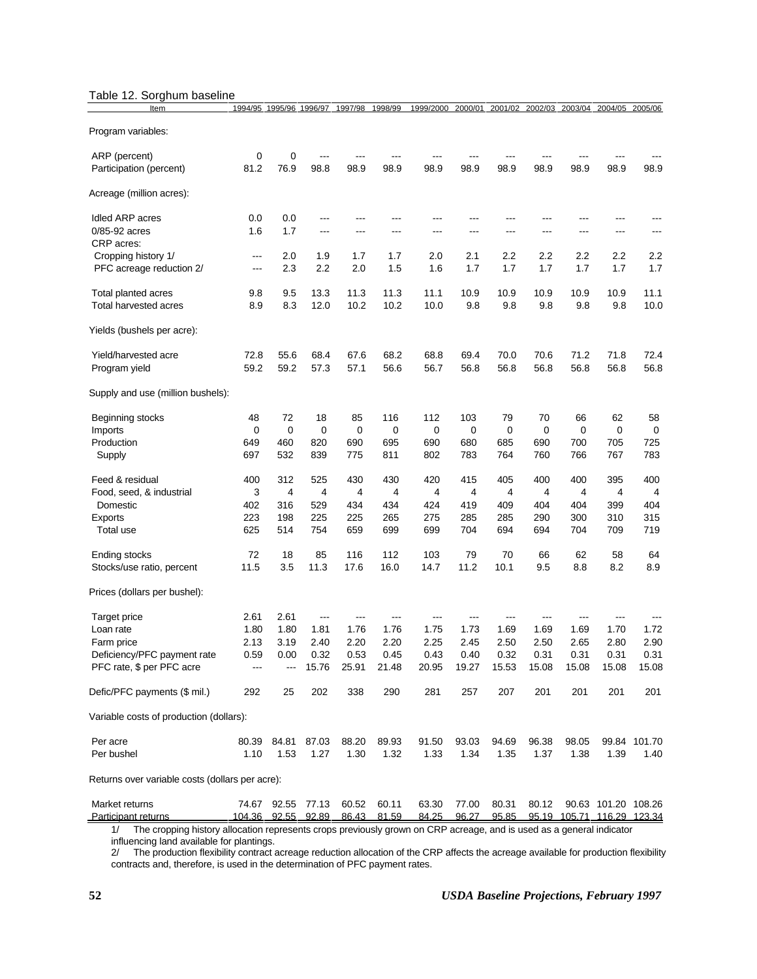# Table 12. Sorghum baseline

| Item                                            | 1994/95                | 1995/96 1996/97    |       | 1997/98 | 1998/99     | 1999/2000 | 2000/01 | 2001/02 | 2002/03 | 2003/04        | 2004/05                    | 2005/06        |
|-------------------------------------------------|------------------------|--------------------|-------|---------|-------------|-----------|---------|---------|---------|----------------|----------------------------|----------------|
| Program variables:                              |                        |                    |       |         |             |           |         |         |         |                |                            |                |
| ARP (percent)                                   | 0                      | 0                  | ---   |         |             |           |         |         |         |                |                            |                |
| Participation (percent)                         | 81.2                   | 76.9               | 98.8  | 98.9    | 98.9        | 98.9      | 98.9    | 98.9    | 98.9    | 98.9           | 98.9                       | 98.9           |
| Acreage (million acres):                        |                        |                    |       |         |             |           |         |         |         |                |                            |                |
| Idled ARP acres                                 | 0.0                    | 0.0                | ---   | ---     |             | ---       | ---     |         | ---     |                |                            |                |
| 0/85-92 acres<br>CRP acres:                     | 1.6                    | 1.7                | $---$ | ---     | ---         | ---       | ---     | ---     | ---     | ---            | ---                        | ---            |
| Cropping history 1/                             | $\qquad \qquad \cdots$ | 2.0                | 1.9   | 1.7     | 1.7         | 2.0       | 2.1     | 2.2     | 2.2     | 2.2            | 2.2                        | 2.2            |
| PFC acreage reduction 2/                        | $---$                  | 2.3                | 2.2   | 2.0     | 1.5         | 1.6       | 1.7     | 1.7     | 1.7     | 1.7            | 1.7                        | 1.7            |
| Total planted acres                             | 9.8                    | 9.5                | 13.3  | 11.3    | 11.3        | 11.1      | 10.9    | 10.9    | 10.9    | 10.9           | 10.9                       | 11.1           |
| Total harvested acres                           | 8.9                    | 8.3                | 12.0  | 10.2    | 10.2        | 10.0      | 9.8     | 9.8     | 9.8     | 9.8            | 9.8                        | 10.0           |
| Yields (bushels per acre):                      |                        |                    |       |         |             |           |         |         |         |                |                            |                |
| Yield/harvested acre                            | 72.8                   | 55.6               | 68.4  | 67.6    | 68.2        | 68.8      | 69.4    | 70.0    | 70.6    | 71.2           | 71.8                       | 72.4           |
| Program yield                                   | 59.2                   | 59.2               | 57.3  | 57.1    | 56.6        | 56.7      | 56.8    | 56.8    | 56.8    | 56.8           | 56.8                       | 56.8           |
| Supply and use (million bushels):               |                        |                    |       |         |             |           |         |         |         |                |                            |                |
| Beginning stocks                                | 48                     | 72                 | 18    | 85      | 116         | 112       | 103     | 79      | 70      | 66             | 62                         | 58             |
| Imports                                         | 0                      | 0                  | 0     | 0       | 0           | 0         | 0       | 0       | 0       | 0              | 0                          | 0              |
| Production                                      | 649                    | 460                | 820   | 690     | 695         | 690       | 680     | 685     | 690     | 700            | 705                        | 725            |
| Supply                                          | 697                    | 532                | 839   | 775     | 811         | 802       | 783     | 764     | 760     | 766            | 767                        | 783            |
| Feed & residual                                 | 400                    | 312                | 525   | 430     | 430         | 420       | 415     | 405     | 400     | 400            | 395                        | 400            |
| Food, seed, & industrial                        | 3                      | 4                  | 4     | 4       | 4           | 4         | 4       | 4       | 4       | $\overline{4}$ | 4                          | $\overline{4}$ |
| Domestic                                        | 402                    | 316                | 529   | 434     | 434         | 424       | 419     | 409     | 404     | 404            | 399                        | 404            |
| Exports                                         | 223                    | 198                | 225   | 225     | 265         | 275       | 285     | 285     | 290     | 300            | 310                        | 315            |
| Total use                                       | 625                    | 514                | 754   | 659     | 699         | 699       | 704     | 694     | 694     | 704            | 709                        | 719            |
| Ending stocks                                   | 72                     | 18                 | 85    | 116     | 112         | 103       | 79      | 70      | 66      | 62             | 58                         | 64             |
| Stocks/use ratio, percent                       | 11.5                   | 3.5                | 11.3  | 17.6    | 16.0        | 14.7      | 11.2    | 10.1    | 9.5     | 8.8            | 8.2                        | 8.9            |
| Prices (dollars per bushel):                    |                        |                    |       |         |             |           |         |         |         |                |                            |                |
| Target price                                    | 2.61                   | 2.61               | $---$ | ---     |             | ---       | ---     | ---     |         | ---            |                            |                |
| Loan rate                                       | 1.80                   | 1.80               | 1.81  | 1.76    | 1.76        | 1.75      | 1.73    | 1.69    | 1.69    | 1.69           | 1.70                       | 1.72           |
| Farm price                                      | 2.13                   | 3.19               | 2.40  | 2.20    | 2.20        | 2.25      | 2.45    | 2.50    | 2.50    | 2.65           | 2.80                       | 2.90           |
| Deficiency/PFC payment rate                     | 0.59                   | 0.00               | 0.32  | 0.53    | 0.45        | 0.43      | 0.40    | 0.32    | 0.31    | 0.31           | 0.31                       | 0.31           |
| PFC rate, \$ per PFC acre                       | $---$                  | ---                | 15.76 | 25.91   | 21.48       | 20.95     | 19.27   | 15.53   | 15.08   | 15.08          | 15.08                      | 15.08          |
| Defic/PFC payments (\$ mil.)                    | 292                    | 25                 | 202   | 338     | 290         | 281       | 257     | 207     | 201     | 201            | 201                        | 201            |
| Variable costs of production (dollars):         |                        |                    |       |         |             |           |         |         |         |                |                            |                |
| Per acre                                        | 80.39                  | 84.81              | 87.03 | 88.20   | 89.93       | 91.50     | 93.03   | 94.69   | 96.38   | 98.05          |                            | 99.84 101.70   |
| Per bushel                                      | 1.10                   | 1.53               | 1.27  | 1.30    | 1.32        | 1.33      | 1.34    | 1.35    | 1.37    | 1.38           | 1.39                       | 1.40           |
| Returns over variable costs (dollars per acre): |                        |                    |       |         |             |           |         |         |         |                |                            |                |
| Market returns                                  |                        | 74.67 92.55 77.13  |       | 60.52   | 60.11       | 63.30     | 77.00   | 80.31   | 80.12   |                | 90.63 101.20 108.26        |                |
| Participant returns                             |                        | 104.36 92.55 92.89 |       |         | 86.43 81.59 | 84.25     | 96.27   | 95.85   |         |                | 95.19 105.71 116.29 123.34 |                |

1/ The cropping history allocation represents crops previously grown on CRP acreage, and is used as a general indicator influencing land available for plantings.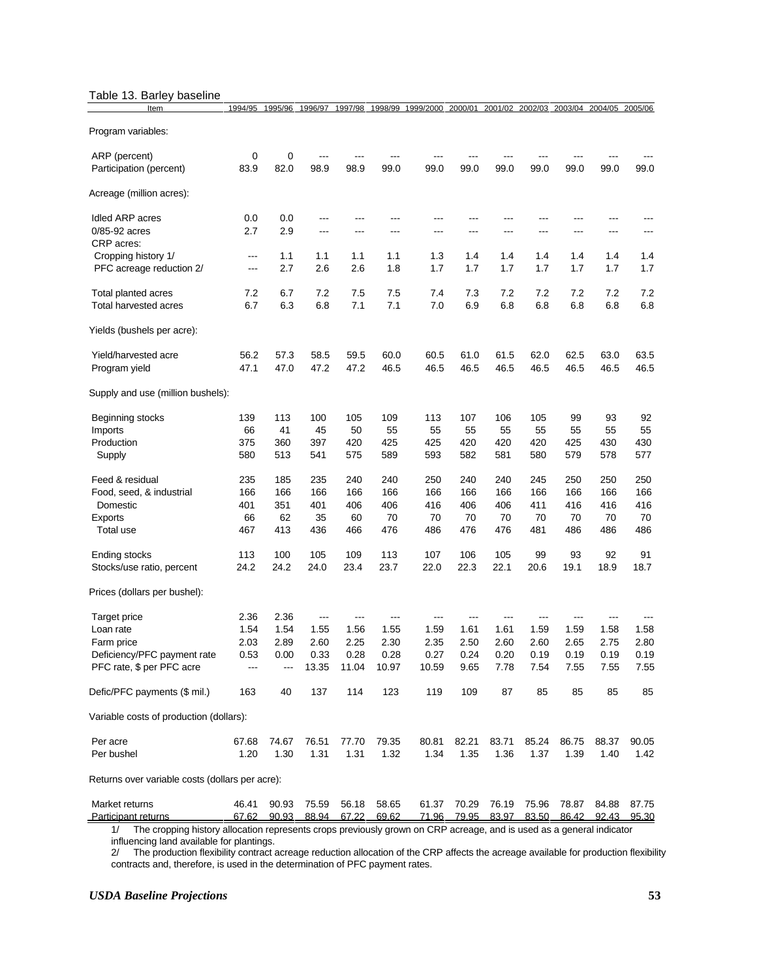#### Table 13. Barley baseline

| Item                                                     | 1994/95    | 1995/96    | 1996/97       | 1997/98       | 1998/99       | 1999/2000 2000/01 |              |              | 2001/02 2002/03 2003/04 2004/05 2005/06 |              |              |              |
|----------------------------------------------------------|------------|------------|---------------|---------------|---------------|-------------------|--------------|--------------|-----------------------------------------|--------------|--------------|--------------|
| Program variables:                                       |            |            |               |               |               |                   |              |              |                                         |              |              |              |
| ARP (percent)<br>Participation (percent)                 | 0<br>83.9  | 0<br>82.0  | 98.9          | 98.9          | 99.0          | 99.0              | 99.0         | 99.0         | 99.0                                    | 99.0         | 99.0         | 99.0         |
| Acreage (million acres):                                 |            |            |               |               |               |                   |              |              |                                         |              |              |              |
|                                                          |            |            |               |               |               |                   |              |              |                                         |              |              |              |
| Idled ARP acres<br>0/85-92 acres                         | 0.0<br>2.7 | 0.0<br>2.9 | ---<br>---    | ---           | ---           | ---               |              | ---          |                                         |              |              |              |
| CRP acres:                                               |            |            |               |               |               |                   |              |              |                                         |              |              |              |
| Cropping history 1/                                      | $---$      | 1.1        | 1.1           | 1.1           | 1.1           | 1.3               | 1.4          | 1.4          | 1.4                                     | 1.4          | 1.4          | 1.4          |
| PFC acreage reduction 2/                                 | ---        | 2.7        | 2.6           | 2.6           | 1.8           | 1.7               | 1.7          | 1.7          | 1.7                                     | 1.7          | 1.7          | 1.7          |
| Total planted acres                                      | 7.2        | 6.7        | 7.2           | 7.5           | 7.5           | 7.4               | 7.3          | 7.2          | 7.2                                     | 7.2          | 7.2          | 7.2          |
| Total harvested acres                                    | 6.7        | 6.3        | 6.8           | 7.1           | 7.1           | 7.0               | 6.9          | 6.8          | 6.8                                     | 6.8          | 6.8          | 6.8          |
| Yields (bushels per acre):                               |            |            |               |               |               |                   |              |              |                                         |              |              |              |
| Yield/harvested acre                                     | 56.2       | 57.3       | 58.5          | 59.5          | 60.0          | 60.5              | 61.0         | 61.5         | 62.0                                    | 62.5         | 63.0         | 63.5         |
| Program yield                                            | 47.1       | 47.0       | 47.2          | 47.2          | 46.5          | 46.5              | 46.5         | 46.5         | 46.5                                    | 46.5         | 46.5         | 46.5         |
| Supply and use (million bushels):                        |            |            |               |               |               |                   |              |              |                                         |              |              |              |
| Beginning stocks                                         | 139        | 113        | 100           | 105           | 109           | 113               | 107          | 106          | 105                                     | 99           | 93           | 92           |
| Imports                                                  | 66         | 41         | 45            | 50            | 55            | 55                | 55           | 55           | 55                                      | 55           | 55           | 55           |
| Production                                               | 375        | 360        | 397           | 420           | 425           | 425               | 420          | 420          | 420                                     | 425          | 430          | 430          |
| Supply                                                   | 580        | 513        | 541           | 575           | 589           | 593               | 582          | 581          | 580                                     | 579          | 578          | 577          |
| Feed & residual                                          | 235        | 185        | 235           | 240           | 240           | 250               | 240          | 240          | 245                                     | 250          | 250          | 250          |
| Food, seed, & industrial                                 | 166        | 166        | 166           | 166           | 166           | 166               | 166          | 166          | 166                                     | 166          | 166          | 166          |
| Domestic                                                 | 401        | 351        | 401           | 406           | 406           | 416               | 406          | 406          | 411                                     | 416          | 416          | 416          |
| Exports                                                  | 66         | 62         | 35            | 60            | 70            | 70                | 70           | 70           | 70                                      | 70           | 70           | 70<br>486    |
| Total use                                                | 467        | 413        | 436           | 466           | 476           | 486               | 476          | 476          | 481                                     | 486          | 486          |              |
| Ending stocks                                            | 113        | 100        | 105           | 109           | 113           | 107               | 106          | 105          | 99                                      | 93           | 92           | 91           |
| Stocks/use ratio, percent                                | 24.2       | 24.2       | 24.0          | 23.4          | 23.7          | 22.0              | 22.3         | 22.1         | 20.6                                    | 19.1         | 18.9         | 18.7         |
| Prices (dollars per bushel):                             |            |            |               |               |               |                   |              |              |                                         |              |              |              |
| Target price                                             | 2.36       | 2.36       | ---           | ---           | ---           | ---               |              | ---          | ---                                     | ---          |              |              |
| Loan rate                                                | 1.54       | 1.54       | 1.55          | 1.56          | 1.55          | 1.59              | 1.61         | 1.61         | 1.59                                    | 1.59         | 1.58         | 1.58         |
| Farm price                                               | 2.03       | 2.89       | 2.60          | 2.25          | 2.30          | 2.35              | 2.50         | 2.60         | 2.60                                    | 2.65         | 2.75         | 2.80         |
| Deficiency/PFC payment rate<br>PFC rate, \$ per PFC acre | 0.53       | 0.00       | 0.33<br>13.35 | 0.28<br>11.04 | 0.28<br>10.97 | 0.27<br>10.59     | 0.24<br>9.65 | 0.20<br>7.78 | 0.19<br>7.54                            | 0.19<br>7.55 | 0.19<br>7.55 | 0.19<br>7.55 |
|                                                          |            |            |               |               |               |                   |              |              |                                         |              |              |              |
| Defic/PFC payments (\$ mil.)                             | 163        | 40         | 137           | 114           | 123           | 119               | 109          | 87           | 85                                      | 85           | 85           | 85           |
| Variable costs of production (dollars):                  |            |            |               |               |               |                   |              |              |                                         |              |              |              |
| Per acre                                                 | 67.68      | 74.67      | 76.51         | 77.70         | 79.35         | 80.81             | 82.21        | 83.71        | 85.24                                   | 86.75        | 88.37        | 90.05        |
| Per bushel                                               | 1.20       | 1.30       | 1.31          | 1.31          | 1.32          | 1.34              | 1.35         | 1.36         | 1.37                                    | 1.39         | 1.40         | 1.42         |
| Returns over variable costs (dollars per acre):          |            |            |               |               |               |                   |              |              |                                         |              |              |              |
| Market returns                                           | 46.41      | 90.93      | 75.59         | 56.18         | 58.65         | 61.37             | 70.29        | 76.19        | 75.96                                   | 78.87        | 84.88        | 87.75        |
| Participant returns                                      | 67.62      | 90.93      | 88.94         | 67.22         | 69.62         | 71.96             | 79.95        | 83.97        | 83.50                                   | 86.42        | 92.43        | 95.30        |

1/ The cropping history allocation represents crops previously grown on CRP acreage, and is used as a general indicator influencing land available for plantings.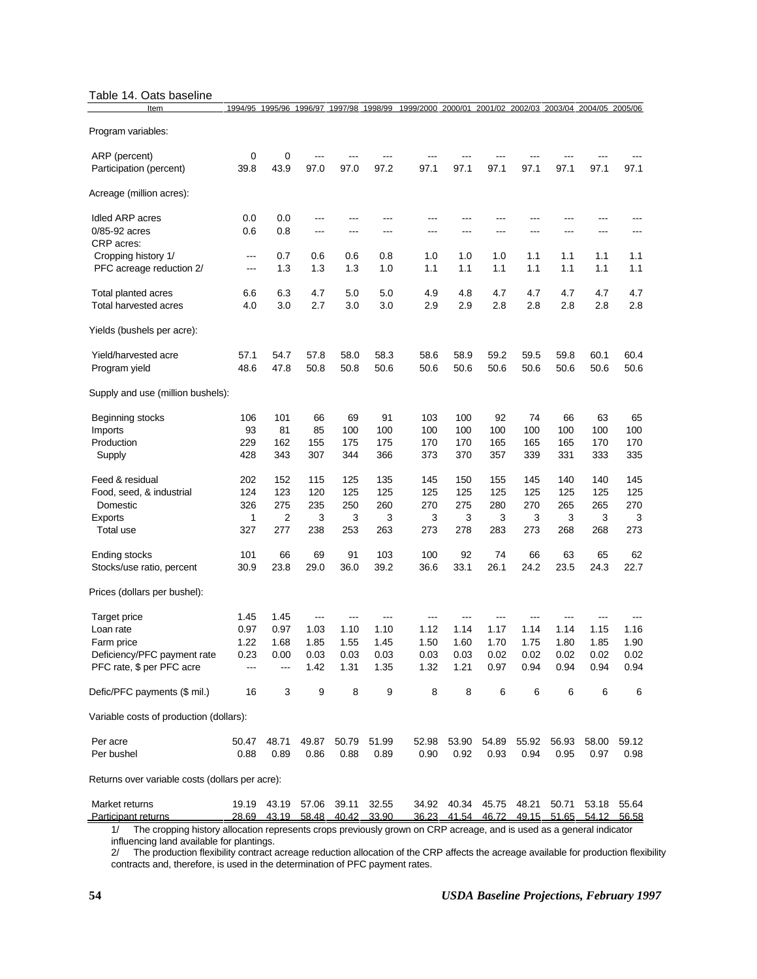#### Table 14. Oats baseline

| Item                                            | 1994/95    | 1995/96     | 1996/97 1997/98 |            | 1998/99    | 1999/2000 2000/01 2001/02 2002/03 2003/04 2004/05 2005/06 |                |                   |            |            |            |            |
|-------------------------------------------------|------------|-------------|-----------------|------------|------------|-----------------------------------------------------------|----------------|-------------------|------------|------------|------------|------------|
| Program variables:                              |            |             |                 |            |            |                                                           |                |                   |            |            |            |            |
| ARP (percent)                                   | 0          | 0           |                 |            |            |                                                           |                |                   |            |            |            |            |
| Participation (percent)                         | 39.8       | 43.9        | 97.0            | 97.0       | 97.2       | 97.1                                                      | 97.1           | 97.1              | 97.1       | 97.1       | 97.1       | 97.1       |
| Acreage (million acres):                        |            |             |                 |            |            |                                                           |                |                   |            |            |            |            |
| Idled ARP acres                                 | 0.0        | 0.0         | ---             | ---        | ---        | ---                                                       |                | ---               | ---        |            |            |            |
| 0/85-92 acres<br>CRP acres:                     | 0.6        | 0.8         | ---             | ---        | ---        | ---                                                       |                | ---               | ---        | ---        |            |            |
| Cropping history 1/                             | $---$      | 0.7         | 0.6             | 0.6        | 0.8        | 1.0                                                       | 1.0            | 1.0               | 1.1        | 1.1        | 1.1        | 1.1        |
| PFC acreage reduction 2/                        | ---        | 1.3         | 1.3             | 1.3        | 1.0        | 1.1                                                       | 1.1            | 1.1               | 1.1        | 1.1        | 1.1        | 1.1        |
| Total planted acres                             | 6.6        | 6.3         | 4.7             | 5.0        | 5.0        | 4.9                                                       | 4.8            | 4.7               | 4.7        | 4.7        | 4.7        | 4.7        |
| Total harvested acres                           | 4.0        | 3.0         | 2.7             | 3.0        | 3.0        | 2.9                                                       | 2.9            | 2.8               | 2.8        | 2.8        | 2.8        | 2.8        |
| Yields (bushels per acre):                      |            |             |                 |            |            |                                                           |                |                   |            |            |            |            |
| Yield/harvested acre                            | 57.1       | 54.7        | 57.8            | 58.0       | 58.3       | 58.6                                                      | 58.9           | 59.2              | 59.5       | 59.8       | 60.1       | 60.4       |
| Program yield                                   | 48.6       | 47.8        | 50.8            | 50.8       | 50.6       | 50.6                                                      | 50.6           | 50.6              | 50.6       | 50.6       | 50.6       | 50.6       |
| Supply and use (million bushels):               |            |             |                 |            |            |                                                           |                |                   |            |            |            |            |
| Beginning stocks                                | 106        | 101         | 66              | 69         | 91         | 103                                                       | 100            | 92                | 74         | 66         | 63         | 65         |
| Imports                                         | 93         | 81          | 85              | 100        | 100        | 100                                                       | 100            | 100               | 100        | 100        | 100        | 100        |
| Production<br>Supply                            | 229<br>428 | 162<br>343  | 155<br>307      | 175<br>344 | 175<br>366 | 170<br>373                                                | 170<br>370     | 165<br>357        | 165<br>339 | 165<br>331 | 170<br>333 | 170<br>335 |
|                                                 |            |             |                 |            |            |                                                           |                |                   |            |            |            |            |
| Feed & residual                                 | 202        | 152         | 115             | 125        | 135        | 145                                                       | 150            | 155               | 145        | 140        | 140        | 145        |
| Food, seed, & industrial                        | 124        | 123         | 120<br>235      | 125        | 125        | 125                                                       | 125            | 125               | 125        | 125        | 125        | 125        |
| Domestic<br>Exports                             | 326<br>1   | 275<br>2    | 3               | 250<br>3   | 260<br>3   | 270<br>3                                                  | 275<br>3       | 280<br>3          | 270<br>3   | 265<br>3   | 265<br>3   | 270<br>3   |
| Total use                                       | 327        | 277         | 238             | 253        | 263        | 273                                                       | 278            | 283               | 273        | 268        | 268        | 273        |
| Ending stocks                                   | 101        | 66          | 69              | 91         | 103        | 100                                                       | 92             | 74                | 66         | 63         | 65         | 62         |
| Stocks/use ratio, percent                       | 30.9       | 23.8        | 29.0            | 36.0       | 39.2       | 36.6                                                      | 33.1           | 26.1              | 24.2       | 23.5       | 24.3       | 22.7       |
| Prices (dollars per bushel):                    |            |             |                 |            |            |                                                           |                |                   |            |            |            |            |
| Target price                                    | 1.45       | 1.45        | ---             | ---        | ---        | ---                                                       |                |                   |            |            |            |            |
| Loan rate                                       | 0.97       | 0.97        | 1.03            | 1.10       | 1.10       | 1.12                                                      | 1.14           | 1.17              | 1.14       | 1.14       | 1.15       | 1.16       |
| Farm price                                      | 1.22       | 1.68        | 1.85            | 1.55       | 1.45       | 1.50                                                      | 1.60           | 1.70              | 1.75       | 1.80       | 1.85       | 1.90       |
| Deficiency/PFC payment rate                     | 0.23       | 0.00        | 0.03            | 0.03       | 0.03       | 0.03                                                      | 0.03           | 0.02              | 0.02       | 0.02       | 0.02       | 0.02       |
| PFC rate, \$ per PFC acre                       | ---        | ---         | 1.42            | 1.31       | 1.35       | 1.32                                                      | 1.21           | 0.97              | 0.94       | 0.94       | 0.94       | 0.94       |
| Defic/PFC payments (\$ mil.)                    | 16         | 3           | 9               | 8          | 9          | 8                                                         | 8              | 6                 | 6          | 6          | 6          | 6          |
| Variable costs of production (dollars):         |            |             |                 |            |            |                                                           |                |                   |            |            |            |            |
| Per acre                                        | 50.47      | 48.71       | 49.87           | 50.79      | 51.99      | 52.98                                                     | 53.90          | 54.89             | 55.92      | 56.93      | 58.00      | 59.12      |
| Per bushel                                      | 0.88       | 0.89        | 0.86            | 0.88       | 0.89       | 0.90                                                      | 0.92           | 0.93              | 0.94       | 0.95       | 0.97       | 0.98       |
| Returns over variable costs (dollars per acre): |            |             |                 |            |            |                                                           |                |                   |            |            |            |            |
| Market returns                                  |            | 19.19 43.19 | 57.06           | 39.11      | 32.55      |                                                           |                | 34.92 40.34 45.75 | 48.21      | 50.71      | 53.18      | 55.64      |
| Participant returns                             | 28.69      | 43.19       | 58.48           | 40.42      | 33.90      | 36.23                                                     | <u>41.54 _</u> | 46.72             | 49.15      | 51.65      | 54.12      | 56.58      |

1/ The cropping history allocation represents crops previously grown on CRP acreage, and is used as a general indicator influencing land available for plantings.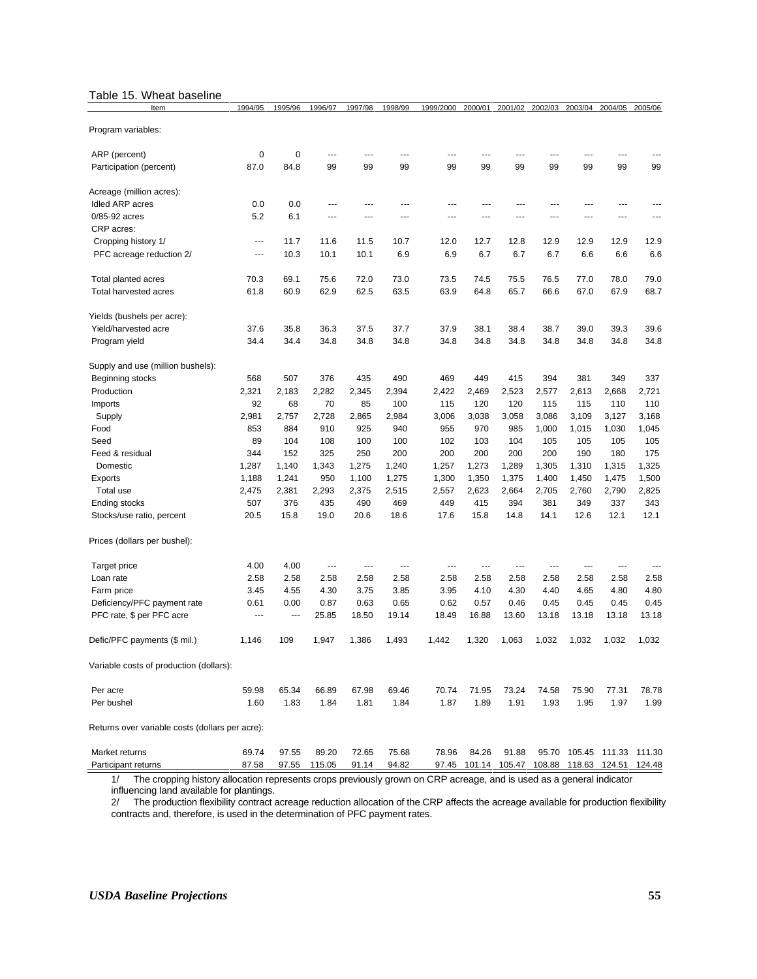#### Table 15. Wheat baseline

| Item                                            | 1994/95     | 1995/96                  | 1996/97                  | 1997/98 | 1998/99 | 1999/2000 | 2000/01 | 2001/02       | 2002/03 | 2003/04                    | 2004/05       | 2005/06 |
|-------------------------------------------------|-------------|--------------------------|--------------------------|---------|---------|-----------|---------|---------------|---------|----------------------------|---------------|---------|
| Program variables:                              |             |                          |                          |         |         |           |         |               |         |                            |               |         |
| ARP (percent)                                   | $\mathbf 0$ | $\mathbf 0$              | ---                      | ---     | ---     | ---       |         |               |         |                            | ---           |         |
| Participation (percent)                         | 87.0        | 84.8                     | 99                       | 99      | 99      | 99        | 99      | 99            | 99      | 99                         | 99            | 99      |
| Acreage (million acres):                        |             |                          |                          |         |         |           |         |               |         |                            |               |         |
| Idled ARP acres                                 | 0.0         | 0.0                      | ---                      | ---     |         | ---       |         | ---           |         |                            |               |         |
| 0/85-92 acres                                   | 5.2         | 6.1                      | ---                      |         |         |           |         |               |         |                            |               |         |
| CRP acres:                                      |             |                          |                          |         |         |           |         |               |         |                            |               |         |
| Cropping history 1/                             | ---         | 11.7                     | 11.6                     | 11.5    | 10.7    | 12.0      | 12.7    | 12.8          | 12.9    | 12.9                       | 12.9          | 12.9    |
| PFC acreage reduction 2/                        | ---         | 10.3                     | 10.1                     | 10.1    | 6.9     | 6.9       | 6.7     | 6.7           | 6.7     | 6.6                        | 6.6           | 6.6     |
| Total planted acres                             | 70.3        | 69.1                     | 75.6                     | 72.0    | 73.0    | 73.5      | 74.5    | 75.5          | 76.5    | 77.0                       | 78.0          | 79.0    |
| Total harvested acres                           | 61.8        | 60.9                     | 62.9                     | 62.5    | 63.5    | 63.9      | 64.8    | 65.7          | 66.6    | 67.0                       | 67.9          | 68.7    |
| Yields (bushels per acre):                      |             |                          |                          |         |         |           |         |               |         |                            |               |         |
| Yield/harvested acre                            | 37.6        | 35.8                     | 36.3                     | 37.5    | 37.7    | 37.9      | 38.1    | 38.4          | 38.7    | 39.0                       | 39.3          | 39.6    |
| Program yield                                   | 34.4        | 34.4                     | 34.8                     | 34.8    | 34.8    | 34.8      | 34.8    | 34.8          | 34.8    | 34.8                       | 34.8          | 34.8    |
| Supply and use (million bushels):               |             |                          |                          |         |         |           |         |               |         |                            |               |         |
| Beginning stocks                                | 568         | 507                      | 376                      | 435     | 490     | 469       | 449     | 415           | 394     | 381                        | 349           | 337     |
| Production                                      | 2,321       | 2,183                    | 2,282                    | 2,345   | 2,394   | 2,422     | 2,469   | 2,523         | 2,577   | 2,613                      | 2,668         | 2,721   |
| Imports                                         | 92          | 68                       | 70                       | 85      | 100     | 115       | 120     | 120           | 115     | 115                        | 110           | 110     |
| Supply                                          | 2,981       | 2,757                    | 2,728                    | 2,865   | 2,984   | 3,006     | 3,038   | 3,058         | 3,086   | 3,109                      | 3,127         | 3,168   |
| Food                                            | 853         | 884                      | 910                      | 925     | 940     | 955       | 970     | 985           | 1,000   | 1,015                      | 1,030         | 1,045   |
| Seed                                            | 89          | 104                      | 108                      | 100     | 100     | 102       | 103     | 104           | 105     | 105                        | 105           | 105     |
| Feed & residual                                 | 344         | 152                      | 325                      | 250     | 200     | 200       | 200     | 200           | 200     | 190                        | 180           | 175     |
| Domestic                                        | 1,287       | 1,140                    | 1,343                    | 1,275   | 1,240   | 1,257     | 1,273   | 1,289         | 1,305   | 1,310                      | 1,315         | 1,325   |
| Exports                                         | 1,188       | 1,241                    | 950                      | 1,100   | 1,275   | 1,300     | 1,350   | 1,375         | 1,400   | 1,450                      | 1,475         | 1,500   |
| Total use                                       | 2,475       | 2,381                    | 2,293                    | 2,375   | 2,515   | 2,557     | 2,623   | 2,664         | 2,705   | 2,760                      | 2,790         | 2,825   |
| Ending stocks                                   | 507         | 376                      | 435                      | 490     | 469     | 449       | 415     | 394           | 381     | 349                        | 337           | 343     |
| Stocks/use ratio, percent                       | 20.5        | 15.8                     | 19.0                     | 20.6    | 18.6    | 17.6      | 15.8    | 14.8          | 14.1    | 12.6                       | 12.1          | 12.1    |
| Prices (dollars per bushel):                    |             |                          |                          |         |         |           |         |               |         |                            |               |         |
| Target price                                    | 4.00        | 4.00                     | $\overline{\phantom{a}}$ | ---     | ---     | ---       | ---     | ---           | ---     | ---                        | ---           |         |
| Loan rate                                       | 2.58        | 2.58                     | 2.58                     | 2.58    | 2.58    | 2.58      | 2.58    | 2.58          | 2.58    | 2.58                       | 2.58          | 2.58    |
| Farm price                                      | 3.45        | 4.55                     | 4.30                     | 3.75    | 3.85    | 3.95      | 4.10    | 4.30          | 4.40    | 4.65                       | 4.80          | 4.80    |
| Deficiency/PFC payment rate                     | 0.61        | 0.00                     | 0.87                     | 0.63    | 0.65    | 0.62      | 0.57    | 0.46          | 0.45    | 0.45                       | 0.45          | 0.45    |
| PFC rate, \$ per PFC acre                       | $\sim$      | $\overline{\phantom{a}}$ | 25.85                    | 18.50   | 19.14   | 18.49     | 16.88   | 13.60         | 13.18   | 13.18                      | 13.18         | 13.18   |
| Defic/PFC payments (\$ mil.)                    | 1,146       | 109                      | 1,947                    | 1,386   | 1,493   | 1,442     | 1,320   | 1,063         | 1,032   | 1,032                      | 1,032         | 1,032   |
| Variable costs of production (dollars):         |             |                          |                          |         |         |           |         |               |         |                            |               |         |
| Per acre                                        | 59.98       | 65.34                    | 66.89                    | 67.98   | 69.46   | 70.74     | 71.95   | 73.24         | 74.58   | 75.90                      | 77.31         | 78.78   |
| Per bushel                                      | 1.60        | 1.83                     | 1.84                     | 1.81    | 1.84    | 1.87      | 1.89    | 1.91          | 1.93    | 1.95                       | 1.97          | 1.99    |
| Returns over variable costs (dollars per acre): |             |                          |                          |         |         |           |         |               |         |                            |               |         |
| Market returns                                  | 69.74       | 97.55                    | 89.20                    | 72.65   | 75.68   | 78.96     | 84.26   | 91.88         |         | 95.70 105.45 111.33 111.30 |               |         |
| Participant returns                             | 87.58       | 97.55                    | 115.05                   | 91.14   | 94.82   | 97.45     |         | 101.14 105.47 | 108.88  |                            | 118.63 124.51 | 124.48  |

1/ The cropping history allocation represents crops previously grown on CRP acreage, and is used as a general indicator influencing land available for plantings.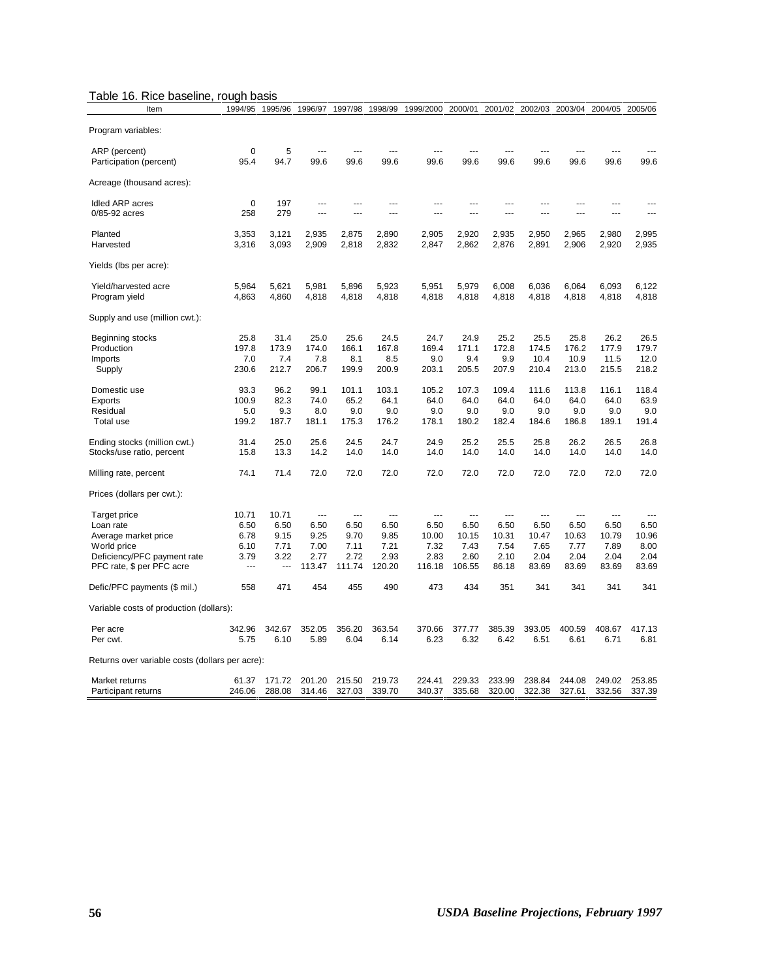| Table 16. Rice baseline, rough basis |  |  |
|--------------------------------------|--|--|
|--------------------------------------|--|--|

| Item                                                     | 1994/95        | 1995/96        | 1996/97                | 1997/98        | 1998/99        | 1999/2000      | 2000/01        | 2001/02        | 2002/03        | 2003/04        | 2004/05        | 2005/06        |
|----------------------------------------------------------|----------------|----------------|------------------------|----------------|----------------|----------------|----------------|----------------|----------------|----------------|----------------|----------------|
| Program variables:                                       |                |                |                        |                |                |                |                |                |                |                |                |                |
| ARP (percent)<br>Participation (percent)                 | 0<br>95.4      | 5<br>94.7      | $\overline{a}$<br>99.6 | ---<br>99.6    | 99.6           | 99.6           | $---$<br>99.6  | 99.6           | 99.6           | ---<br>99.6    | 99.6           | 99.6           |
| Acreage (thousand acres):                                |                |                |                        |                |                |                |                |                |                |                |                |                |
| Idled ARP acres                                          | $\mathbf 0$    | 197            | ---                    | ---            | $-$            | ---            | $---$          | ---            | ---            | ---            | ---            |                |
| 0/85-92 acres                                            | 258            | 279            | ---                    | ---            | $-$            | ---            | $-$            |                | ---            | ---            | ---            | $- - -$        |
| Planted                                                  | 3,353          | 3,121          | 2,935                  | 2,875          | 2,890          | 2,905          | 2,920          | 2,935          | 2,950          | 2,965          | 2,980          | 2,995          |
| Harvested                                                | 3,316          | 3,093          | 2,909                  | 2,818          | 2,832          | 2,847          | 2,862          | 2,876          | 2,891          | 2,906          | 2,920          | 2,935          |
| Yields (Ibs per acre):                                   |                |                |                        |                |                |                |                |                |                |                |                |                |
| Yield/harvested acre<br>Program yield                    | 5,964<br>4,863 | 5,621<br>4,860 | 5,981<br>4,818         | 5,896<br>4,818 | 5,923<br>4,818 | 5,951<br>4,818 | 5,979<br>4,818 | 6,008<br>4,818 | 6,036<br>4,818 | 6,064<br>4,818 | 6,093<br>4,818 | 6,122<br>4,818 |
| Supply and use (million cwt.):                           |                |                |                        |                |                |                |                |                |                |                |                |                |
| Beginning stocks                                         | 25.8           | 31.4           | 25.0                   | 25.6           | 24.5           | 24.7           | 24.9           | 25.2           | 25.5           | 25.8           | 26.2           | 26.5           |
| Production                                               | 197.8          | 173.9          | 174.0                  | 166.1          | 167.8          | 169.4          | 171.1          | 172.8          | 174.5          | 176.2          | 177.9          | 179.7          |
| Imports                                                  | 7.0            | 7.4            | 7.8                    | 8.1            | 8.5            | 9.0            | 9.4            | 9.9            | 10.4           | 10.9           | 11.5           | 12.0           |
| Supply                                                   | 230.6          | 212.7          | 206.7                  | 199.9          | 200.9          | 203.1          | 205.5          | 207.9          | 210.4          | 213.0          | 215.5          | 218.2          |
| Domestic use                                             | 93.3           | 96.2           | 99.1                   | 101.1          | 103.1          | 105.2          | 107.3          | 109.4          | 111.6          | 113.8          | 116.1          | 118.4          |
| Exports                                                  | 100.9          | 82.3           | 74.0                   | 65.2           | 64.1           | 64.0           | 64.0           | 64.0           | 64.0           | 64.0           | 64.0           | 63.9           |
| Residual                                                 | 5.0            | 9.3            | 8.0                    | 9.0            | 9.0            | 9.0            | 9.0            | 9.0            | 9.0            | 9.0            | 9.0            | 9.0            |
| Total use                                                | 199.2          | 187.7          | 181.1                  | 175.3          | 176.2          | 178.1          | 180.2          | 182.4          | 184.6          | 186.8          | 189.1          | 191.4          |
| Ending stocks (million cwt.)                             | 31.4           | 25.0           | 25.6                   | 24.5           | 24.7           | 24.9           | 25.2           | 25.5           | 25.8           | 26.2           | 26.5           | 26.8           |
| Stocks/use ratio, percent                                | 15.8           | 13.3           | 14.2                   | 14.0           | 14.0           | 14.0           | 14.0           | 14.0           | 14.0           | 14.0           | 14.0           | 14.0           |
| Milling rate, percent                                    | 74.1           | 71.4           | 72.0                   | 72.0           | 72.0           | 72.0           | 72.0           | 72.0           | 72.0           | 72.0           | 72.0           | 72.0           |
| Prices (dollars per cwt.):                               |                |                |                        |                |                |                |                |                |                |                |                |                |
| Target price                                             | 10.71          | 10.71          | ---                    | ---            | $\overline{a}$ | ---            | ---            | ---            | $\overline{a}$ | ---            | $\overline{a}$ |                |
| Loan rate                                                | 6.50           | 6.50           | 6.50                   | 6.50           | 6.50           | 6.50           | 6.50           | 6.50           | 6.50           | 6.50           | 6.50           | 6.50           |
| Average market price                                     | 6.78           | 9.15           | 9.25                   | 9.70           | 9.85           | 10.00          | 10.15          | 10.31          | 10.47          | 10.63          | 10.79          | 10.96          |
| World price                                              | 6.10           | 7.71           | 7.00                   | 7.11           | 7.21           | 7.32           | 7.43           | 7.54           | 7.65           | 7.77           | 7.89           | 8.00           |
| Deficiency/PFC payment rate<br>PFC rate, \$ per PFC acre | 3.79<br>---    | 3.22           | 2.77<br>113.47         | 2.72<br>111.74 | 2.93<br>120.20 | 2.83<br>116.18 | 2.60<br>106.55 | 2.10<br>86.18  | 2.04<br>83.69  | 2.04<br>83.69  | 2.04<br>83.69  | 2.04<br>83.69  |
| Defic/PFC payments (\$ mil.)                             | 558            | 471            | 454                    | 455            | 490            | 473            | 434            | 351            | 341            | 341            | 341            | 341            |
| Variable costs of production (dollars):                  |                |                |                        |                |                |                |                |                |                |                |                |                |
| Per acre                                                 | 342.96         | 342.67         | 352.05                 | 356.20         | 363.54         | 370.66         | 377.77         | 385.39         | 393.05         | 400.59         | 408.67         | 417.13         |
| Per cwt.                                                 | 5.75           | 6.10           | 5.89                   | 6.04           | 6.14           | 6.23           | 6.32           | 6.42           | 6.51           | 6.61           | 6.71           | 6.81           |
| Returns over variable costs (dollars per acre):          |                |                |                        |                |                |                |                |                |                |                |                |                |
| Market returns                                           | 61.37          | 171.72         | 201.20                 | 215.50         | 219.73         | 224.41         | 229.33         | 233.99         | 238.84         | 244.08         | 249.02         | 253.85         |
| Participant returns                                      | 246.06         | 288.08         | 314.46                 | 327.03         | 339.70         | 340.37         | 335.68         | 320.00         | 322.38         | 327.61         | 332.56         | 337.39         |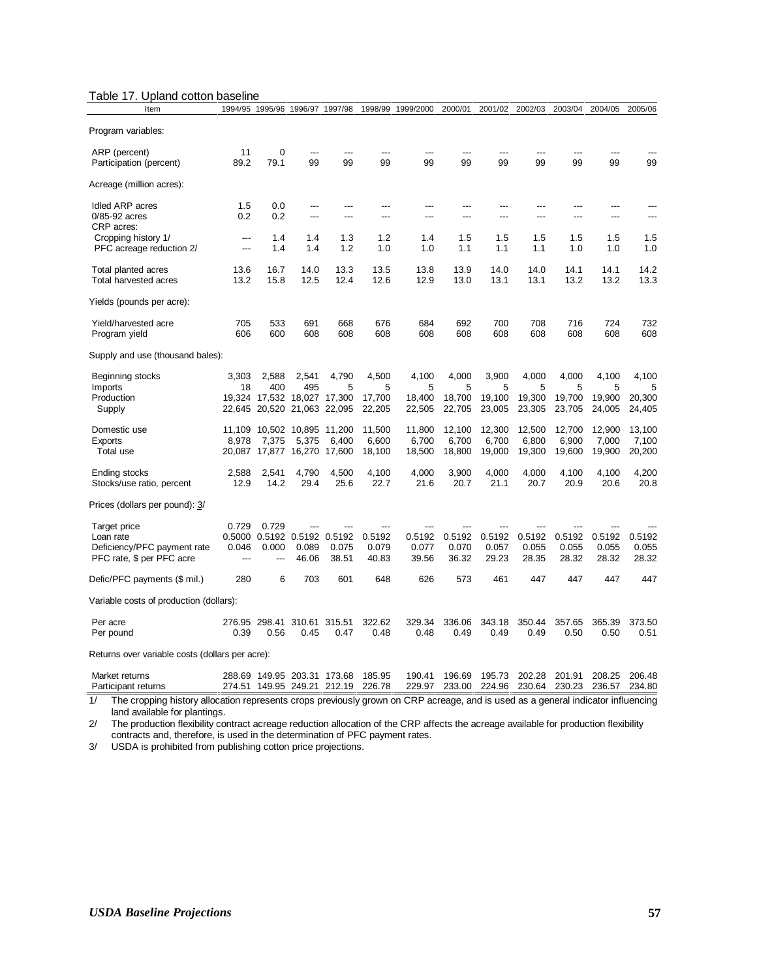| Table 17. Upland cotton baseline |  |  |  |
|----------------------------------|--|--|--|
|----------------------------------|--|--|--|

| Item                                            |                | 1994/95 1995/96      | 1996/97                     | 1997/98 | 1998/99 | 1999/2000 | 2000/01 | 2001/02 | 2002/03 | 2003/04 | 2004/05 | 2005/06 |
|-------------------------------------------------|----------------|----------------------|-----------------------------|---------|---------|-----------|---------|---------|---------|---------|---------|---------|
| Program variables:                              |                |                      |                             |         |         |           |         |         |         |         |         |         |
| ARP (percent)                                   | 11             | 0                    | ---                         |         |         | ---       | ---     |         |         |         |         |         |
| Participation (percent)                         | 89.2           | 79.1                 | 99                          | 99      | 99      | 99        | 99      | 99      | 99      | 99      | 99      | 99      |
|                                                 |                |                      |                             |         |         |           |         |         |         |         |         |         |
| Acreage (million acres):                        |                |                      |                             |         |         |           |         |         |         |         |         |         |
| Idled ARP acres                                 | 1.5            | 0.0                  | ---                         | ---     |         |           | ---     | ---     |         | ---     |         |         |
| $0/85-92$ acres                                 | 0.2            | 0.2                  | ---                         | ---     | ---     | ---       | $---$   | $---$   | $---$   | ---     | ---     | $---$   |
| CRP acres:                                      |                |                      |                             |         |         |           |         |         |         |         |         |         |
| Cropping history 1/                             | $---$          | 1.4                  | 1.4                         | 1.3     | 1.2     | 1.4       | 1.5     | 1.5     | 1.5     | 1.5     | 1.5     | 1.5     |
| PFC acreage reduction 2/                        | ---            | 1.4                  | 1.4                         | 1.2     | 1.0     | 1.0       | 1.1     | 1.1     | 1.1     | 1.0     | 1.0     | 1.0     |
|                                                 |                |                      |                             |         |         |           |         |         |         |         |         |         |
| Total planted acres                             | 13.6           | 16.7                 | 14.0                        | 13.3    | 13.5    | 13.8      | 13.9    | 14.0    | 14.0    | 14.1    | 14.1    | 14.2    |
| Total harvested acres                           | 13.2           | 15.8                 | 12.5                        | 12.4    | 12.6    | 12.9      | 13.0    | 13.1    | 13.1    | 13.2    | 13.2    | 13.3    |
| Yields (pounds per acre):                       |                |                      |                             |         |         |           |         |         |         |         |         |         |
| Yield/harvested acre                            | 705            | 533                  | 691                         | 668     | 676     | 684       | 692     | 700     | 708     | 716     | 724     | 732     |
|                                                 | 606            | 600                  | 608                         | 608     | 608     | 608       | 608     | 608     | 608     | 608     | 608     | 608     |
| Program yield                                   |                |                      |                             |         |         |           |         |         |         |         |         |         |
| Supply and use (thousand bales):                |                |                      |                             |         |         |           |         |         |         |         |         |         |
| Beginning stocks                                | 3,303          | 2,588                | 2,541                       | 4,790   | 4,500   | 4,100     | 4,000   | 3,900   | 4,000   | 4,000   | 4,100   | 4,100   |
| Imports                                         | 18             | 400                  | 495                         | 5       | 5       | 5         | 5       | 5       | 5       | 5       | 5       | 5       |
| Production                                      |                |                      | 19,324 17,532 18,027 17,300 |         | 17,700  | 18,400    | 18,700  | 19,100  | 19,300  | 19,700  | 19,900  | 20,300  |
| Supply                                          |                |                      | 22,645 20,520 21,063 22,095 |         | 22,205  | 22,505    | 22,705  | 23,005  | 23,305  | 23,705  | 24,005  | 24,405  |
|                                                 |                |                      |                             |         |         |           |         |         |         |         |         |         |
| Domestic use                                    |                |                      | 11,109 10,502 10,895 11,200 |         | 11,500  | 11,800    | 12,100  | 12,300  | 12,500  | 12,700  | 12,900  | 13,100  |
| Exports                                         | 8,978          | 7,375                | 5,375                       | 6,400   | 6,600   | 6,700     | 6,700   | 6,700   | 6,800   | 6,900   | 7,000   | 7,100   |
| Total use                                       |                |                      | 20,087 17,877 16,270 17,600 |         | 18,100  | 18,500    | 18,800  | 19,000  | 19,300  | 19,600  | 19,900  | 20,200  |
|                                                 |                |                      |                             |         |         |           |         |         |         |         |         |         |
| Ending stocks                                   | 2,588          | 2,541                | 4,790                       | 4,500   | 4,100   | 4,000     | 3,900   | 4,000   | 4,000   | 4,100   | 4,100   | 4,200   |
| Stocks/use ratio, percent                       | 12.9           | 14.2                 | 29.4                        | 25.6    | 22.7    | 21.6      | 20.7    | 21.1    | 20.7    | 20.9    | 20.6    | 20.8    |
| Prices (dollars per pound): 3/                  |                |                      |                             |         |         |           |         |         |         |         |         |         |
|                                                 |                |                      |                             |         |         |           |         |         |         |         |         |         |
| Target price                                    | 0.729          | 0.729                |                             |         | ---     |           |         |         |         |         |         |         |
| Loan rate                                       |                |                      | 0.5000 0.5192 0.5192 0.5192 |         | 0.5192  | 0.5192    | 0.5192  | 0.5192  | 0.5192  | 0.5192  | 0.5192  | 0.5192  |
| Deficiency/PFC payment rate                     | 0.046          | 0.000                | 0.089                       | 0.075   | 0.079   | 0.077     | 0.070   | 0.057   | 0.055   | 0.055   | 0.055   | 0.055   |
| PFC rate, \$ per PFC acre                       | $\overline{a}$ | $---$                | 46.06                       | 38.51   | 40.83   | 39.56     | 36.32   | 29.23   | 28.35   | 28.32   | 28.32   | 28.32   |
| Defic/PFC payments (\$ mil.)                    | 280            | 6                    | 703                         | 601     | 648     | 626       | 573     | 461     | 447     | 447     | 447     | 447     |
| Variable costs of production (dollars):         |                |                      |                             |         |         |           |         |         |         |         |         |         |
| Per acre                                        |                | 276.95 298.41 310.61 |                             | 315.51  | 322.62  | 329.34    | 336.06  | 343.18  | 350.44  | 357.65  | 365.39  | 373.50  |
| Per pound                                       | 0.39           | 0.56                 | 0.45                        | 0.47    | 0.48    | 0.48      | 0.49    | 0.49    | 0.49    | 0.50    | 0.50    | 0.51    |
|                                                 |                |                      |                             |         |         |           |         |         |         |         |         |         |
| Returns over variable costs (dollars per acre): |                |                      |                             |         |         |           |         |         |         |         |         |         |
| Market returns                                  |                |                      | 288.69 149.95 203.31 173.68 |         | 185.95  | 190.41    | 196.69  | 195.73  | 202.28  | 201.91  | 208.25  | 206.48  |
| Participant returns                             |                |                      | 274.51 149.95 249.21 212.19 |         | 226.78  | 229.97    | 233.00  | 224.96  | 230.64  | 230.23  | 236.57  | 234.80  |

1/ The cropping history allocation represents crops previously grown on CRP acreage, and is used as a general indicator influencing land available for plantings.

2/ The production flexibility contract acreage reduction allocation of the CRP affects the acreage available for production flexibility contracts and, therefore, is used in the determination of PFC payment rates.

3/ USDA is prohibited from publishing cotton price projections.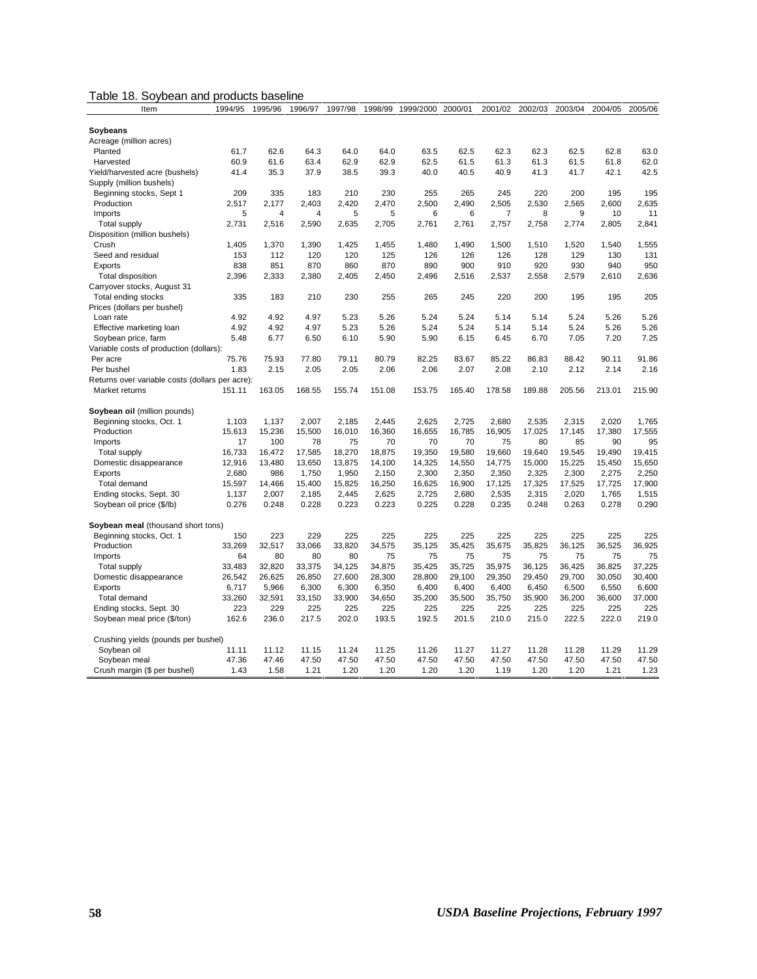| Table 18. Soybean and products baseline |  |
|-----------------------------------------|--|
|                                         |  |

| Item                                            | 1994/95 | 1995/96        | 1996/97 | 1997/98 | 1998/99 | 1999/2000 | 2000/01 | 2001/02        | 2002/03 | 2003/04 | 2004/05 | 2005/06 |
|-------------------------------------------------|---------|----------------|---------|---------|---------|-----------|---------|----------------|---------|---------|---------|---------|
|                                                 |         |                |         |         |         |           |         |                |         |         |         |         |
| Soybeans                                        |         |                |         |         |         |           |         |                |         |         |         |         |
| Acreage (million acres)                         |         |                |         |         |         |           |         |                |         |         |         |         |
| Planted                                         | 61.7    | 62.6           | 64.3    | 64.0    | 64.0    | 63.5      | 62.5    | 62.3           | 62.3    | 62.5    | 62.8    | 63.0    |
| Harvested                                       | 60.9    | 61.6           | 63.4    | 62.9    | 62.9    | 62.5      | 61.5    | 61.3           | 61.3    | 61.5    | 61.8    | 62.0    |
| Yield/harvested acre (bushels)                  | 41.4    | 35.3           | 37.9    | 38.5    | 39.3    | 40.0      | 40.5    | 40.9           | 41.3    | 41.7    | 42.1    | 42.5    |
| Supply (million bushels)                        |         |                |         |         |         |           |         |                |         |         |         |         |
| Beginning stocks, Sept 1                        | 209     | 335            | 183     | 210     | 230     | 255       | 265     | 245            | 220     | 200     | 195     | 195     |
| Production                                      | 2,517   | 2,177          | 2,403   | 2,420   | 2,470   | 2,500     | 2,490   | 2,505          | 2,530   | 2,565   | 2,600   | 2,635   |
| Imports                                         | 5       | $\overline{4}$ | 4       | 5       | 5       | 6         | 6       | $\overline{7}$ | 8       | 9       | 10      | 11      |
| <b>Total supply</b>                             | 2,731   | 2,516          | 2,590   | 2,635   | 2,705   | 2,761     | 2,761   | 2,757          | 2,758   | 2,774   | 2,805   | 2,841   |
| Disposition (million bushels)                   |         |                |         |         |         |           |         |                |         |         |         |         |
| Crush                                           | 1,405   | 1,370          | 1,390   | 1,425   | 1,455   | 1,480     | 1,490   | 1,500          | 1,510   | 1,520   | 1,540   | 1,555   |
| Seed and residual                               | 153     | 112            | 120     | 120     | 125     | 126       | 126     | 126            | 128     | 129     | 130     | 131     |
| Exports                                         | 838     | 851            | 870     | 860     | 870     | 890       | 900     | 910            | 920     | 930     | 940     | 950     |
| <b>Total disposition</b>                        | 2,396   | 2,333          | 2,380   | 2,405   | 2,450   | 2,496     | 2,516   | 2,537          | 2,558   | 2,579   | 2,610   | 2,636   |
| Carryover stocks, August 31                     |         |                |         |         |         |           |         |                |         |         |         |         |
| Total ending stocks                             | 335     | 183            | 210     | 230     | 255     | 265       | 245     | 220            | 200     | 195     | 195     | 205     |
| Prices (dollars per bushel)                     |         |                |         |         |         |           |         |                |         |         |         |         |
| Loan rate                                       | 4.92    | 4.92           | 4.97    | 5.23    | 5.26    | 5.24      | 5.24    | 5.14           | 5.14    | 5.24    | 5.26    | 5.26    |
| Effective marketing loan                        | 4.92    | 4.92           | 4.97    | 5.23    | 5.26    | 5.24      | 5.24    | 5.14           | 5.14    | 5.24    | 5.26    | 5.26    |
| Soybean price, farm                             | 5.48    | 6.77           | 6.50    | 6.10    | 5.90    | 5.90      | 6.15    | 6.45           | 6.70    | 7.05    | 7.20    | 7.25    |
| Variable costs of production (dollars):         |         |                |         |         |         |           |         |                |         |         |         |         |
| Per acre                                        | 75.76   | 75.93          | 77.80   | 79.11   | 80.79   | 82.25     | 83.67   | 85.22          | 86.83   | 88.42   | 90.11   | 91.86   |
| Per bushel                                      | 1.83    | 2.15           | 2.05    | 2.05    | 2.06    | 2.06      | 2.07    | 2.08           | 2.10    | 2.12    | 2.14    | 2.16    |
| Returns over variable costs (dollars per acre): |         |                |         |         |         |           |         |                |         |         |         |         |
| Market returns                                  | 151.11  | 163.05         | 168.55  | 155.74  | 151.08  | 153.75    | 165.40  | 178.58         | 189.88  | 205.56  | 213.01  | 215.90  |
|                                                 |         |                |         |         |         |           |         |                |         |         |         |         |
| Soybean oil (million pounds)                    |         |                |         |         |         |           |         |                |         |         |         |         |
| Beginning stocks, Oct. 1                        | 1.103   | 1.137          | 2.007   | 2.185   | 2.445   | 2.625     | 2,725   | 2.680          | 2,535   | 2.315   | 2,020   | 1,765   |
| Production                                      | 15,613  | 15,236         | 15,500  | 16,010  | 16,360  | 16,655    | 16,785  | 16,905         | 17,025  | 17,145  | 17,380  | 17,555  |
| Imports                                         | 17      | 100            | 78      | 75      | 70      | 70        | 70      | 75             | 80      | 85      | 90      | 95      |
| <b>Total supply</b>                             | 16,733  | 16,472         | 17,585  | 18,270  | 18,875  | 19,350    | 19,580  | 19,660         | 19,640  | 19,545  | 19,490  | 19,415  |
| Domestic disappearance                          | 12,916  | 13,480         | 13,650  | 13,875  | 14,100  | 14,325    | 14,550  | 14,775         | 15,000  | 15,225  | 15,450  | 15,650  |
| Exports                                         | 2,680   | 986            | 1,750   | 1,950   | 2,150   | 2,300     | 2,350   | 2,350          | 2,325   | 2,300   | 2,275   | 2,250   |
| Total demand                                    | 15,597  | 14,466         | 15,400  | 15,825  | 16,250  | 16,625    | 16,900  | 17,125         | 17,325  | 17,525  | 17,725  | 17,900  |
| Ending stocks, Sept. 30                         | 1,137   | 2,007          | 2,185   | 2,445   | 2,625   | 2,725     | 2,680   | 2,535          | 2,315   | 2,020   | 1,765   | 1,515   |
| Soybean oil price (\$/lb)                       | 0.276   | 0.248          | 0.228   | 0.223   | 0.223   | 0.225     | 0.228   | 0.235          | 0.248   | 0.263   | 0.278   | 0.290   |
|                                                 |         |                |         |         |         |           |         |                |         |         |         |         |
| Soybean meal (thousand short tons)              |         |                |         |         |         |           |         |                |         |         |         |         |
| Beginning stocks, Oct. 1                        | 150     | 223            | 229     | 225     | 225     | 225       | 225     | 225            | 225     | 225     | 225     | 225     |
| Production                                      | 33,269  | 32,517         | 33,066  | 33,820  | 34,575  | 35,125    | 35,425  | 35,675         | 35,825  | 36,125  | 36,525  | 36,925  |
| Imports                                         | 64      | 80             | 80      | 80      | 75      | 75        | 75      | 75             | 75      | 75      | 75      | 75      |
| Total supply                                    | 33,483  | 32,820         | 33,375  | 34,125  | 34,875  | 35,425    | 35,725  | 35,975         | 36,125  | 36,425  | 36,825  | 37,225  |
| Domestic disappearance                          | 26,542  | 26,625         | 26,850  | 27,600  | 28,300  | 28,800    | 29,100  | 29,350         | 29,450  | 29,700  | 30,050  | 30,400  |
| Exports                                         | 6,717   | 5,966          | 6,300   | 6,300   | 6,350   | 6,400     | 6,400   | 6,400          | 6,450   | 6,500   | 6,550   | 6,600   |
| Total demand                                    | 33,260  | 32,591         | 33,150  | 33,900  | 34,650  | 35,200    | 35,500  | 35,750         | 35,900  | 36,200  | 36,600  | 37,000  |
| Ending stocks, Sept. 30                         | 223     | 229            | 225     | 225     | 225     | 225       | 225     | 225            | 225     | 225     | 225     | 225     |
| Soybean meal price (\$/ton)                     | 162.6   | 236.0          | 217.5   | 202.0   | 193.5   | 192.5     | 201.5   | 210.0          | 215.0   | 222.5   | 222.0   | 219.0   |
| Crushing yields (pounds per bushel)             |         |                |         |         |         |           |         |                |         |         |         |         |
| Soybean oil                                     | 11.11   | 11.12          | 11.15   | 11.24   | 11.25   | 11.26     | 11.27   | 11.27          | 11.28   | 11.28   | 11.29   | 11.29   |
| Soybean meal                                    | 47.36   | 47.46          | 47.50   | 47.50   | 47.50   | 47.50     | 47.50   | 47.50          | 47.50   | 47.50   | 47.50   | 47.50   |
| Crush margin (\$ per bushel)                    | 1.43    | 1.58           | 1.21    | 1.20    | 1.20    | 1.20      | 1.20    | 1.19           | 1.20    | 1.20    | 1.21    | 1.23    |
|                                                 |         |                |         |         |         |           |         |                |         |         |         |         |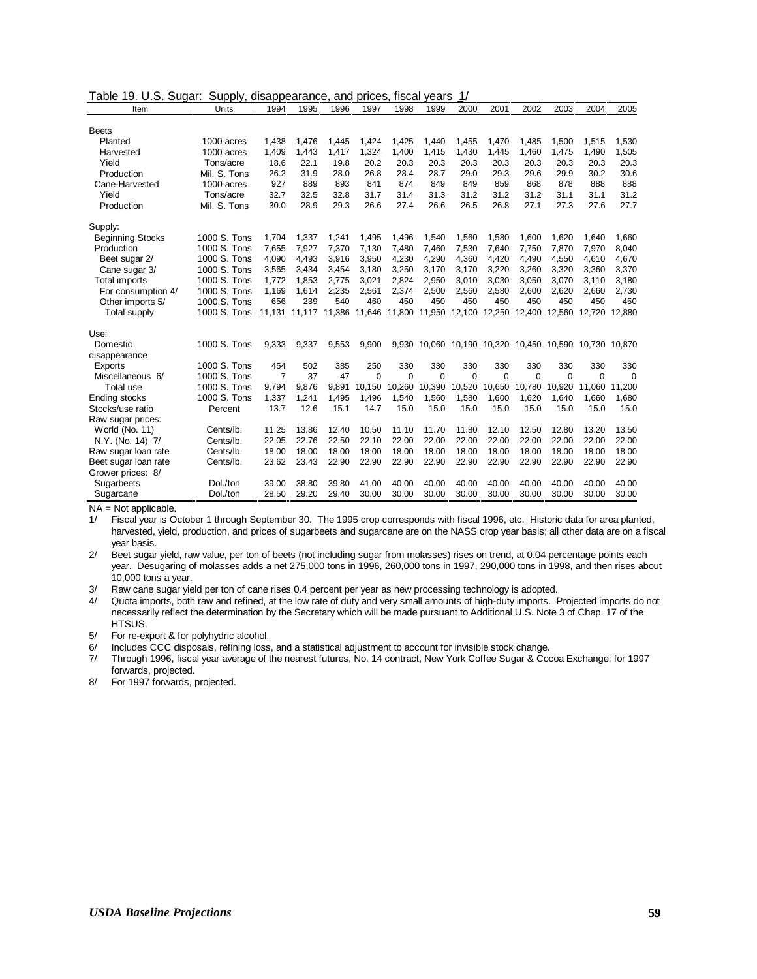Table 19. U.S. Sugar: Supply, disappearance, and prices, fiscal years 1/

| <b>Beets</b><br>1,438<br>1,476<br>1,425<br>Planted<br>1000 acres<br>1,445<br>1,424<br>1,440<br>1,455<br>1,470<br>1,485<br>1,500<br>1,515<br>1,409<br>1,443<br>1,417<br>1,324<br>1,400<br>1,415<br>1,430<br>1,460<br>1,475<br>1000 acres<br>1,445<br>1,490<br>Harvested<br>18.6<br>22.1<br>19.8<br>20.2<br>20.3<br>20.3<br>20.3<br>20.3<br>20.3<br>20.3<br>Yield<br>Tons/acre<br>20.3<br>26.2<br>31.9<br>28.0<br>26.8<br>28.4<br>28.7<br>29.0<br>29.3<br>29.6<br>29.9<br>Production<br>Mil. S. Tons<br>30.2<br>889<br>859<br>868<br>927<br>893<br>841<br>874<br>849<br>849<br>878<br>888<br>Cane-Harvested<br>1000 acres<br>32.7<br>32.5<br>32.8<br>31.2<br>31.2<br>Yield<br>31.7<br>31.4<br>31.3<br>31.2<br>31.1<br>31.1<br>Tons/acre<br>Mil. S. Tons<br>30.0<br>28.9<br>29.3<br>27.4<br>26.6<br>26.5<br>26.8<br>27.1<br>27.3<br>27.6<br>26.6<br>Production | 1,530<br>1,505<br>20.3<br>30.6<br>888<br>31.2<br>27.7<br>1.660<br>8,040<br>4,670 |
|-------------------------------------------------------------------------------------------------------------------------------------------------------------------------------------------------------------------------------------------------------------------------------------------------------------------------------------------------------------------------------------------------------------------------------------------------------------------------------------------------------------------------------------------------------------------------------------------------------------------------------------------------------------------------------------------------------------------------------------------------------------------------------------------------------------------------------------------------------------|----------------------------------------------------------------------------------|
|                                                                                                                                                                                                                                                                                                                                                                                                                                                                                                                                                                                                                                                                                                                                                                                                                                                             |                                                                                  |
|                                                                                                                                                                                                                                                                                                                                                                                                                                                                                                                                                                                                                                                                                                                                                                                                                                                             |                                                                                  |
|                                                                                                                                                                                                                                                                                                                                                                                                                                                                                                                                                                                                                                                                                                                                                                                                                                                             |                                                                                  |
|                                                                                                                                                                                                                                                                                                                                                                                                                                                                                                                                                                                                                                                                                                                                                                                                                                                             |                                                                                  |
|                                                                                                                                                                                                                                                                                                                                                                                                                                                                                                                                                                                                                                                                                                                                                                                                                                                             |                                                                                  |
|                                                                                                                                                                                                                                                                                                                                                                                                                                                                                                                                                                                                                                                                                                                                                                                                                                                             |                                                                                  |
|                                                                                                                                                                                                                                                                                                                                                                                                                                                                                                                                                                                                                                                                                                                                                                                                                                                             |                                                                                  |
|                                                                                                                                                                                                                                                                                                                                                                                                                                                                                                                                                                                                                                                                                                                                                                                                                                                             |                                                                                  |
|                                                                                                                                                                                                                                                                                                                                                                                                                                                                                                                                                                                                                                                                                                                                                                                                                                                             |                                                                                  |
| Supply:                                                                                                                                                                                                                                                                                                                                                                                                                                                                                                                                                                                                                                                                                                                                                                                                                                                     |                                                                                  |
| 1000 S. Tons<br>1,337<br>1.580<br>1.620<br><b>Beginning Stocks</b><br>1.704<br>1,241<br>1,495<br>1,496<br>1,540<br>1,560<br>1.600<br>1.640                                                                                                                                                                                                                                                                                                                                                                                                                                                                                                                                                                                                                                                                                                                  |                                                                                  |
| 1000 S. Tons<br>7,655<br>7,927<br>7,370<br>7,130<br>7,460<br>7,530<br>7,640<br>7,750<br>7.870<br>7,970<br>Production<br>7,480                                                                                                                                                                                                                                                                                                                                                                                                                                                                                                                                                                                                                                                                                                                               |                                                                                  |
| 4,090<br>4,360<br>4.490<br>1000 S. Tons<br>4,493<br>3,916<br>3,950<br>4,230<br>4,290<br>4,420<br>4.550<br>4.610<br>Beet sugar 2/                                                                                                                                                                                                                                                                                                                                                                                                                                                                                                                                                                                                                                                                                                                            |                                                                                  |
| 3,565<br>3,250<br>3.170<br>3,170<br>3,220<br>1000 S. Tons<br>3.434<br>3.454<br>3.180<br>3,260<br>3.320<br>3.360<br>Cane sugar 3/                                                                                                                                                                                                                                                                                                                                                                                                                                                                                                                                                                                                                                                                                                                            | 3,370                                                                            |
| 1000 S. Tons<br>1,772<br>1,853<br>2,775<br>3,021<br>2,824<br>2,950<br>3,010<br>3,030<br>3,050<br>3,070<br><b>Total imports</b><br>3,110                                                                                                                                                                                                                                                                                                                                                                                                                                                                                                                                                                                                                                                                                                                     | 3,180                                                                            |
| 2,600<br>1000 S. Tons<br>1,169<br>1,614<br>2,235<br>2,561<br>2,374<br>2,500<br>2,560<br>2,580<br>2,620<br>2,660<br>For consumption 4/                                                                                                                                                                                                                                                                                                                                                                                                                                                                                                                                                                                                                                                                                                                       | 2,730                                                                            |
| 1000 S. Tons<br>656<br>239<br>540<br>460<br>450<br>450<br>450<br>450<br>450<br>450<br>450<br>Other imports 5/                                                                                                                                                                                                                                                                                                                                                                                                                                                                                                                                                                                                                                                                                                                                               | 450                                                                              |
| 1000 S. Tons<br>11,950 12,100<br><b>Total supply</b><br>11.131 11.117 11.386 11.646<br>11.800<br>12.250<br>12.400<br>12.560<br>12.720                                                                                                                                                                                                                                                                                                                                                                                                                                                                                                                                                                                                                                                                                                                       | 12.880                                                                           |
| Use:                                                                                                                                                                                                                                                                                                                                                                                                                                                                                                                                                                                                                                                                                                                                                                                                                                                        |                                                                                  |
| 1000 S. Tons<br>9,333<br>9,337<br>9,553<br>9,900<br>9,930 10,060 10,190 10,320 10,450 10,590<br>10.730 10.870<br>Domestic                                                                                                                                                                                                                                                                                                                                                                                                                                                                                                                                                                                                                                                                                                                                   |                                                                                  |
| disappearance                                                                                                                                                                                                                                                                                                                                                                                                                                                                                                                                                                                                                                                                                                                                                                                                                                               |                                                                                  |
| 1000 S. Tons<br>502<br>454<br>385<br>250<br>330<br>330<br>330<br>330<br>330<br>330<br>330<br>Exports                                                                                                                                                                                                                                                                                                                                                                                                                                                                                                                                                                                                                                                                                                                                                        | 330                                                                              |
| 1000 S. Tons<br>$\overline{7}$<br>37<br>Miscellaneous 6/<br>$-47$<br>$\Omega$<br>$\Omega$<br>$\Omega$<br>$\Omega$<br>$\Omega$<br>$\Omega$<br>$\Omega$<br>$\Omega$                                                                                                                                                                                                                                                                                                                                                                                                                                                                                                                                                                                                                                                                                           | $\Omega$                                                                         |
| 1000 S. Tons<br>9.876<br>10.780<br>Total use<br>9.794<br>9.891<br>10.150<br>10,260<br>10,390<br>10,520<br>10,650<br>10.920<br>11.060                                                                                                                                                                                                                                                                                                                                                                                                                                                                                                                                                                                                                                                                                                                        | 11.200                                                                           |
| 1000 S. Tons<br>1,560<br><b>Ending stocks</b><br>1,337<br>1,241<br>1,495<br>1,580<br>1,600<br>1,620<br>1,640<br>1,496<br>1,540<br>1,660                                                                                                                                                                                                                                                                                                                                                                                                                                                                                                                                                                                                                                                                                                                     | 1,680                                                                            |
| 15.1<br>13.7<br>12.6<br>14.7<br>15.0<br>15.0<br>15.0<br>15.0<br>15.0<br>15.0<br>15.0<br>Stocks/use ratio<br>Percent                                                                                                                                                                                                                                                                                                                                                                                                                                                                                                                                                                                                                                                                                                                                         | 15.0                                                                             |
| Raw sugar prices:                                                                                                                                                                                                                                                                                                                                                                                                                                                                                                                                                                                                                                                                                                                                                                                                                                           |                                                                                  |
| 13.86<br>11.25<br>12.40<br>10.50<br>11.10<br>11.70<br>11.80<br>12.10<br>12.50<br>12.80<br>13.20<br>World (No. 11)<br>Cents/lb.                                                                                                                                                                                                                                                                                                                                                                                                                                                                                                                                                                                                                                                                                                                              | 13.50                                                                            |
| 22.05<br>22.76<br>22.50<br>22.10<br>22.00<br>22.00<br>22.00<br>22.00<br>22.00<br>22.00<br>22.00<br>Cents/lb.<br>N.Y. (No. 14) 7/                                                                                                                                                                                                                                                                                                                                                                                                                                                                                                                                                                                                                                                                                                                            | 22.00                                                                            |
| 18.00<br>18.00<br>18.00<br>18.00<br>18.00<br>18.00<br>18.00<br>18.00<br>18.00<br>18.00<br>18.00<br>Cents/lb.<br>Raw sugar loan rate                                                                                                                                                                                                                                                                                                                                                                                                                                                                                                                                                                                                                                                                                                                         | 18.00                                                                            |
| 23.62<br>22.90<br>22.90<br>22.90<br>22.90<br>22.90<br>23.43<br>22.90<br>22.90<br>22.90<br>22.90<br>Cents/lb.<br>Beet sugar loan rate                                                                                                                                                                                                                                                                                                                                                                                                                                                                                                                                                                                                                                                                                                                        | 22.90                                                                            |
| Grower prices: 8/                                                                                                                                                                                                                                                                                                                                                                                                                                                                                                                                                                                                                                                                                                                                                                                                                                           |                                                                                  |
| 38.80<br>39.80<br>40.00<br>40.00<br>40.00<br>Dol./ton<br>39.00<br>41.00<br>40.00<br>40.00<br>40.00<br>40.00<br>Sugarbeets                                                                                                                                                                                                                                                                                                                                                                                                                                                                                                                                                                                                                                                                                                                                   | 40.00                                                                            |
| 28.50<br>29.20<br>29.40<br>30.00<br>30.00<br>30.00<br>30.00<br>30.00<br>30.00<br>30.00<br>30.00<br>Dol./ton<br>Sugarcane                                                                                                                                                                                                                                                                                                                                                                                                                                                                                                                                                                                                                                                                                                                                    | 30.00                                                                            |

NA = Not applicable.

1/ Fiscal year is October 1 through September 30. The 1995 crop corresponds with fiscal 1996, etc. Historic data for area planted, harvested, yield, production, and prices of sugarbeets and sugarcane are on the NASS crop year basis; all other data are on a fiscal year basis.

2/ Beet sugar yield, raw value, per ton of beets (not including sugar from molasses) rises on trend, at 0.04 percentage points each year. Desugaring of molasses adds a net 275,000 tons in 1996, 260,000 tons in 1997, 290,000 tons in 1998, and then rises about 10,000 tons a year.

3/ Raw cane sugar yield per ton of cane rises 0.4 percent per year as new processing technology is adopted.

4/ Quota imports, both raw and refined, at the low rate of duty and very small amounts of high-duty imports. Projected imports do not necessarily reflect the determination by the Secretary which will be made pursuant to Additional U.S. Note 3 of Chap. 17 of the HTSUS.

5/ For re-export & for polyhydric alcohol.

6/ Includes CCC disposals, refining loss, and a statistical adjustment to account for invisible stock change.

7/ Through 1996, fiscal year average of the nearest futures, No. 14 contract, New York Coffee Sugar & Cocoa Exchange; for 1997 forwards, projected.

8/ For 1997 forwards, projected.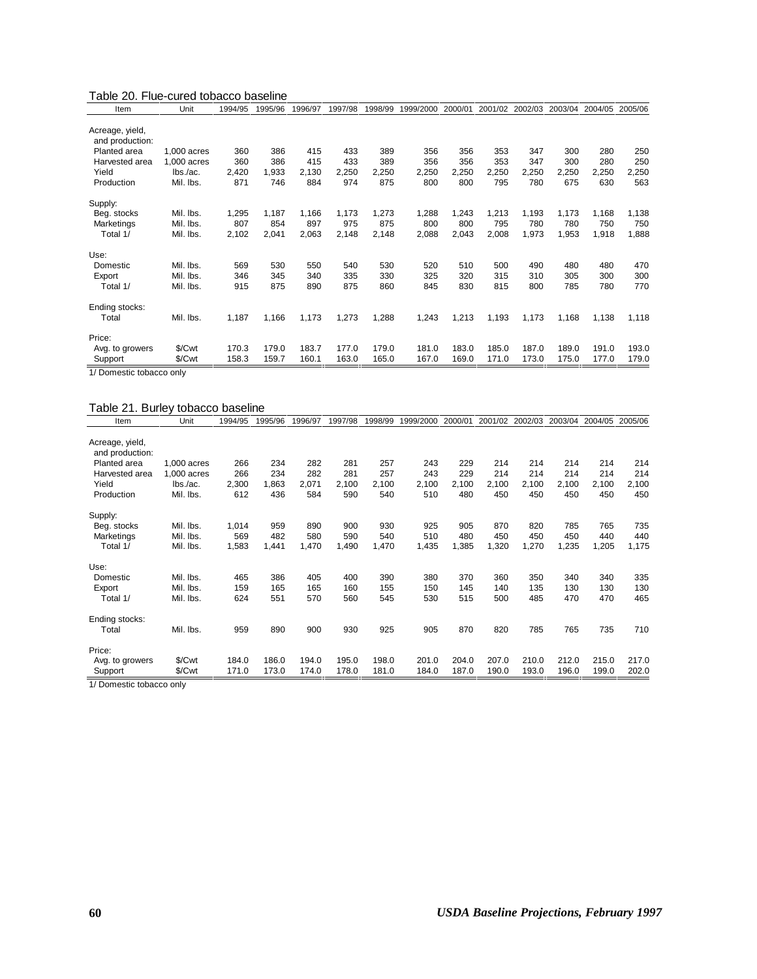#### Table 20. Flue-cured tobacco baseline

| Item                               | Unit        | 1994/95 | 1995/96 | 1996/97 | 1997/98 | 1998/99 | 1999/2000 | 2000/01 | 2001/02 | 2002/03 | 2003/04 | 2004/05 | 2005/06 |
|------------------------------------|-------------|---------|---------|---------|---------|---------|-----------|---------|---------|---------|---------|---------|---------|
| Acreage, yield,<br>and production: |             |         |         |         |         |         |           |         |         |         |         |         |         |
| Planted area                       | 1,000 acres | 360     | 386     | 415     | 433     | 389     | 356       | 356     | 353     | 347     | 300     | 280     | 250     |
| Harvested area                     | 1,000 acres | 360     | 386     | 415     | 433     | 389     | 356       | 356     | 353     | 347     | 300     | 280     | 250     |
| Yield                              | lbs./ac.    | 2,420   | 1,933   | 2,130   | 2,250   | 2,250   | 2,250     | 2,250   | 2,250   | 2,250   | 2,250   | 2,250   | 2,250   |
| Production                         | Mil. Ibs.   | 871     | 746     | 884     | 974     | 875     | 800       | 800     | 795     | 780     | 675     | 630     | 563     |
| Supply:                            |             |         |         |         |         |         |           |         |         |         |         |         |         |
| Beg. stocks                        | Mil. Ibs.   | 1,295   | 1,187   | 1,166   | 1,173   | 1,273   | 1,288     | 1,243   | 1,213   | 1,193   | 1,173   | 1,168   | 1,138   |
| Marketings                         | Mil. Ibs.   | 807     | 854     | 897     | 975     | 875     | 800       | 800     | 795     | 780     | 780     | 750     | 750     |
| Total 1/                           | Mil. Ibs.   | 2,102   | 2,041   | 2,063   | 2,148   | 2,148   | 2,088     | 2,043   | 2,008   | 1,973   | 1,953   | 1,918   | 1,888   |
| Use:                               |             |         |         |         |         |         |           |         |         |         |         |         |         |
| Domestic                           | Mil. Ibs.   | 569     | 530     | 550     | 540     | 530     | 520       | 510     | 500     | 490     | 480     | 480     | 470     |
| Export                             | Mil. Ibs.   | 346     | 345     | 340     | 335     | 330     | 325       | 320     | 315     | 310     | 305     | 300     | 300     |
| Total 1/                           | Mil. Ibs.   | 915     | 875     | 890     | 875     | 860     | 845       | 830     | 815     | 800     | 785     | 780     | 770     |
| Ending stocks:                     |             |         |         |         |         |         |           |         |         |         |         |         |         |
| Total                              | Mil. Ibs.   | 1,187   | 1,166   | 1,173   | 1,273   | 1,288   | 1,243     | 1,213   | 1,193   | 1,173   | 1,168   | 1,138   | 1,118   |
| Price:                             |             |         |         |         |         |         |           |         |         |         |         |         |         |
| Avg. to growers                    | \$/Cwt      | 170.3   | 179.0   | 183.7   | 177.0   | 179.0   | 181.0     | 183.0   | 185.0   | 187.0   | 189.0   | 191.0   | 193.0   |
| Support<br>-                       | \$/Cwt      | 158.3   | 159.7   | 160.1   | 163.0   | 165.0   | 167.0     | 169.0   | 171.0   | 173.0   | 175.0   | 177.0   | 179.0   |

1/ Domestic tobacco only

#### Table 21. Burley tobacco baseline

| Item                               | Unit          | 1994/95 | 1995/96 | 1996/97 | 1997/98 | 1998/99 | 1999/2000 | 2000/01 | 2001/02 | 2002/03 | 2003/04 | 2004/05 2005/06 |       |
|------------------------------------|---------------|---------|---------|---------|---------|---------|-----------|---------|---------|---------|---------|-----------------|-------|
| Acreage, yield,<br>and production: |               |         |         |         |         |         |           |         |         |         |         |                 |       |
| Planted area                       | 1,000 acres   | 266     | 234     | 282     | 281     | 257     | 243       | 229     | 214     | 214     | 214     | 214             | 214   |
| Harvested area                     | $1.000$ acres | 266     | 234     | 282     | 281     | 257     | 243       | 229     | 214     | 214     | 214     | 214             | 214   |
| Yield                              | lbs./ac.      | 2,300   | 1,863   | 2,071   | 2,100   | 2,100   | 2,100     | 2,100   | 2,100   | 2,100   | 2,100   | 2,100           | 2,100 |
| Production                         | Mil. Ibs.     | 612     | 436     | 584     | 590     | 540     | 510       | 480     | 450     | 450     | 450     | 450             | 450   |
| Supply:                            |               |         |         |         |         |         |           |         |         |         |         |                 |       |
| Beg. stocks                        | Mil. Ibs.     | 1,014   | 959     | 890     | 900     | 930     | 925       | 905     | 870     | 820     | 785     | 765             | 735   |
| Marketings                         | Mil. Ibs.     | 569     | 482     | 580     | 590     | 540     | 510       | 480     | 450     | 450     | 450     | 440             | 440   |
| Total 1/                           | Mil. Ibs.     | 1,583   | 1,441   | 1,470   | 1,490   | 1,470   | 1,435     | 1,385   | 1,320   | 1,270   | 1,235   | 1,205           | 1,175 |
| Use:                               |               |         |         |         |         |         |           |         |         |         |         |                 |       |
| Domestic                           | Mil. Ibs.     | 465     | 386     | 405     | 400     | 390     | 380       | 370     | 360     | 350     | 340     | 340             | 335   |
| Export                             | Mil. Ibs.     | 159     | 165     | 165     | 160     | 155     | 150       | 145     | 140     | 135     | 130     | 130             | 130   |
| Total 1/                           | Mil. Ibs.     | 624     | 551     | 570     | 560     | 545     | 530       | 515     | 500     | 485     | 470     | 470             | 465   |
| Ending stocks:                     |               |         |         |         |         |         |           |         |         |         |         |                 |       |
| Total                              | Mil. Ibs.     | 959     | 890     | 900     | 930     | 925     | 905       | 870     | 820     | 785     | 765     | 735             | 710   |
| Price:                             |               |         |         |         |         |         |           |         |         |         |         |                 |       |
| Avg. to growers                    | \$/Cwt        | 184.0   | 186.0   | 194.0   | 195.0   | 198.0   | 201.0     | 204.0   | 207.0   | 210.0   | 212.0   | 215.0           | 217.0 |
| Support                            | \$/Cwt        | 171.0   | 173.0   | 174.0   | 178.0   | 181.0   | 184.0     | 187.0   | 190.0   | 193.0   | 196.0   | 199.0           | 202.0 |
| $4/10$ and $-4/10$ $+1/10$ $+2/10$ | $-1 - 1 - 1$  |         |         |         |         |         |           |         |         |         |         |                 |       |

1/ Domestic tobacco only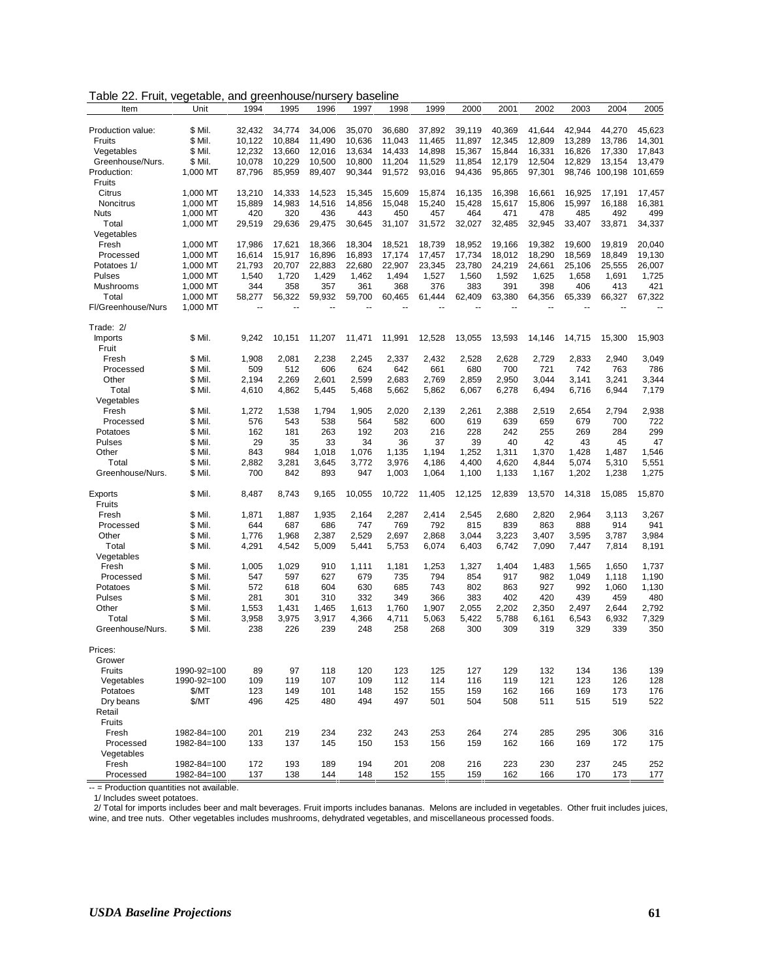| Table 22. Fruit, vegetable, and greenhouse/nursery baseline |  |  |  |  |
|-------------------------------------------------------------|--|--|--|--|
|-------------------------------------------------------------|--|--|--|--|

| Item                      | Unit               | 1994         | 1995         | 1996         | 1997         | 1998         | 1999         | 2000         | 2001         | 2002         | 2003         | 2004           | 2005         |
|---------------------------|--------------------|--------------|--------------|--------------|--------------|--------------|--------------|--------------|--------------|--------------|--------------|----------------|--------------|
|                           |                    |              |              |              |              |              |              |              |              |              |              |                |              |
| Production value:         | \$ Mil.            | 32,432       | 34,774       | 34,006       | 35,070       | 36,680       | 37,892       | 39.119       | 40,369       | 41,644       | 42,944       | 44,270         | 45,623       |
| Fruits                    | \$ Mil.            | 10,122       | 10,884       | 11,490       | 10,636       | 11,043       | 11,465       | 11,897       | 12,345       | 12,809       | 13,289       | 13,786         | 14,301       |
| Vegetables                | \$ Mil.            | 12,232       | 13,660       | 12,016       | 13,634       | 14,433       | 14,898       | 15,367       | 15,844       | 16,331       | 16,826       | 17,330         | 17,843       |
| Greenhouse/Nurs.          | \$ Mil.            | 10,078       | 10,229       | 10,500       | 10,800       | 11,204       | 11,529       | 11,854       | 12,179       | 12,504       | 12,829       | 13,154         | 13,479       |
| Production:               | 1,000 MT           | 87,796       | 85,959       | 89,407       | 90,344       | 91,572       | 93,016       | 94,436       | 95,865       | 97,301       |              | 98,746 100,198 | 101,659      |
| Fruits                    |                    |              |              |              |              |              |              |              |              |              |              |                |              |
| Citrus                    | 1,000 MT           | 13,210       | 14,333       | 14,523       | 15,345       | 15,609       | 15,874       | 16,135       | 16,398       | 16,661       | 16,925       | 17,191         | 17,457       |
| Noncitrus                 | 1,000 MT           | 15,889       | 14,983       | 14,516       | 14,856       | 15,048       | 15,240       | 15,428       | 15,617       | 15,806       | 15,997       | 16,188         | 16,381       |
| <b>Nuts</b>               | 1,000 MT           | 420          | 320          | 436          | 443          | 450          | 457          | 464          | 471          | 478          | 485          | 492            | 499          |
| Total                     | 1,000 MT           | 29,519       | 29,636       | 29,475       | 30,645       | 31,107       | 31,572       | 32,027       | 32,485       | 32,945       | 33,407       | 33,871         | 34,337       |
| Vegetables                |                    |              |              |              |              |              |              |              |              |              |              |                |              |
| Fresh                     | 1,000 MT           | 17,986       | 17,621       | 18,366       | 18,304       | 18.521       | 18,739       | 18,952       | 19,166       | 19,382       | 19.600       | 19,819         | 20,040       |
| Processed                 | 1.000 MT           | 16,614       | 15,917       | 16,896       | 16,893       | 17,174       | 17,457       | 17,734       | 18,012       | 18,290       | 18,569       | 18,849         | 19,130       |
| Potatoes 1/               | 1,000 MT           | 21,793       | 20,707       | 22,883       | 22,680       | 22,907       | 23,345       | 23,780       | 24,219       | 24,661       | 25,106       | 25,555         | 26,007       |
| Pulses                    | 1.000 MT           | 1,540        | 1,720        | 1,429        | 1,462        | 1,494        | 1,527        | 1,560        | 1,592        | 1,625        | 1,658        | 1,691          | 1,725        |
| Mushrooms                 | 1,000 MT           | 344          | 358          | 357          | 361          | 368          | 376          | 383          | 391          | 398          | 406          | 413            | 421          |
| Total                     | 1,000 MT           | 58,277       | 56,322       | 59,932       | 59,700       | 60,465       | 61,444       | 62,409       | 63,380       | 64,356       | 65,339       | 66,327         | 67,322       |
| Fl/Greenhouse/Nurs        | 1,000 MT           |              |              |              |              |              |              |              |              |              |              |                |              |
| Trade: 2/                 |                    |              |              |              |              |              |              |              |              |              |              |                |              |
| Imports                   | \$ Mil.            | 9,242        | 10,151       | 11,207       | 11,471       | 11,991       | 12,528       | 13,055       | 13,593       | 14,146       | 14,715       | 15,300         | 15,903       |
| Fruit                     |                    |              |              |              |              |              |              |              |              |              |              |                |              |
| Fresh                     | \$ Mil.            | 1,908        | 2,081        | 2,238        | 2,245        | 2,337        | 2,432        | 2,528        | 2,628        | 2,729        | 2,833        | 2,940          | 3,049        |
| Processed                 | \$ Mil.            | 509          | 512          | 606          | 624          | 642          | 661          | 680          | 700          | 721          | 742          | 763            | 786          |
| Other                     | \$ Mil.            | 2,194        | 2,269        | 2,601        | 2,599        | 2,683        | 2.769        | 2,859        | 2,950        | 3,044        | 3,141        | 3,241          | 3,344        |
| Total                     | \$ Mil.            | 4,610        | 4,862        | 5,445        | 5,468        | 5,662        | 5,862        | 6,067        | 6,278        | 6,494        | 6,716        | 6,944          | 7,179        |
| Vegetables                |                    |              |              |              |              |              |              |              |              |              |              |                |              |
| Fresh                     | \$ Mil.            | 1,272        | 1,538        | 1,794        | 1,905        | 2,020        | 2,139        | 2,261        | 2,388        | 2,519        | 2,654        | 2,794          | 2,938        |
| Processed                 | \$ Mil.            | 576          | 543          | 538          | 564          | 582          | 600          | 619          | 639          | 659          | 679          | 700            | 722          |
| Potatoes                  | \$ Mil.            | 162          | 181          | 263          | 192          | 203          | 216          | 228          | 242          | 255          | 269          | 284            | 299          |
| Pulses                    | \$ Mil.            | 29           | 35           | 33           | 34           | 36           | 37           | 39           | 40           | 42           | 43           | 45             | 47           |
| Other                     | \$ Mil.            | 843          | 984          | 1,018        | 1,076        | 1,135        | 1,194        | 1,252        | 1,311        | 1,370        | 1,428        | 1,487          | 1,546        |
| Total                     | \$ Mil.            | 2,882        | 3,281        | 3,645        | 3,772        | 3,976        | 4,186        | 4,400        | 4,620        | 4,844        | 5,074        | 5,310          | 5,551        |
| Greenhouse/Nurs.          | \$ Mil.            | 700          | 842          | 893          | 947          | 1,003        | 1,064        | 1,100        | 1,133        | 1,167        | 1,202        | 1,238          | 1,275        |
|                           |                    |              |              |              |              |              |              |              |              |              |              |                |              |
| Exports                   | \$ Mil.            | 8,487        | 8,743        | 9,165        | 10,055       | 10,722       | 11,405       | 12,125       | 12,839       | 13,570       | 14,318       | 15,085         | 15,870       |
| Fruits                    |                    |              |              |              |              |              |              |              |              |              |              |                |              |
| Fresh                     | \$ Mil.            | 1,871        | 1,887        | 1,935        | 2,164        | 2,287        | 2,414        | 2,545        | 2,680        | 2,820        | 2,964        | 3,113          | 3,267        |
| Processed                 | \$ Mil.            | 644          | 687          | 686          | 747          | 769          | 792          | 815          | 839          | 863          | 888          | 914            | 941          |
| Other                     | \$ Mil.            | 1,776        | 1,968        | 2,387        | 2,529        | 2,697        | 2,868        | 3,044        | 3,223        | 3,407        | 3,595        | 3,787          | 3,984        |
| Total                     | \$ Mil.            | 4,291        | 4,542        | 5,009        | 5,441        | 5,753        | 6,074        | 6,403        | 6,742        | 7,090        | 7,447        | 7,814          | 8,191        |
| Vegetables                |                    |              |              |              |              |              |              |              |              |              |              |                |              |
| Fresh                     | \$ Mil.            | 1,005        | 1,029        | 910          | 1,111        | 1,181        | 1,253        | 1,327        | 1,404        | 1,483        | 1,565        | 1,650          | 1,737        |
| Processed                 | \$ Mil.            | 547          | 597          | 627          | 679          | 735          | 794          | 854          | 917          | 982          | 1,049        | 1,118          | 1,190        |
| Potatoes                  | \$ Mil.            | 572          | 618          | 604          | 630          | 685          | 743          | 802          | 863          | 927          | 992          | 1,060          | 1,130        |
| Pulses                    | \$ Mil.            | 281          | 301          | 310          | 332          | 349          | 366          | 383          | 402          | 420          | 439          | 459            | 480          |
| Other                     | \$ Mil.            | 1,553        | 1,431        | 1,465        | 1.613        | 1,760        | 1,907        | 2.055        | 2,202        | 2.350        | 2,497        | 2,644          | 2,792        |
| Total<br>Greenhouse/Nurs. | \$ Mil.<br>\$ Mil. | 3,958<br>238 | 3,975<br>226 | 3,917<br>239 | 4,366<br>248 | 4,711<br>258 | 5,063<br>268 | 5,422<br>300 | 5,788<br>309 | 6,161<br>319 | 6,543<br>329 | 6,932<br>339   | 7,329<br>350 |
|                           |                    |              |              |              |              |              |              |              |              |              |              |                |              |
| Prices:                   |                    |              |              |              |              |              |              |              |              |              |              |                |              |
| Grower                    |                    |              |              |              |              |              |              |              |              |              |              |                |              |
| Fruits                    | 1990-92=100        | 89           | 97           | 118          | 120          | 123          | 125          | 127          | 129          | 132          | 134          | 136            | 139          |
| Vegetables                | 1990-92=100        | 109          | 119          | 107          | 109          | 112          | 114          | 116          | 119          | 121          | 123          | 126            | 128          |
| Potatoes                  | \$/MT              | 123          | 149          | 101          | 148          | 152          | 155          | 159          | 162          | 166          | 169          | 173            | 176          |
| Dry beans                 | \$/MT              | 496          | 425          | 480          | 494          | 497          | 501          | 504          | 508          | 511          | 515          | 519            | 522          |
| Retail                    |                    |              |              |              |              |              |              |              |              |              |              |                |              |
| Fruits                    |                    |              |              |              |              |              |              |              |              |              |              |                |              |
| Fresh                     | 1982-84=100        | 201          | 219          | 234          | 232          | 243          | 253          | 264          | 274          | 285          | 295          | 306            | 316          |
| Processed                 | 1982-84=100        | 133          | 137          | 145          | 150          | 153          | 156          | 159          | 162          | 166          | 169          | 172            | 175          |
| Vegetables                |                    |              |              |              |              |              |              |              |              |              |              |                |              |
| Fresh                     | 1982-84=100        | 172          | 193          | 189          | 194          | 201          | 208          | 216          | 223          | 230          | 237          | 245            | 252          |
| Processed                 | 1982-84=100        | 137          | 138          | 144          | 148          | 152          | 155          | 159          | 162          | 166          | 170          | 173            | 177          |

-- = Production quantities not available.

1/ Includes sweet potatoes.

 2/ Total for imports includes beer and malt beverages. Fruit imports includes bananas. Melons are included in vegetables. Other fruit includes juices, wine, and tree nuts. Other vegetables includes mushrooms, dehydrated vegetables, and miscellaneous processed foods.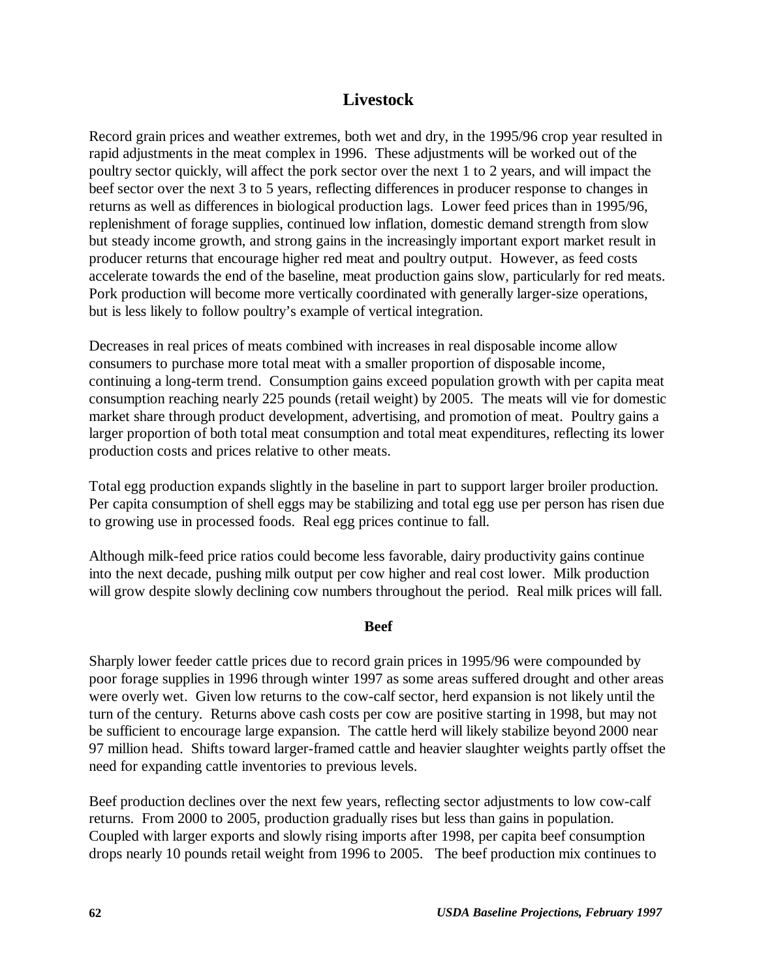# **Livestock**

Record grain prices and weather extremes, both wet and dry, in the 1995/96 crop year resulted in rapid adjustments in the meat complex in 1996. These adjustments will be worked out of the poultry sector quickly, will affect the pork sector over the next 1 to 2 years, and will impact the beef sector over the next 3 to 5 years, reflecting differences in producer response to changes in returns as well as differences in biological production lags. Lower feed prices than in 1995/96, replenishment of forage supplies, continued low inflation, domestic demand strength from slow but steady income growth, and strong gains in the increasingly important export market result in producer returns that encourage higher red meat and poultry output. However, as feed costs accelerate towards the end of the baseline, meat production gains slow, particularly for red meats. Pork production will become more vertically coordinated with generally larger-size operations, but is less likely to follow poultry's example of vertical integration.

Decreases in real prices of meats combined with increases in real disposable income allow consumers to purchase more total meat with a smaller proportion of disposable income, continuing a long-term trend. Consumption gains exceed population growth with per capita meat consumption reaching nearly 225 pounds (retail weight) by 2005. The meats will vie for domestic market share through product development, advertising, and promotion of meat. Poultry gains a larger proportion of both total meat consumption and total meat expenditures, reflecting its lower production costs and prices relative to other meats.

Total egg production expands slightly in the baseline in part to support larger broiler production. Per capita consumption of shell eggs may be stabilizing and total egg use per person has risen due to growing use in processed foods. Real egg prices continue to fall.

Although milk-feed price ratios could become less favorable, dairy productivity gains continue into the next decade, pushing milk output per cow higher and real cost lower. Milk production will grow despite slowly declining cow numbers throughout the period. Real milk prices will fall.

### **Beef**

Sharply lower feeder cattle prices due to record grain prices in 1995/96 were compounded by poor forage supplies in 1996 through winter 1997 as some areas suffered drought and other areas were overly wet. Given low returns to the cow-calf sector, herd expansion is not likely until the turn of the century. Returns above cash costs per cow are positive starting in 1998, but may not be sufficient to encourage large expansion. The cattle herd will likely stabilize beyond 2000 near 97 million head. Shifts toward larger-framed cattle and heavier slaughter weights partly offset the need for expanding cattle inventories to previous levels.

Beef production declines over the next few years, reflecting sector adjustments to low cow-calf returns. From 2000 to 2005, production gradually rises but less than gains in population. Coupled with larger exports and slowly rising imports after 1998, per capita beef consumption drops nearly 10 pounds retail weight from 1996 to 2005. The beef production mix continues to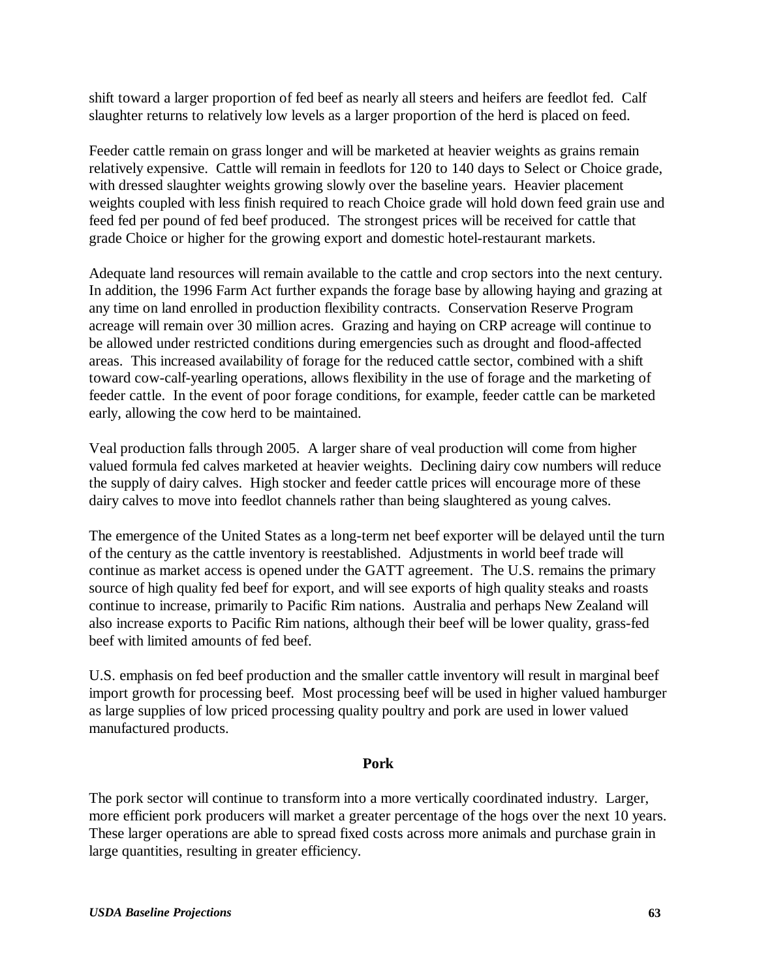shift toward a larger proportion of fed beef as nearly all steers and heifers are feedlot fed. Calf slaughter returns to relatively low levels as a larger proportion of the herd is placed on feed.

Feeder cattle remain on grass longer and will be marketed at heavier weights as grains remain relatively expensive. Cattle will remain in feedlots for 120 to 140 days to Select or Choice grade, with dressed slaughter weights growing slowly over the baseline years. Heavier placement weights coupled with less finish required to reach Choice grade will hold down feed grain use and feed fed per pound of fed beef produced. The strongest prices will be received for cattle that grade Choice or higher for the growing export and domestic hotel-restaurant markets.

Adequate land resources will remain available to the cattle and crop sectors into the next century. In addition, the 1996 Farm Act further expands the forage base by allowing haying and grazing at any time on land enrolled in production flexibility contracts. Conservation Reserve Program acreage will remain over 30 million acres. Grazing and haying on CRP acreage will continue to be allowed under restricted conditions during emergencies such as drought and flood-affected areas. This increased availability of forage for the reduced cattle sector, combined with a shift toward cow-calf-yearling operations, allows flexibility in the use of forage and the marketing of feeder cattle. In the event of poor forage conditions, for example, feeder cattle can be marketed early, allowing the cow herd to be maintained.

Veal production falls through 2005. A larger share of veal production will come from higher valued formula fed calves marketed at heavier weights. Declining dairy cow numbers will reduce the supply of dairy calves. High stocker and feeder cattle prices will encourage more of these dairy calves to move into feedlot channels rather than being slaughtered as young calves.

The emergence of the United States as a long-term net beef exporter will be delayed until the turn of the century as the cattle inventory is reestablished. Adjustments in world beef trade will continue as market access is opened under the GATT agreement. The U.S. remains the primary source of high quality fed beef for export, and will see exports of high quality steaks and roasts continue to increase, primarily to Pacific Rim nations. Australia and perhaps New Zealand will also increase exports to Pacific Rim nations, although their beef will be lower quality, grass-fed beef with limited amounts of fed beef.

U.S. emphasis on fed beef production and the smaller cattle inventory will result in marginal beef import growth for processing beef. Most processing beef will be used in higher valued hamburger as large supplies of low priced processing quality poultry and pork are used in lower valued manufactured products.

### **Pork**

The pork sector will continue to transform into a more vertically coordinated industry. Larger, more efficient pork producers will market a greater percentage of the hogs over the next 10 years. These larger operations are able to spread fixed costs across more animals and purchase grain in large quantities, resulting in greater efficiency.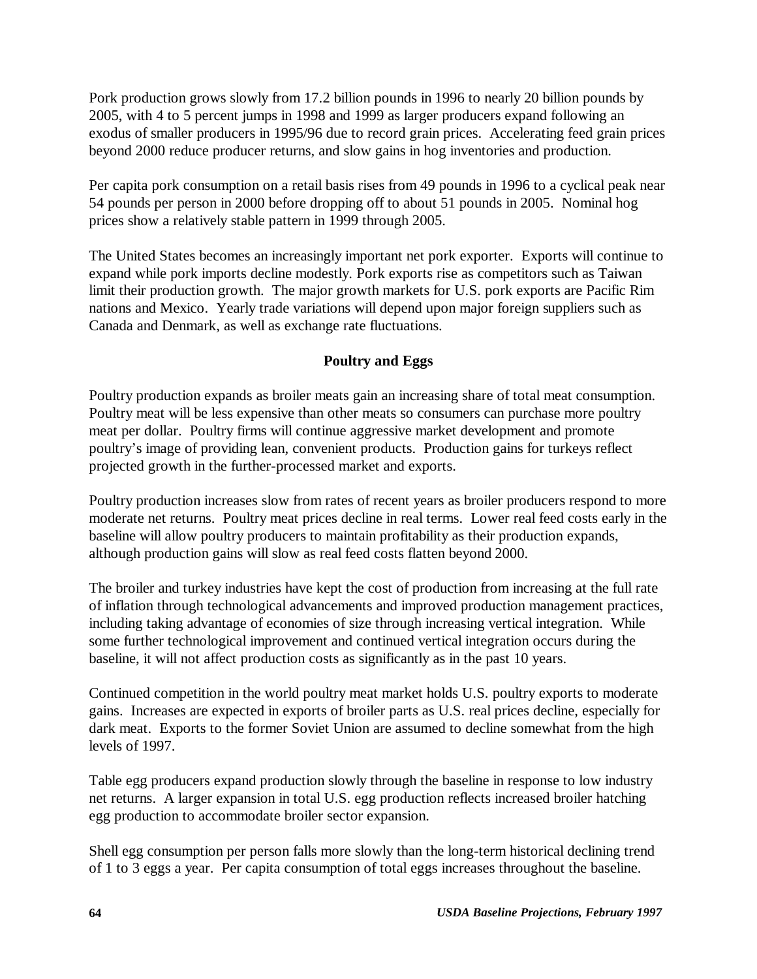Pork production grows slowly from 17.2 billion pounds in 1996 to nearly 20 billion pounds by 2005, with 4 to 5 percent jumps in 1998 and 1999 as larger producers expand following an exodus of smaller producers in 1995/96 due to record grain prices. Accelerating feed grain prices beyond 2000 reduce producer returns, and slow gains in hog inventories and production.

Per capita pork consumption on a retail basis rises from 49 pounds in 1996 to a cyclical peak near 54 pounds per person in 2000 before dropping off to about 51 pounds in 2005. Nominal hog prices show a relatively stable pattern in 1999 through 2005.

The United States becomes an increasingly important net pork exporter. Exports will continue to expand while pork imports decline modestly. Pork exports rise as competitors such as Taiwan limit their production growth. The major growth markets for U.S. pork exports are Pacific Rim nations and Mexico. Yearly trade variations will depend upon major foreign suppliers such as Canada and Denmark, as well as exchange rate fluctuations.

# **Poultry and Eggs**

Poultry production expands as broiler meats gain an increasing share of total meat consumption. Poultry meat will be less expensive than other meats so consumers can purchase more poultry meat per dollar. Poultry firms will continue aggressive market development and promote poultry's image of providing lean, convenient products. Production gains for turkeys reflect projected growth in the further-processed market and exports.

Poultry production increases slow from rates of recent years as broiler producers respond to more moderate net returns. Poultry meat prices decline in real terms. Lower real feed costs early in the baseline will allow poultry producers to maintain profitability as their production expands, although production gains will slow as real feed costs flatten beyond 2000.

The broiler and turkey industries have kept the cost of production from increasing at the full rate of inflation through technological advancements and improved production management practices, including taking advantage of economies of size through increasing vertical integration. While some further technological improvement and continued vertical integration occurs during the baseline, it will not affect production costs as significantly as in the past 10 years.

Continued competition in the world poultry meat market holds U.S. poultry exports to moderate gains. Increases are expected in exports of broiler parts as U.S. real prices decline, especially for dark meat. Exports to the former Soviet Union are assumed to decline somewhat from the high levels of 1997.

Table egg producers expand production slowly through the baseline in response to low industry net returns. A larger expansion in total U.S. egg production reflects increased broiler hatching egg production to accommodate broiler sector expansion.

Shell egg consumption per person falls more slowly than the long-term historical declining trend of 1 to 3 eggs a year. Per capita consumption of total eggs increases throughout the baseline.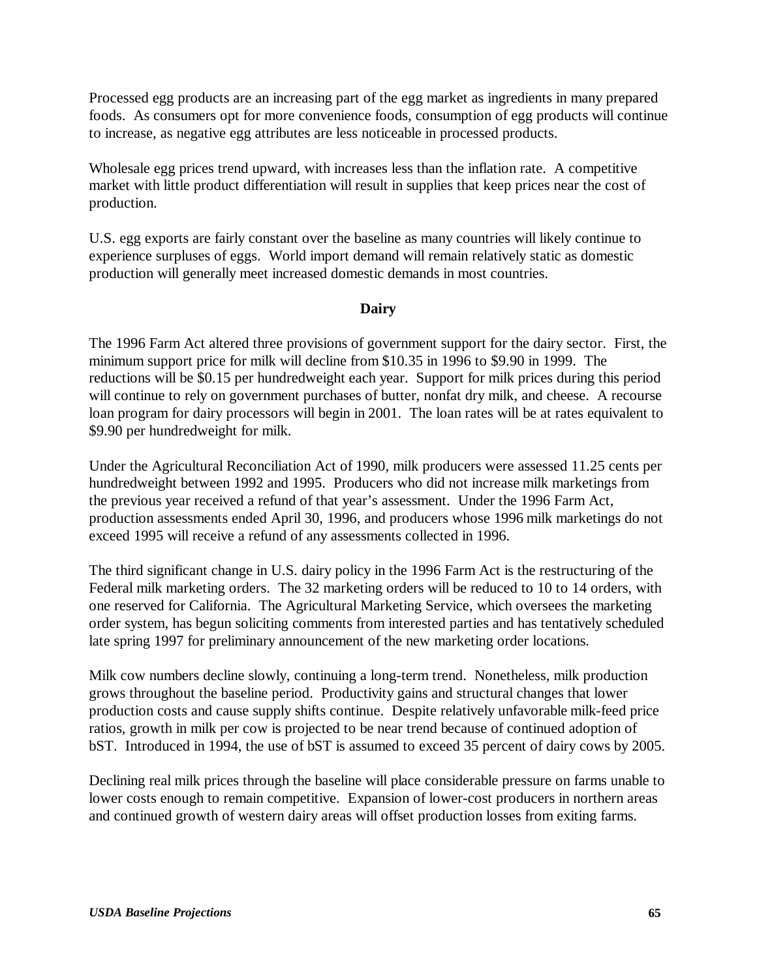Processed egg products are an increasing part of the egg market as ingredients in many prepared foods. As consumers opt for more convenience foods, consumption of egg products will continue to increase, as negative egg attributes are less noticeable in processed products.

Wholesale egg prices trend upward, with increases less than the inflation rate. A competitive market with little product differentiation will result in supplies that keep prices near the cost of production.

U.S. egg exports are fairly constant over the baseline as many countries will likely continue to experience surpluses of eggs. World import demand will remain relatively static as domestic production will generally meet increased domestic demands in most countries.

### **Dairy**

The 1996 Farm Act altered three provisions of government support for the dairy sector. First, the minimum support price for milk will decline from \$10.35 in 1996 to \$9.90 in 1999. The reductions will be \$0.15 per hundredweight each year. Support for milk prices during this period will continue to rely on government purchases of butter, nonfat dry milk, and cheese. A recourse loan program for dairy processors will begin in 2001. The loan rates will be at rates equivalent to \$9.90 per hundredweight for milk.

Under the Agricultural Reconciliation Act of 1990, milk producers were assessed 11.25 cents per hundredweight between 1992 and 1995. Producers who did not increase milk marketings from the previous year received a refund of that year's assessment. Under the 1996 Farm Act, production assessments ended April 30, 1996, and producers whose 1996 milk marketings do not exceed 1995 will receive a refund of any assessments collected in 1996.

The third significant change in U.S. dairy policy in the 1996 Farm Act is the restructuring of the Federal milk marketing orders. The 32 marketing orders will be reduced to 10 to 14 orders, with one reserved for California. The Agricultural Marketing Service, which oversees the marketing order system, has begun soliciting comments from interested parties and has tentatively scheduled late spring 1997 for preliminary announcement of the new marketing order locations.

Milk cow numbers decline slowly, continuing a long-term trend. Nonetheless, milk production grows throughout the baseline period. Productivity gains and structural changes that lower production costs and cause supply shifts continue. Despite relatively unfavorable milk-feed price ratios, growth in milk per cow is projected to be near trend because of continued adoption of bST. Introduced in 1994, the use of bST is assumed to exceed 35 percent of dairy cows by 2005.

Declining real milk prices through the baseline will place considerable pressure on farms unable to lower costs enough to remain competitive. Expansion of lower-cost producers in northern areas and continued growth of western dairy areas will offset production losses from exiting farms.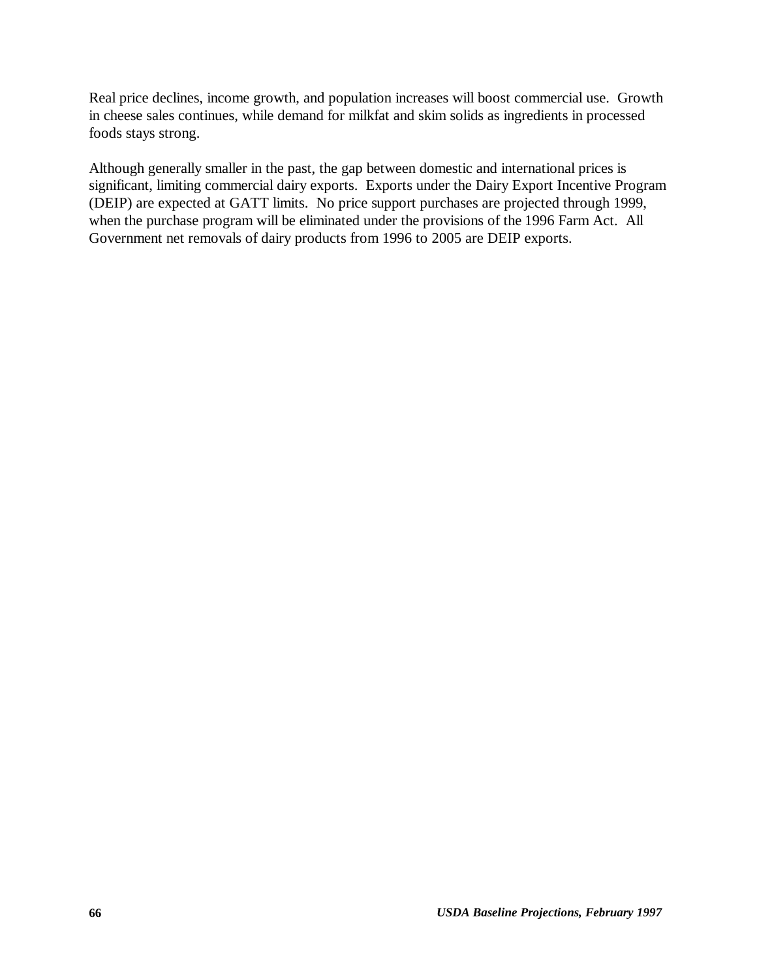Real price declines, income growth, and population increases will boost commercial use. Growth in cheese sales continues, while demand for milkfat and skim solids as ingredients in processed foods stays strong.

Although generally smaller in the past, the gap between domestic and international prices is significant, limiting commercial dairy exports. Exports under the Dairy Export Incentive Program (DEIP) are expected at GATT limits. No price support purchases are projected through 1999, when the purchase program will be eliminated under the provisions of the 1996 Farm Act. All Government net removals of dairy products from 1996 to 2005 are DEIP exports.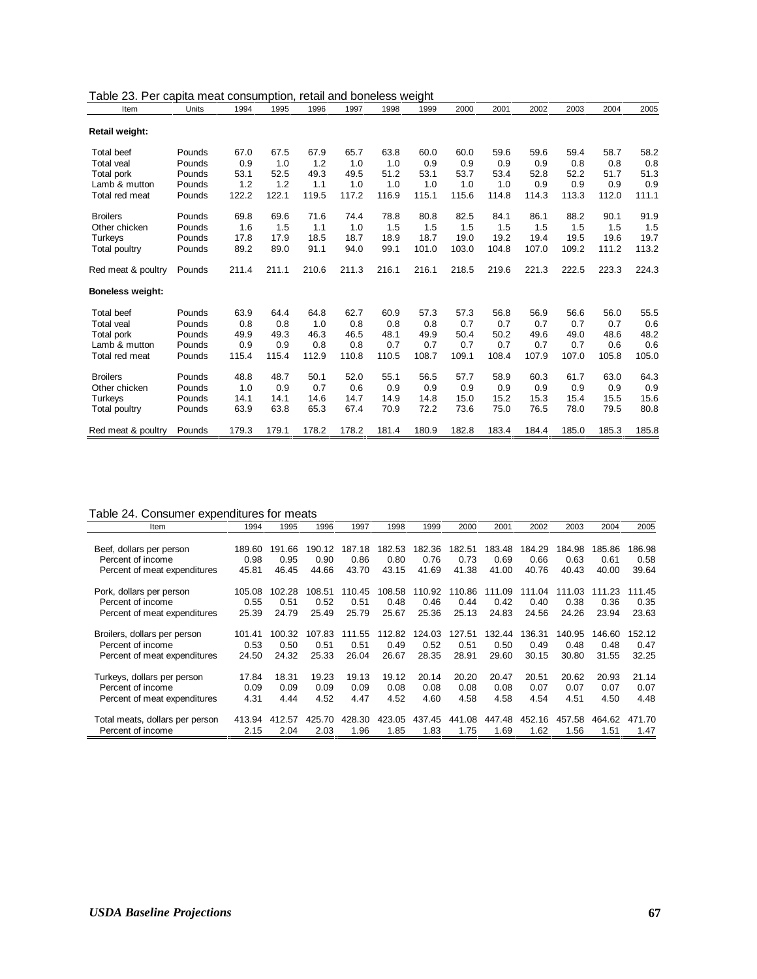| Table 23. Per capita meat consumption, retail and boneless weight |              |       |       |       |       |       |       |       |       |       |       |       |       |
|-------------------------------------------------------------------|--------------|-------|-------|-------|-------|-------|-------|-------|-------|-------|-------|-------|-------|
| Item                                                              | <b>Units</b> | 1994  | 1995  | 1996  | 1997  | 1998  | 1999  | 2000  | 2001  | 2002  | 2003  | 2004  | 2005  |
| <b>Retail weight:</b>                                             |              |       |       |       |       |       |       |       |       |       |       |       |       |
| <b>Total beef</b>                                                 | Pounds       | 67.0  | 67.5  | 67.9  | 65.7  | 63.8  | 60.0  | 60.0  | 59.6  | 59.6  | 59.4  | 58.7  | 58.2  |
| <b>Total veal</b>                                                 | Pounds       | 0.9   | 1.0   | 1.2   | 1.0   | 1.0   | 0.9   | 0.9   | 0.9   | 0.9   | 0.8   | 0.8   | 0.8   |
| Total pork                                                        | Pounds       | 53.1  | 52.5  | 49.3  | 49.5  | 51.2  | 53.1  | 53.7  | 53.4  | 52.8  | 52.2  | 51.7  | 51.3  |
| Lamb & mutton                                                     | Pounds       | 1.2   | 1.2   | 1.1   | 1.0   | 1.0   | 1.0   | 1.0   | 1.0   | 0.9   | 0.9   | 0.9   | 0.9   |
| Total red meat                                                    | Pounds       | 122.2 | 122.1 | 119.5 | 117.2 | 116.9 | 115.1 | 115.6 | 114.8 | 114.3 | 113.3 | 112.0 | 111.1 |
| <b>Broilers</b>                                                   | Pounds       | 69.8  | 69.6  | 71.6  | 74.4  | 78.8  | 80.8  | 82.5  | 84.1  | 86.1  | 88.2  | 90.1  | 91.9  |
| Other chicken                                                     | Pounds       | 1.6   | 1.5   | 1.1   | 1.0   | 1.5   | 1.5   | 1.5   | 1.5   | 1.5   | 1.5   | 1.5   | 1.5   |
| Turkeys                                                           | Pounds       | 17.8  | 17.9  | 18.5  | 18.7  | 18.9  | 18.7  | 19.0  | 19.2  | 19.4  | 19.5  | 19.6  | 19.7  |
| Total poultry                                                     | Pounds       | 89.2  | 89.0  | 91.1  | 94.0  | 99.1  | 101.0 | 103.0 | 104.8 | 107.0 | 109.2 | 111.2 | 113.2 |
| Red meat & poultry                                                | Pounds       | 211.4 | 211.1 | 210.6 | 211.3 | 216.1 | 216.1 | 218.5 | 219.6 | 221.3 | 222.5 | 223.3 | 224.3 |
| <b>Boneless weight:</b>                                           |              |       |       |       |       |       |       |       |       |       |       |       |       |
| <b>Total beef</b>                                                 | Pounds       | 63.9  | 64.4  | 64.8  | 62.7  | 60.9  | 57.3  | 57.3  | 56.8  | 56.9  | 56.6  | 56.0  | 55.5  |
| <b>Total veal</b>                                                 | Pounds       | 0.8   | 0.8   | 1.0   | 0.8   | 0.8   | 0.8   | 0.7   | 0.7   | 0.7   | 0.7   | 0.7   | 0.6   |
| Total pork                                                        | Pounds       | 49.9  | 49.3  | 46.3  | 46.5  | 48.1  | 49.9  | 50.4  | 50.2  | 49.6  | 49.0  | 48.6  | 48.2  |
| Lamb & mutton                                                     | Pounds       | 0.9   | 0.9   | 0.8   | 0.8   | 0.7   | 0.7   | 0.7   | 0.7   | 0.7   | 0.7   | 0.6   | 0.6   |
| Total red meat                                                    | Pounds       | 115.4 | 115.4 | 112.9 | 110.8 | 110.5 | 108.7 | 109.1 | 108.4 | 107.9 | 107.0 | 105.8 | 105.0 |
| <b>Broilers</b>                                                   | Pounds       | 48.8  | 48.7  | 50.1  | 52.0  | 55.1  | 56.5  | 57.7  | 58.9  | 60.3  | 61.7  | 63.0  | 64.3  |
| Other chicken                                                     | Pounds       | 1.0   | 0.9   | 0.7   | 0.6   | 0.9   | 0.9   | 0.9   | 0.9   | 0.9   | 0.9   | 0.9   | 0.9   |
| Turkeys                                                           | Pounds       | 14.1  | 14.1  | 14.6  | 14.7  | 14.9  | 14.8  | 15.0  | 15.2  | 15.3  | 15.4  | 15.5  | 15.6  |
| Total poultry                                                     | Pounds       | 63.9  | 63.8  | 65.3  | 67.4  | 70.9  | 72.2  | 73.6  | 75.0  | 76.5  | 78.0  | 79.5  | 80.8  |
| Red meat & poultry                                                | Pounds       | 179.3 | 179.1 | 178.2 | 178.2 | 181.4 | 180.9 | 182.8 | 183.4 | 184.4 | 185.0 | 185.3 | 185.8 |

# Table 24. Consumer expenditures for meats

| Item                            | 1994   | 1995   | 1996   | 1997   | 1998   | 1999   | 2000   | 2001   | 2002   | 2003   | 2004   | 2005   |
|---------------------------------|--------|--------|--------|--------|--------|--------|--------|--------|--------|--------|--------|--------|
|                                 |        |        |        |        |        |        |        |        |        |        |        |        |
| Beef, dollars per person        | 189.60 | 191.66 | 190.12 | 187.18 | 182.53 | 182.36 | 182.51 | 183.48 | 184.29 | 184.98 | 185.86 | 186.98 |
| Percent of income               | 0.98   | 0.95   | 0.90   | 0.86   | 0.80   | 0.76   | 0.73   | 0.69   | 0.66   | 0.63   | 0.61   | 0.58   |
| Percent of meat expenditures    | 45.81  | 46.45  | 44.66  | 43.70  | 43.15  | 41.69  | 41.38  | 41.00  | 40.76  | 40.43  | 40.00  | 39.64  |
| Pork, dollars per person        | 105.08 | 102.28 | 108.51 | 110.45 | 108.58 | 110.92 | 110.86 | 111.09 | 111.04 | 111.03 | 111.23 | 111.45 |
| Percent of income               | 0.55   | 0.51   | 0.52   | 0.51   | 0.48   | 0.46   | 0.44   | 0.42   | 0.40   | 0.38   | 0.36   | 0.35   |
| Percent of meat expenditures    | 25.39  | 24.79  | 25.49  | 25.79  | 25.67  | 25.36  | 25.13  | 24.83  | 24.56  | 24.26  | 23.94  | 23.63  |
| Broilers, dollars per person    | 101.41 | 100.32 | 107.83 | 111.55 | 112.82 | 124.03 | 127.51 | 132.44 | 136.31 | 140.95 | 146.60 | 152.12 |
| Percent of income               | 0.53   | 0.50   | 0.51   | 0.51   | 0.49   | 0.52   | 0.51   | 0.50   | 0.49   | 0.48   | 0.48   | 0.47   |
| Percent of meat expenditures    | 24.50  | 24.32  | 25.33  | 26.04  | 26.67  | 28.35  | 28.91  | 29.60  | 30.15  | 30.80  | 31.55  | 32.25  |
| Turkeys, dollars per person     | 17.84  | 18.31  | 19.23  | 19.13  | 19.12  | 20.14  | 20.20  | 20.47  | 20.51  | 20.62  | 20.93  | 21.14  |
| Percent of income               | 0.09   | 0.09   | 0.09   | 0.09   | 0.08   | 0.08   | 0.08   | 0.08   | 0.07   | 0.07   | 0.07   | 0.07   |
| Percent of meat expenditures    | 4.31   | 4.44   | 4.52   | 4.47   | 4.52   | 4.60   | 4.58   | 4.58   | 4.54   | 4.51   | 4.50   | 4.48   |
| Total meats, dollars per person | 413.94 | 412.57 | 425.70 | 428.30 | 423.05 | 437.45 | 441.08 | 447.48 | 452.16 | 457.58 | 464.62 | 471.70 |
| Percent of income               | 2.15   | 2.04   | 2.03   | 1.96   | 1.85   | 1.83   | 1.75   | 1.69   | 1.62   | 1.56   | 1.51   | 1.47   |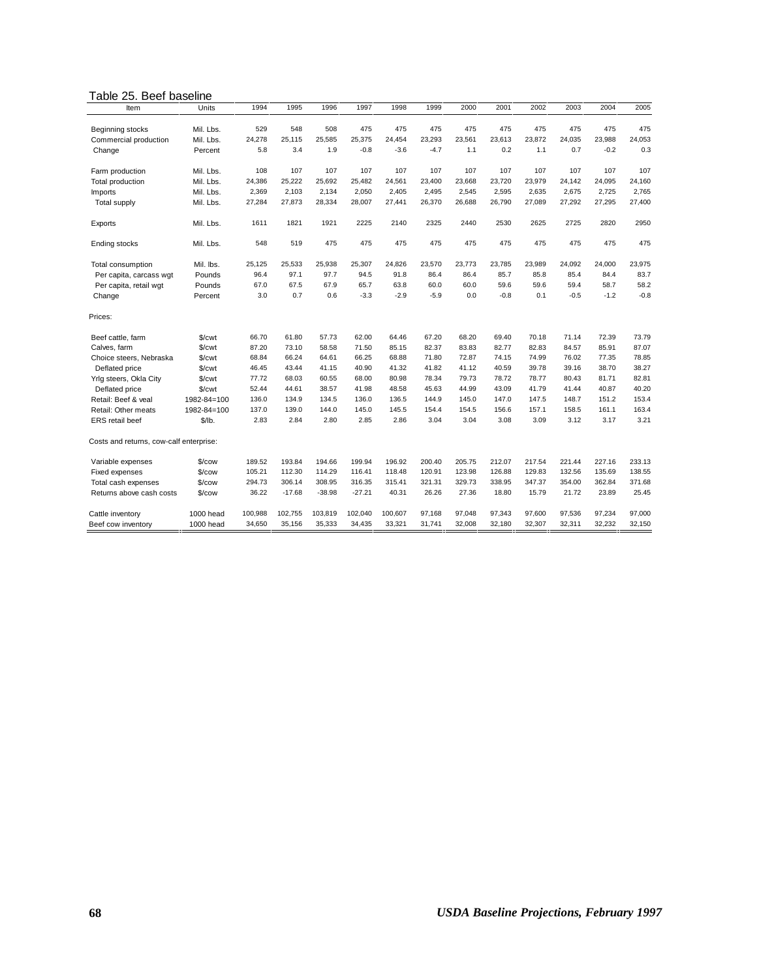#### Table 25. Beef baseline

| Item                                    | Units              | 1994    | 1995     | 1996     | 1997     | 1998    | 1999   | 2000   | 2001   | 2002   | 2003   | 2004   | 2005   |
|-----------------------------------------|--------------------|---------|----------|----------|----------|---------|--------|--------|--------|--------|--------|--------|--------|
|                                         |                    |         |          |          |          |         |        |        |        |        |        |        |        |
| Beginning stocks                        | Mil. Lbs.          | 529     | 548      | 508      | 475      | 475     | 475    | 475    | 475    | 475    | 475    | 475    | 475    |
| Commercial production                   | Mil. Lbs.          | 24,278  | 25,115   | 25,585   | 25,375   | 24,454  | 23,293 | 23,561 | 23,613 | 23,872 | 24,035 | 23,988 | 24,053 |
| Change                                  | Percent            | 5.8     | 3.4      | 1.9      | $-0.8$   | $-3.6$  | $-4.7$ | 1.1    | 0.2    | 1.1    | 0.7    | $-0.2$ | 0.3    |
| Farm production                         | Mil. Lbs.          | 108     | 107      | 107      | 107      | 107     | 107    | 107    | 107    | 107    | 107    | 107    | 107    |
| Total production                        | Mil. Lbs.          | 24,386  | 25,222   | 25,692   | 25,482   | 24,561  | 23,400 | 23,668 | 23,720 | 23,979 | 24,142 | 24,095 | 24,160 |
| Imports                                 | Mil. Lbs.          | 2,369   | 2,103    | 2,134    | 2,050    | 2.405   | 2,495  | 2,545  | 2,595  | 2,635  | 2,675  | 2,725  | 2,765  |
| Total supply                            | Mil. Lbs.          | 27,284  | 27,873   | 28,334   | 28,007   | 27,441  | 26,370 | 26.688 | 26,790 | 27,089 | 27,292 | 27,295 | 27,400 |
| Exports                                 | Mil. Lbs.          | 1611    | 1821     | 1921     | 2225     | 2140    | 2325   | 2440   | 2530   | 2625   | 2725   | 2820   | 2950   |
| <b>Ending stocks</b>                    | Mil. Lbs.          | 548     | 519      | 475      | 475      | 475     | 475    | 475    | 475    | 475    | 475    | 475    | 475    |
| Total consumption                       | Mil. Ibs.          | 25,125  | 25,533   | 25,938   | 25,307   | 24,826  | 23,570 | 23,773 | 23,785 | 23,989 | 24,092 | 24,000 | 23,975 |
| Per capita, carcass wgt                 | Pounds             | 96.4    | 97.1     | 97.7     | 94.5     | 91.8    | 86.4   | 86.4   | 85.7   | 85.8   | 85.4   | 84.4   | 83.7   |
| Per capita, retail wgt                  | Pounds             | 67.0    | 67.5     | 67.9     | 65.7     | 63.8    | 60.0   | 60.0   | 59.6   | 59.6   | 59.4   | 58.7   | 58.2   |
| Change                                  | Percent            | 3.0     | 0.7      | 0.6      | $-3.3$   | $-2.9$  | $-5.9$ | 0.0    | $-0.8$ | 0.1    | $-0.5$ | $-1.2$ | $-0.8$ |
| Prices:                                 |                    |         |          |          |          |         |        |        |        |        |        |        |        |
| Beef cattle, farm                       | \$/cwt             | 66.70   | 61.80    | 57.73    | 62.00    | 64.46   | 67.20  | 68.20  | 69.40  | 70.18  | 71.14  | 72.39  | 73.79  |
| Calves, farm                            | \$/ <sub>cut</sub> | 87.20   | 73.10    | 58.58    | 71.50    | 85.15   | 82.37  | 83.83  | 82.77  | 82.83  | 84.57  | 85.91  | 87.07  |
| Choice steers, Nebraska                 | \$/cwt             | 68.84   | 66.24    | 64.61    | 66.25    | 68.88   | 71.80  | 72.87  | 74.15  | 74.99  | 76.02  | 77.35  | 78.85  |
| Deflated price                          | \$/cwt             | 46.45   | 43.44    | 41.15    | 40.90    | 41.32   | 41.82  | 41.12  | 40.59  | 39.78  | 39.16  | 38.70  | 38.27  |
| Yrlg steers, Okla City                  | \$/cwt             | 77.72   | 68.03    | 60.55    | 68.00    | 80.98   | 78.34  | 79.73  | 78.72  | 78.77  | 80.43  | 81.71  | 82.81  |
| Deflated price                          | \$/cwt             | 52.44   | 44.61    | 38.57    | 41.98    | 48.58   | 45.63  | 44.99  | 43.09  | 41.79  | 41.44  | 40.87  | 40.20  |
| Retail: Beef & veal                     | 1982-84=100        | 136.0   | 134.9    | 134.5    | 136.0    | 136.5   | 144.9  | 145.0  | 147.0  | 147.5  | 148.7  | 151.2  | 153.4  |
| Retail: Other meats                     | 1982-84=100        | 137.0   | 139.0    | 144.0    | 145.0    | 145.5   | 154.4  | 154.5  | 156.6  | 157.1  | 158.5  | 161.1  | 163.4  |
| ERS retail beef                         | \$/lb.             | 2.83    | 2.84     | 2.80     | 2.85     | 2.86    | 3.04   | 3.04   | 3.08   | 3.09   | 3.12   | 3.17   | 3.21   |
| Costs and returns, cow-calf enterprise: |                    |         |          |          |          |         |        |        |        |        |        |        |        |
| Variable expenses                       | \$/cow             | 189.52  | 193.84   | 194.66   | 199.94   | 196.92  | 200.40 | 205.75 | 212.07 | 217.54 | 221.44 | 227.16 | 233.13 |
| Fixed expenses                          | \$/cow             | 105.21  | 112.30   | 114.29   | 116.41   | 118.48  | 120.91 | 123.98 | 126.88 | 129.83 | 132.56 | 135.69 | 138.55 |
| Total cash expenses                     | \$/cow             | 294.73  | 306.14   | 308.95   | 316.35   | 315.41  | 321.31 | 329.73 | 338.95 | 347.37 | 354.00 | 362.84 | 371.68 |
| Returns above cash costs                | \$/cow             | 36.22   | $-17.68$ | $-38.98$ | $-27.21$ | 40.31   | 26.26  | 27.36  | 18.80  | 15.79  | 21.72  | 23.89  | 25.45  |
| Cattle inventory                        | 1000 head          | 100,988 | 102,755  | 103,819  | 102,040  | 100,607 | 97,168 | 97,048 | 97,343 | 97,600 | 97,536 | 97,234 | 97,000 |
| Beef cow inventory                      | 1000 head          | 34,650  | 35,156   | 35,333   | 34,435   | 33,321  | 31,741 | 32,008 | 32,180 | 32,307 | 32,311 | 32,232 | 32,150 |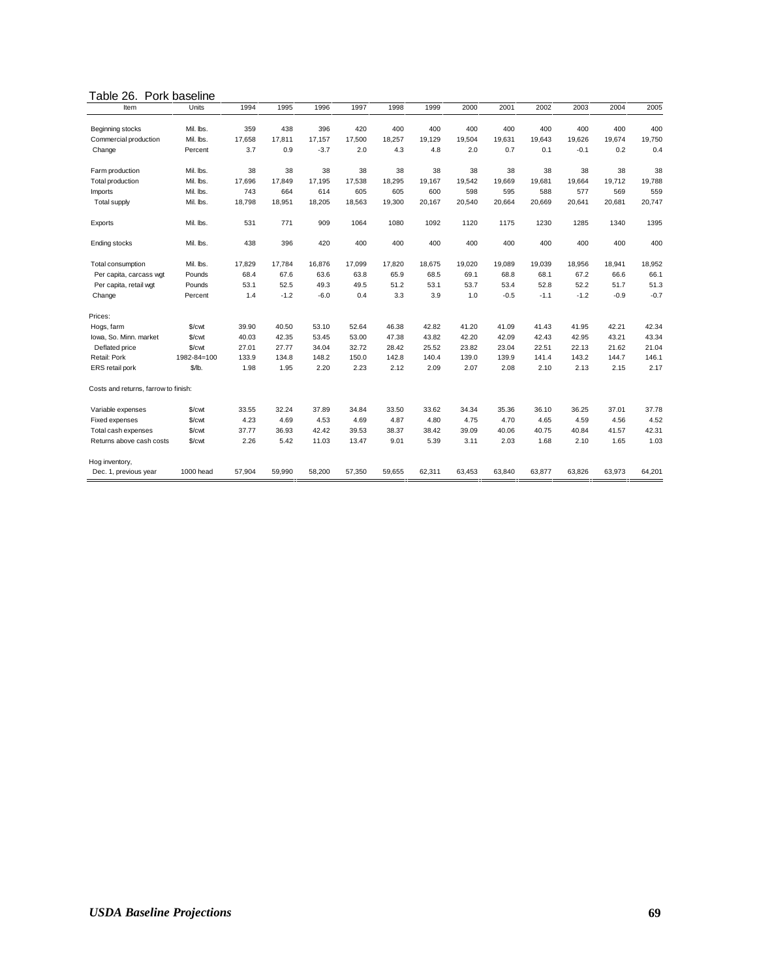#### Table 26. Pork baseline

| Item                                 | Units       | 1994   | 1995   | 1996   | 1997   | 1998   | 1999   | 2000   | 2001   | 2002   | 2003   | 2004   | 2005   |
|--------------------------------------|-------------|--------|--------|--------|--------|--------|--------|--------|--------|--------|--------|--------|--------|
|                                      |             |        |        |        |        |        |        |        |        |        |        |        |        |
| Beginning stocks                     | Mil. Ibs.   | 359    | 438    | 396    | 420    | 400    | 400    | 400    | 400    | 400    | 400    | 400    | 400    |
| Commercial production                | Mil. Ibs.   | 17,658 | 17,811 | 17,157 | 17,500 | 18,257 | 19.129 | 19,504 | 19,631 | 19,643 | 19,626 | 19,674 | 19,750 |
| Change                               | Percent     | 3.7    | 0.9    | $-3.7$ | 2.0    | 4.3    | 4.8    | 2.0    | 0.7    | 0.1    | $-0.1$ | 0.2    | 0.4    |
| Farm production                      | Mil. Ibs.   | 38     | 38     | 38     | 38     | 38     | 38     | 38     | 38     | 38     | 38     | 38     | 38     |
| Total production                     | Mil. Ibs.   | 17,696 | 17.849 | 17,195 | 17.538 | 18,295 | 19.167 | 19,542 | 19,669 | 19.681 | 19,664 | 19,712 | 19,788 |
| Imports                              | Mil. Ibs.   | 743    | 664    | 614    | 605    | 605    | 600    | 598    | 595    | 588    | 577    | 569    | 559    |
| <b>Total supply</b>                  | Mil. Ibs.   | 18,798 | 18,951 | 18,205 | 18,563 | 19,300 | 20,167 | 20,540 | 20,664 | 20,669 | 20,641 | 20,681 | 20,747 |
| Exports                              | Mil. Ibs.   | 531    | 771    | 909    | 1064   | 1080   | 1092   | 1120   | 1175   | 1230   | 1285   | 1340   | 1395   |
| <b>Ending stocks</b>                 | Mil. Ibs.   | 438    | 396    | 420    | 400    | 400    | 400    | 400    | 400    | 400    | 400    | 400    | 400    |
| Total consumption                    | Mil. Ibs.   | 17,829 | 17,784 | 16,876 | 17,099 | 17,820 | 18,675 | 19,020 | 19,089 | 19,039 | 18,956 | 18,941 | 18,952 |
| Per capita, carcass wgt              | Pounds      | 68.4   | 67.6   | 63.6   | 63.8   | 65.9   | 68.5   | 69.1   | 68.8   | 68.1   | 67.2   | 66.6   | 66.1   |
| Per capita, retail wgt               | Pounds      | 53.1   | 52.5   | 49.3   | 49.5   | 51.2   | 53.1   | 53.7   | 53.4   | 52.8   | 52.2   | 51.7   | 51.3   |
| Change                               | Percent     | 1.4    | $-1.2$ | $-6.0$ | 0.4    | 3.3    | 3.9    | 1.0    | $-0.5$ | $-1.1$ | $-1.2$ | $-0.9$ | $-0.7$ |
| Prices:                              |             |        |        |        |        |        |        |        |        |        |        |        |        |
| Hogs, farm                           | \$/cwt      | 39.90  | 40.50  | 53.10  | 52.64  | 46.38  | 42.82  | 41.20  | 41.09  | 41.43  | 41.95  | 42.21  | 42.34  |
| Iowa, So. Minn. market               | \$/cwt      | 40.03  | 42.35  | 53.45  | 53.00  | 47.38  | 43.82  | 42.20  | 42.09  | 42.43  | 42.95  | 43.21  | 43.34  |
| Deflated price                       | \$/cwt      | 27.01  | 27.77  | 34.04  | 32.72  | 28.42  | 25.52  | 23.82  | 23.04  | 22.51  | 22.13  | 21.62  | 21.04  |
| Retail: Pork                         | 1982-84=100 | 133.9  | 134.8  | 148.2  | 150.0  | 142.8  | 140.4  | 139.0  | 139.9  | 141.4  | 143.2  | 144.7  | 146.1  |
| ERS retail pork                      | \$/lb.      | 1.98   | 1.95   | 2.20   | 2.23   | 2.12   | 2.09   | 2.07   | 2.08   | 2.10   | 2.13   | 2.15   | 2.17   |
| Costs and returns, farrow to finish: |             |        |        |        |        |        |        |        |        |        |        |        |        |
| Variable expenses                    | \$/cwt      | 33.55  | 32.24  | 37.89  | 34.84  | 33.50  | 33.62  | 34.34  | 35.36  | 36.10  | 36.25  | 37.01  | 37.78  |
| Fixed expenses                       | \$/cwt      | 4.23   | 4.69   | 4.53   | 4.69   | 4.87   | 4.80   | 4.75   | 4.70   | 4.65   | 4.59   | 4.56   | 4.52   |
| Total cash expenses                  | \$/cwt      | 37.77  | 36.93  | 42.42  | 39.53  | 38.37  | 38.42  | 39.09  | 40.06  | 40.75  | 40.84  | 41.57  | 42.31  |
| Returns above cash costs             | \$/cwt      | 2.26   | 5.42   | 11.03  | 13.47  | 9.01   | 5.39   | 3.11   | 2.03   | 1.68   | 2.10   | 1.65   | 1.03   |
| Hog inventory,                       |             |        |        |        |        |        |        |        |        |        |        |        |        |
| Dec. 1, previous year                | 1000 head   | 57,904 | 59,990 | 58,200 | 57,350 | 59,655 | 62,311 | 63,453 | 63,840 | 63,877 | 63,826 | 63,973 | 64,201 |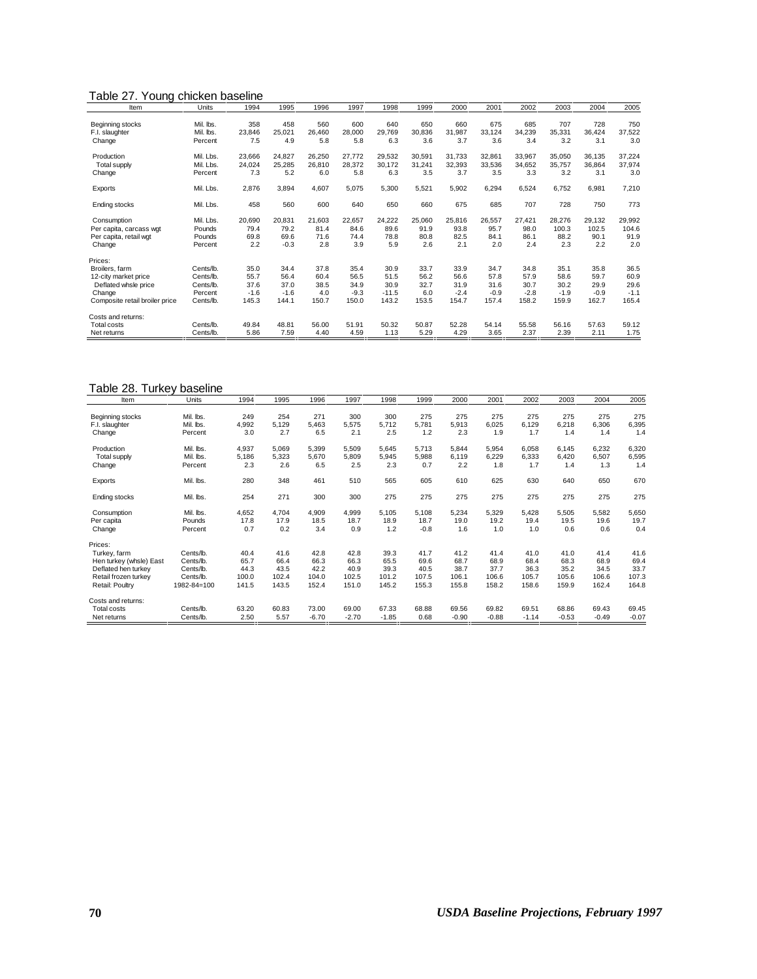## Table 27. Young chicken baseline

| Item                           | Units     | 1994   | 1995   | 1996   | 1997   | 1998    | 1999   | 2000   | 2001   | 2002   | 2003   | 2004   | 2005   |
|--------------------------------|-----------|--------|--------|--------|--------|---------|--------|--------|--------|--------|--------|--------|--------|
|                                |           |        |        |        |        |         |        |        |        |        |        |        |        |
| Beginning stocks               | Mil. Ibs. | 358    | 458    | 560    | 600    | 640     | 650    | 660    | 675    | 685    | 707    | 728    | 750    |
| F.I. slaughter                 | Mil. Ibs. | 23,846 | 25.021 | 26,460 | 28,000 | 29.769  | 30,836 | 31.987 | 33,124 | 34,239 | 35,331 | 36,424 | 37,522 |
| Change                         | Percent   | 7.5    | 4.9    | 5.8    | 5.8    | 6.3     | 3.6    | 3.7    | 3.6    | 3.4    | 3.2    | 3.1    | 3.0    |
| Production                     | Mil. Lbs. | 23,666 | 24.827 | 26,250 | 27.772 | 29,532  | 30,591 | 31.733 | 32.861 | 33,967 | 35.050 | 36,135 | 37,224 |
| <b>Total supply</b>            | Mil. Lbs. | 24,024 | 25.285 | 26,810 | 28.372 | 30.172  | 31,241 | 32,393 | 33.536 | 34.652 | 35.757 | 36.864 | 37,974 |
| Change                         | Percent   | 7.3    | 5.2    | 6.0    | 5.8    | 6.3     | 3.5    | 3.7    | 3.5    | 3.3    | 3.2    | 3.1    | 3.0    |
| Exports                        | Mil. Lbs. | 2,876  | 3,894  | 4,607  | 5,075  | 5,300   | 5,521  | 5,902  | 6,294  | 6,524  | 6,752  | 6.981  | 7,210  |
| Ending stocks                  | Mil. Lbs. | 458    | 560    | 600    | 640    | 650     | 660    | 675    | 685    | 707    | 728    | 750    | 773    |
| Consumption                    | Mil. Lbs. | 20,690 | 20,831 | 21,603 | 22.657 | 24,222  | 25,060 | 25,816 | 26,557 | 27,421 | 28.276 | 29,132 | 29,992 |
| Per capita, carcass wgt        | Pounds    | 79.4   | 79.2   | 81.4   | 84.6   | 89.6    | 91.9   | 93.8   | 95.7   | 98.0   | 100.3  | 102.5  | 104.6  |
| Per capita, retail wgt         | Pounds    | 69.8   | 69.6   | 71.6   | 74.4   | 78.8    | 80.8   | 82.5   | 84.1   | 86.1   | 88.2   | 90.1   | 91.9   |
| Change                         | Percent   | 2.2    | $-0.3$ | 2.8    | 3.9    | 5.9     | 2.6    | 2.1    | 2.0    | 2.4    | 2.3    | 2.2    | 2.0    |
| Prices:                        |           |        |        |        |        |         |        |        |        |        |        |        |        |
| Broilers, farm                 | Cents/lb. | 35.0   | 34.4   | 37.8   | 35.4   | 30.9    | 33.7   | 33.9   | 34.7   | 34.8   | 35.1   | 35.8   | 36.5   |
| 12-city market price           | Cents/lb. | 55.7   | 56.4   | 60.4   | 56.5   | 51.5    | 56.2   | 56.6   | 57.8   | 57.9   | 58.6   | 59.7   | 60.9   |
| Deflated whsle price           | Cents/lb. | 37.6   | 37.0   | 38.5   | 34.9   | 30.9    | 32.7   | 31.9   | 31.6   | 30.7   | 30.2   | 29.9   | 29.6   |
| Change                         | Percent   | $-1.6$ | $-1.6$ | 4.0    | $-9.3$ | $-11.5$ | 6.0    | $-2.4$ | $-0.9$ | $-2.8$ | $-1.9$ | $-0.9$ | $-1.1$ |
| Composite retail broiler price | Cents/lb. | 145.3  | 144.1  | 150.7  | 150.0  | 143.2   | 153.5  | 154.7  | 157.4  | 158.2  | 159.9  | 162.7  | 165.4  |
| Costs and returns:             |           |        |        |        |        |         |        |        |        |        |        |        |        |
| <b>Total costs</b>             | Cents/lb. | 49.84  | 48.81  | 56.00  | 51.91  | 50.32   | 50.87  | 52.28  | 54.14  | 55.58  | 56.16  | 57.63  | 59.12  |
| Net returns                    | Cents/lb. | 5.86   | 7.59   | 4.40   | 4.59   | 1.13    | 5.29   | 4.29   | 3.65   | 2.37   | 2.39   | 2.11   | 1.75   |

| Table 28. Turkey baseline |             |       |       |         |         |         |        |         |         |         |         |         |         |
|---------------------------|-------------|-------|-------|---------|---------|---------|--------|---------|---------|---------|---------|---------|---------|
| Item                      | Units       | 1994  | 1995  | 1996    | 1997    | 1998    | 1999   | 2000    | 2001    | 2002    | 2003    | 2004    | 2005    |
| Beginning stocks          | Mil. lbs.   | 249   | 254   | 271     | 300     | 300     | 275    | 275     | 275     | 275     | 275     | 275     | 275     |
| F.I. slaughter            | Mil. lbs.   | 4,992 | 5,129 | 5,463   | 5,575   | 5,712   | 5,781  | 5,913   | 6,025   | 6,129   | 6,218   | 6,306   | 6,395   |
| Change                    | Percent     | 3.0   | 2.7   | 6.5     | 2.1     | 2.5     | 1.2    | 2.3     | 1.9     | 1.7     | 1.4     | 1.4     | 1.4     |
| Production                | Mil. Ibs.   | 4,937 | 5.069 | 5,399   | 5,509   | 5.645   | 5.713  | 5.844   | 5,954   | 6.058   | 6.145   | 6,232   | 6,320   |
| <b>Total supply</b>       | Mil. Ibs.   | 5,186 | 5,323 | 5,670   | 5,809   | 5,945   | 5.988  | 6.119   | 6,229   | 6,333   | 6,420   | 6,507   | 6,595   |
| Change                    | Percent     | 2.3   | 2.6   | 6.5     | 2.5     | 2.3     | 0.7    | 2.2     | 1.8     | 1.7     | 1.4     | 1.3     | 1.4     |
| Exports                   | Mil. Ibs.   | 280   | 348   | 461     | 510     | 565     | 605    | 610     | 625     | 630     | 640     | 650     | 670     |
| Ending stocks             | Mil. lbs.   | 254   | 271   | 300     | 300     | 275     | 275    | 275     | 275     | 275     | 275     | 275     | 275     |
| Consumption               | Mil. Ibs.   | 4,652 | 4,704 | 4.909   | 4,999   | 5.105   | 5.108  | 5.234   | 5,329   | 5,428   | 5,505   | 5.582   | 5,650   |
| Per capita                | Pounds      | 17.8  | 17.9  | 18.5    | 18.7    | 18.9    | 18.7   | 19.0    | 19.2    | 19.4    | 19.5    | 19.6    | 19.7    |
| Change                    | Percent     | 0.7   | 0.2   | 3.4     | 0.9     | 1.2     | $-0.8$ | 1.6     | 1.0     | 1.0     | 0.6     | 0.6     | 0.4     |
| Prices:                   |             |       |       |         |         |         |        |         |         |         |         |         |         |
| Turkey, farm              | Cents/lb.   | 40.4  | 41.6  | 42.8    | 42.8    | 39.3    | 41.7   | 41.2    | 41.4    | 41.0    | 41.0    | 41.4    | 41.6    |
| Hen turkey (whsle) East   | Cents/lb.   | 65.7  | 66.4  | 66.3    | 66.3    | 65.5    | 69.6   | 68.7    | 68.9    | 68.4    | 68.3    | 68.9    | 69.4    |
| Deflated hen turkey       | Cents/lb.   | 44.3  | 43.5  | 42.2    | 40.9    | 39.3    | 40.5   | 38.7    | 37.7    | 36.3    | 35.2    | 34.5    | 33.7    |
| Retail frozen turkev      | Cents/lb.   | 100.0 | 102.4 | 104.0   | 102.5   | 101.2   | 107.5  | 106.1   | 106.6   | 105.7   | 105.6   | 106.6   | 107.3   |
| Retail: Poultry           | 1982-84=100 | 141.5 | 143.5 | 152.4   | 151.0   | 145.2   | 155.3  | 155.8   | 158.2   | 158.6   | 159.9   | 162.4   | 164.8   |
| Costs and returns:        |             |       |       |         |         |         |        |         |         |         |         |         |         |
| <b>Total costs</b>        | Cents/lb.   | 63.20 | 60.83 | 73.00   | 69.00   | 67.33   | 68.88  | 69.56   | 69.82   | 69.51   | 68.86   | 69.43   | 69.45   |
| Net returns               | Cents/lb.   | 2.50  | 5.57  | $-6.70$ | $-2.70$ | $-1.85$ | 0.68   | $-0.90$ | $-0.88$ | $-1.14$ | $-0.53$ | $-0.49$ | $-0.07$ |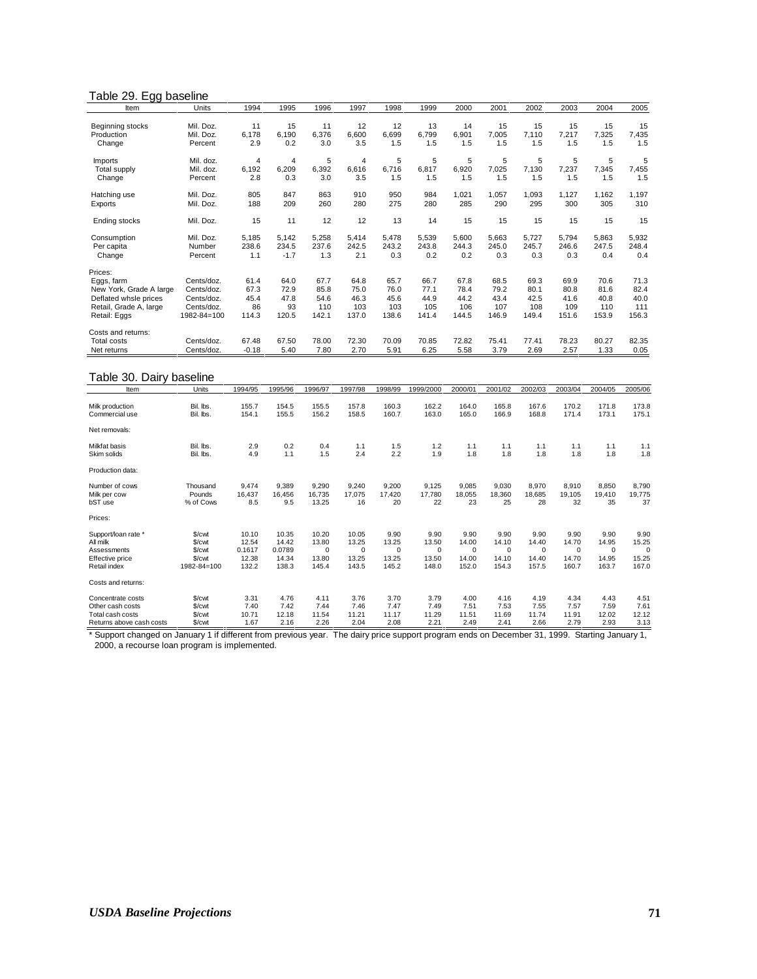#### Table 29. Egg baseline

| Item                    | Units       | 1994           | 1995   | 1996  | 1997  | 1998  | 1999  | 2000  | 2001  | 2002  | 2003  | 2004  | 2005  |
|-------------------------|-------------|----------------|--------|-------|-------|-------|-------|-------|-------|-------|-------|-------|-------|
|                         |             |                |        |       |       |       |       |       |       |       |       |       |       |
| Beginning stocks        | Mil. Doz.   | 11             | 15     | 11    | 12    | 12    | 13    | 14    | 15    | 15    | 15    | 15    | 15    |
| Production              | Mil. Doz.   | 6,178          | 6.190  | 6.376 | 6,600 | 6.699 | 6.799 | 6,901 | 7,005 | 7,110 | 7,217 | 7,325 | 7,435 |
| Change                  | Percent     | 2.9            | 0.2    | 3.0   | 3.5   | 1.5   | 1.5   | 1.5   | 1.5   | 1.5   | 1.5   | 1.5   | 1.5   |
| <b>Imports</b>          | Mil. doz.   | $\overline{4}$ | 4      | 5     | 4     | 5     | 5     | 5     | 5     | 5     | 5     | 5     | 5     |
| <b>Total supply</b>     | Mil. doz.   | 6,192          | 6,209  | 6,392 | 6.616 | 6,716 | 6,817 | 6,920 | 7,025 | 7,130 | 7,237 | 7,345 | 7,455 |
| Change                  | Percent     | 2.8            | 0.3    | 3.0   | 3.5   | 1.5   | 1.5   | 1.5   | 1.5   | 1.5   | 1.5   | 1.5   | 1.5   |
| Hatching use            | Mil. Doz.   | 805            | 847    | 863   | 910   | 950   | 984   | 1,021 | 1.057 | 1,093 | 1,127 | 1.162 | 1,197 |
| Exports                 | Mil. Doz.   | 188            | 209    | 260   | 280   | 275   | 280   | 285   | 290   | 295   | 300   | 305   | 310   |
| Ending stocks           | Mil. Doz.   | 15             | 11     | 12    | 12    | 13    | 14    | 15    | 15    | 15    | 15    | 15    | 15    |
| Consumption             | Mil. Doz.   | 5,185          | 5,142  | 5,258 | 5.414 | 5.478 | 5,539 | 5,600 | 5.663 | 5.727 | 5,794 | 5.863 | 5,932 |
| Per capita              | Number      | 238.6          | 234.5  | 237.6 | 242.5 | 243.2 | 243.8 | 244.3 | 245.0 | 245.7 | 246.6 | 247.5 | 248.4 |
| Change                  | Percent     | 1.1            | $-1.7$ | 1.3   | 2.1   | 0.3   | 0.2   | 0.2   | 0.3   | 0.3   | 0.3   | 0.4   | 0.4   |
| Prices:                 |             |                |        |       |       |       |       |       |       |       |       |       |       |
| Eggs, farm              | Cents/doz.  | 61.4           | 64.0   | 67.7  | 64.8  | 65.7  | 66.7  | 67.8  | 68.5  | 69.3  | 69.9  | 70.6  | 71.3  |
| New York, Grade A large | Cents/doz.  | 67.3           | 72.9   | 85.8  | 75.0  | 76.0  | 77.1  | 78.4  | 79.2  | 80.1  | 80.8  | 81.6  | 82.4  |
| Deflated whsle prices   | Cents/doz.  | 45.4           | 47.8   | 54.6  | 46.3  | 45.6  | 44.9  | 44.2  | 43.4  | 42.5  | 41.6  | 40.8  | 40.0  |
| Retail, Grade A, large  | Cents/doz.  | 86             | 93     | 110   | 103   | 103   | 105   | 106   | 107   | 108   | 109   | 110   | 111   |
| Retail: Eggs            | 1982-84=100 | 114.3          | 120.5  | 142.1 | 137.0 | 138.6 | 141.4 | 144.5 | 146.9 | 149.4 | 151.6 | 153.9 | 156.3 |
| Costs and returns:      |             |                |        |       |       |       |       |       |       |       |       |       |       |
| <b>Total costs</b>      | Cents/doz.  | 67.48          | 67.50  | 78.00 | 72.30 | 70.09 | 70.85 | 72.82 | 75.41 | 77.41 | 78.23 | 80.27 | 82.35 |
| Net returns             | Cents/doz.  | $-0.18$        | 5.40   | 7.80  | 2.70  | 5.91  | 6.25  | 5.58  | 3.79  | 2.69  | 2.57  | 1.33  | 0.05  |

#### Table 30. Dairy baseline

| Item                     | Units       | 1994/95 | 1995/96 | 1996/97     | 1997/98 | 1998/99     | 1999/2000  | 2000/01     | 2001/02     | 2002/03     | 2003/04     | 2004/05 | 2005/06     |
|--------------------------|-------------|---------|---------|-------------|---------|-------------|------------|-------------|-------------|-------------|-------------|---------|-------------|
| Milk production          | Bil. lbs.   | 155.7   | 154.5   | 155.5       | 157.8   | 160.3       | 162.2      | 164.0       | 165.8       | 167.6       | 170.2       | 171.8   | 173.8       |
| Commercial use           | Bil. lbs.   | 154.1   | 155.5   | 156.2       | 158.5   | 160.7       | 163.0      | 165.0       | 166.9       | 168.8       | 171.4       | 173.1   | 175.1       |
| Net removals:            |             |         |         |             |         |             |            |             |             |             |             |         |             |
| Milkfat basis            | Bil. lbs.   | 2.9     | 0.2     | 0.4         | 1.1     | 1.5         | 1.2        | 1.1         | 1.1         | 1.1         | 1.1         | 1.1     | 1.1         |
| Skim solids              | Bil. lbs.   | 4.9     | 1.1     | 1.5         | 2.4     | 2.2         | 1.9        | 1.8         | 1.8         | 1.8         | 1.8         | 1.8     | 1.8         |
| Production data:         |             |         |         |             |         |             |            |             |             |             |             |         |             |
| Number of cows           | Thousand    | 9,474   | 9.389   | 9,290       | 9,240   | 9,200       | 9,125      | 9,085       | 9.030       | 8,970       | 8,910       | 8.850   | 8,790       |
| Milk per cow             | Pounds      | 16.437  | 16.456  | 16.735      | 17.075  | 17.420      | 17.780     | 18,055      | 18.360      | 18.685      | 19.105      | 19.410  | 19,775      |
| bST use                  | % of Cows   | 8.5     | 9.5     | 13.25       | 16      | 20          | 22         | 23          | 25          | 28          | 32          | 35      | 37          |
| Prices:                  |             |         |         |             |         |             |            |             |             |             |             |         |             |
| Support/loan rate *      | \$/cwt      | 10.10   | 10.35   | 10.20       | 10.05   | 9.90        | 9.90       | 9.90        | 9.90        | 9.90        | 9.90        | 9.90    | 9.90        |
| All milk                 | \$/cwt      | 12.54   | 14.42   | 13.80       | 13.25   | 13.25       | 13.50      | 14.00       | 14.10       | 14.40       | 14.70       | 14.95   | 15.25       |
| Assessments              | \$/cwt      | 0.1617  | 0.0789  | $\mathbf 0$ | 0       | $\mathbf 0$ | $^{\circ}$ | $\mathbf 0$ | $\mathbf 0$ | $\mathbf 0$ | $\mathbf 0$ | 0       | $\mathbf 0$ |
| Effective price          | \$/cwt      | 12.38   | 14.34   | 13.80       | 13.25   | 13.25       | 13.50      | 14.00       | 14.10       | 14.40       | 14.70       | 14.95   | 15.25       |
| Retail index             | 1982-84=100 | 132.2   | 138.3   | 145.4       | 143.5   | 145.2       | 148.0      | 152.0       | 154.3       | 157.5       | 160.7       | 163.7   | 167.0       |
| Costs and returns:       |             |         |         |             |         |             |            |             |             |             |             |         |             |
| Concentrate costs        | \$/cwt      | 3.31    | 4.76    | 4.11        | 3.76    | 3.70        | 3.79       | 4.00        | 4.16        | 4.19        | 4.34        | 4.43    | 4.51        |
| Other cash costs         | \$/cwt      | 7.40    | 7.42    | 7.44        | 7.46    | 7.47        | 7.49       | 7.51        | 7.53        | 7.55        | 7.57        | 7.59    | 7.61        |
| Total cash costs         | \$/cwt      | 10.71   | 12.18   | 11.54       | 11.21   | 11.17       | 11.29      | 11.51       | 11.69       | 11.74       | 11.91       | 12.02   | 12.12       |
| Returns above cash costs | \$/cwt      | 1.67    | 2.16    | 2.26        | 2.04    | 2.08        | 2.21       | 2.49        | 2.41        | 2.66        | 2.79        | 2.93    | 3.13        |

\* Support changed on January 1 if different from previous year. The dairy price support program ends on December 31, 1999. Starting January 1, 2000, a recourse loan program is implemented.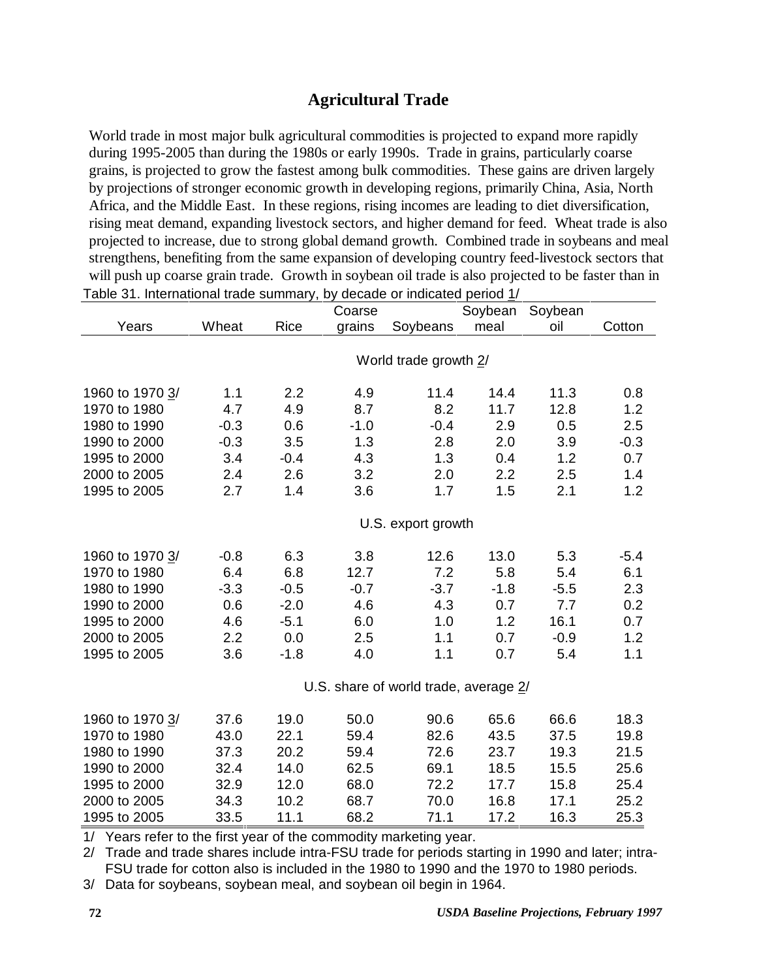# **Agricultural Trade**

World trade in most major bulk agricultural commodities is projected to expand more rapidly during 1995-2005 than during the 1980s or early 1990s. Trade in grains, particularly coarse grains, is projected to grow the fastest among bulk commodities. These gains are driven largely by projections of stronger economic growth in developing regions, primarily China, Asia, North Africa, and the Middle East. In these regions, rising incomes are leading to diet diversification, rising meat demand, expanding livestock sectors, and higher demand for feed. Wheat trade is also projected to increase, due to strong global demand growth. Combined trade in soybeans and meal strengthens, benefiting from the same expansion of developing country feed-livestock sectors that will push up coarse grain trade. Growth in soybean oil trade is also projected to be faster than in Table 31. International trade summary, by decade or indicated period 1/

|                 |        |        | Coarse |                                       | Soybean | Soybean |        |
|-----------------|--------|--------|--------|---------------------------------------|---------|---------|--------|
| Years           | Wheat  | Rice   | grains | Soybeans                              | meal    | oil     | Cotton |
|                 |        |        |        |                                       |         |         |        |
|                 |        |        |        | World trade growth 2/                 |         |         |        |
| 1960 to 1970 3/ | 1.1    | 2.2    | 4.9    | 11.4                                  | 14.4    | 11.3    | 0.8    |
| 1970 to 1980    | 4.7    | 4.9    | 8.7    | 8.2                                   | 11.7    | 12.8    | 1.2    |
| 1980 to 1990    | $-0.3$ | 0.6    | $-1.0$ | $-0.4$                                | 2.9     | 0.5     | 2.5    |
| 1990 to 2000    | $-0.3$ | 3.5    | 1.3    | 2.8                                   | 2.0     | 3.9     | $-0.3$ |
| 1995 to 2000    | 3.4    | $-0.4$ | 4.3    | 1.3                                   | 0.4     | 1.2     | 0.7    |
| 2000 to 2005    | 2.4    | 2.6    | 3.2    | 2.0                                   | 2.2     | 2.5     | 1.4    |
| 1995 to 2005    | 2.7    | 1.4    | 3.6    | 1.7                                   | 1.5     | 2.1     | 1.2    |
|                 |        |        |        |                                       |         |         |        |
|                 |        |        |        | U.S. export growth                    |         |         |        |
| 1960 to 1970 3/ | $-0.8$ | 6.3    | 3.8    | 12.6                                  | 13.0    | 5.3     | $-5.4$ |
| 1970 to 1980    | 6.4    | 6.8    | 12.7   | 7.2                                   | 5.8     | 5.4     | 6.1    |
| 1980 to 1990    | $-3.3$ | $-0.5$ | $-0.7$ | $-3.7$                                | $-1.8$  | $-5.5$  | 2.3    |
| 1990 to 2000    | 0.6    | $-2.0$ | 4.6    | 4.3                                   | 0.7     | 7.7     | 0.2    |
| 1995 to 2000    | 4.6    | $-5.1$ | 6.0    | 1.0                                   | 1.2     | 16.1    | 0.7    |
| 2000 to 2005    | 2.2    | 0.0    | 2.5    | 1.1                                   | 0.7     | $-0.9$  | 1.2    |
| 1995 to 2005    | 3.6    | $-1.8$ | 4.0    | 1.1                                   | 0.7     | 5.4     | 1.1    |
|                 |        |        |        |                                       |         |         |        |
|                 |        |        |        | U.S. share of world trade, average 2/ |         |         |        |
| 1960 to 1970 3/ | 37.6   | 19.0   | 50.0   | 90.6                                  | 65.6    | 66.6    | 18.3   |
| 1970 to 1980    | 43.0   | 22.1   | 59.4   | 82.6                                  | 43.5    | 37.5    | 19.8   |
| 1980 to 1990    | 37.3   | 20.2   | 59.4   | 72.6                                  | 23.7    | 19.3    | 21.5   |
| 1990 to 2000    | 32.4   | 14.0   | 62.5   | 69.1                                  | 18.5    | 15.5    | 25.6   |
| 1995 to 2000    | 32.9   | 12.0   | 68.0   | 72.2                                  | 17.7    | 15.8    | 25.4   |
| 2000 to 2005    | 34.3   | 10.2   | 68.7   | 70.0                                  | 16.8    | 17.1    | 25.2   |
| 1995 to 2005    | 33.5   | 11.1   | 68.2   | 71.1                                  | 17.2    | 16.3    | 25.3   |

1/ Years refer to the first year of the commodity marketing year.

2/ Trade and trade shares include intra-FSU trade for periods starting in 1990 and later; intra-FSU trade for cotton also is included in the 1980 to 1990 and the 1970 to 1980 periods.

3/ Data for soybeans, soybean meal, and soybean oil begin in 1964.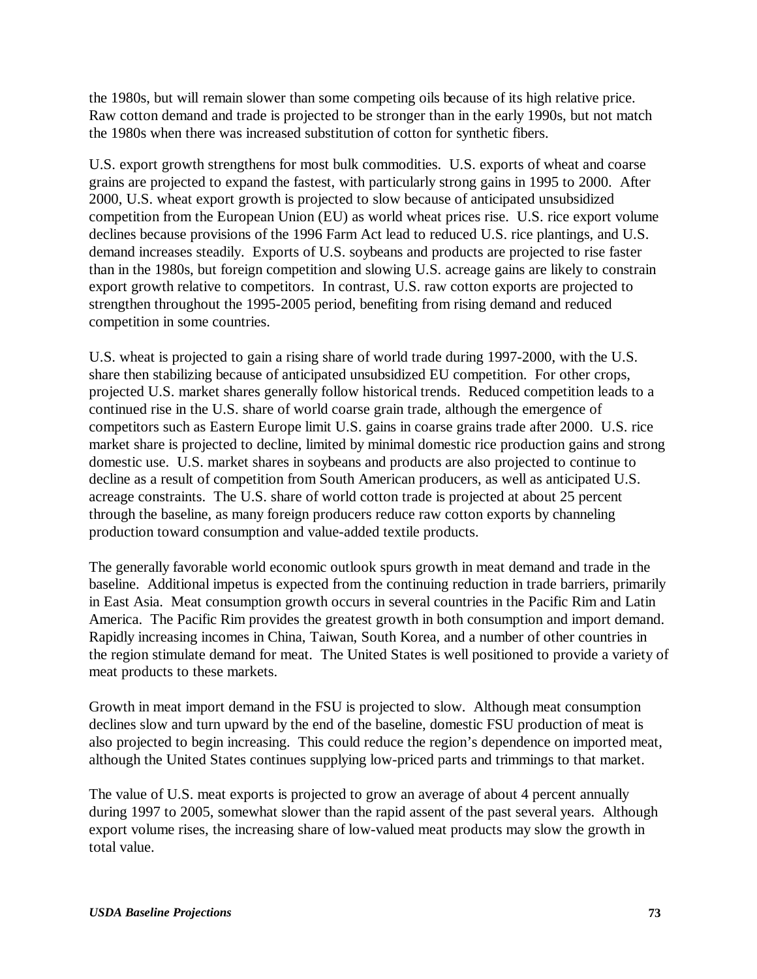the 1980s, but will remain slower than some competing oils because of its high relative price. Raw cotton demand and trade is projected to be stronger than in the early 1990s, but not match the 1980s when there was increased substitution of cotton for synthetic fibers.

U.S. export growth strengthens for most bulk commodities. U.S. exports of wheat and coarse grains are projected to expand the fastest, with particularly strong gains in 1995 to 2000. After 2000, U.S. wheat export growth is projected to slow because of anticipated unsubsidized competition from the European Union (EU) as world wheat prices rise. U.S. rice export volume declines because provisions of the 1996 Farm Act lead to reduced U.S. rice plantings, and U.S. demand increases steadily. Exports of U.S. soybeans and products are projected to rise faster than in the 1980s, but foreign competition and slowing U.S. acreage gains are likely to constrain export growth relative to competitors. In contrast, U.S. raw cotton exports are projected to strengthen throughout the 1995-2005 period, benefiting from rising demand and reduced competition in some countries.

U.S. wheat is projected to gain a rising share of world trade during 1997-2000, with the U.S. share then stabilizing because of anticipated unsubsidized EU competition. For other crops, projected U.S. market shares generally follow historical trends. Reduced competition leads to a continued rise in the U.S. share of world coarse grain trade, although the emergence of competitors such as Eastern Europe limit U.S. gains in coarse grains trade after 2000. U.S. rice market share is projected to decline, limited by minimal domestic rice production gains and strong domestic use. U.S. market shares in soybeans and products are also projected to continue to decline as a result of competition from South American producers, as well as anticipated U.S. acreage constraints. The U.S. share of world cotton trade is projected at about 25 percent through the baseline, as many foreign producers reduce raw cotton exports by channeling production toward consumption and value-added textile products.

The generally favorable world economic outlook spurs growth in meat demand and trade in the baseline. Additional impetus is expected from the continuing reduction in trade barriers, primarily in East Asia. Meat consumption growth occurs in several countries in the Pacific Rim and Latin America. The Pacific Rim provides the greatest growth in both consumption and import demand. Rapidly increasing incomes in China, Taiwan, South Korea, and a number of other countries in the region stimulate demand for meat. The United States is well positioned to provide a variety of meat products to these markets.

Growth in meat import demand in the FSU is projected to slow. Although meat consumption declines slow and turn upward by the end of the baseline, domestic FSU production of meat is also projected to begin increasing. This could reduce the region's dependence on imported meat, although the United States continues supplying low-priced parts and trimmings to that market.

The value of U.S. meat exports is projected to grow an average of about 4 percent annually during 1997 to 2005, somewhat slower than the rapid assent of the past several years. Although export volume rises, the increasing share of low-valued meat products may slow the growth in total value.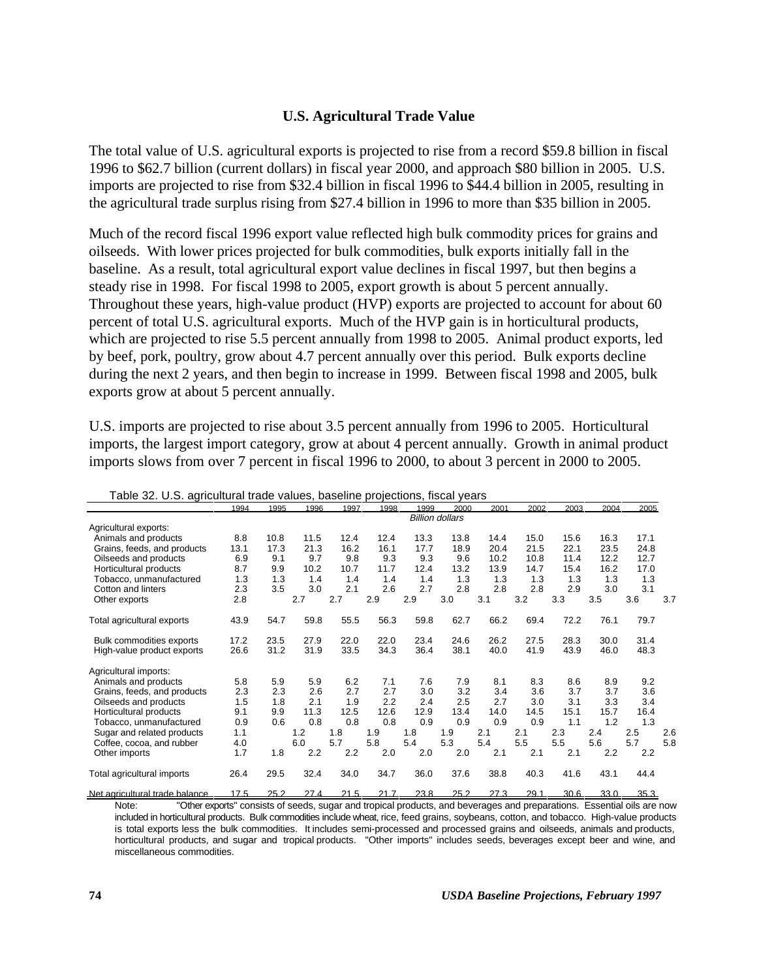#### **U.S. Agricultural Trade Value**

The total value of U.S. agricultural exports is projected to rise from a record \$59.8 billion in fiscal 1996 to \$62.7 billion (current dollars) in fiscal year 2000, and approach \$80 billion in 2005. U.S. imports are projected to rise from \$32.4 billion in fiscal 1996 to \$44.4 billion in 2005, resulting in the agricultural trade surplus rising from \$27.4 billion in 1996 to more than \$35 billion in 2005.

Much of the record fiscal 1996 export value reflected high bulk commodity prices for grains and oilseeds. With lower prices projected for bulk commodities, bulk exports initially fall in the baseline. As a result, total agricultural export value declines in fiscal 1997, but then begins a steady rise in 1998. For fiscal 1998 to 2005, export growth is about 5 percent annually. Throughout these years, high-value product (HVP) exports are projected to account for about 60 percent of total U.S. agricultural exports. Much of the HVP gain is in horticultural products, which are projected to rise 5.5 percent annually from 1998 to 2005. Animal product exports, led by beef, pork, poultry, grow about 4.7 percent annually over this period. Bulk exports decline during the next 2 years, and then begin to increase in 1999. Between fiscal 1998 and 2005, bulk exports grow at about 5 percent annually.

U.S. imports are projected to rise about 3.5 percent annually from 1996 to 2005. Horticultural imports, the largest import category, grow at about 4 percent annually. Growth in animal product imports slows from over 7 percent in fiscal 1996 to 2000, to about 3 percent in 2000 to 2005.

|                                | 1994 | 1995 | 1996 | 1997 | 1998 | 1999 | 2000                   | 2001 | 2002 | 2003 | 2004 | 2005 |     |
|--------------------------------|------|------|------|------|------|------|------------------------|------|------|------|------|------|-----|
|                                |      |      |      |      |      |      | <b>Billion dollars</b> |      |      |      |      |      |     |
| Agricultural exports:          |      |      |      |      |      |      |                        |      |      |      |      |      |     |
| Animals and products           | 8.8  | 10.8 | 11.5 | 12.4 | 12.4 | 13.3 | 13.8                   | 14.4 | 15.0 | 15.6 | 16.3 | 17.1 |     |
| Grains, feeds, and products    | 13.1 | 17.3 | 21.3 | 16.2 | 16.1 | 17.7 | 18.9                   | 20.4 | 21.5 | 22.1 | 23.5 | 24.8 |     |
| Oilseeds and products          | 6.9  | 9.1  | 9.7  | 9.8  | 9.3  | 9.3  | 9.6                    | 10.2 | 10.8 | 11.4 | 12.2 | 12.7 |     |
| Horticultural products         | 8.7  | 9.9  | 10.2 | 10.7 | 11.7 | 12.4 | 13.2                   | 13.9 | 14.7 | 15.4 | 16.2 | 17.0 |     |
| Tobacco, unmanufactured        | 1.3  | 1.3  | 1.4  | 1.4  | 1.4  | 1.4  | 1.3                    | 1.3  | 1.3  | 1.3  | 1.3  | 1.3  |     |
| Cotton and linters             | 2.3  | 3.5  | 3.0  | 2.1  | 2.6  | 2.7  | 2.8                    | 2.8  | 2.8  | 2.9  | 3.0  | 3.1  |     |
| Other exports                  | 2.8  |      | 2.7  | 2.7  | 2.9  | 2.9  | 3.0                    | 3.1  | 3.2  | 3.3  | 3.5  | 3.6  | 3.7 |
| Total agricultural exports     | 43.9 | 54.7 | 59.8 | 55.5 | 56.3 | 59.8 | 62.7                   | 66.2 | 69.4 | 72.2 | 76.1 | 79.7 |     |
| Bulk commodities exports       | 17.2 | 23.5 | 27.9 | 22.0 | 22.0 | 23.4 | 24.6                   | 26.2 | 27.5 | 28.3 | 30.0 | 31.4 |     |
| High-value product exports     | 26.6 | 31.2 | 31.9 | 33.5 | 34.3 | 36.4 | 38.1                   | 40.0 | 41.9 | 43.9 | 46.0 | 48.3 |     |
| Agricultural imports:          |      |      |      |      |      |      |                        |      |      |      |      |      |     |
| Animals and products           | 5.8  | 5.9  | 5.9  | 6.2  | 7.1  | 7.6  | 7.9                    | 8.1  | 8.3  | 8.6  | 8.9  | 9.2  |     |
| Grains, feeds, and products    | 2.3  | 2.3  | 2.6  | 2.7  | 2.7  | 3.0  | 3.2                    | 3.4  | 3.6  | 3.7  | 3.7  | 3.6  |     |
| Oilseeds and products          | 1.5  | 1.8  | 2.1  | 1.9  | 2.2  | 2.4  | 2.5                    | 2.7  | 3.0  | 3.1  | 3.3  | 3.4  |     |
| Horticultural products         | 9.1  | 9.9  | 11.3 | 12.5 | 12.6 | 12.9 | 13.4                   | 14.0 | 14.5 | 15.1 | 15.7 | 16.4 |     |
| Tobacco, unmanufactured        | 0.9  | 0.6  | 0.8  | 0.8  | 0.8  | 0.9  | 0.9                    | 0.9  | 0.9  | 1.1  | 1.2  | 1.3  |     |
| Sugar and related products     | 1.1  |      | 1.2  | 1.8  | 1.9  | 1.8  | 1.9                    | 2.1  | 2.1  | 2.3  | 2.4  | 2.5  | 2.6 |
| Coffee, cocoa, and rubber      | 4.0  |      | 6.0  | 5.7  | 5.8  | 5.4  | 5.3                    | 5.4  | 5.5  | 5.5  | 5.6  | 5.7  | 5.8 |
| Other imports                  | 1.7  | 1.8  | 2.2  | 2.2  | 2.0  | 2.0  | 2.0                    | 2.1  | 2.1  | 2.1  | 2.2  | 2.2  |     |
| Total agricultural imports     | 26.4 | 29.5 | 32.4 | 34.0 | 34.7 | 36.0 | 37.6                   | 38.8 | 40.3 | 41.6 | 43.1 | 44.4 |     |
| Net agricultural trade balance | 175  | 25.2 | 274  | 21.5 | 217  | 23.8 | 25.2                   | 273  | 29.1 | 30 R | 330  | 35.3 |     |

Table 32. U.S. agricultural trade values, baseline projections, fiscal years

Note: "Other exports" consists of seeds, sugar and tropical products, and beverages and preparations. Essential oils are now included in horticultural products. Bulk commodities include wheat, rice, feed grains, soybeans, cotton, and tobacco. High-value products is total exports less the bulk commodities. It includes semi-processed and processed grains and oilseeds, animals and products, horticultural products, and sugar and tropical products. "Other imports" includes seeds, beverages except beer and wine, and miscellaneous commodities.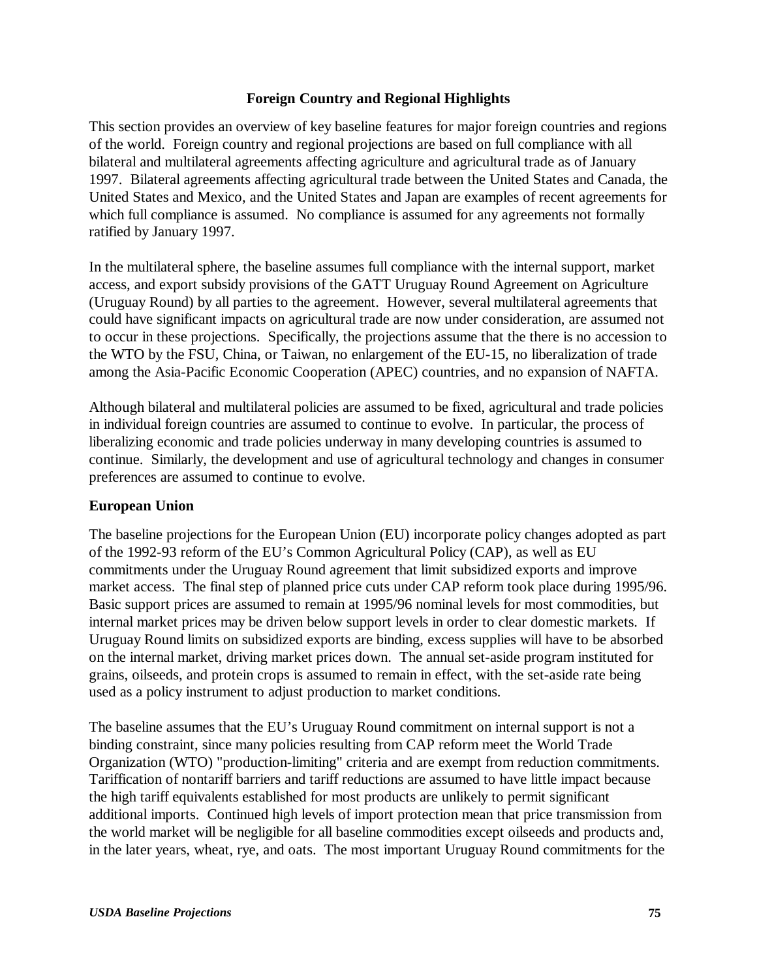## **Foreign Country and Regional Highlights**

This section provides an overview of key baseline features for major foreign countries and regions of the world. Foreign country and regional projections are based on full compliance with all bilateral and multilateral agreements affecting agriculture and agricultural trade as of January 1997. Bilateral agreements affecting agricultural trade between the United States and Canada, the United States and Mexico, and the United States and Japan are examples of recent agreements for which full compliance is assumed. No compliance is assumed for any agreements not formally ratified by January 1997.

In the multilateral sphere, the baseline assumes full compliance with the internal support, market access, and export subsidy provisions of the GATT Uruguay Round Agreement on Agriculture (Uruguay Round) by all parties to the agreement. However, several multilateral agreements that could have significant impacts on agricultural trade are now under consideration, are assumed not to occur in these projections. Specifically, the projections assume that the there is no accession to the WTO by the FSU, China, or Taiwan, no enlargement of the EU-15, no liberalization of trade among the Asia-Pacific Economic Cooperation (APEC) countries, and no expansion of NAFTA.

Although bilateral and multilateral policies are assumed to be fixed, agricultural and trade policies in individual foreign countries are assumed to continue to evolve. In particular, the process of liberalizing economic and trade policies underway in many developing countries is assumed to continue. Similarly, the development and use of agricultural technology and changes in consumer preferences are assumed to continue to evolve.

# **European Union**

The baseline projections for the European Union (EU) incorporate policy changes adopted as part of the 1992-93 reform of the EU's Common Agricultural Policy (CAP), as well as EU commitments under the Uruguay Round agreement that limit subsidized exports and improve market access. The final step of planned price cuts under CAP reform took place during 1995/96. Basic support prices are assumed to remain at 1995/96 nominal levels for most commodities, but internal market prices may be driven below support levels in order to clear domestic markets. If Uruguay Round limits on subsidized exports are binding, excess supplies will have to be absorbed on the internal market, driving market prices down. The annual set-aside program instituted for grains, oilseeds, and protein crops is assumed to remain in effect, with the set-aside rate being used as a policy instrument to adjust production to market conditions.

The baseline assumes that the EU's Uruguay Round commitment on internal support is not a binding constraint, since many policies resulting from CAP reform meet the World Trade Organization (WTO) "production-limiting" criteria and are exempt from reduction commitments. Tariffication of nontariff barriers and tariff reductions are assumed to have little impact because the high tariff equivalents established for most products are unlikely to permit significant additional imports. Continued high levels of import protection mean that price transmission from the world market will be negligible for all baseline commodities except oilseeds and products and, in the later years, wheat, rye, and oats. The most important Uruguay Round commitments for the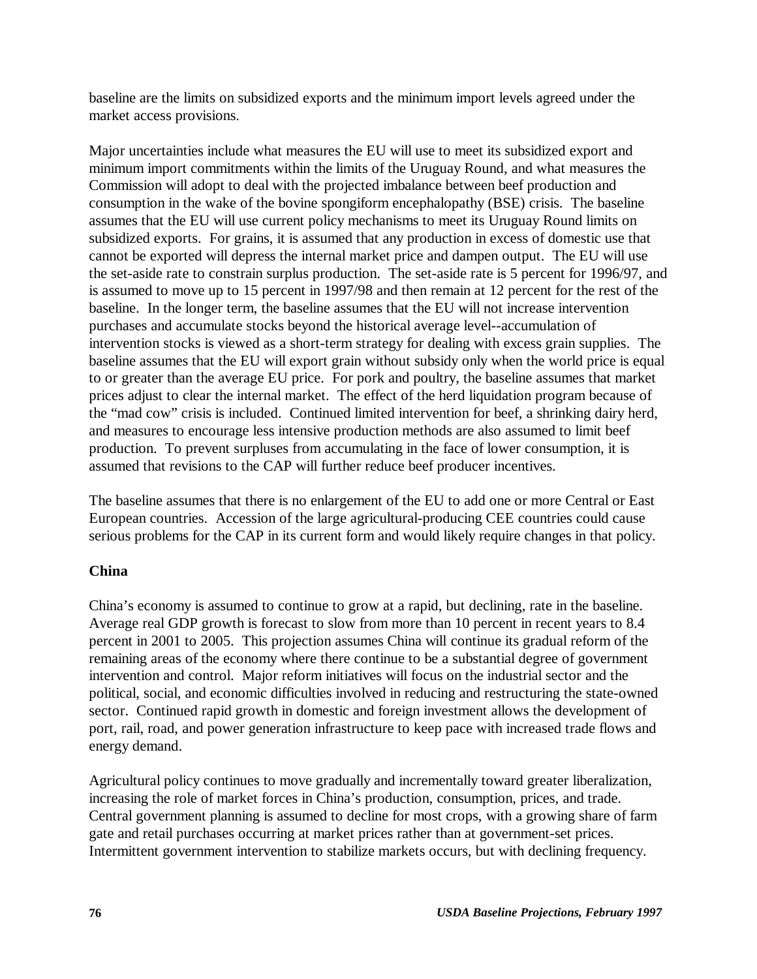baseline are the limits on subsidized exports and the minimum import levels agreed under the market access provisions.

Major uncertainties include what measures the EU will use to meet its subsidized export and minimum import commitments within the limits of the Uruguay Round, and what measures the Commission will adopt to deal with the projected imbalance between beef production and consumption in the wake of the bovine spongiform encephalopathy (BSE) crisis. The baseline assumes that the EU will use current policy mechanisms to meet its Uruguay Round limits on subsidized exports. For grains, it is assumed that any production in excess of domestic use that cannot be exported will depress the internal market price and dampen output. The EU will use the set-aside rate to constrain surplus production. The set-aside rate is 5 percent for 1996/97, and is assumed to move up to 15 percent in 1997/98 and then remain at 12 percent for the rest of the baseline. In the longer term, the baseline assumes that the EU will not increase intervention purchases and accumulate stocks beyond the historical average level--accumulation of intervention stocks is viewed as a short-term strategy for dealing with excess grain supplies. The baseline assumes that the EU will export grain without subsidy only when the world price is equal to or greater than the average EU price. For pork and poultry, the baseline assumes that market prices adjust to clear the internal market. The effect of the herd liquidation program because of the "mad cow" crisis is included. Continued limited intervention for beef, a shrinking dairy herd, and measures to encourage less intensive production methods are also assumed to limit beef production. To prevent surpluses from accumulating in the face of lower consumption, it is assumed that revisions to the CAP will further reduce beef producer incentives.

The baseline assumes that there is no enlargement of the EU to add one or more Central or East European countries. Accession of the large agricultural-producing CEE countries could cause serious problems for the CAP in its current form and would likely require changes in that policy.

# **China**

China's economy is assumed to continue to grow at a rapid, but declining, rate in the baseline. Average real GDP growth is forecast to slow from more than 10 percent in recent years to 8.4 percent in 2001 to 2005. This projection assumes China will continue its gradual reform of the remaining areas of the economy where there continue to be a substantial degree of government intervention and control. Major reform initiatives will focus on the industrial sector and the political, social, and economic difficulties involved in reducing and restructuring the state-owned sector. Continued rapid growth in domestic and foreign investment allows the development of port, rail, road, and power generation infrastructure to keep pace with increased trade flows and energy demand.

Agricultural policy continues to move gradually and incrementally toward greater liberalization, increasing the role of market forces in China's production, consumption, prices, and trade. Central government planning is assumed to decline for most crops, with a growing share of farm gate and retail purchases occurring at market prices rather than at government-set prices. Intermittent government intervention to stabilize markets occurs, but with declining frequency.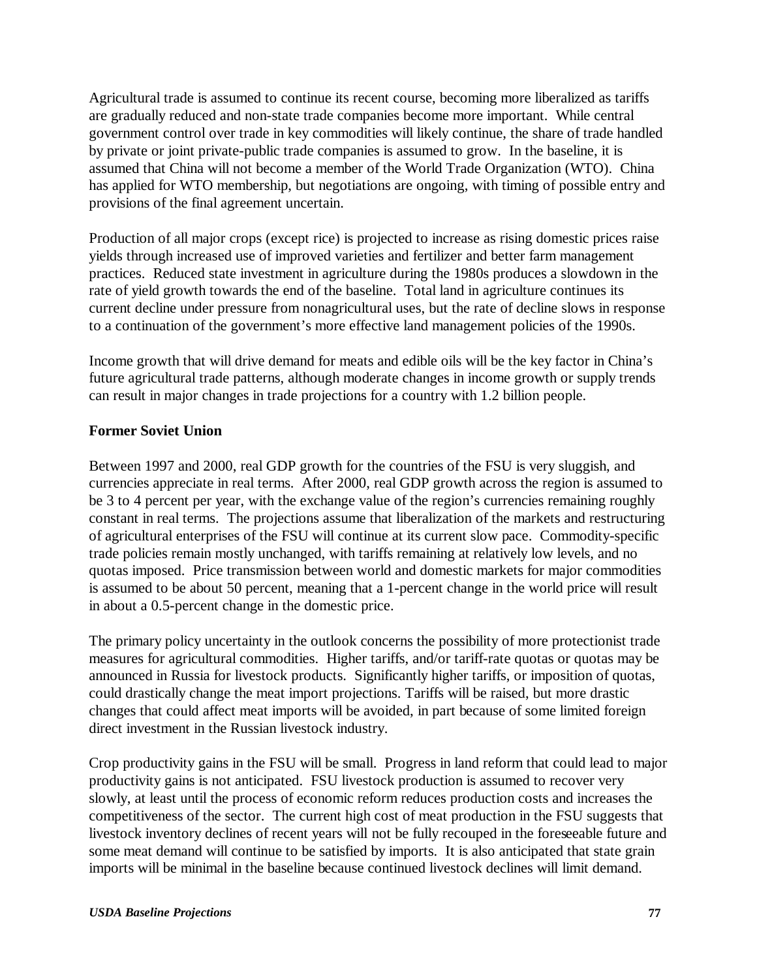Agricultural trade is assumed to continue its recent course, becoming more liberalized as tariffs are gradually reduced and non-state trade companies become more important. While central government control over trade in key commodities will likely continue, the share of trade handled by private or joint private-public trade companies is assumed to grow. In the baseline, it is assumed that China will not become a member of the World Trade Organization (WTO). China has applied for WTO membership, but negotiations are ongoing, with timing of possible entry and provisions of the final agreement uncertain.

Production of all major crops (except rice) is projected to increase as rising domestic prices raise yields through increased use of improved varieties and fertilizer and better farm management practices. Reduced state investment in agriculture during the 1980s produces a slowdown in the rate of yield growth towards the end of the baseline. Total land in agriculture continues its current decline under pressure from nonagricultural uses, but the rate of decline slows in response to a continuation of the government's more effective land management policies of the 1990s.

Income growth that will drive demand for meats and edible oils will be the key factor in China's future agricultural trade patterns, although moderate changes in income growth or supply trends can result in major changes in trade projections for a country with 1.2 billion people.

# **Former Soviet Union**

Between 1997 and 2000, real GDP growth for the countries of the FSU is very sluggish, and currencies appreciate in real terms. After 2000, real GDP growth across the region is assumed to be 3 to 4 percent per year, with the exchange value of the region's currencies remaining roughly constant in real terms. The projections assume that liberalization of the markets and restructuring of agricultural enterprises of the FSU will continue at its current slow pace. Commodity-specific trade policies remain mostly unchanged, with tariffs remaining at relatively low levels, and no quotas imposed. Price transmission between world and domestic markets for major commodities is assumed to be about 50 percent, meaning that a 1-percent change in the world price will result in about a 0.5-percent change in the domestic price.

The primary policy uncertainty in the outlook concerns the possibility of more protectionist trade measures for agricultural commodities. Higher tariffs, and/or tariff-rate quotas or quotas may be announced in Russia for livestock products. Significantly higher tariffs, or imposition of quotas, could drastically change the meat import projections. Tariffs will be raised, but more drastic changes that could affect meat imports will be avoided, in part because of some limited foreign direct investment in the Russian livestock industry.

Crop productivity gains in the FSU will be small. Progress in land reform that could lead to major productivity gains is not anticipated. FSU livestock production is assumed to recover very slowly, at least until the process of economic reform reduces production costs and increases the competitiveness of the sector. The current high cost of meat production in the FSU suggests that livestock inventory declines of recent years will not be fully recouped in the foreseeable future and some meat demand will continue to be satisfied by imports. It is also anticipated that state grain imports will be minimal in the baseline because continued livestock declines will limit demand.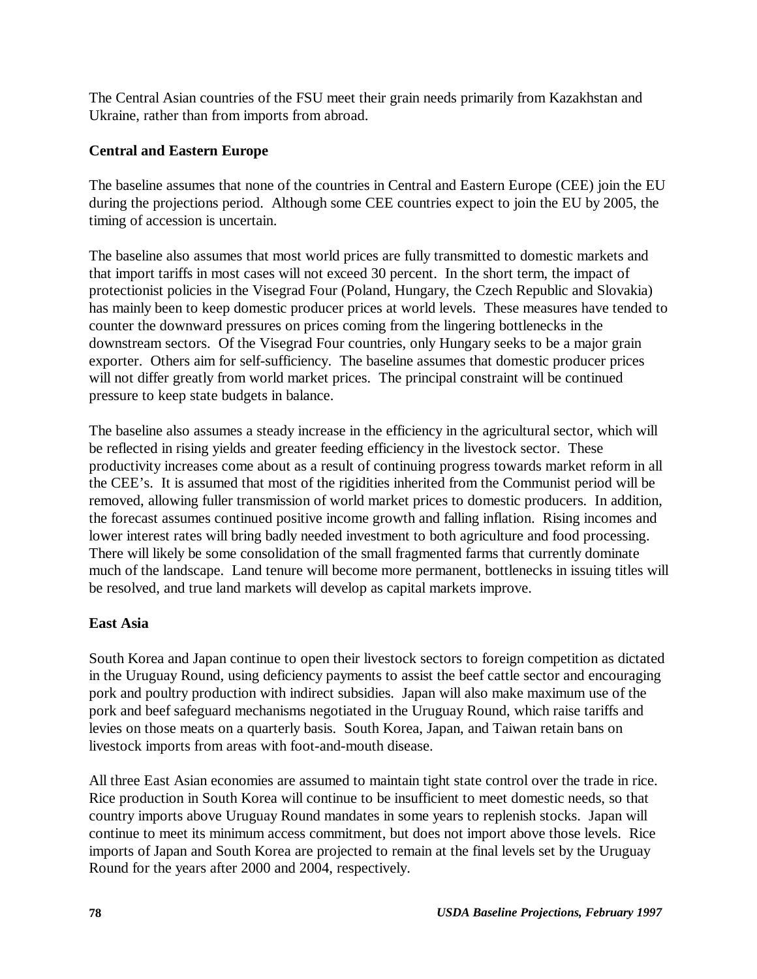The Central Asian countries of the FSU meet their grain needs primarily from Kazakhstan and Ukraine, rather than from imports from abroad.

# **Central and Eastern Europe**

The baseline assumes that none of the countries in Central and Eastern Europe (CEE) join the EU during the projections period. Although some CEE countries expect to join the EU by 2005, the timing of accession is uncertain.

The baseline also assumes that most world prices are fully transmitted to domestic markets and that import tariffs in most cases will not exceed 30 percent. In the short term, the impact of protectionist policies in the Visegrad Four (Poland, Hungary, the Czech Republic and Slovakia) has mainly been to keep domestic producer prices at world levels. These measures have tended to counter the downward pressures on prices coming from the lingering bottlenecks in the downstream sectors. Of the Visegrad Four countries, only Hungary seeks to be a major grain exporter. Others aim for self-sufficiency. The baseline assumes that domestic producer prices will not differ greatly from world market prices. The principal constraint will be continued pressure to keep state budgets in balance.

The baseline also assumes a steady increase in the efficiency in the agricultural sector, which will be reflected in rising yields and greater feeding efficiency in the livestock sector. These productivity increases come about as a result of continuing progress towards market reform in all the CEE's. It is assumed that most of the rigidities inherited from the Communist period will be removed, allowing fuller transmission of world market prices to domestic producers. In addition, the forecast assumes continued positive income growth and falling inflation. Rising incomes and lower interest rates will bring badly needed investment to both agriculture and food processing. There will likely be some consolidation of the small fragmented farms that currently dominate much of the landscape. Land tenure will become more permanent, bottlenecks in issuing titles will be resolved, and true land markets will develop as capital markets improve.

# **East Asia**

South Korea and Japan continue to open their livestock sectors to foreign competition as dictated in the Uruguay Round, using deficiency payments to assist the beef cattle sector and encouraging pork and poultry production with indirect subsidies. Japan will also make maximum use of the pork and beef safeguard mechanisms negotiated in the Uruguay Round, which raise tariffs and levies on those meats on a quarterly basis. South Korea, Japan, and Taiwan retain bans on livestock imports from areas with foot-and-mouth disease.

All three East Asian economies are assumed to maintain tight state control over the trade in rice. Rice production in South Korea will continue to be insufficient to meet domestic needs, so that country imports above Uruguay Round mandates in some years to replenish stocks. Japan will continue to meet its minimum access commitment, but does not import above those levels. Rice imports of Japan and South Korea are projected to remain at the final levels set by the Uruguay Round for the years after 2000 and 2004, respectively.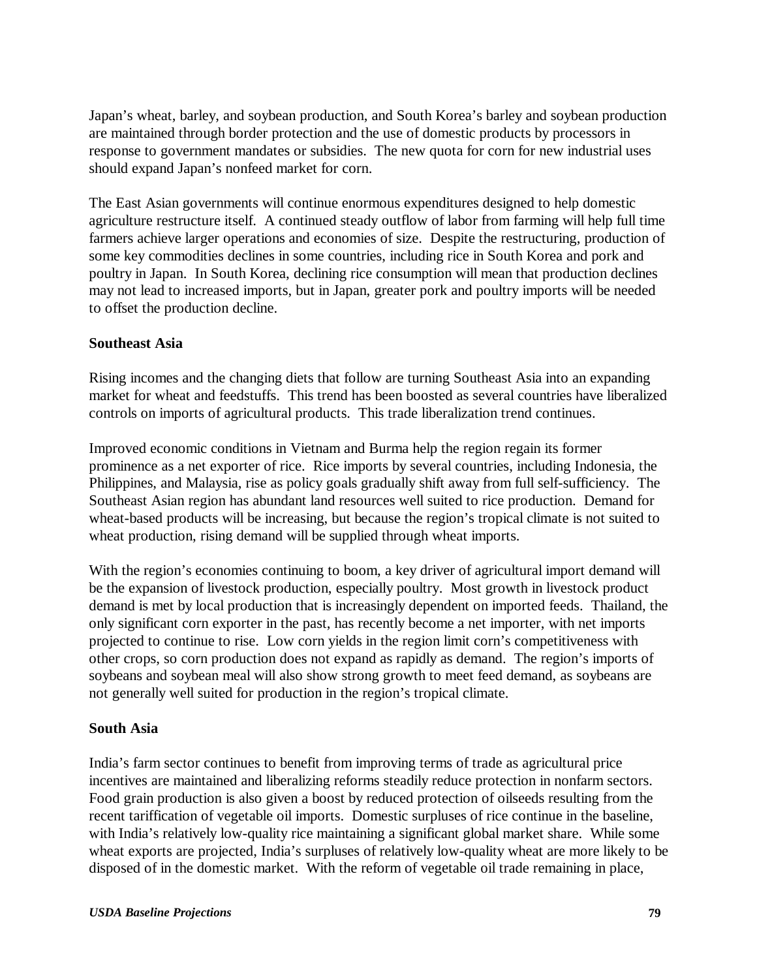Japan's wheat, barley, and soybean production, and South Korea's barley and soybean production are maintained through border protection and the use of domestic products by processors in response to government mandates or subsidies. The new quota for corn for new industrial uses should expand Japan's nonfeed market for corn.

The East Asian governments will continue enormous expenditures designed to help domestic agriculture restructure itself. A continued steady outflow of labor from farming will help full time farmers achieve larger operations and economies of size. Despite the restructuring, production of some key commodities declines in some countries, including rice in South Korea and pork and poultry in Japan. In South Korea, declining rice consumption will mean that production declines may not lead to increased imports, but in Japan, greater pork and poultry imports will be needed to offset the production decline.

## **Southeast Asia**

Rising incomes and the changing diets that follow are turning Southeast Asia into an expanding market for wheat and feedstuffs. This trend has been boosted as several countries have liberalized controls on imports of agricultural products. This trade liberalization trend continues.

Improved economic conditions in Vietnam and Burma help the region regain its former prominence as a net exporter of rice. Rice imports by several countries, including Indonesia, the Philippines, and Malaysia, rise as policy goals gradually shift away from full self-sufficiency. The Southeast Asian region has abundant land resources well suited to rice production. Demand for wheat-based products will be increasing, but because the region's tropical climate is not suited to wheat production, rising demand will be supplied through wheat imports.

With the region's economies continuing to boom, a key driver of agricultural import demand will be the expansion of livestock production, especially poultry. Most growth in livestock product demand is met by local production that is increasingly dependent on imported feeds. Thailand, the only significant corn exporter in the past, has recently become a net importer, with net imports projected to continue to rise. Low corn yields in the region limit corn's competitiveness with other crops, so corn production does not expand as rapidly as demand. The region's imports of soybeans and soybean meal will also show strong growth to meet feed demand, as soybeans are not generally well suited for production in the region's tropical climate.

## **South Asia**

India's farm sector continues to benefit from improving terms of trade as agricultural price incentives are maintained and liberalizing reforms steadily reduce protection in nonfarm sectors. Food grain production is also given a boost by reduced protection of oilseeds resulting from the recent tariffication of vegetable oil imports. Domestic surpluses of rice continue in the baseline, with India's relatively low-quality rice maintaining a significant global market share. While some wheat exports are projected, India's surpluses of relatively low-quality wheat are more likely to be disposed of in the domestic market. With the reform of vegetable oil trade remaining in place,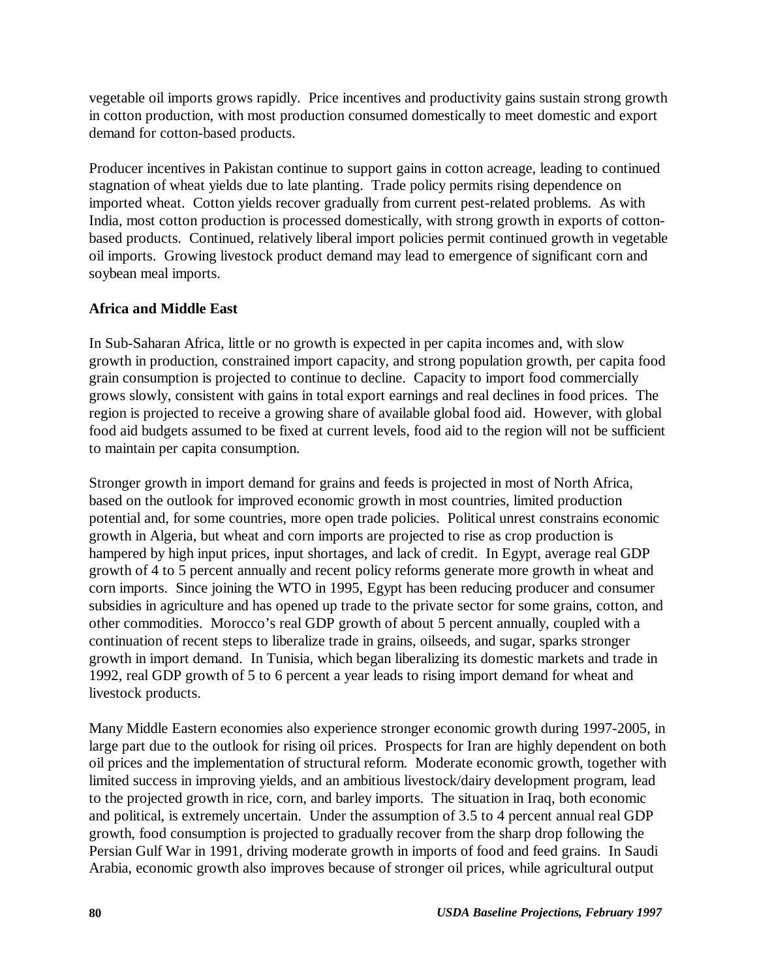vegetable oil imports grows rapidly. Price incentives and productivity gains sustain strong growth in cotton production, with most production consumed domestically to meet domestic and export demand for cotton-based products.

Producer incentives in Pakistan continue to support gains in cotton acreage, leading to continued stagnation of wheat yields due to late planting. Trade policy permits rising dependence on imported wheat. Cotton yields recover gradually from current pest-related problems. As with India, most cotton production is processed domestically, with strong growth in exports of cottonbased products. Continued, relatively liberal import policies permit continued growth in vegetable oil imports. Growing livestock product demand may lead to emergence of significant corn and soybean meal imports.

# **Africa and Middle East**

In Sub-Saharan Africa, little or no growth is expected in per capita incomes and, with slow growth in production, constrained import capacity, and strong population growth, per capita food grain consumption is projected to continue to decline. Capacity to import food commercially grows slowly, consistent with gains in total export earnings and real declines in food prices. The region is projected to receive a growing share of available global food aid. However, with global food aid budgets assumed to be fixed at current levels, food aid to the region will not be sufficient to maintain per capita consumption.

Stronger growth in import demand for grains and feeds is projected in most of North Africa, based on the outlook for improved economic growth in most countries, limited production potential and, for some countries, more open trade policies. Political unrest constrains economic growth in Algeria, but wheat and corn imports are projected to rise as crop production is hampered by high input prices, input shortages, and lack of credit. In Egypt, average real GDP growth of 4 to 5 percent annually and recent policy reforms generate more growth in wheat and corn imports. Since joining the WTO in 1995, Egypt has been reducing producer and consumer subsidies in agriculture and has opened up trade to the private sector for some grains, cotton, and other commodities. Morocco's real GDP growth of about 5 percent annually, coupled with a continuation of recent steps to liberalize trade in grains, oilseeds, and sugar, sparks stronger growth in import demand. In Tunisia, which began liberalizing its domestic markets and trade in 1992, real GDP growth of 5 to 6 percent a year leads to rising import demand for wheat and livestock products.

Many Middle Eastern economies also experience stronger economic growth during 1997-2005, in large part due to the outlook for rising oil prices. Prospects for Iran are highly dependent on both oil prices and the implementation of structural reform. Moderate economic growth, together with limited success in improving yields, and an ambitious livestock/dairy development program, lead to the projected growth in rice, corn, and barley imports. The situation in Iraq, both economic and political, is extremely uncertain. Under the assumption of 3.5 to 4 percent annual real GDP growth, food consumption is projected to gradually recover from the sharp drop following the Persian Gulf War in 1991, driving moderate growth in imports of food and feed grains. In Saudi Arabia, economic growth also improves because of stronger oil prices, while agricultural output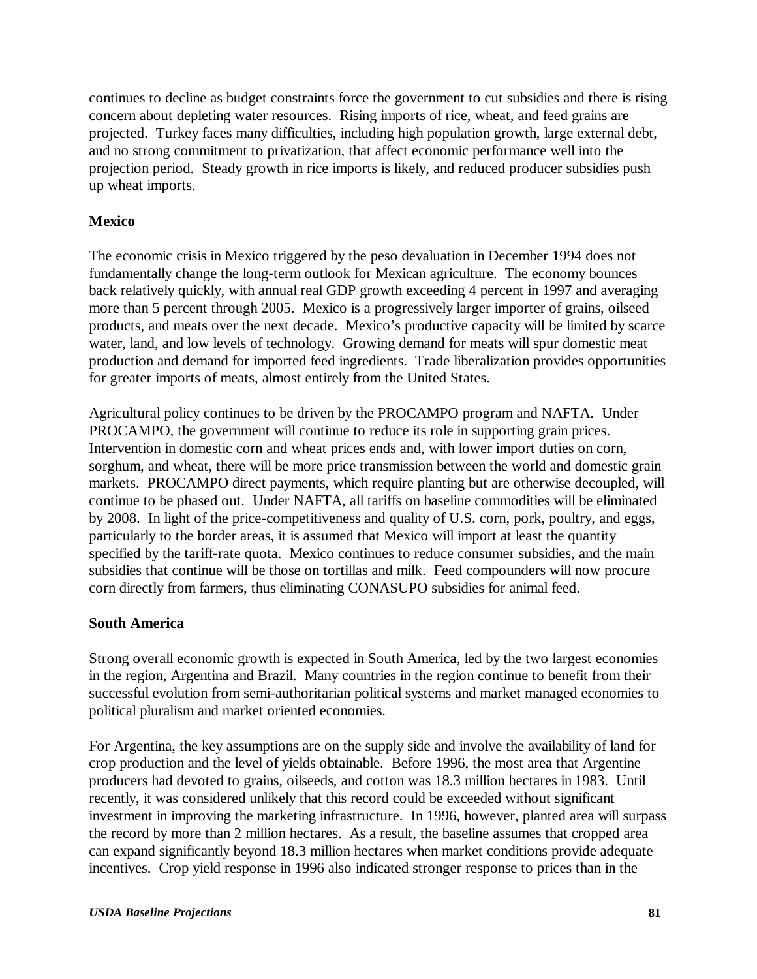continues to decline as budget constraints force the government to cut subsidies and there is rising concern about depleting water resources. Rising imports of rice, wheat, and feed grains are projected. Turkey faces many difficulties, including high population growth, large external debt, and no strong commitment to privatization, that affect economic performance well into the projection period. Steady growth in rice imports is likely, and reduced producer subsidies push up wheat imports.

## **Mexico**

The economic crisis in Mexico triggered by the peso devaluation in December 1994 does not fundamentally change the long-term outlook for Mexican agriculture. The economy bounces back relatively quickly, with annual real GDP growth exceeding 4 percent in 1997 and averaging more than 5 percent through 2005. Mexico is a progressively larger importer of grains, oilseed products, and meats over the next decade. Mexico's productive capacity will be limited by scarce water, land, and low levels of technology. Growing demand for meats will spur domestic meat production and demand for imported feed ingredients. Trade liberalization provides opportunities for greater imports of meats, almost entirely from the United States.

Agricultural policy continues to be driven by the PROCAMPO program and NAFTA. Under PROCAMPO, the government will continue to reduce its role in supporting grain prices. Intervention in domestic corn and wheat prices ends and, with lower import duties on corn, sorghum, and wheat, there will be more price transmission between the world and domestic grain markets. PROCAMPO direct payments, which require planting but are otherwise decoupled, will continue to be phased out. Under NAFTA, all tariffs on baseline commodities will be eliminated by 2008. In light of the price-competitiveness and quality of U.S. corn, pork, poultry, and eggs, particularly to the border areas, it is assumed that Mexico will import at least the quantity specified by the tariff-rate quota. Mexico continues to reduce consumer subsidies, and the main subsidies that continue will be those on tortillas and milk. Feed compounders will now procure corn directly from farmers, thus eliminating CONASUPO subsidies for animal feed.

## **South America**

Strong overall economic growth is expected in South America, led by the two largest economies in the region, Argentina and Brazil. Many countries in the region continue to benefit from their successful evolution from semi-authoritarian political systems and market managed economies to political pluralism and market oriented economies.

For Argentina, the key assumptions are on the supply side and involve the availability of land for crop production and the level of yields obtainable. Before 1996, the most area that Argentine producers had devoted to grains, oilseeds, and cotton was 18.3 million hectares in 1983. Until recently, it was considered unlikely that this record could be exceeded without significant investment in improving the marketing infrastructure. In 1996, however, planted area will surpass the record by more than 2 million hectares. As a result, the baseline assumes that cropped area can expand significantly beyond 18.3 million hectares when market conditions provide adequate incentives. Crop yield response in 1996 also indicated stronger response to prices than in the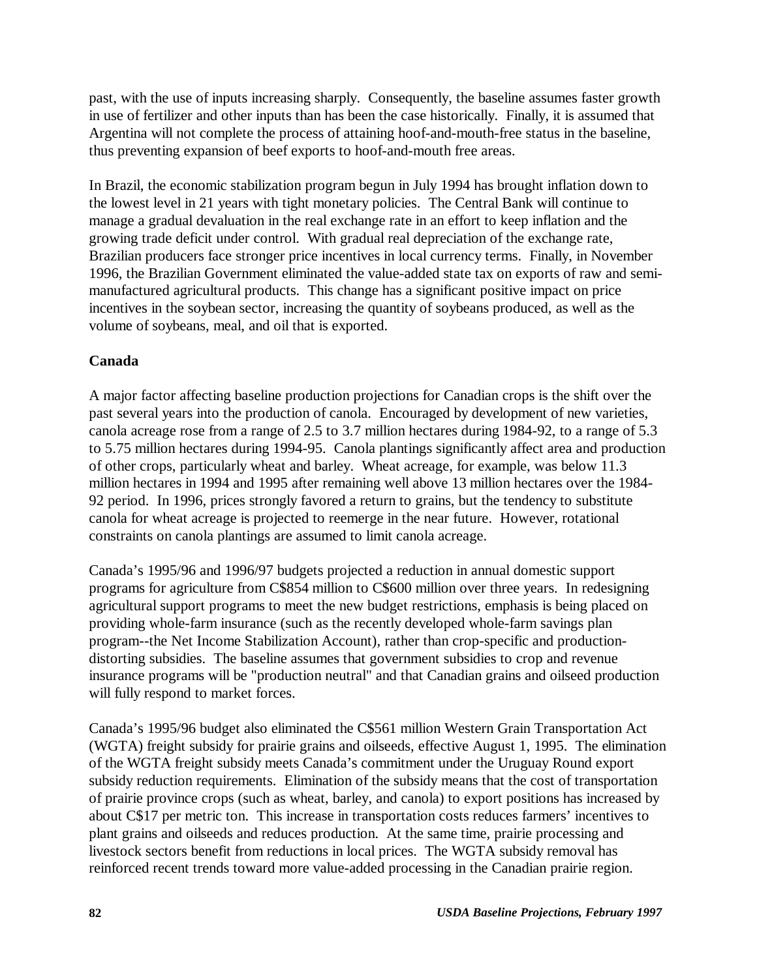past, with the use of inputs increasing sharply. Consequently, the baseline assumes faster growth in use of fertilizer and other inputs than has been the case historically. Finally, it is assumed that Argentina will not complete the process of attaining hoof-and-mouth-free status in the baseline, thus preventing expansion of beef exports to hoof-and-mouth free areas.

In Brazil, the economic stabilization program begun in July 1994 has brought inflation down to the lowest level in 21 years with tight monetary policies. The Central Bank will continue to manage a gradual devaluation in the real exchange rate in an effort to keep inflation and the growing trade deficit under control. With gradual real depreciation of the exchange rate, Brazilian producers face stronger price incentives in local currency terms. Finally, in November 1996, the Brazilian Government eliminated the value-added state tax on exports of raw and semimanufactured agricultural products. This change has a significant positive impact on price incentives in the soybean sector, increasing the quantity of soybeans produced, as well as the volume of soybeans, meal, and oil that is exported.

# **Canada**

A major factor affecting baseline production projections for Canadian crops is the shift over the past several years into the production of canola. Encouraged by development of new varieties, canola acreage rose from a range of 2.5 to 3.7 million hectares during 1984-92, to a range of 5.3 to 5.75 million hectares during 1994-95. Canola plantings significantly affect area and production of other crops, particularly wheat and barley. Wheat acreage, for example, was below 11.3 million hectares in 1994 and 1995 after remaining well above 13 million hectares over the 1984- 92 period. In 1996, prices strongly favored a return to grains, but the tendency to substitute canola for wheat acreage is projected to reemerge in the near future. However, rotational constraints on canola plantings are assumed to limit canola acreage.

Canada's 1995/96 and 1996/97 budgets projected a reduction in annual domestic support programs for agriculture from C\$854 million to C\$600 million over three years. In redesigning agricultural support programs to meet the new budget restrictions, emphasis is being placed on providing whole-farm insurance (such as the recently developed whole-farm savings plan program--the Net Income Stabilization Account), rather than crop-specific and productiondistorting subsidies. The baseline assumes that government subsidies to crop and revenue insurance programs will be "production neutral" and that Canadian grains and oilseed production will fully respond to market forces.

Canada's 1995/96 budget also eliminated the C\$561 million Western Grain Transportation Act (WGTA) freight subsidy for prairie grains and oilseeds, effective August 1, 1995. The elimination of the WGTA freight subsidy meets Canada's commitment under the Uruguay Round export subsidy reduction requirements. Elimination of the subsidy means that the cost of transportation of prairie province crops (such as wheat, barley, and canola) to export positions has increased by about C\$17 per metric ton. This increase in transportation costs reduces farmers' incentives to plant grains and oilseeds and reduces production. At the same time, prairie processing and livestock sectors benefit from reductions in local prices. The WGTA subsidy removal has reinforced recent trends toward more value-added processing in the Canadian prairie region.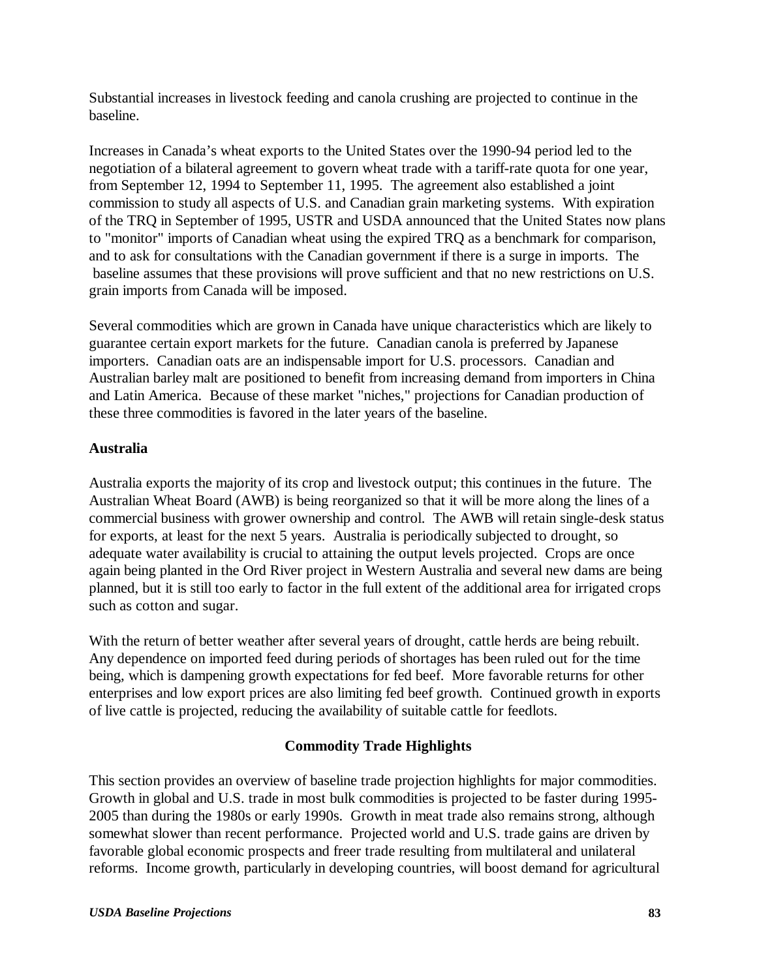Substantial increases in livestock feeding and canola crushing are projected to continue in the baseline.

Increases in Canada's wheat exports to the United States over the 1990-94 period led to the negotiation of a bilateral agreement to govern wheat trade with a tariff-rate quota for one year, from September 12, 1994 to September 11, 1995. The agreement also established a joint commission to study all aspects of U.S. and Canadian grain marketing systems. With expiration of the TRQ in September of 1995, USTR and USDA announced that the United States now plans to "monitor" imports of Canadian wheat using the expired TRQ as a benchmark for comparison, and to ask for consultations with the Canadian government if there is a surge in imports. The baseline assumes that these provisions will prove sufficient and that no new restrictions on U.S. grain imports from Canada will be imposed.

Several commodities which are grown in Canada have unique characteristics which are likely to guarantee certain export markets for the future. Canadian canola is preferred by Japanese importers. Canadian oats are an indispensable import for U.S. processors. Canadian and Australian barley malt are positioned to benefit from increasing demand from importers in China and Latin America. Because of these market "niches," projections for Canadian production of these three commodities is favored in the later years of the baseline.

# **Australia**

Australia exports the majority of its crop and livestock output; this continues in the future. The Australian Wheat Board (AWB) is being reorganized so that it will be more along the lines of a commercial business with grower ownership and control. The AWB will retain single-desk status for exports, at least for the next 5 years. Australia is periodically subjected to drought, so adequate water availability is crucial to attaining the output levels projected. Crops are once again being planted in the Ord River project in Western Australia and several new dams are being planned, but it is still too early to factor in the full extent of the additional area for irrigated crops such as cotton and sugar.

With the return of better weather after several years of drought, cattle herds are being rebuilt. Any dependence on imported feed during periods of shortages has been ruled out for the time being, which is dampening growth expectations for fed beef. More favorable returns for other enterprises and low export prices are also limiting fed beef growth. Continued growth in exports of live cattle is projected, reducing the availability of suitable cattle for feedlots.

# **Commodity Trade Highlights**

This section provides an overview of baseline trade projection highlights for major commodities. Growth in global and U.S. trade in most bulk commodities is projected to be faster during 1995- 2005 than during the 1980s or early 1990s. Growth in meat trade also remains strong, although somewhat slower than recent performance. Projected world and U.S. trade gains are driven by favorable global economic prospects and freer trade resulting from multilateral and unilateral reforms. Income growth, particularly in developing countries, will boost demand for agricultural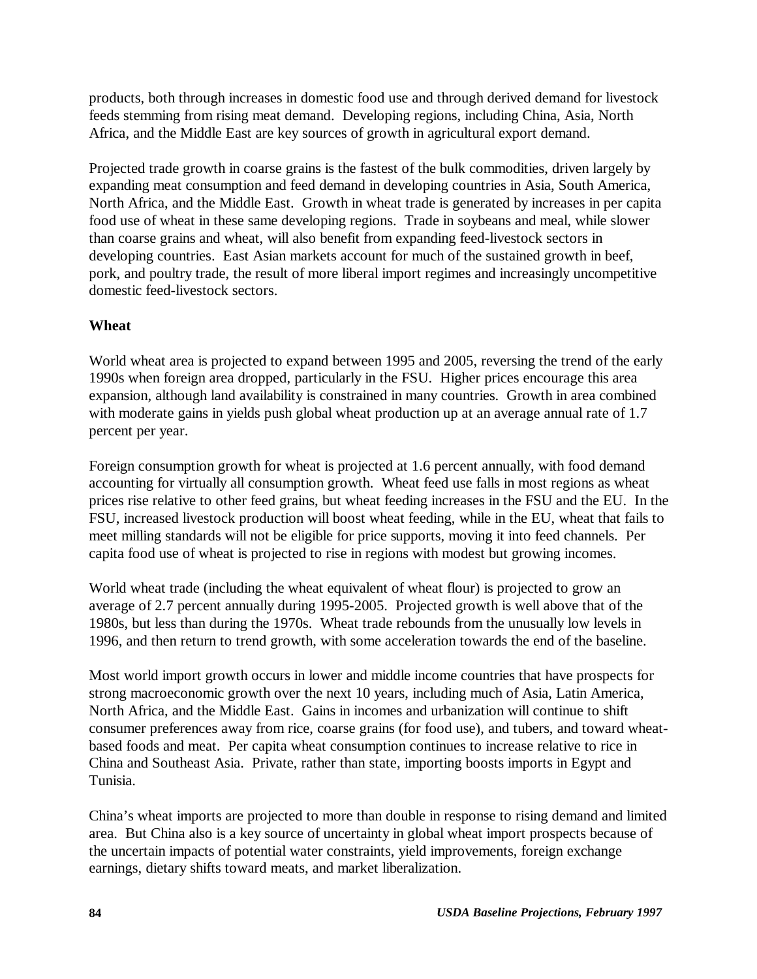products, both through increases in domestic food use and through derived demand for livestock feeds stemming from rising meat demand. Developing regions, including China, Asia, North Africa, and the Middle East are key sources of growth in agricultural export demand.

Projected trade growth in coarse grains is the fastest of the bulk commodities, driven largely by expanding meat consumption and feed demand in developing countries in Asia, South America, North Africa, and the Middle East. Growth in wheat trade is generated by increases in per capita food use of wheat in these same developing regions. Trade in soybeans and meal, while slower than coarse grains and wheat, will also benefit from expanding feed-livestock sectors in developing countries. East Asian markets account for much of the sustained growth in beef, pork, and poultry trade, the result of more liberal import regimes and increasingly uncompetitive domestic feed-livestock sectors.

# **Wheat**

World wheat area is projected to expand between 1995 and 2005, reversing the trend of the early 1990s when foreign area dropped, particularly in the FSU. Higher prices encourage this area expansion, although land availability is constrained in many countries. Growth in area combined with moderate gains in yields push global wheat production up at an average annual rate of 1.7 percent per year.

Foreign consumption growth for wheat is projected at 1.6 percent annually, with food demand accounting for virtually all consumption growth. Wheat feed use falls in most regions as wheat prices rise relative to other feed grains, but wheat feeding increases in the FSU and the EU. In the FSU, increased livestock production will boost wheat feeding, while in the EU, wheat that fails to meet milling standards will not be eligible for price supports, moving it into feed channels. Per capita food use of wheat is projected to rise in regions with modest but growing incomes.

World wheat trade (including the wheat equivalent of wheat flour) is projected to grow an average of 2.7 percent annually during 1995-2005. Projected growth is well above that of the 1980s, but less than during the 1970s. Wheat trade rebounds from the unusually low levels in 1996, and then return to trend growth, with some acceleration towards the end of the baseline.

Most world import growth occurs in lower and middle income countries that have prospects for strong macroeconomic growth over the next 10 years, including much of Asia, Latin America, North Africa, and the Middle East. Gains in incomes and urbanization will continue to shift consumer preferences away from rice, coarse grains (for food use), and tubers, and toward wheatbased foods and meat. Per capita wheat consumption continues to increase relative to rice in China and Southeast Asia. Private, rather than state, importing boosts imports in Egypt and Tunisia.

China's wheat imports are projected to more than double in response to rising demand and limited area. But China also is a key source of uncertainty in global wheat import prospects because of the uncertain impacts of potential water constraints, yield improvements, foreign exchange earnings, dietary shifts toward meats, and market liberalization.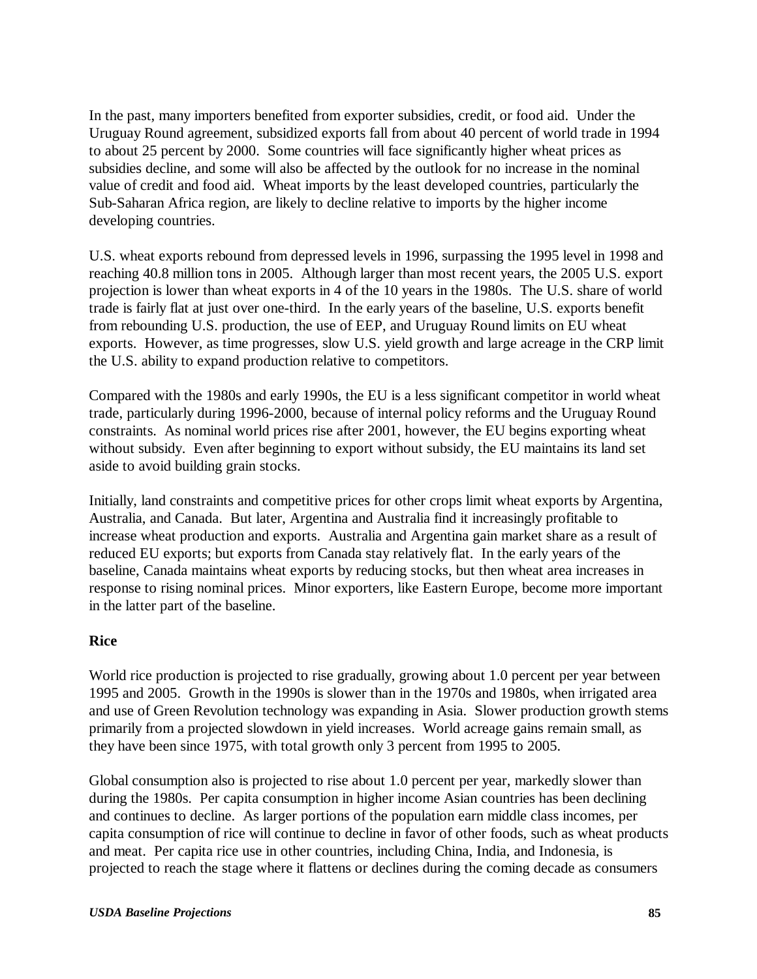In the past, many importers benefited from exporter subsidies, credit, or food aid. Under the Uruguay Round agreement, subsidized exports fall from about 40 percent of world trade in 1994 to about 25 percent by 2000. Some countries will face significantly higher wheat prices as subsidies decline, and some will also be affected by the outlook for no increase in the nominal value of credit and food aid. Wheat imports by the least developed countries, particularly the Sub-Saharan Africa region, are likely to decline relative to imports by the higher income developing countries.

U.S. wheat exports rebound from depressed levels in 1996, surpassing the 1995 level in 1998 and reaching 40.8 million tons in 2005. Although larger than most recent years, the 2005 U.S. export projection is lower than wheat exports in 4 of the 10 years in the 1980s. The U.S. share of world trade is fairly flat at just over one-third. In the early years of the baseline, U.S. exports benefit from rebounding U.S. production, the use of EEP, and Uruguay Round limits on EU wheat exports. However, as time progresses, slow U.S. yield growth and large acreage in the CRP limit the U.S. ability to expand production relative to competitors.

Compared with the 1980s and early 1990s, the EU is a less significant competitor in world wheat trade, particularly during 1996-2000, because of internal policy reforms and the Uruguay Round constraints. As nominal world prices rise after 2001, however, the EU begins exporting wheat without subsidy. Even after beginning to export without subsidy, the EU maintains its land set aside to avoid building grain stocks.

Initially, land constraints and competitive prices for other crops limit wheat exports by Argentina, Australia, and Canada. But later, Argentina and Australia find it increasingly profitable to increase wheat production and exports. Australia and Argentina gain market share as a result of reduced EU exports; but exports from Canada stay relatively flat. In the early years of the baseline, Canada maintains wheat exports by reducing stocks, but then wheat area increases in response to rising nominal prices. Minor exporters, like Eastern Europe, become more important in the latter part of the baseline.

## **Rice**

World rice production is projected to rise gradually, growing about 1.0 percent per year between 1995 and 2005. Growth in the 1990s is slower than in the 1970s and 1980s, when irrigated area and use of Green Revolution technology was expanding in Asia. Slower production growth stems primarily from a projected slowdown in yield increases. World acreage gains remain small, as they have been since 1975, with total growth only 3 percent from 1995 to 2005.

Global consumption also is projected to rise about 1.0 percent per year, markedly slower than during the 1980s. Per capita consumption in higher income Asian countries has been declining and continues to decline. As larger portions of the population earn middle class incomes, per capita consumption of rice will continue to decline in favor of other foods, such as wheat products and meat. Per capita rice use in other countries, including China, India, and Indonesia, is projected to reach the stage where it flattens or declines during the coming decade as consumers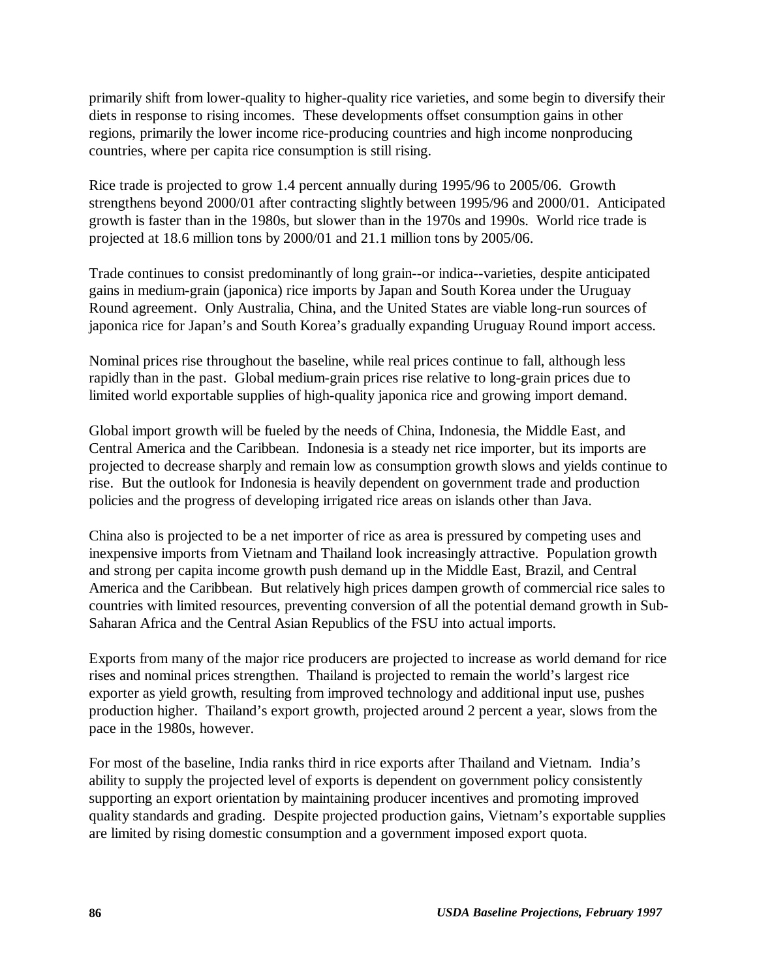primarily shift from lower-quality to higher-quality rice varieties, and some begin to diversify their diets in response to rising incomes. These developments offset consumption gains in other regions, primarily the lower income rice-producing countries and high income nonproducing countries, where per capita rice consumption is still rising.

Rice trade is projected to grow 1.4 percent annually during 1995/96 to 2005/06. Growth strengthens beyond 2000/01 after contracting slightly between 1995/96 and 2000/01. Anticipated growth is faster than in the 1980s, but slower than in the 1970s and 1990s. World rice trade is projected at 18.6 million tons by 2000/01 and 21.1 million tons by 2005/06.

Trade continues to consist predominantly of long grain--or indica--varieties, despite anticipated gains in medium-grain (japonica) rice imports by Japan and South Korea under the Uruguay Round agreement. Only Australia, China, and the United States are viable long-run sources of japonica rice for Japan's and South Korea's gradually expanding Uruguay Round import access.

Nominal prices rise throughout the baseline, while real prices continue to fall, although less rapidly than in the past. Global medium-grain prices rise relative to long-grain prices due to limited world exportable supplies of high-quality japonica rice and growing import demand.

Global import growth will be fueled by the needs of China, Indonesia, the Middle East, and Central America and the Caribbean. Indonesia is a steady net rice importer, but its imports are projected to decrease sharply and remain low as consumption growth slows and yields continue to rise. But the outlook for Indonesia is heavily dependent on government trade and production policies and the progress of developing irrigated rice areas on islands other than Java.

China also is projected to be a net importer of rice as area is pressured by competing uses and inexpensive imports from Vietnam and Thailand look increasingly attractive. Population growth and strong per capita income growth push demand up in the Middle East, Brazil, and Central America and the Caribbean. But relatively high prices dampen growth of commercial rice sales to countries with limited resources, preventing conversion of all the potential demand growth in Sub-Saharan Africa and the Central Asian Republics of the FSU into actual imports.

Exports from many of the major rice producers are projected to increase as world demand for rice rises and nominal prices strengthen. Thailand is projected to remain the world's largest rice exporter as yield growth, resulting from improved technology and additional input use, pushes production higher. Thailand's export growth, projected around 2 percent a year, slows from the pace in the 1980s, however.

For most of the baseline, India ranks third in rice exports after Thailand and Vietnam. India's ability to supply the projected level of exports is dependent on government policy consistently supporting an export orientation by maintaining producer incentives and promoting improved quality standards and grading. Despite projected production gains, Vietnam's exportable supplies are limited by rising domestic consumption and a government imposed export quota.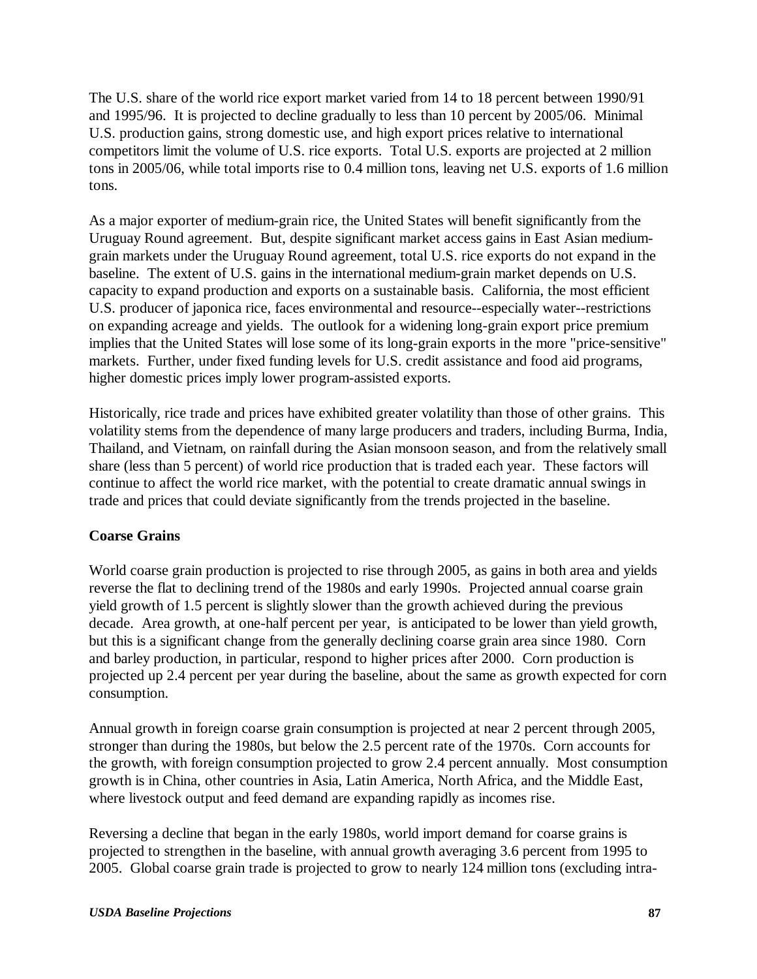The U.S. share of the world rice export market varied from 14 to 18 percent between 1990/91 and 1995/96. It is projected to decline gradually to less than 10 percent by 2005/06. Minimal U.S. production gains, strong domestic use, and high export prices relative to international competitors limit the volume of U.S. rice exports. Total U.S. exports are projected at 2 million tons in 2005/06, while total imports rise to 0.4 million tons, leaving net U.S. exports of 1.6 million tons.

As a major exporter of medium-grain rice, the United States will benefit significantly from the Uruguay Round agreement. But, despite significant market access gains in East Asian mediumgrain markets under the Uruguay Round agreement, total U.S. rice exports do not expand in the baseline. The extent of U.S. gains in the international medium-grain market depends on U.S. capacity to expand production and exports on a sustainable basis. California, the most efficient U.S. producer of japonica rice, faces environmental and resource--especially water--restrictions on expanding acreage and yields. The outlook for a widening long-grain export price premium implies that the United States will lose some of its long-grain exports in the more "price-sensitive" markets. Further, under fixed funding levels for U.S. credit assistance and food aid programs, higher domestic prices imply lower program-assisted exports.

Historically, rice trade and prices have exhibited greater volatility than those of other grains. This volatility stems from the dependence of many large producers and traders, including Burma, India, Thailand, and Vietnam, on rainfall during the Asian monsoon season, and from the relatively small share (less than 5 percent) of world rice production that is traded each year. These factors will continue to affect the world rice market, with the potential to create dramatic annual swings in trade and prices that could deviate significantly from the trends projected in the baseline.

# **Coarse Grains**

World coarse grain production is projected to rise through 2005, as gains in both area and yields reverse the flat to declining trend of the 1980s and early 1990s. Projected annual coarse grain yield growth of 1.5 percent is slightly slower than the growth achieved during the previous decade. Area growth, at one-half percent per year, is anticipated to be lower than yield growth, but this is a significant change from the generally declining coarse grain area since 1980. Corn and barley production, in particular, respond to higher prices after 2000. Corn production is projected up 2.4 percent per year during the baseline, about the same as growth expected for corn consumption.

Annual growth in foreign coarse grain consumption is projected at near 2 percent through 2005, stronger than during the 1980s, but below the 2.5 percent rate of the 1970s. Corn accounts for the growth, with foreign consumption projected to grow 2.4 percent annually. Most consumption growth is in China, other countries in Asia, Latin America, North Africa, and the Middle East, where livestock output and feed demand are expanding rapidly as incomes rise.

Reversing a decline that began in the early 1980s, world import demand for coarse grains is projected to strengthen in the baseline, with annual growth averaging 3.6 percent from 1995 to 2005. Global coarse grain trade is projected to grow to nearly 124 million tons (excluding intra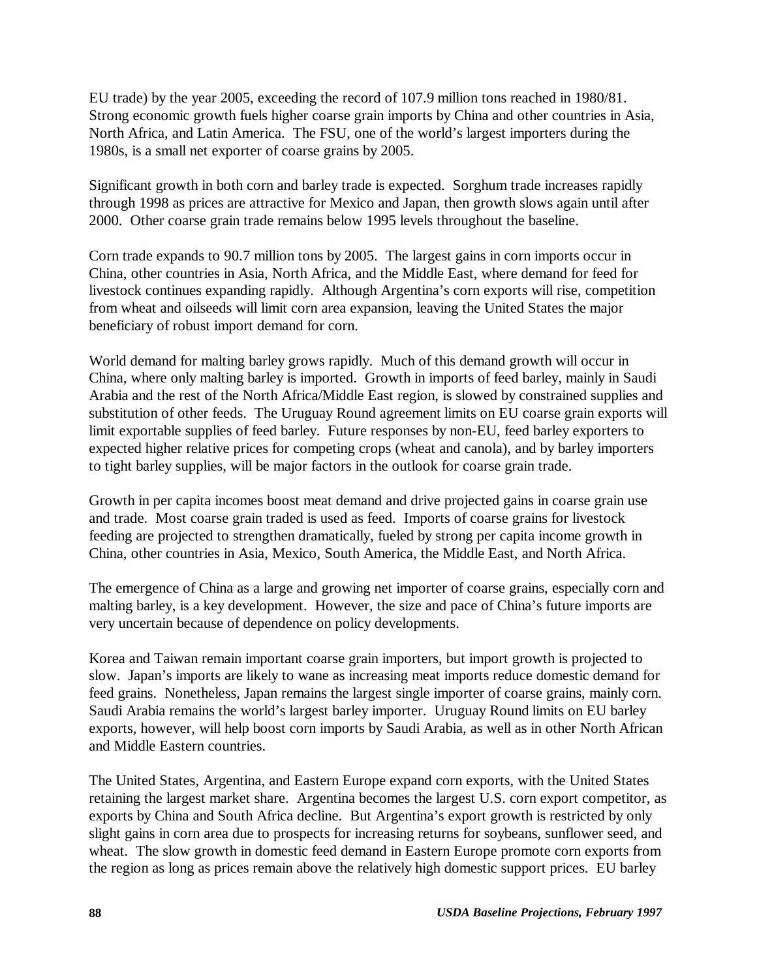EU trade) by the year 2005, exceeding the record of 107.9 million tons reached in 1980/81. Strong economic growth fuels higher coarse grain imports by China and other countries in Asia, North Africa, and Latin America. The FSU, one of the world's largest importers during the 1980s, is a small net exporter of coarse grains by 2005.

Significant growth in both corn and barley trade is expected. Sorghum trade increases rapidly through 1998 as prices are attractive for Mexico and Japan, then growth slows again until after 2000. Other coarse grain trade remains below 1995 levels throughout the baseline.

Corn trade expands to 90.7 million tons by 2005. The largest gains in corn imports occur in China, other countries in Asia, North Africa, and the Middle East, where demand for feed for livestock continues expanding rapidly. Although Argentina's corn exports will rise, competition from wheat and oilseeds will limit corn area expansion, leaving the United States the major beneficiary of robust import demand for corn.

World demand for malting barley grows rapidly. Much of this demand growth will occur in China, where only malting barley is imported. Growth in imports of feed barley, mainly in Saudi Arabia and the rest of the North Africa/Middle East region, is slowed by constrained supplies and substitution of other feeds. The Uruguay Round agreement limits on EU coarse grain exports will limit exportable supplies of feed barley. Future responses by non-EU, feed barley exporters to expected higher relative prices for competing crops (wheat and canola), and by barley importers to tight barley supplies, will be major factors in the outlook for coarse grain trade.

Growth in per capita incomes boost meat demand and drive projected gains in coarse grain use and trade. Most coarse grain traded is used as feed. Imports of coarse grains for livestock feeding are projected to strengthen dramatically, fueled by strong per capita income growth in China, other countries in Asia, Mexico, South America, the Middle East, and North Africa.

The emergence of China as a large and growing net importer of coarse grains, especially corn and malting barley, is a key development. However, the size and pace of China's future imports are very uncertain because of dependence on policy developments.

Korea and Taiwan remain important coarse grain importers, but import growth is projected to slow. Japan's imports are likely to wane as increasing meat imports reduce domestic demand for feed grains. Nonetheless, Japan remains the largest single importer of coarse grains, mainly corn. Saudi Arabia remains the world's largest barley importer. Uruguay Round limits on EU barley exports, however, will help boost corn imports by Saudi Arabia, as well as in other North African and Middle Eastern countries.

The United States, Argentina, and Eastern Europe expand corn exports, with the United States retaining the largest market share. Argentina becomes the largest U.S. corn export competitor, as exports by China and South Africa decline. But Argentina's export growth is restricted by only slight gains in corn area due to prospects for increasing returns for soybeans, sunflower seed, and wheat. The slow growth in domestic feed demand in Eastern Europe promote corn exports from the region as long as prices remain above the relatively high domestic support prices. EU barley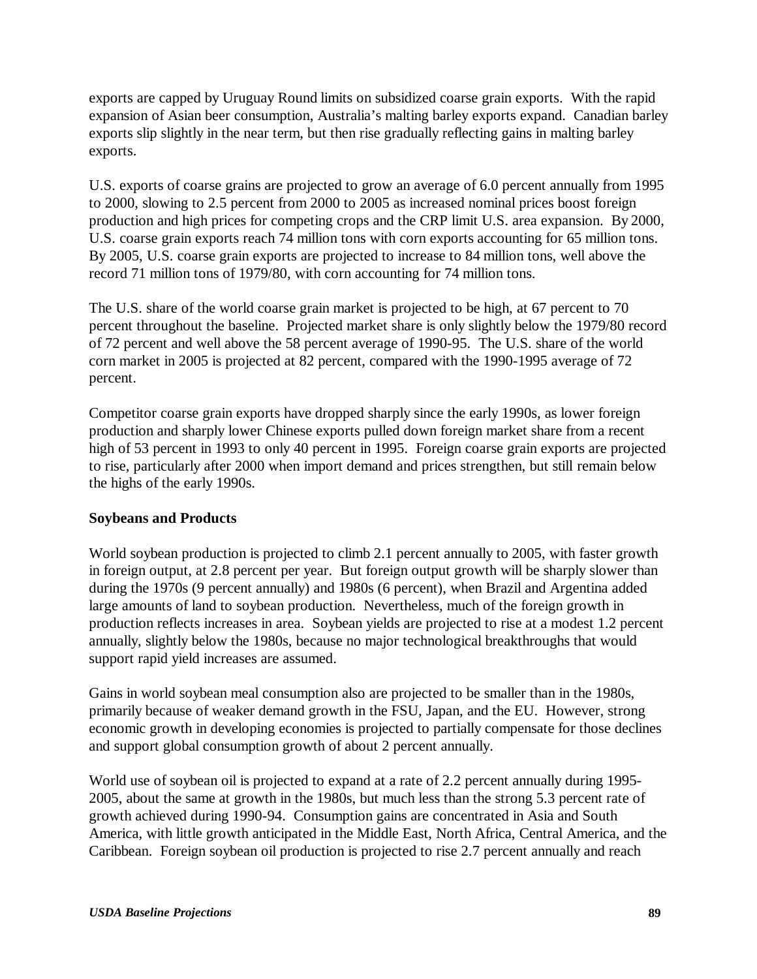exports are capped by Uruguay Round limits on subsidized coarse grain exports. With the rapid expansion of Asian beer consumption, Australia's malting barley exports expand. Canadian barley exports slip slightly in the near term, but then rise gradually reflecting gains in malting barley exports.

U.S. exports of coarse grains are projected to grow an average of 6.0 percent annually from 1995 to 2000, slowing to 2.5 percent from 2000 to 2005 as increased nominal prices boost foreign production and high prices for competing crops and the CRP limit U.S. area expansion. By 2000, U.S. coarse grain exports reach 74 million tons with corn exports accounting for 65 million tons. By 2005, U.S. coarse grain exports are projected to increase to 84 million tons, well above the record 71 million tons of 1979/80, with corn accounting for 74 million tons.

The U.S. share of the world coarse grain market is projected to be high, at 67 percent to 70 percent throughout the baseline. Projected market share is only slightly below the 1979/80 record of 72 percent and well above the 58 percent average of 1990-95. The U.S. share of the world corn market in 2005 is projected at 82 percent, compared with the 1990-1995 average of 72 percent.

Competitor coarse grain exports have dropped sharply since the early 1990s, as lower foreign production and sharply lower Chinese exports pulled down foreign market share from a recent high of 53 percent in 1993 to only 40 percent in 1995. Foreign coarse grain exports are projected to rise, particularly after 2000 when import demand and prices strengthen, but still remain below the highs of the early 1990s.

## **Soybeans and Products**

World soybean production is projected to climb 2.1 percent annually to 2005, with faster growth in foreign output, at 2.8 percent per year. But foreign output growth will be sharply slower than during the 1970s (9 percent annually) and 1980s (6 percent), when Brazil and Argentina added large amounts of land to soybean production. Nevertheless, much of the foreign growth in production reflects increases in area. Soybean yields are projected to rise at a modest 1.2 percent annually, slightly below the 1980s, because no major technological breakthroughs that would support rapid yield increases are assumed.

Gains in world soybean meal consumption also are projected to be smaller than in the 1980s, primarily because of weaker demand growth in the FSU, Japan, and the EU. However, strong economic growth in developing economies is projected to partially compensate for those declines and support global consumption growth of about 2 percent annually.

World use of soybean oil is projected to expand at a rate of 2.2 percent annually during 1995- 2005, about the same at growth in the 1980s, but much less than the strong 5.3 percent rate of growth achieved during 1990-94. Consumption gains are concentrated in Asia and South America, with little growth anticipated in the Middle East, North Africa, Central America, and the Caribbean. Foreign soybean oil production is projected to rise 2.7 percent annually and reach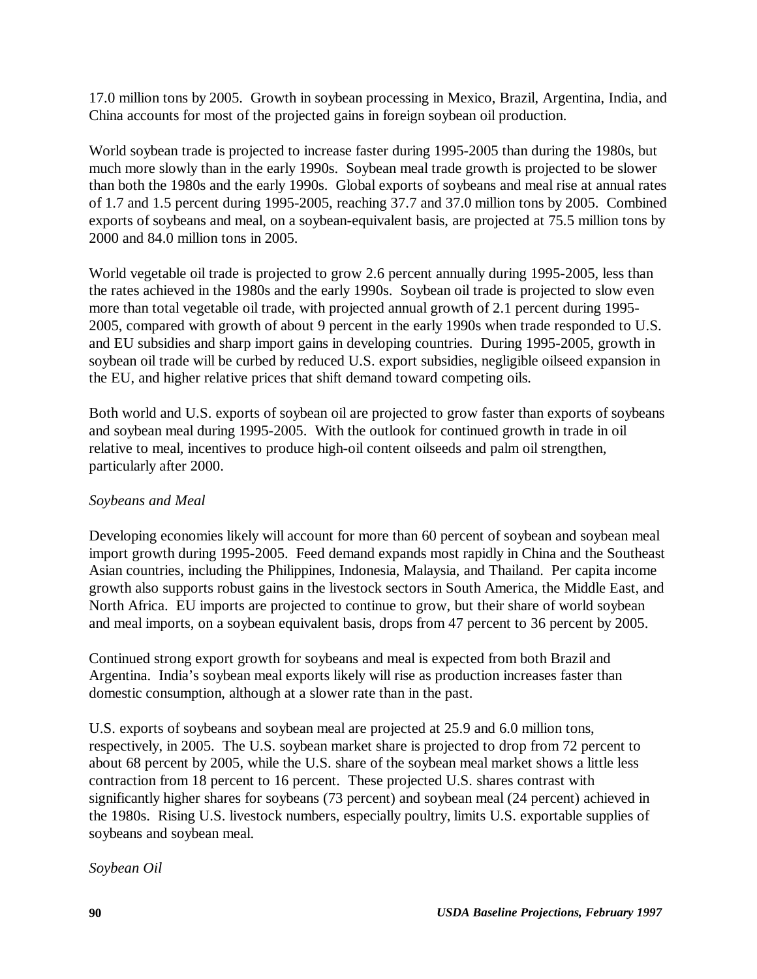17.0 million tons by 2005. Growth in soybean processing in Mexico, Brazil, Argentina, India, and China accounts for most of the projected gains in foreign soybean oil production.

World soybean trade is projected to increase faster during 1995-2005 than during the 1980s, but much more slowly than in the early 1990s. Soybean meal trade growth is projected to be slower than both the 1980s and the early 1990s. Global exports of soybeans and meal rise at annual rates of 1.7 and 1.5 percent during 1995-2005, reaching 37.7 and 37.0 million tons by 2005. Combined exports of soybeans and meal, on a soybean-equivalent basis, are projected at 75.5 million tons by 2000 and 84.0 million tons in 2005.

World vegetable oil trade is projected to grow 2.6 percent annually during 1995-2005, less than the rates achieved in the 1980s and the early 1990s. Soybean oil trade is projected to slow even more than total vegetable oil trade, with projected annual growth of 2.1 percent during 1995- 2005, compared with growth of about 9 percent in the early 1990s when trade responded to U.S. and EU subsidies and sharp import gains in developing countries. During 1995-2005, growth in soybean oil trade will be curbed by reduced U.S. export subsidies, negligible oilseed expansion in the EU, and higher relative prices that shift demand toward competing oils.

Both world and U.S. exports of soybean oil are projected to grow faster than exports of soybeans and soybean meal during 1995-2005. With the outlook for continued growth in trade in oil relative to meal, incentives to produce high-oil content oilseeds and palm oil strengthen, particularly after 2000.

# *Soybeans and Meal*

Developing economies likely will account for more than 60 percent of soybean and soybean meal import growth during 1995-2005. Feed demand expands most rapidly in China and the Southeast Asian countries, including the Philippines, Indonesia, Malaysia, and Thailand. Per capita income growth also supports robust gains in the livestock sectors in South America, the Middle East, and North Africa. EU imports are projected to continue to grow, but their share of world soybean and meal imports, on a soybean equivalent basis, drops from 47 percent to 36 percent by 2005.

Continued strong export growth for soybeans and meal is expected from both Brazil and Argentina. India's soybean meal exports likely will rise as production increases faster than domestic consumption, although at a slower rate than in the past.

U.S. exports of soybeans and soybean meal are projected at 25.9 and 6.0 million tons, respectively, in 2005. The U.S. soybean market share is projected to drop from 72 percent to about 68 percent by 2005, while the U.S. share of the soybean meal market shows a little less contraction from 18 percent to 16 percent. These projected U.S. shares contrast with significantly higher shares for soybeans (73 percent) and soybean meal (24 percent) achieved in the 1980s. Rising U.S. livestock numbers, especially poultry, limits U.S. exportable supplies of soybeans and soybean meal.

*Soybean Oil*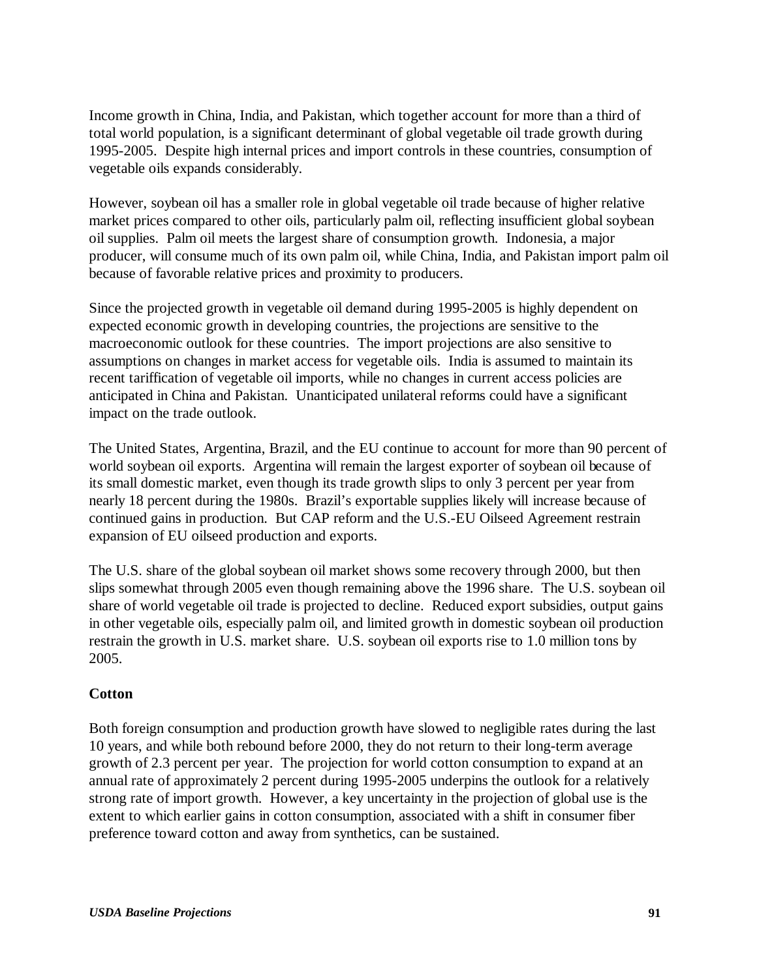Income growth in China, India, and Pakistan, which together account for more than a third of total world population, is a significant determinant of global vegetable oil trade growth during 1995-2005. Despite high internal prices and import controls in these countries, consumption of vegetable oils expands considerably.

However, soybean oil has a smaller role in global vegetable oil trade because of higher relative market prices compared to other oils, particularly palm oil, reflecting insufficient global soybean oil supplies. Palm oil meets the largest share of consumption growth. Indonesia, a major producer, will consume much of its own palm oil, while China, India, and Pakistan import palm oil because of favorable relative prices and proximity to producers.

Since the projected growth in vegetable oil demand during 1995-2005 is highly dependent on expected economic growth in developing countries, the projections are sensitive to the macroeconomic outlook for these countries. The import projections are also sensitive to assumptions on changes in market access for vegetable oils. India is assumed to maintain its recent tariffication of vegetable oil imports, while no changes in current access policies are anticipated in China and Pakistan. Unanticipated unilateral reforms could have a significant impact on the trade outlook.

The United States, Argentina, Brazil, and the EU continue to account for more than 90 percent of world soybean oil exports. Argentina will remain the largest exporter of soybean oil because of its small domestic market, even though its trade growth slips to only 3 percent per year from nearly 18 percent during the 1980s. Brazil's exportable supplies likely will increase because of continued gains in production. But CAP reform and the U.S.-EU Oilseed Agreement restrain expansion of EU oilseed production and exports.

The U.S. share of the global soybean oil market shows some recovery through 2000, but then slips somewhat through 2005 even though remaining above the 1996 share. The U.S. soybean oil share of world vegetable oil trade is projected to decline. Reduced export subsidies, output gains in other vegetable oils, especially palm oil, and limited growth in domestic soybean oil production restrain the growth in U.S. market share. U.S. soybean oil exports rise to 1.0 million tons by 2005.

# **Cotton**

Both foreign consumption and production growth have slowed to negligible rates during the last 10 years, and while both rebound before 2000, they do not return to their long-term average growth of 2.3 percent per year. The projection for world cotton consumption to expand at an annual rate of approximately 2 percent during 1995-2005 underpins the outlook for a relatively strong rate of import growth. However, a key uncertainty in the projection of global use is the extent to which earlier gains in cotton consumption, associated with a shift in consumer fiber preference toward cotton and away from synthetics, can be sustained.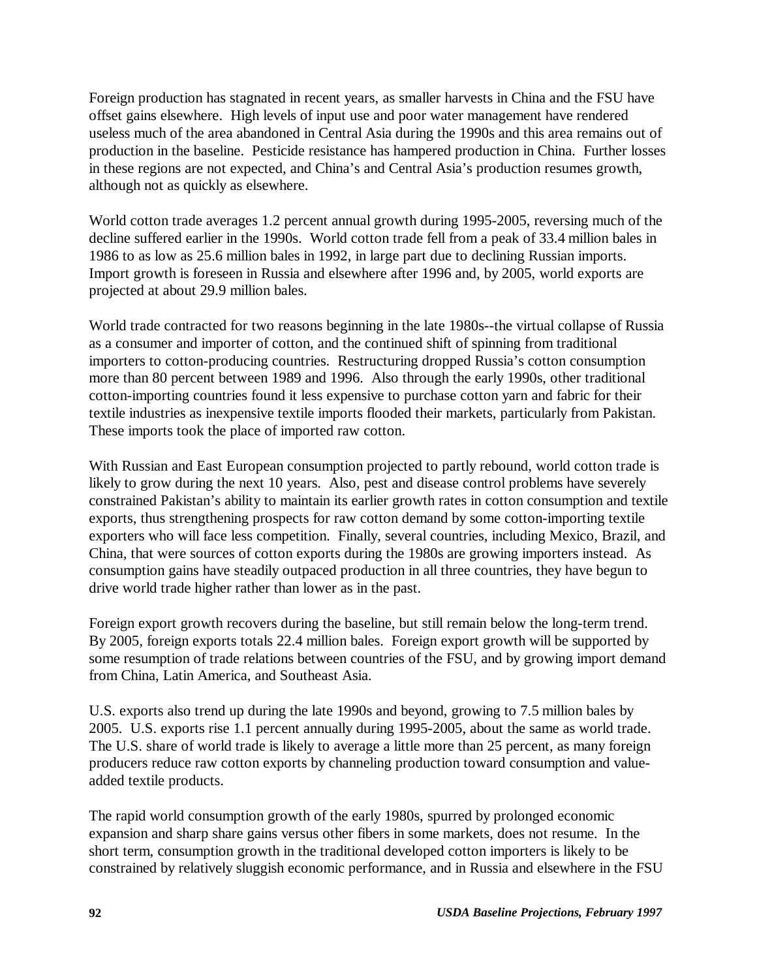Foreign production has stagnated in recent years, as smaller harvests in China and the FSU have offset gains elsewhere. High levels of input use and poor water management have rendered useless much of the area abandoned in Central Asia during the 1990s and this area remains out of production in the baseline. Pesticide resistance has hampered production in China. Further losses in these regions are not expected, and China's and Central Asia's production resumes growth, although not as quickly as elsewhere.

World cotton trade averages 1.2 percent annual growth during 1995-2005, reversing much of the decline suffered earlier in the 1990s. World cotton trade fell from a peak of 33.4 million bales in 1986 to as low as 25.6 million bales in 1992, in large part due to declining Russian imports. Import growth is foreseen in Russia and elsewhere after 1996 and, by 2005, world exports are projected at about 29.9 million bales.

World trade contracted for two reasons beginning in the late 1980s--the virtual collapse of Russia as a consumer and importer of cotton, and the continued shift of spinning from traditional importers to cotton-producing countries. Restructuring dropped Russia's cotton consumption more than 80 percent between 1989 and 1996. Also through the early 1990s, other traditional cotton-importing countries found it less expensive to purchase cotton yarn and fabric for their textile industries as inexpensive textile imports flooded their markets, particularly from Pakistan. These imports took the place of imported raw cotton.

With Russian and East European consumption projected to partly rebound, world cotton trade is likely to grow during the next 10 years. Also, pest and disease control problems have severely constrained Pakistan's ability to maintain its earlier growth rates in cotton consumption and textile exports, thus strengthening prospects for raw cotton demand by some cotton-importing textile exporters who will face less competition. Finally, several countries, including Mexico, Brazil, and China, that were sources of cotton exports during the 1980s are growing importers instead. As consumption gains have steadily outpaced production in all three countries, they have begun to drive world trade higher rather than lower as in the past.

Foreign export growth recovers during the baseline, but still remain below the long-term trend. By 2005, foreign exports totals 22.4 million bales. Foreign export growth will be supported by some resumption of trade relations between countries of the FSU, and by growing import demand from China, Latin America, and Southeast Asia.

U.S. exports also trend up during the late 1990s and beyond, growing to 7.5 million bales by 2005. U.S. exports rise 1.1 percent annually during 1995-2005, about the same as world trade. The U.S. share of world trade is likely to average a little more than 25 percent, as many foreign producers reduce raw cotton exports by channeling production toward consumption and valueadded textile products.

The rapid world consumption growth of the early 1980s, spurred by prolonged economic expansion and sharp share gains versus other fibers in some markets, does not resume. In the short term, consumption growth in the traditional developed cotton importers is likely to be constrained by relatively sluggish economic performance, and in Russia and elsewhere in the FSU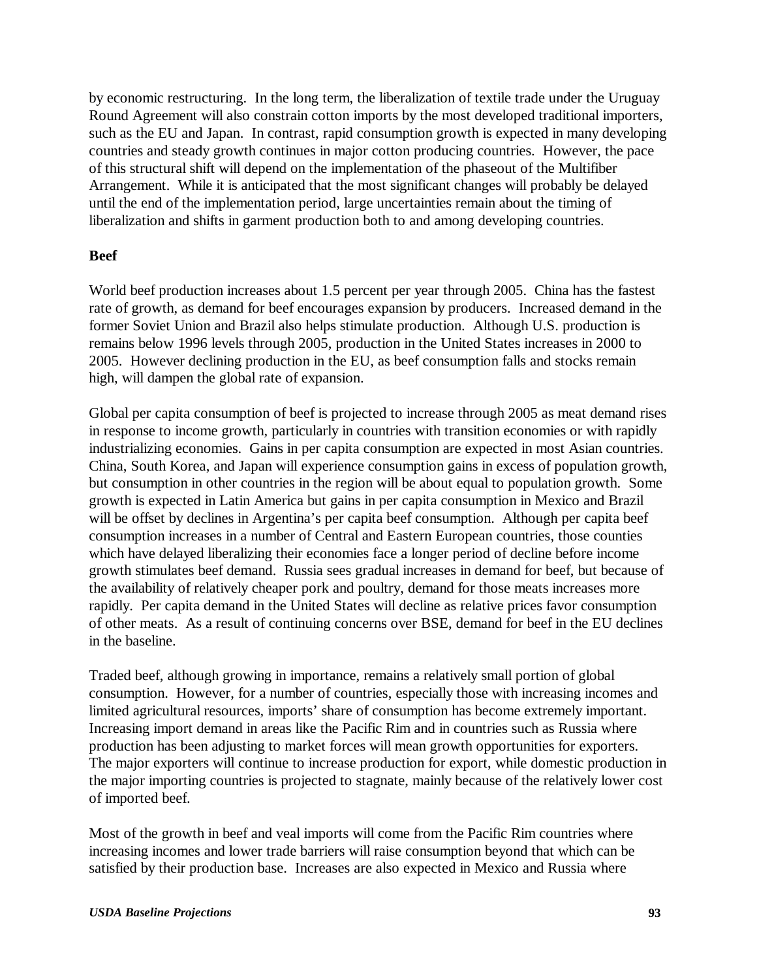by economic restructuring. In the long term, the liberalization of textile trade under the Uruguay Round Agreement will also constrain cotton imports by the most developed traditional importers, such as the EU and Japan. In contrast, rapid consumption growth is expected in many developing countries and steady growth continues in major cotton producing countries. However, the pace of this structural shift will depend on the implementation of the phaseout of the Multifiber Arrangement. While it is anticipated that the most significant changes will probably be delayed until the end of the implementation period, large uncertainties remain about the timing of liberalization and shifts in garment production both to and among developing countries.

## **Beef**

World beef production increases about 1.5 percent per year through 2005. China has the fastest rate of growth, as demand for beef encourages expansion by producers. Increased demand in the former Soviet Union and Brazil also helps stimulate production. Although U.S. production is remains below 1996 levels through 2005, production in the United States increases in 2000 to 2005. However declining production in the EU, as beef consumption falls and stocks remain high, will dampen the global rate of expansion.

Global per capita consumption of beef is projected to increase through 2005 as meat demand rises in response to income growth, particularly in countries with transition economies or with rapidly industrializing economies. Gains in per capita consumption are expected in most Asian countries. China, South Korea, and Japan will experience consumption gains in excess of population growth, but consumption in other countries in the region will be about equal to population growth. Some growth is expected in Latin America but gains in per capita consumption in Mexico and Brazil will be offset by declines in Argentina's per capita beef consumption. Although per capita beef consumption increases in a number of Central and Eastern European countries, those counties which have delayed liberalizing their economies face a longer period of decline before income growth stimulates beef demand. Russia sees gradual increases in demand for beef, but because of the availability of relatively cheaper pork and poultry, demand for those meats increases more rapidly. Per capita demand in the United States will decline as relative prices favor consumption of other meats. As a result of continuing concerns over BSE, demand for beef in the EU declines in the baseline.

Traded beef, although growing in importance, remains a relatively small portion of global consumption. However, for a number of countries, especially those with increasing incomes and limited agricultural resources, imports' share of consumption has become extremely important. Increasing import demand in areas like the Pacific Rim and in countries such as Russia where production has been adjusting to market forces will mean growth opportunities for exporters. The major exporters will continue to increase production for export, while domestic production in the major importing countries is projected to stagnate, mainly because of the relatively lower cost of imported beef.

Most of the growth in beef and veal imports will come from the Pacific Rim countries where increasing incomes and lower trade barriers will raise consumption beyond that which can be satisfied by their production base. Increases are also expected in Mexico and Russia where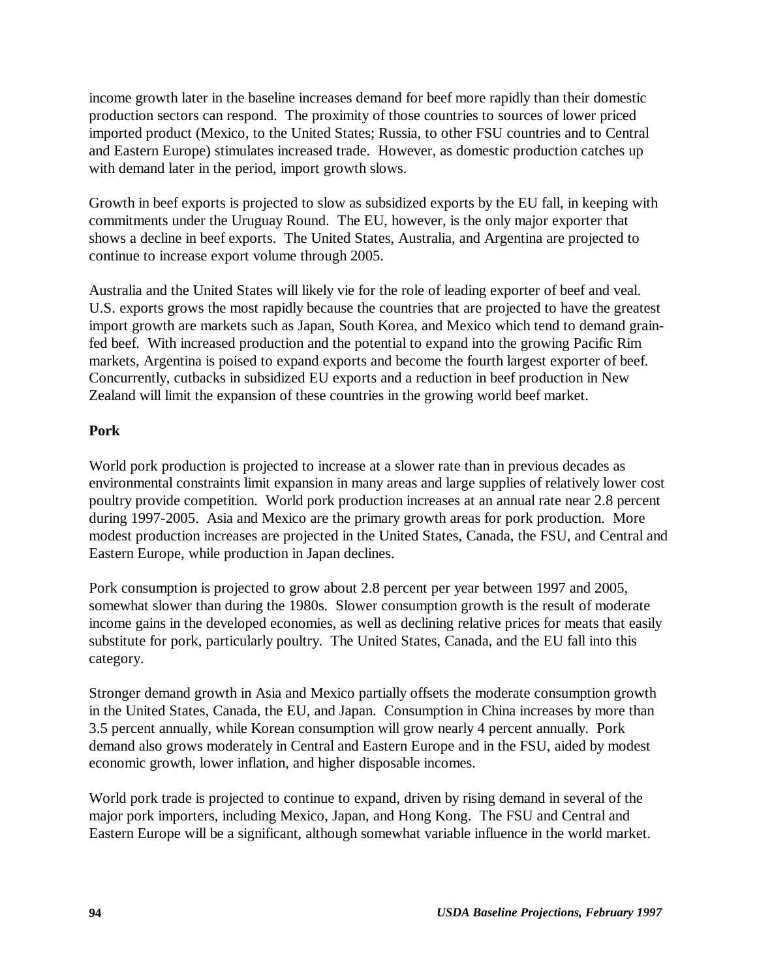income growth later in the baseline increases demand for beef more rapidly than their domestic production sectors can respond. The proximity of those countries to sources of lower priced imported product (Mexico, to the United States; Russia, to other FSU countries and to Central and Eastern Europe) stimulates increased trade. However, as domestic production catches up with demand later in the period, import growth slows.

Growth in beef exports is projected to slow as subsidized exports by the EU fall, in keeping with commitments under the Uruguay Round. The EU, however, is the only major exporter that shows a decline in beef exports. The United States, Australia, and Argentina are projected to continue to increase export volume through 2005.

Australia and the United States will likely vie for the role of leading exporter of beef and veal. U.S. exports grows the most rapidly because the countries that are projected to have the greatest import growth are markets such as Japan, South Korea, and Mexico which tend to demand grainfed beef. With increased production and the potential to expand into the growing Pacific Rim markets, Argentina is poised to expand exports and become the fourth largest exporter of beef. Concurrently, cutbacks in subsidized EU exports and a reduction in beef production in New Zealand will limit the expansion of these countries in the growing world beef market.

## **Pork**

World pork production is projected to increase at a slower rate than in previous decades as environmental constraints limit expansion in many areas and large supplies of relatively lower cost poultry provide competition. World pork production increases at an annual rate near 2.8 percent during 1997-2005. Asia and Mexico are the primary growth areas for pork production. More modest production increases are projected in the United States, Canada, the FSU, and Central and Eastern Europe, while production in Japan declines.

Pork consumption is projected to grow about 2.8 percent per year between 1997 and 2005, somewhat slower than during the 1980s. Slower consumption growth is the result of moderate income gains in the developed economies, as well as declining relative prices for meats that easily substitute for pork, particularly poultry. The United States, Canada, and the EU fall into this category.

Stronger demand growth in Asia and Mexico partially offsets the moderate consumption growth in the United States, Canada, the EU, and Japan. Consumption in China increases by more than 3.5 percent annually, while Korean consumption will grow nearly 4 percent annually. Pork demand also grows moderately in Central and Eastern Europe and in the FSU, aided by modest economic growth, lower inflation, and higher disposable incomes.

World pork trade is projected to continue to expand, driven by rising demand in several of the major pork importers, including Mexico, Japan, and Hong Kong. The FSU and Central and Eastern Europe will be a significant, although somewhat variable influence in the world market.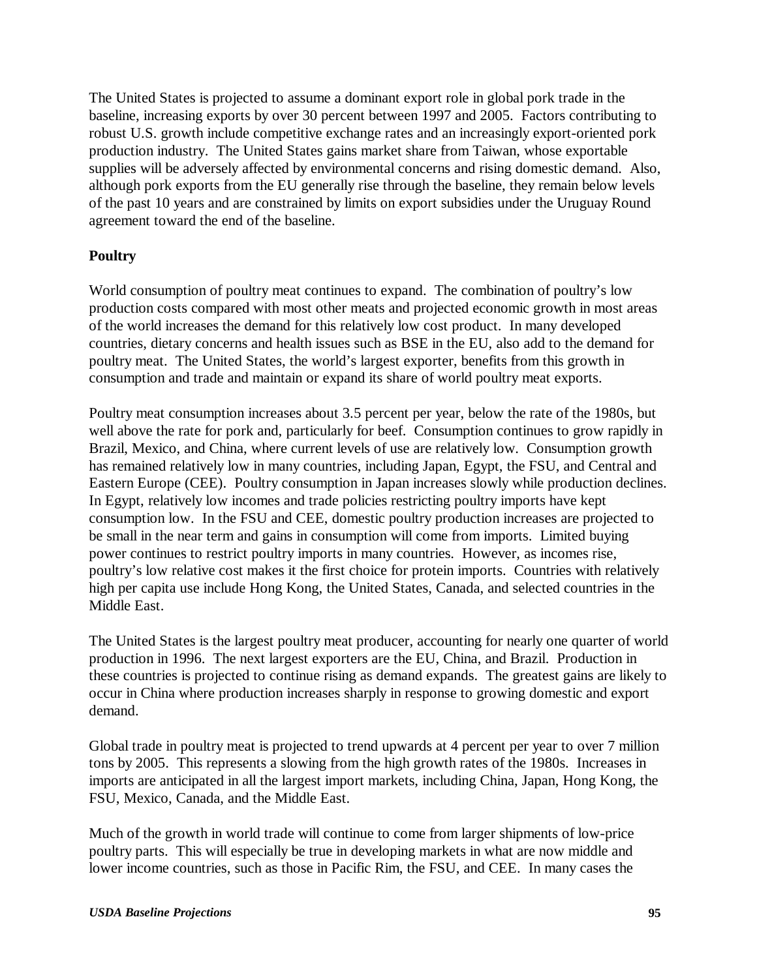The United States is projected to assume a dominant export role in global pork trade in the baseline, increasing exports by over 30 percent between 1997 and 2005. Factors contributing to robust U.S. growth include competitive exchange rates and an increasingly export-oriented pork production industry. The United States gains market share from Taiwan, whose exportable supplies will be adversely affected by environmental concerns and rising domestic demand. Also, although pork exports from the EU generally rise through the baseline, they remain below levels of the past 10 years and are constrained by limits on export subsidies under the Uruguay Round agreement toward the end of the baseline.

# **Poultry**

World consumption of poultry meat continues to expand. The combination of poultry's low production costs compared with most other meats and projected economic growth in most areas of the world increases the demand for this relatively low cost product. In many developed countries, dietary concerns and health issues such as BSE in the EU, also add to the demand for poultry meat. The United States, the world's largest exporter, benefits from this growth in consumption and trade and maintain or expand its share of world poultry meat exports.

Poultry meat consumption increases about 3.5 percent per year, below the rate of the 1980s, but well above the rate for pork and, particularly for beef. Consumption continues to grow rapidly in Brazil, Mexico, and China, where current levels of use are relatively low. Consumption growth has remained relatively low in many countries, including Japan, Egypt, the FSU, and Central and Eastern Europe (CEE). Poultry consumption in Japan increases slowly while production declines. In Egypt, relatively low incomes and trade policies restricting poultry imports have kept consumption low. In the FSU and CEE, domestic poultry production increases are projected to be small in the near term and gains in consumption will come from imports. Limited buying power continues to restrict poultry imports in many countries. However, as incomes rise, poultry's low relative cost makes it the first choice for protein imports. Countries with relatively high per capita use include Hong Kong, the United States, Canada, and selected countries in the Middle East.

The United States is the largest poultry meat producer, accounting for nearly one quarter of world production in 1996. The next largest exporters are the EU, China, and Brazil. Production in these countries is projected to continue rising as demand expands. The greatest gains are likely to occur in China where production increases sharply in response to growing domestic and export demand.

Global trade in poultry meat is projected to trend upwards at 4 percent per year to over 7 million tons by 2005. This represents a slowing from the high growth rates of the 1980s. Increases in imports are anticipated in all the largest import markets, including China, Japan, Hong Kong, the FSU, Mexico, Canada, and the Middle East.

Much of the growth in world trade will continue to come from larger shipments of low-price poultry parts. This will especially be true in developing markets in what are now middle and lower income countries, such as those in Pacific Rim, the FSU, and CEE. In many cases the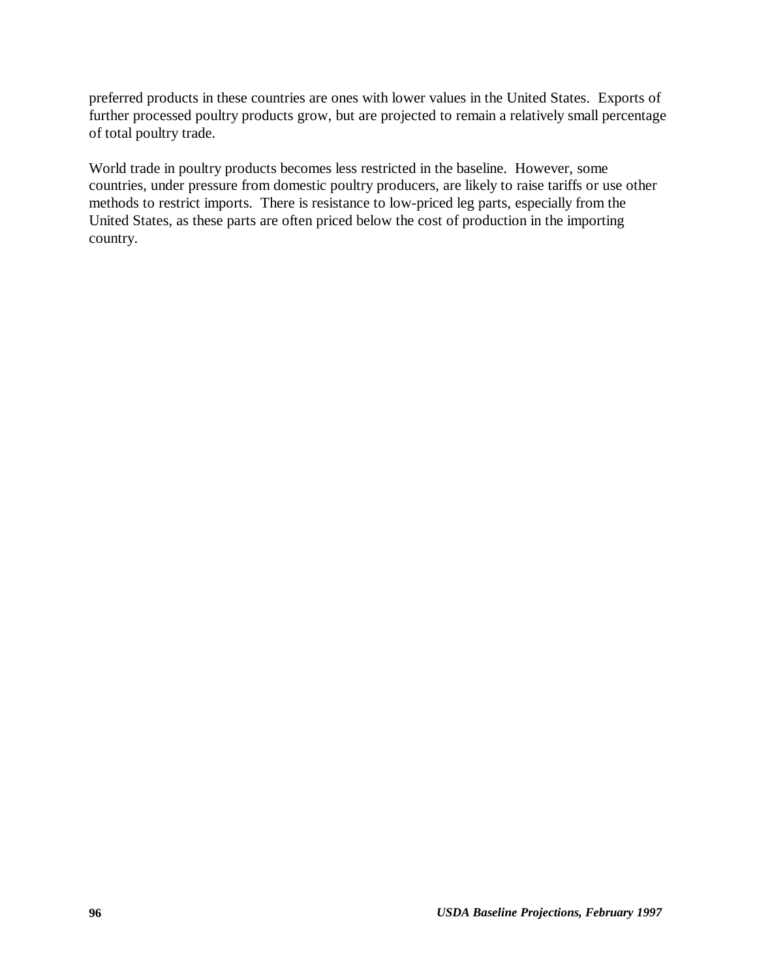preferred products in these countries are ones with lower values in the United States. Exports of further processed poultry products grow, but are projected to remain a relatively small percentage of total poultry trade.

World trade in poultry products becomes less restricted in the baseline. However, some countries, under pressure from domestic poultry producers, are likely to raise tariffs or use other methods to restrict imports. There is resistance to low-priced leg parts, especially from the United States, as these parts are often priced below the cost of production in the importing country.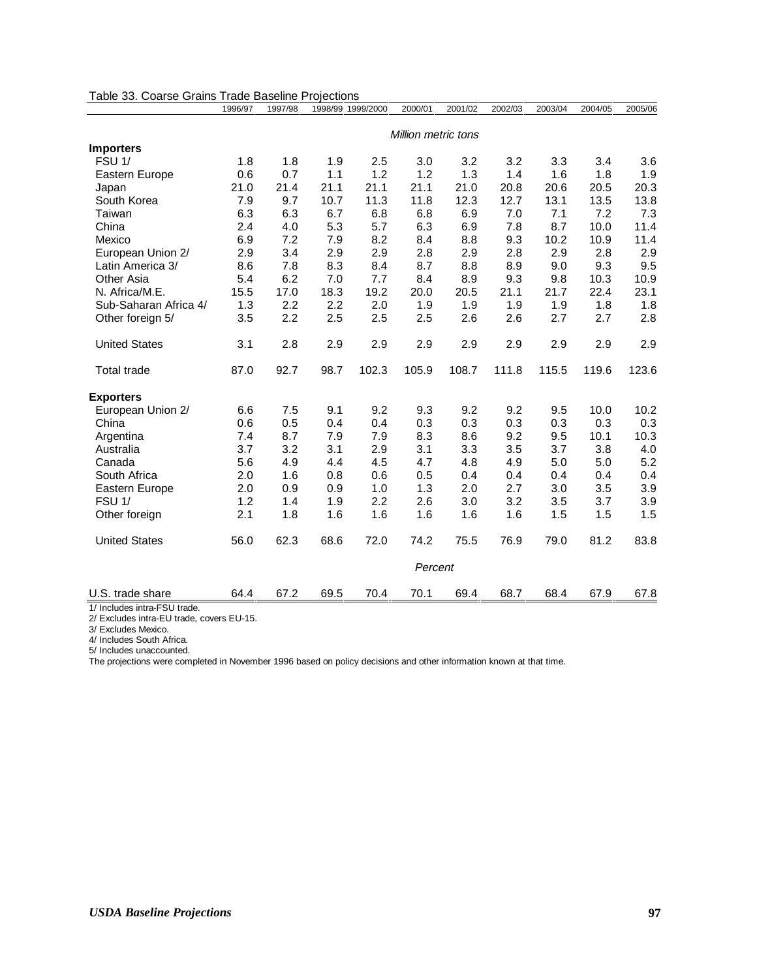| Table 33. Coarse Grains Trade Daseline Frojections | 1996/97 | 1997/98 | 1998/99 1999/2000 |       | 2000/01                    | 2001/02 | 2002/03 | 2003/04 | 2004/05 | 2005/06 |
|----------------------------------------------------|---------|---------|-------------------|-------|----------------------------|---------|---------|---------|---------|---------|
|                                                    |         |         |                   |       | <b>Million metric tons</b> |         |         |         |         |         |
| <b>Importers</b>                                   |         |         |                   |       |                            |         |         |         |         |         |
| FSU <sub>1</sub> /                                 | 1.8     | 1.8     | 1.9               | 2.5   | 3.0                        | 3.2     | 3.2     | 3.3     | 3.4     | 3.6     |
| Eastern Europe                                     | 0.6     | 0.7     | 1.1               | 1.2   | 1.2                        | 1.3     | 1.4     | 1.6     | 1.8     | 1.9     |
| Japan                                              | 21.0    | 21.4    | 21.1              | 21.1  | 21.1                       | 21.0    | 20.8    | 20.6    | 20.5    | 20.3    |
| South Korea                                        | 7.9     | 9.7     | 10.7              | 11.3  | 11.8                       | 12.3    | 12.7    | 13.1    | 13.5    | 13.8    |
| Taiwan                                             | 6.3     | 6.3     | 6.7               | 6.8   | 6.8                        | 6.9     | 7.0     | 7.1     | 7.2     | 7.3     |
| China                                              | 2.4     | 4.0     | 5.3               | 5.7   | 6.3                        | 6.9     | 7.8     | 8.7     | 10.0    | 11.4    |
| Mexico                                             | 6.9     | 7.2     | 7.9               | 8.2   | 8.4                        | 8.8     | 9.3     | 10.2    | 10.9    | 11.4    |
| European Union 2/                                  | 2.9     | 3.4     | 2.9               | 2.9   | 2.8                        | 2.9     | 2.8     | 2.9     | 2.8     | 2.9     |
| Latin America 3/                                   | 8.6     | 7.8     | 8.3               | 8.4   | 8.7                        | 8.8     | 8.9     | 9.0     | 9.3     | 9.5     |
| Other Asia                                         | 5.4     | 6.2     | 7.0               | 7.7   | 8.4                        | 8.9     | 9.3     | 9.8     | 10.3    | 10.9    |
| N. Africa/M.E.                                     | 15.5    | 17.0    | 18.3              | 19.2  | 20.0                       | 20.5    | 21.1    | 21.7    | 22.4    | 23.1    |
| Sub-Saharan Africa 4/                              | 1.3     | 2.2     | 2.2               | 2.0   | 1.9                        | 1.9     | 1.9     | 1.9     | 1.8     | 1.8     |
| Other foreign 5/                                   | 3.5     | 2.2     | 2.5               | 2.5   | 2.5                        | 2.6     | 2.6     | 2.7     | 2.7     | 2.8     |
| <b>United States</b>                               | 3.1     | 2.8     | 2.9               | 2.9   | 2.9                        | 2.9     | 2.9     | 2.9     | 2.9     | 2.9     |
| <b>Total trade</b>                                 | 87.0    | 92.7    | 98.7              | 102.3 | 105.9                      | 108.7   | 111.8   | 115.5   | 119.6   | 123.6   |
| <b>Exporters</b>                                   |         |         |                   |       |                            |         |         |         |         |         |
| European Union 2/                                  | 6.6     | 7.5     | 9.1               | 9.2   | 9.3                        | 9.2     | 9.2     | 9.5     | 10.0    | 10.2    |
| China                                              | 0.6     | 0.5     | 0.4               | 0.4   | 0.3                        | 0.3     | 0.3     | 0.3     | 0.3     | 0.3     |
| Argentina                                          | 7.4     | 8.7     | 7.9               | 7.9   | 8.3                        | 8.6     | 9.2     | 9.5     | 10.1    | 10.3    |
| Australia                                          | 3.7     | 3.2     | 3.1               | 2.9   | 3.1                        | 3.3     | 3.5     | 3.7     | 3.8     | 4.0     |
| Canada                                             | 5.6     | 4.9     | 4.4               | 4.5   | 4.7                        | 4.8     | 4.9     | 5.0     | 5.0     | 5.2     |
| South Africa                                       | 2.0     | 1.6     | 0.8               | 0.6   | 0.5                        | 0.4     | 0.4     | 0.4     | 0.4     | 0.4     |
| Eastern Europe                                     | 2.0     | 0.9     | 0.9               | 1.0   | 1.3                        | 2.0     | 2.7     | 3.0     | 3.5     | 3.9     |
| FSU <sub>1/</sub>                                  | 1.2     | 1.4     | 1.9               | 2.2   | 2.6                        | 3.0     | 3.2     | 3.5     | 3.7     | 3.9     |
| Other foreign                                      | 2.1     | 1.8     | 1.6               | 1.6   | 1.6                        | 1.6     | 1.6     | 1.5     | 1.5     | 1.5     |
| <b>United States</b>                               | 56.0    | 62.3    | 68.6              | 72.0  | 74.2                       | 75.5    | 76.9    | 79.0    | 81.2    | 83.8    |
|                                                    |         |         |                   |       | Percent                    |         |         |         |         |         |
| U.S. trade share                                   | 64.4    | 67.2    | 69.5              | 70.4  | 70.1                       | 69.4    | 68.7    | 68.4    | 67.9    | 67.8    |

#### Table 33. Coarse Grains Trade Baseline Projections

1/ Includes intra-FSU trade. 2/ Excludes intra-EU trade, covers EU-15.

3/ Excludes Mexico.

4/ Includes South Africa. 5/ Includes unaccounted.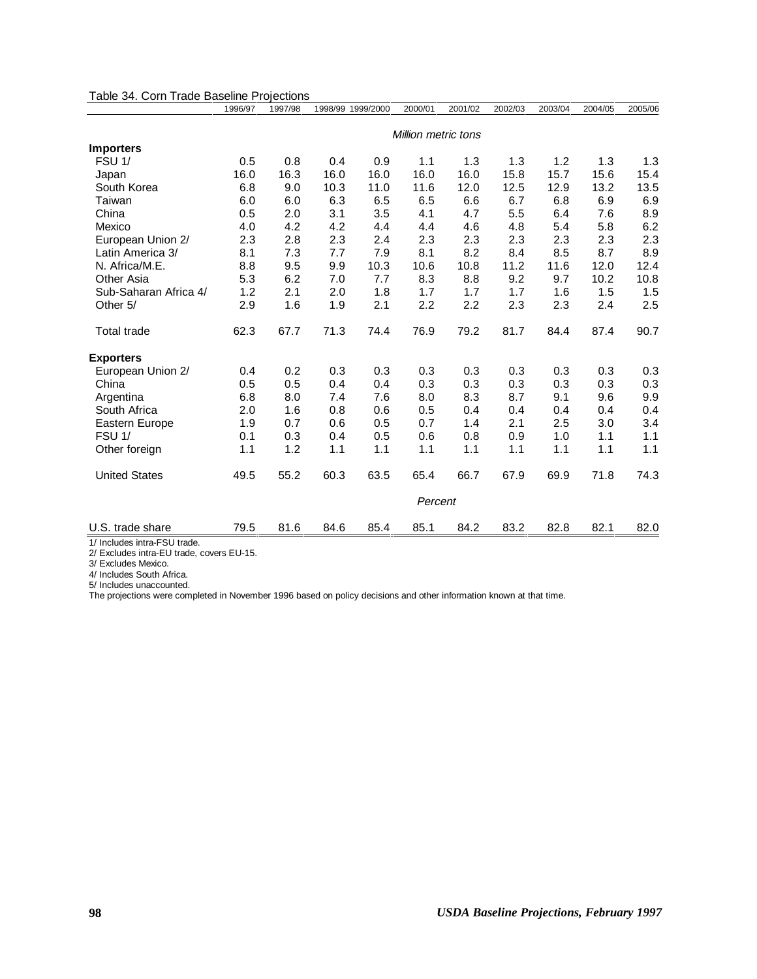|                       | 1996/97 | 1997/98 |      | 1998/99 1999/2000 | 2000/01                    | 2001/02 | 2002/03 | 2003/04 | 2004/05 | 2005/06 |
|-----------------------|---------|---------|------|-------------------|----------------------------|---------|---------|---------|---------|---------|
|                       |         |         |      |                   | <b>Million metric tons</b> |         |         |         |         |         |
| <b>Importers</b>      |         |         |      |                   |                            |         |         |         |         |         |
| FSU <sub>1</sub> /    | 0.5     | 0.8     | 0.4  | 0.9               | 1.1                        | 1.3     | 1.3     | 1.2     | 1.3     | 1.3     |
| Japan                 | 16.0    | 16.3    | 16.0 | 16.0              | 16.0                       | 16.0    | 15.8    | 15.7    | 15.6    | 15.4    |
| South Korea           | 6.8     | 9.0     | 10.3 | 11.0              | 11.6                       | 12.0    | 12.5    | 12.9    | 13.2    | 13.5    |
| Taiwan                | 6.0     | 6.0     | 6.3  | 6.5               | 6.5                        | 6.6     | 6.7     | 6.8     | 6.9     | 6.9     |
| China                 | 0.5     | 2.0     | 3.1  | 3.5               | 4.1                        | 4.7     | 5.5     | 6.4     | 7.6     | 8.9     |
| Mexico                | 4.0     | 4.2     | 4.2  | 4.4               | 4.4                        | 4.6     | 4.8     | 5.4     | 5.8     | 6.2     |
| European Union 2/     | 2.3     | 2.8     | 2.3  | 2.4               | 2.3                        | 2.3     | 2.3     | 2.3     | 2.3     | 2.3     |
| Latin America 3/      | 8.1     | 7.3     | 7.7  | 7.9               | 8.1                        | 8.2     | 8.4     | 8.5     | 8.7     | 8.9     |
| N. Africa/M.E.        | 8.8     | 9.5     | 9.9  | 10.3              | 10.6                       | 10.8    | 11.2    | 11.6    | 12.0    | 12.4    |
| Other Asia            | 5.3     | 6.2     | 7.0  | 7.7               | 8.3                        | 8.8     | 9.2     | 9.7     | 10.2    | 10.8    |
| Sub-Saharan Africa 4/ | 1.2     | 2.1     | 2.0  | 1.8               | 1.7                        | 1.7     | 1.7     | 1.6     | 1.5     | 1.5     |
| Other 5/              | 2.9     | 1.6     | 1.9  | 2.1               | 2.2                        | 2.2     | 2.3     | 2.3     | 2.4     | 2.5     |
| <b>Total trade</b>    | 62.3    | 67.7    | 71.3 | 74.4              | 76.9                       | 79.2    | 81.7    | 84.4    | 87.4    | 90.7    |
| <b>Exporters</b>      |         |         |      |                   |                            |         |         |         |         |         |
| European Union 2/     | 0.4     | 0.2     | 0.3  | 0.3               | 0.3                        | 0.3     | 0.3     | 0.3     | 0.3     | 0.3     |
| China                 | 0.5     | 0.5     | 0.4  | 0.4               | 0.3                        | 0.3     | 0.3     | 0.3     | 0.3     | 0.3     |
| Argentina             | 6.8     | 8.0     | 7.4  | 7.6               | 8.0                        | 8.3     | 8.7     | 9.1     | 9.6     | 9.9     |
| South Africa          | 2.0     | 1.6     | 0.8  | 0.6               | 0.5                        | 0.4     | 0.4     | 0.4     | 0.4     | 0.4     |
| Eastern Europe        | 1.9     | 0.7     | 0.6  | 0.5               | 0.7                        | 1.4     | 2.1     | 2.5     | 3.0     | 3.4     |
| FSU <sub>1/</sub>     | 0.1     | 0.3     | 0.4  | 0.5               | 0.6                        | 0.8     | 0.9     | 1.0     | 1.1     | 1.1     |
| Other foreign         | 1.1     | 1.2     | 1.1  | 1.1               | 1.1                        | 1.1     | 1.1     | 1.1     | 1.1     | 1.1     |
| <b>United States</b>  | 49.5    | 55.2    | 60.3 | 63.5              | 65.4                       | 66.7    | 67.9    | 69.9    | 71.8    | 74.3    |
|                       |         |         |      |                   | Percent                    |         |         |         |         |         |
| U.S. trade share      | 79.5    | 81.6    | 84.6 | 85.4              | 85.1                       | 84.2    | 83.2    | 82.8    | 82.1    | 82.0    |

#### Table 34. Corn Trade Baseline Projections

1/ Includes intra-FSU trade. 2/ Excludes intra-EU trade, covers EU-15.

3/ Excludes Mexico.

4/ Includes South Africa.

5/ Includes unaccounted.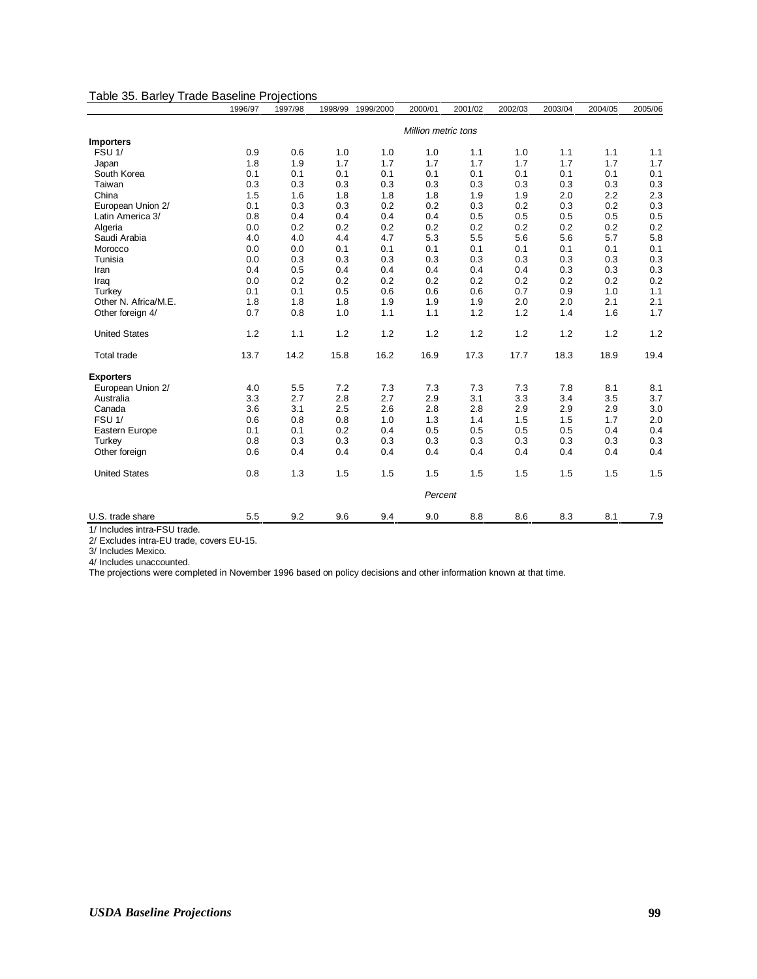#### Table 35. Barley Trade Baseline Projections

|                      | 1996/97 | 1997/98 | 1998/99 | 1999/2000 | 2000/01             | 2001/02 | 2002/03 | 2003/04 | 2004/05 | 2005/06 |
|----------------------|---------|---------|---------|-----------|---------------------|---------|---------|---------|---------|---------|
|                      |         |         |         |           | Million metric tons |         |         |         |         |         |
| <b>Importers</b>     |         |         |         |           |                     |         |         |         |         |         |
| FSU <sub>1</sub> /   | 0.9     | 0.6     | 1.0     | 1.0       | 1.0                 | 1.1     | 1.0     | 1.1     | 1.1     | 1.1     |
| Japan                | 1.8     | 1.9     | 1.7     | 1.7       | 1.7                 | 1.7     | 1.7     | 1.7     | 1.7     | 1.7     |
| South Korea          | 0.1     | 0.1     | 0.1     | 0.1       | 0.1                 | 0.1     | 0.1     | 0.1     | 0.1     | 0.1     |
| Taiwan               | 0.3     | 0.3     | 0.3     | 0.3       | 0.3                 | 0.3     | 0.3     | 0.3     | 0.3     | 0.3     |
| China                | 1.5     | 1.6     | 1.8     | 1.8       | 1.8                 | 1.9     | 1.9     | 2.0     | 2.2     | 2.3     |
| European Union 2/    | 0.1     | 0.3     | 0.3     | 0.2       | 0.2                 | 0.3     | 0.2     | 0.3     | 0.2     | 0.3     |
| Latin America 3/     | 0.8     | 0.4     | 0.4     | 0.4       | 0.4                 | 0.5     | 0.5     | 0.5     | 0.5     | 0.5     |
| Algeria              | 0.0     | 0.2     | 0.2     | 0.2       | 0.2                 | 0.2     | 0.2     | 0.2     | 0.2     | 0.2     |
| Saudi Arabia         | 4.0     | 4.0     | 4.4     | 4.7       | 5.3                 | 5.5     | 5.6     | 5.6     | 5.7     | 5.8     |
| Morocco              | 0.0     | 0.0     | 0.1     | 0.1       | 0.1                 | 0.1     | 0.1     | 0.1     | 0.1     | 0.1     |
| Tunisia              | 0.0     | 0.3     | 0.3     | 0.3       | 0.3                 | 0.3     | 0.3     | 0.3     | 0.3     | 0.3     |
| Iran                 | 0.4     | 0.5     | 0.4     | 0.4       | 0.4                 | 0.4     | 0.4     | 0.3     | 0.3     | 0.3     |
| Iraq                 | 0.0     | 0.2     | 0.2     | 0.2       | 0.2                 | 0.2     | 0.2     | 0.2     | 0.2     | 0.2     |
| Turkey               | 0.1     | 0.1     | 0.5     | 0.6       | 0.6                 | 0.6     | 0.7     | 0.9     | 1.0     | 1.1     |
| Other N. Africa/M.E. | 1.8     | 1.8     | 1.8     | 1.9       | 1.9                 | 1.9     | 2.0     | 2.0     | 2.1     | 2.1     |
| Other foreign 4/     | 0.7     | 0.8     | 1.0     | 1.1       | 1.1                 | 1.2     | 1.2     | 1.4     | 1.6     | 1.7     |
| <b>United States</b> | 1.2     | 1.1     | 1.2     | 1.2       | 1.2                 | 1.2     | 1.2     | 1.2     | 1.2     | 1.2     |
| <b>Total trade</b>   | 13.7    | 14.2    | 15.8    | 16.2      | 16.9                | 17.3    | 17.7    | 18.3    | 18.9    | 19.4    |
| <b>Exporters</b>     |         |         |         |           |                     |         |         |         |         |         |
| European Union 2/    | 4.0     | 5.5     | 7.2     | 7.3       | 7.3                 | 7.3     | 7.3     | 7.8     | 8.1     | 8.1     |
| Australia            | 3.3     | 2.7     | 2.8     | 2.7       | 2.9                 | 3.1     | 3.3     | 3.4     | 3.5     | 3.7     |
| Canada               | 3.6     | 3.1     | 2.5     | 2.6       | 2.8                 | 2.8     | 2.9     | 2.9     | 2.9     | 3.0     |
| FSU <sub>1/</sub>    | 0.6     | 0.8     | 0.8     | 1.0       | 1.3                 | 1.4     | 1.5     | 1.5     | 1.7     | 2.0     |
| Eastern Europe       | 0.1     | 0.1     | 0.2     | 0.4       | 0.5                 | 0.5     | 0.5     | 0.5     | 0.4     | 0.4     |
| Turkey               | 0.8     | 0.3     | 0.3     | 0.3       | 0.3                 | 0.3     | 0.3     | 0.3     | 0.3     | 0.3     |
| Other foreign        | 0.6     | 0.4     | 0.4     | 0.4       | 0.4                 | 0.4     | 0.4     | 0.4     | 0.4     | 0.4     |
| <b>United States</b> | 0.8     | 1.3     | 1.5     | 1.5       | 1.5                 | 1.5     | 1.5     | 1.5     | 1.5     | 1.5     |
|                      |         |         |         |           | Percent             |         |         |         |         |         |
| U.S. trade share     | 5.5     | 9.2     | 9.6     | 9.4       | 9.0                 | 8.8     | 8.6     | 8.3     | 8.1     | 7.9     |

1/ Includes intra-FSU trade.

2/ Excludes intra-EU trade, covers EU-15.

3/ Includes Mexico.

4/ Includes unaccounted.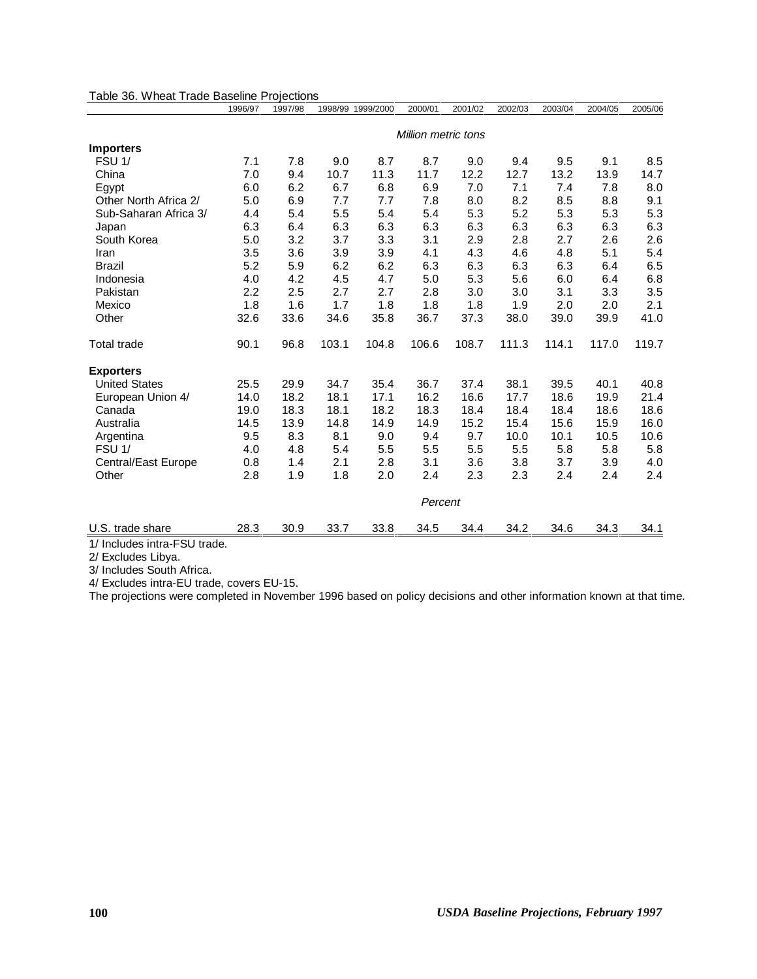|                       | 1996/97 | 1997/98 |       | 1998/99 1999/2000 | 2000/01             | 2001/02 | 2002/03 | 2003/04 | 2004/05 | 2005/06 |
|-----------------------|---------|---------|-------|-------------------|---------------------|---------|---------|---------|---------|---------|
|                       |         |         |       |                   | Million metric tons |         |         |         |         |         |
| <b>Importers</b>      |         |         |       |                   |                     |         |         |         |         |         |
| FSU <sub>1</sub> /    | 7.1     | 7.8     | 9.0   | 8.7               | 8.7                 | 9.0     | 9.4     | 9.5     | 9.1     | 8.5     |
| China                 | 7.0     | 9.4     | 10.7  | 11.3              | 11.7                | 12.2    | 12.7    | 13.2    | 13.9    | 14.7    |
| Egypt                 | 6.0     | 6.2     | 6.7   | 6.8               | 6.9                 | 7.0     | 7.1     | 7.4     | 7.8     | 8.0     |
| Other North Africa 2/ | 5.0     | 6.9     | 7.7   | 7.7               | 7.8                 | 8.0     | 8.2     | 8.5     | 8.8     | 9.1     |
| Sub-Saharan Africa 3/ | 4.4     | 5.4     | 5.5   | 5.4               | 5.4                 | 5.3     | 5.2     | 5.3     | 5.3     | 5.3     |
| Japan                 | 6.3     | 6.4     | 6.3   | 6.3               | 6.3                 | 6.3     | 6.3     | 6.3     | 6.3     | 6.3     |
| South Korea           | 5.0     | 3.2     | 3.7   | 3.3               | 3.1                 | 2.9     | 2.8     | 2.7     | 2.6     | 2.6     |
| Iran                  | 3.5     | 3.6     | 3.9   | 3.9               | 4.1                 | 4.3     | 4.6     | 4.8     | 5.1     | 5.4     |
| <b>Brazil</b>         | 5.2     | 5.9     | 6.2   | 6.2               | 6.3                 | 6.3     | 6.3     | 6.3     | 6.4     | 6.5     |
| Indonesia             | 4.0     | 4.2     | 4.5   | 4.7               | 5.0                 | 5.3     | 5.6     | 6.0     | 6.4     | 6.8     |
| Pakistan              | 2.2     | 2.5     | 2.7   | 2.7               | 2.8                 | 3.0     | 3.0     | 3.1     | 3.3     | 3.5     |
| Mexico                | 1.8     | 1.6     | 1.7   | 1.8               | 1.8                 | 1.8     | 1.9     | 2.0     | 2.0     | 2.1     |
| Other                 | 32.6    | 33.6    | 34.6  | 35.8              | 36.7                | 37.3    | 38.0    | 39.0    | 39.9    | 41.0    |
| <b>Total trade</b>    | 90.1    | 96.8    | 103.1 | 104.8             | 106.6               | 108.7   | 111.3   | 114.1   | 117.0   | 119.7   |
| <b>Exporters</b>      |         |         |       |                   |                     |         |         |         |         |         |
| <b>United States</b>  | 25.5    | 29.9    | 34.7  | 35.4              | 36.7                | 37.4    | 38.1    | 39.5    | 40.1    | 40.8    |
| European Union 4/     | 14.0    | 18.2    | 18.1  | 17.1              | 16.2                | 16.6    | 17.7    | 18.6    | 19.9    | 21.4    |
| Canada                | 19.0    | 18.3    | 18.1  | 18.2              | 18.3                | 18.4    | 18.4    | 18.4    | 18.6    | 18.6    |
| Australia             | 14.5    | 13.9    | 14.8  | 14.9              | 14.9                | 15.2    | 15.4    | 15.6    | 15.9    | 16.0    |
| Argentina             | 9.5     | 8.3     | 8.1   | 9.0               | 9.4                 | 9.7     | 10.0    | 10.1    | 10.5    | 10.6    |
| <b>FSU 1/</b>         | 4.0     | 4.8     | 5.4   | 5.5               | 5.5                 | 5.5     | 5.5     | 5.8     | 5.8     | 5.8     |
| Central/East Europe   | 0.8     | 1.4     | 2.1   | 2.8               | 3.1                 | 3.6     | 3.8     | 3.7     | 3.9     | 4.0     |
| Other                 | 2.8     | 1.9     | 1.8   | 2.0               | 2.4                 | 2.3     | 2.3     | 2.4     | 2.4     | 2.4     |
|                       |         |         |       |                   | Percent             |         |         |         |         |         |
| U.S. trade share      | 28.3    | 30.9    | 33.7  | 33.8              | 34.5                | 34.4    | 34.2    | 34.6    | 34.3    | 34.1    |

Table 36. Wheat Trade Baseline Projections

1/ Includes intra-FSU trade.

2/ Excludes Libya.

3/ Includes South Africa.

4/ Excludes intra-EU trade, covers EU-15.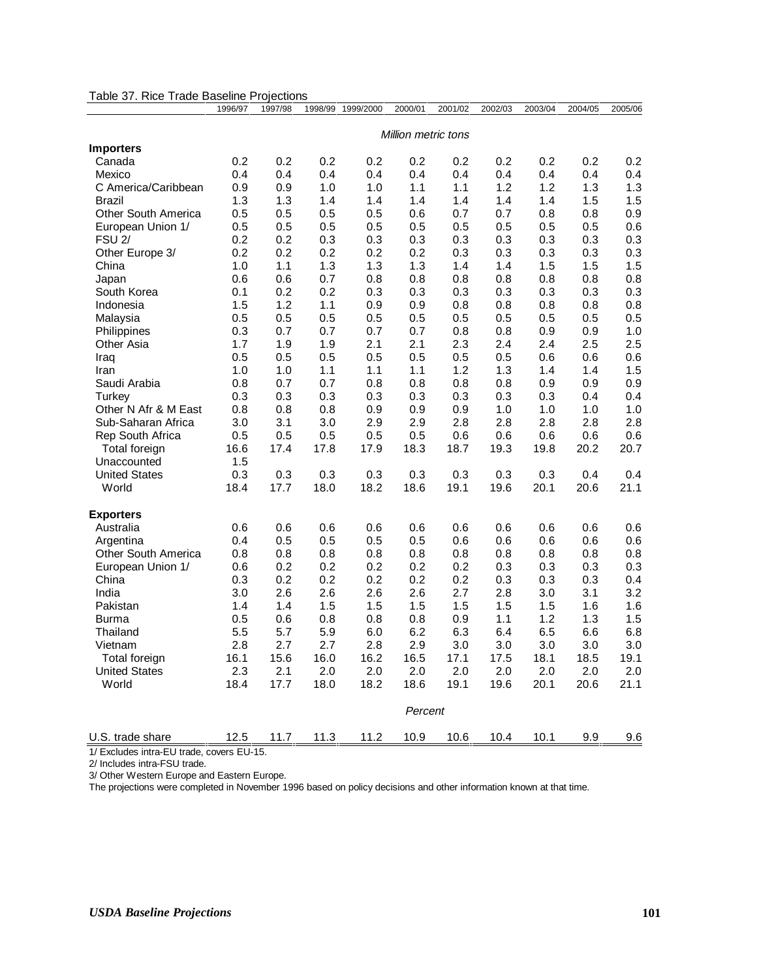|                      | 1996/97             | 1997/98 | 1998/99 | 1999/2000 | 2000/01 | 2001/02 | 2002/03 | 2003/04 | 2004/05 | 2005/06 |
|----------------------|---------------------|---------|---------|-----------|---------|---------|---------|---------|---------|---------|
|                      | Million metric tons |         |         |           |         |         |         |         |         |         |
| <b>Importers</b>     |                     |         |         |           |         |         |         |         |         |         |
| Canada               | 0.2                 | 0.2     | 0.2     | 0.2       | 0.2     | 0.2     | 0.2     | 0.2     | 0.2     | 0.2     |
| Mexico               | 0.4                 | 0.4     | 0.4     | 0.4       | 0.4     | 0.4     | 0.4     | 0.4     | 0.4     | 0.4     |
| C America/Caribbean  | 0.9                 | 0.9     | 1.0     | 1.0       | 1.1     | 1.1     | 1.2     | 1.2     | 1.3     | 1.3     |
| Brazil               | 1.3                 | 1.3     | 1.4     | 1.4       | 1.4     | 1.4     | 1.4     | 1.4     | 1.5     | 1.5     |
| Other South America  | 0.5                 | 0.5     | 0.5     | 0.5       | 0.6     | 0.7     | 0.7     | 0.8     | 0.8     | 0.9     |
| European Union 1/    | 0.5                 | 0.5     | 0.5     | 0.5       | 0.5     | 0.5     | 0.5     | 0.5     | 0.5     | 0.6     |
| <b>FSU 2/</b>        | 0.2                 | 0.2     | 0.3     | 0.3       | 0.3     | 0.3     | 0.3     | 0.3     | 0.3     | 0.3     |
| Other Europe 3/      | 0.2                 | 0.2     | 0.2     | 0.2       | 0.2     | 0.3     | 0.3     | 0.3     | 0.3     | 0.3     |
| China                | 1.0                 | 1.1     | 1.3     | 1.3       | 1.3     | 1.4     | 1.4     | 1.5     | 1.5     | 1.5     |
| Japan                | 0.6                 | 0.6     | 0.7     | 0.8       | 0.8     | 0.8     | 0.8     | 0.8     | 0.8     | 0.8     |
| South Korea          | 0.1                 | 0.2     | 0.2     | 0.3       | 0.3     | 0.3     | 0.3     | 0.3     | 0.3     | 0.3     |
| Indonesia            | 1.5                 | 1.2     | 1.1     | 0.9       | 0.9     | 0.8     | 0.8     | 0.8     | 0.8     | 0.8     |
| Malaysia             | 0.5                 | 0.5     | 0.5     | 0.5       | 0.5     | 0.5     | 0.5     | 0.5     | 0.5     | 0.5     |
| Philippines          | 0.3                 | 0.7     | 0.7     | 0.7       | 0.7     | 0.8     | 0.8     | 0.9     | 0.9     | 1.0     |
| Other Asia           | 1.7                 | 1.9     | 1.9     | 2.1       | 2.1     | 2.3     | 2.4     | 2.4     | 2.5     | 2.5     |
| Iraq                 | 0.5                 | 0.5     | 0.5     | 0.5       | 0.5     | 0.5     | 0.5     | 0.6     | 0.6     | 0.6     |
| Iran                 | 1.0                 | 1.0     | 1.1     | 1.1       | 1.1     | 1.2     | 1.3     | 1.4     | 1.4     | 1.5     |
| Saudi Arabia         | 0.8                 | 0.7     | 0.7     | 0.8       | 0.8     | 0.8     | 0.8     | 0.9     | 0.9     | 0.9     |
| Turkey               | 0.3                 | 0.3     | 0.3     | 0.3       | 0.3     | 0.3     | 0.3     | 0.3     | 0.4     | 0.4     |
| Other N Afr & M East | 0.8                 | 0.8     | 0.8     | 0.9       | 0.9     | 0.9     | 1.0     | 1.0     | 1.0     | 1.0     |
| Sub-Saharan Africa   | 3.0                 | 3.1     | 3.0     | 2.9       | 2.9     | 2.8     | 2.8     | 2.8     | 2.8     | 2.8     |
| Rep South Africa     | 0.5                 | 0.5     | 0.5     | 0.5       | 0.5     | 0.6     | 0.6     | 0.6     | 0.6     | 0.6     |
| Total foreign        | 16.6                | 17.4    | 17.8    | 17.9      | 18.3    | 18.7    | 19.3    | 19.8    | 20.2    | 20.7    |
| Unaccounted          | 1.5                 |         |         |           |         |         |         |         |         |         |
| <b>United States</b> | 0.3                 | 0.3     | 0.3     | 0.3       | 0.3     | 0.3     | 0.3     | 0.3     | 0.4     | 0.4     |
| World                | 18.4                | 17.7    | 18.0    | 18.2      | 18.6    | 19.1    | 19.6    | 20.1    | 20.6    | 21.1    |
| <b>Exporters</b>     |                     |         |         |           |         |         |         |         |         |         |
| Australia            | 0.6                 | 0.6     | 0.6     | 0.6       | 0.6     | 0.6     | 0.6     | 0.6     | 0.6     | 0.6     |
| Argentina            | 0.4                 | 0.5     | 0.5     | 0.5       | 0.5     | 0.6     | 0.6     | 0.6     | 0.6     | 0.6     |
| Other South America  | 0.8                 | 0.8     | 0.8     | 0.8       | 0.8     | 0.8     | 0.8     | 0.8     | 0.8     | 0.8     |
| European Union 1/    | 0.6                 | 0.2     | 0.2     | 0.2       | 0.2     | 0.2     | 0.3     | 0.3     | 0.3     | 0.3     |
| China                | 0.3                 | 0.2     | 0.2     | 0.2       | 0.2     | 0.2     | 0.3     | 0.3     | 0.3     | 0.4     |
| India                | 3.0                 | 2.6     | 2.6     | 2.6       | 2.6     | 2.7     | 2.8     | 3.0     | 3.1     | 3.2     |
| Pakistan             | 1.4                 | 1.4     | 1.5     | 1.5       | 1.5     | 1.5     | 1.5     | 1.5     | 1.6     | 1.6     |
| Burma                | 0.5                 | 0.6     | 0.8     | 0.8       | 0.8     | 0.9     | 1.1     | 1.2     | 1.3     | 1.5     |
| Thailand             | 5.5                 | 5.7     | 5.9     | 6.0       | 6.2     | 6.3     | 6.4     | 6.5     | 6.6     | 6.8     |
| Vietnam              | 2.8                 | 2.7     | 2.7     | 2.8       | 2.9     | 3.0     | 3.0     | 3.0     | 3.0     | 3.0     |
| Total foreign        | 16.1                | 15.6    | 16.0    | 16.2      | 16.5    | 17.1    | 17.5    | 18.1    | 18.5    | 19.1    |
| <b>United States</b> | 2.3                 | 2.1     | 2.0     | 2.0       | 2.0     | 2.0     | 2.0     | 2.0     | 2.0     | 2.0     |
| World                | 18.4                | 17.7    | 18.0    | 18.2      | 18.6    | 19.1    | 19.6    | 20.1    | 20.6    | 21.1    |
|                      |                     | Percent |         |           |         |         |         |         |         |         |
| U.S. trade share     | 12.5                | 11.7    | 11.3    | 11.2      | 10.9    | 10.6    | 10.4    | 10.1    | 9.9     | 9.6     |

Table 37. Rice Trade Baseline Projections

1/ Excludes intra-EU trade, covers EU-15.

2/ Includes intra-FSU trade.

3/ Other Western Europe and Eastern Europe.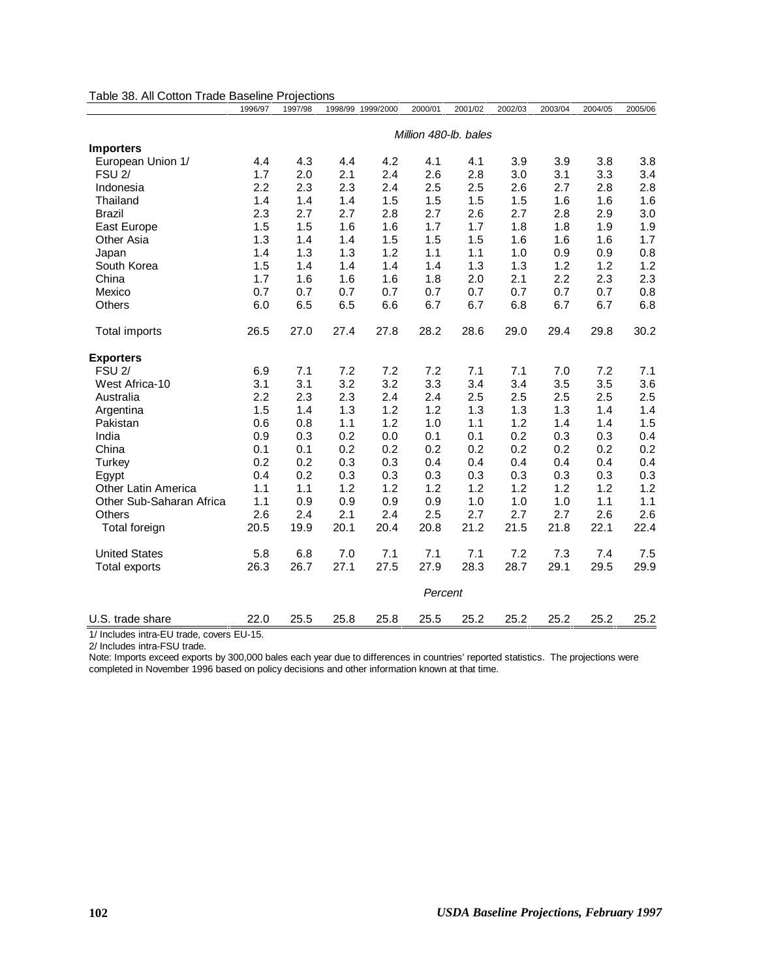| Table 38. All Cotton Trade Baseline Projections |                       |         |      |                   |         |         |         |         |         |         |  |
|-------------------------------------------------|-----------------------|---------|------|-------------------|---------|---------|---------|---------|---------|---------|--|
|                                                 | 1996/97               | 1997/98 |      | 1998/99 1999/2000 | 2000/01 | 2001/02 | 2002/03 | 2003/04 | 2004/05 | 2005/06 |  |
|                                                 | Million 480-lb. bales |         |      |                   |         |         |         |         |         |         |  |
| <b>Importers</b>                                |                       |         |      |                   |         |         |         |         |         |         |  |
| European Union 1/                               | 4.4                   | 4.3     | 4.4  | 4.2               | 4.1     | 4.1     | 3.9     | 3.9     | 3.8     | 3.8     |  |
| <b>FSU 2/</b>                                   | 1.7                   | 2.0     | 2.1  | 2.4               | 2.6     | 2.8     | 3.0     | 3.1     | 3.3     | 3.4     |  |
| Indonesia                                       | 2.2                   | 2.3     | 2.3  | 2.4               | 2.5     | 2.5     | 2.6     | 2.7     | 2.8     | 2.8     |  |
| Thailand                                        | 1.4                   | 1.4     | 1.4  | 1.5               | 1.5     | 1.5     | 1.5     | 1.6     | 1.6     | 1.6     |  |
| <b>Brazil</b>                                   | 2.3                   | 2.7     | 2.7  | 2.8               | 2.7     | 2.6     | 2.7     | 2.8     | 2.9     | 3.0     |  |
| East Europe                                     | 1.5                   | 1.5     | 1.6  | 1.6               | 1.7     | 1.7     | 1.8     | 1.8     | 1.9     | 1.9     |  |
| Other Asia                                      | 1.3                   | 1.4     | 1.4  | 1.5               | 1.5     | 1.5     | 1.6     | 1.6     | 1.6     | 1.7     |  |
| Japan                                           | 1.4                   | 1.3     | 1.3  | 1.2               | 1.1     | 1.1     | 1.0     | 0.9     | 0.9     | 0.8     |  |
| South Korea                                     | 1.5                   | 1.4     | 1.4  | 1.4               | 1.4     | 1.3     | 1.3     | 1.2     | 1.2     | 1.2     |  |
| China                                           | 1.7                   | 1.6     | 1.6  | 1.6               | 1.8     | 2.0     | 2.1     | 2.2     | 2.3     | 2.3     |  |
| Mexico                                          | 0.7                   | 0.7     | 0.7  | 0.7               | 0.7     | 0.7     | 0.7     | 0.7     | 0.7     | 0.8     |  |
| Others                                          | 6.0                   | 6.5     | 6.5  | 6.6               | 6.7     | 6.7     | 6.8     | 6.7     | 6.7     | 6.8     |  |
| Total imports                                   | 26.5                  | 27.0    | 27.4 | 27.8              | 28.2    | 28.6    | 29.0    | 29.4    | 29.8    | 30.2    |  |
| <b>Exporters</b>                                |                       |         |      |                   |         |         |         |         |         |         |  |
| <b>FSU 2/</b>                                   | 6.9                   | 7.1     | 7.2  | 7.2               | 7.2     | 7.1     | 7.1     | 7.0     | 7.2     | 7.1     |  |
| West Africa-10                                  | 3.1                   | 3.1     | 3.2  | 3.2               | 3.3     | 3.4     | 3.4     | 3.5     | 3.5     | 3.6     |  |
| Australia                                       | 2.2                   | 2.3     | 2.3  | 2.4               | 2.4     | 2.5     | 2.5     | 2.5     | 2.5     | 2.5     |  |
| Argentina                                       | 1.5                   | 1.4     | 1.3  | 1.2               | 1.2     | 1.3     | 1.3     | 1.3     | 1.4     | 1.4     |  |
| Pakistan                                        | 0.6                   | 0.8     | 1.1  | 1.2               | 1.0     | 1.1     | 1.2     | 1.4     | 1.4     | 1.5     |  |
| India                                           | 0.9                   | 0.3     | 0.2  | 0.0               | 0.1     | 0.1     | 0.2     | 0.3     | 0.3     | 0.4     |  |
| China                                           | 0.1                   | 0.1     | 0.2  | 0.2               | 0.2     | 0.2     | 0.2     | 0.2     | 0.2     | 0.2     |  |
| Turkey                                          | 0.2                   | 0.2     | 0.3  | 0.3               | 0.4     | 0.4     | 0.4     | 0.4     | 0.4     | 0.4     |  |
| Egypt                                           | 0.4                   | 0.2     | 0.3  | 0.3               | 0.3     | 0.3     | 0.3     | 0.3     | 0.3     | 0.3     |  |
| <b>Other Latin America</b>                      | 1.1                   | 1.1     | 1.2  | 1.2               | 1.2     | 1.2     | 1.2     | 1.2     | 1.2     | 1.2     |  |
| Other Sub-Saharan Africa                        | 1.1                   | 0.9     | 0.9  | 0.9               | 0.9     | 1.0     | 1.0     | 1.0     | 1.1     | 1.1     |  |
| <b>Others</b>                                   | 2.6                   | 2.4     | 2.1  | 2.4               | 2.5     | 2.7     | 2.7     | 2.7     | 2.6     | 2.6     |  |
| Total foreign                                   | 20.5                  | 19.9    | 20.1 | 20.4              | 20.8    | 21.2    | 21.5    | 21.8    | 22.1    | 22.4    |  |
| <b>United States</b>                            | 5.8                   | 6.8     | 7.0  | 7.1               | 7.1     | 7.1     | 7.2     | 7.3     | 7.4     | 7.5     |  |
| Total exports                                   | 26.3                  | 26.7    | 27.1 | 27.5              | 27.9    | 28.3    | 28.7    | 29.1    | 29.5    | 29.9    |  |
|                                                 | Percent               |         |      |                   |         |         |         |         |         |         |  |
| U.S. trade share                                | 22.0                  | 25.5    | 25.8 | 25.8              | 25.5    | 25.2    | 25.2    | 25.2    | 25.2    | 25.2    |  |

1/ Includes intra-EU trade, covers EU-15. 2/ Includes intra-FSU trade.

Note: Imports exceed exports by 300,000 bales each year due to differences in countries' reported statistics. The projections were completed in November 1996 based on policy decisions and other information known at that time.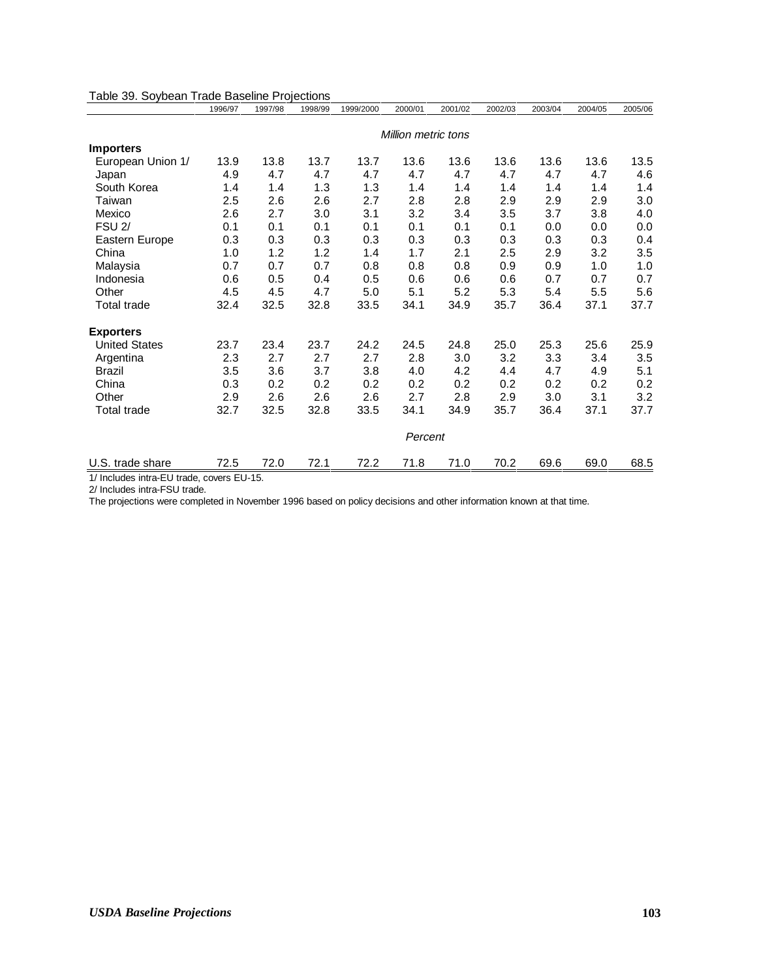|                      | 1996/97                    | 1997/98 | 1998/99 | 1999/2000 | 2000/01 | 2001/02 | 2002/03 | 2003/04 | 2004/05 | 2005/06 |  |
|----------------------|----------------------------|---------|---------|-----------|---------|---------|---------|---------|---------|---------|--|
|                      | <b>Million metric tons</b> |         |         |           |         |         |         |         |         |         |  |
| <b>Importers</b>     |                            |         |         |           |         |         |         |         |         |         |  |
| European Union 1/    | 13.9                       | 13.8    | 13.7    | 13.7      | 13.6    | 13.6    | 13.6    | 13.6    | 13.6    | 13.5    |  |
| Japan                | 4.9                        | 4.7     | 4.7     | 4.7       | 4.7     | 4.7     | 4.7     | 4.7     | 4.7     | 4.6     |  |
| South Korea          | 1.4                        | 1.4     | 1.3     | 1.3       | 1.4     | 1.4     | 1.4     | 1.4     | 1.4     | 1.4     |  |
| Taiwan               | 2.5                        | 2.6     | 2.6     | 2.7       | 2.8     | 2.8     | 2.9     | 2.9     | 2.9     | 3.0     |  |
| Mexico               | 2.6                        | 2.7     | 3.0     | 3.1       | 3.2     | 3.4     | 3.5     | 3.7     | 3.8     | 4.0     |  |
| <b>FSU 2/</b>        | 0.1                        | 0.1     | 0.1     | 0.1       | 0.1     | 0.1     | 0.1     | $0.0\,$ | 0.0     | 0.0     |  |
| Eastern Europe       | 0.3                        | 0.3     | 0.3     | 0.3       | 0.3     | 0.3     | 0.3     | 0.3     | 0.3     | 0.4     |  |
| China                | 1.0                        | 1.2     | 1.2     | 1.4       | 1.7     | 2.1     | 2.5     | 2.9     | 3.2     | 3.5     |  |
| Malaysia             | 0.7                        | 0.7     | 0.7     | 0.8       | 0.8     | 0.8     | 0.9     | 0.9     | 1.0     | 1.0     |  |
| Indonesia            | 0.6                        | 0.5     | 0.4     | 0.5       | 0.6     | 0.6     | 0.6     | 0.7     | 0.7     | 0.7     |  |
| Other                | 4.5                        | 4.5     | 4.7     | 5.0       | 5.1     | 5.2     | 5.3     | 5.4     | 5.5     | 5.6     |  |
| Total trade          | 32.4                       | 32.5    | 32.8    | 33.5      | 34.1    | 34.9    | 35.7    | 36.4    | 37.1    | 37.7    |  |
| <b>Exporters</b>     |                            |         |         |           |         |         |         |         |         |         |  |
| <b>United States</b> | 23.7                       | 23.4    | 23.7    | 24.2      | 24.5    | 24.8    | 25.0    | 25.3    | 25.6    | 25.9    |  |
| Argentina            | 2.3                        | 2.7     | 2.7     | 2.7       | 2.8     | 3.0     | 3.2     | 3.3     | 3.4     | 3.5     |  |
| <b>Brazil</b>        | 3.5                        | 3.6     | 3.7     | 3.8       | 4.0     | 4.2     | 4.4     | 4.7     | 4.9     | 5.1     |  |
| China                | 0.3                        | 0.2     | 0.2     | 0.2       | 0.2     | 0.2     | 0.2     | 0.2     | 0.2     | 0.2     |  |
| Other                | 2.9                        | 2.6     | 2.6     | 2.6       | 2.7     | 2.8     | 2.9     | 3.0     | 3.1     | 3.2     |  |
| Total trade          | 32.7                       | 32.5    | 32.8    | 33.5      | 34.1    | 34.9    | 35.7    | 36.4    | 37.1    | 37.7    |  |
|                      | Percent                    |         |         |           |         |         |         |         |         |         |  |
| U.S. trade share     | 72.5                       | 72.0    | 72.1    | 72.2      | 71.8    | 71.0    | 70.2    | 69.6    | 69.0    | 68.5    |  |

1/ Includes intra-EU trade, covers EU-15.

2/ Includes intra-FSU trade.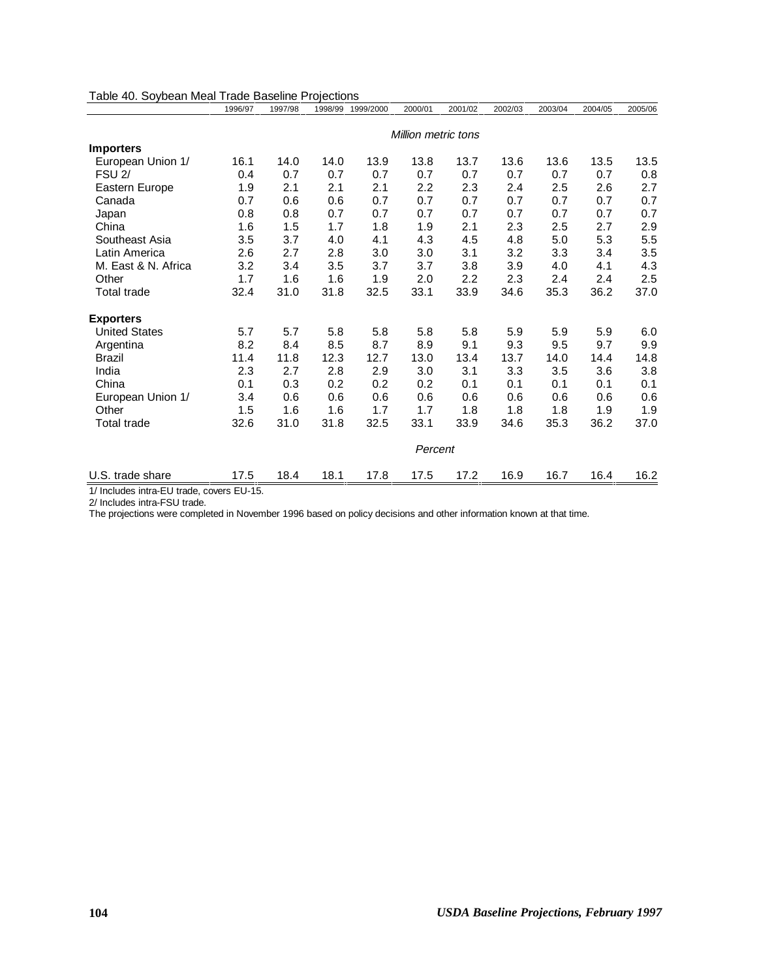| Table 40. Soybean Meal Trade Baseline Projections | 1996/97 | 1997/98 |      | 1998/99 1999/2000 | 2000/01             | 2001/02 | 2002/03 | 2003/04 | 2004/05 | 2005/06 |
|---------------------------------------------------|---------|---------|------|-------------------|---------------------|---------|---------|---------|---------|---------|
|                                                   |         |         |      |                   | Million metric tons |         |         |         |         |         |
| <b>Importers</b>                                  |         |         |      |                   |                     |         |         |         |         |         |
| European Union 1/                                 | 16.1    | 14.0    | 14.0 | 13.9              | 13.8                | 13.7    | 13.6    | 13.6    | 13.5    | 13.5    |
| <b>FSU 2/</b>                                     | 0.4     | 0.7     | 0.7  | 0.7               | 0.7                 | 0.7     | 0.7     | 0.7     | 0.7     | 0.8     |
| Eastern Europe                                    | 1.9     | 2.1     | 2.1  | 2.1               | 2.2                 | 2.3     | 2.4     | 2.5     | 2.6     | 2.7     |
| Canada                                            | 0.7     | 0.6     | 0.6  | 0.7               | 0.7                 | 0.7     | 0.7     | 0.7     | 0.7     | 0.7     |
| Japan                                             | 0.8     | 0.8     | 0.7  | 0.7               | 0.7                 | 0.7     | 0.7     | 0.7     | 0.7     | 0.7     |
| China                                             | 1.6     | 1.5     | 1.7  | 1.8               | 1.9                 | 2.1     | 2.3     | 2.5     | 2.7     | 2.9     |
| Southeast Asia                                    | 3.5     | 3.7     | 4.0  | 4.1               | 4.3                 | 4.5     | 4.8     | 5.0     | 5.3     | 5.5     |
| Latin America                                     | 2.6     | 2.7     | 2.8  | 3.0               | 3.0                 | 3.1     | 3.2     | 3.3     | 3.4     | 3.5     |
| M. East & N. Africa                               | 3.2     | 3.4     | 3.5  | 3.7               | 3.7                 | 3.8     | 3.9     | 4.0     | 4.1     | 4.3     |
| Other                                             | 1.7     | 1.6     | 1.6  | 1.9               | 2.0                 | 2.2     | 2.3     | 2.4     | 2.4     | 2.5     |
| <b>Total trade</b>                                | 32.4    | 31.0    | 31.8 | 32.5              | 33.1                | 33.9    | 34.6    | 35.3    | 36.2    | 37.0    |
| <b>Exporters</b>                                  |         |         |      |                   |                     |         |         |         |         |         |
| <b>United States</b>                              | 5.7     | 5.7     | 5.8  | 5.8               | 5.8                 | 5.8     | 5.9     | 5.9     | 5.9     | 6.0     |
| Argentina                                         | 8.2     | 8.4     | 8.5  | 8.7               | 8.9                 | 9.1     | 9.3     | 9.5     | 9.7     | 9.9     |
| <b>Brazil</b>                                     | 11.4    | 11.8    | 12.3 | 12.7              | 13.0                | 13.4    | 13.7    | 14.0    | 14.4    | 14.8    |
| India                                             | 2.3     | 2.7     | 2.8  | 2.9               | 3.0                 | 3.1     | 3.3     | 3.5     | 3.6     | 3.8     |
| China                                             | 0.1     | 0.3     | 0.2  | 0.2               | 0.2                 | 0.1     | 0.1     | 0.1     | 0.1     | 0.1     |
| European Union 1/                                 | 3.4     | 0.6     | 0.6  | 0.6               | 0.6                 | 0.6     | 0.6     | 0.6     | 0.6     | 0.6     |
| Other                                             | 1.5     | 1.6     | 1.6  | 1.7               | 1.7                 | 1.8     | 1.8     | 1.8     | 1.9     | 1.9     |
| <b>Total trade</b>                                | 32.6    | 31.0    | 31.8 | 32.5              | 33.1                | 33.9    | 34.6    | 35.3    | 36.2    | 37.0    |
|                                                   |         |         |      |                   | Percent             |         |         |         |         |         |
| U.S. trade share                                  | 17.5    | 18.4    | 18.1 | 17.8              | 17.5                | 17.2    | 16.9    | 16.7    | 16.4    | 16.2    |

1/ Includes intra-EU trade, covers EU-15.

2/ Includes intra-FSU trade.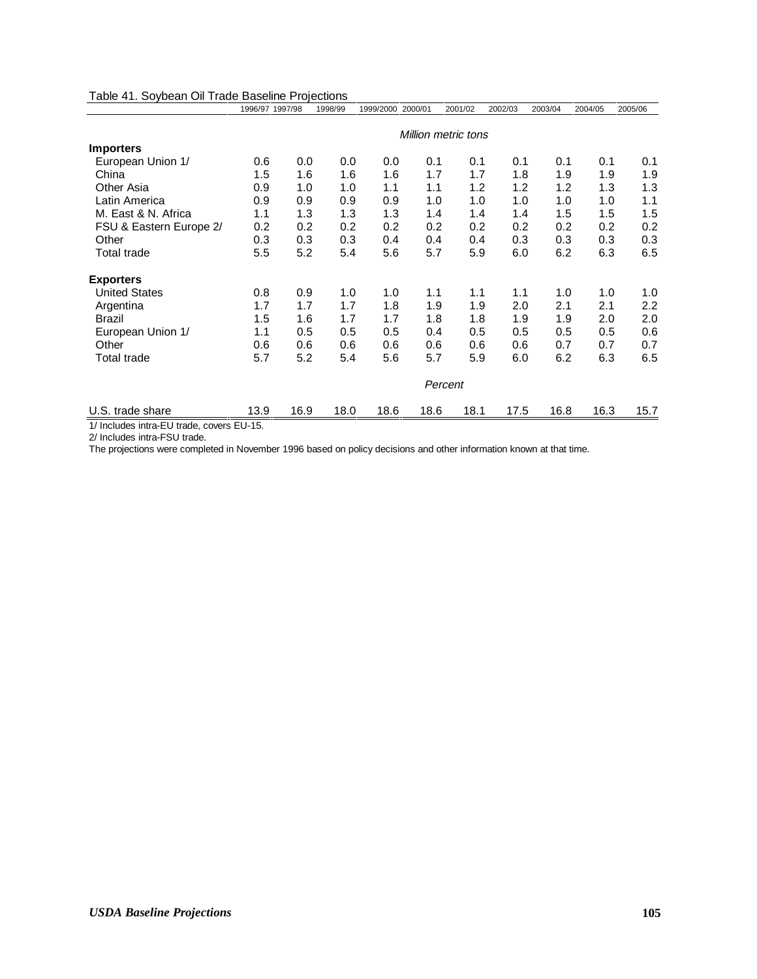|                         | 1996/97 1997/98 |      | 1998/99 | 1999/2000 2000/01 |      | 2001/02             | 2002/03 | 2003/04 | 2004/05 | 2005/06 |
|-------------------------|-----------------|------|---------|-------------------|------|---------------------|---------|---------|---------|---------|
|                         |                 |      |         |                   |      | Million metric tons |         |         |         |         |
| <b>Importers</b>        |                 |      |         |                   |      |                     |         |         |         |         |
| European Union 1/       | 0.6             | 0.0  | 0.0     | 0.0               | 0.1  | 0.1                 | 0.1     | 0.1     | 0.1     | 0.1     |
| China                   | 1.5             | 1.6  | 1.6     | 1.6               | 1.7  | 1.7                 | 1.8     | 1.9     | 1.9     | 1.9     |
| Other Asia              | 0.9             | 1.0  | 1.0     | 1.1               | 1.1  | 1.2                 | 1.2     | 1.2     | 1.3     | 1.3     |
| Latin America           | 0.9             | 0.9  | 0.9     | 0.9               | 1.0  | 1.0                 | 1.0     | 1.0     | 1.0     | 1.1     |
| M. East & N. Africa     | 1.1             | 1.3  | 1.3     | 1.3               | 1.4  | 1.4                 | 1.4     | 1.5     | 1.5     | 1.5     |
| FSU & Eastern Europe 2/ | 0.2             | 0.2  | 0.2     | 0.2               | 0.2  | 0.2                 | 0.2     | 0.2     | 0.2     | 0.2     |
| Other                   | 0.3             | 0.3  | 0.3     | 0.4               | 0.4  | 0.4                 | 0.3     | 0.3     | 0.3     | 0.3     |
| Total trade             | 5.5             | 5.2  | 5.4     | 5.6               | 5.7  | 5.9                 | 6.0     | 6.2     | 6.3     | 6.5     |
| <b>Exporters</b>        |                 |      |         |                   |      |                     |         |         |         |         |
| <b>United States</b>    | 0.8             | 0.9  | 1.0     | 1.0               | 1.1  | 1.1                 | 1.1     | 1.0     | 1.0     | 1.0     |
| Argentina               | 1.7             | 1.7  | 1.7     | 1.8               | 1.9  | 1.9                 | 2.0     | 2.1     | 2.1     | 2.2     |
| <b>Brazil</b>           | 1.5             | 1.6  | 1.7     | 1.7               | 1.8  | 1.8                 | 1.9     | 1.9     | 2.0     | 2.0     |
| European Union 1/       | 1.1             | 0.5  | 0.5     | 0.5               | 0.4  | 0.5                 | 0.5     | 0.5     | 0.5     | 0.6     |
| Other                   | 0.6             | 0.6  | 0.6     | 0.6               | 0.6  | 0.6                 | 0.6     | 0.7     | 0.7     | 0.7     |
| Total trade             | 5.7             | 5.2  | 5.4     | 5.6               | 5.7  | 5.9                 | 6.0     | 6.2     | 6.3     | 6.5     |
|                         |                 |      |         |                   |      | Percent             |         |         |         |         |
| U.S. trade share        | 13.9            | 16.9 | 18.0    | 18.6              | 18.6 | 18.1                | 17.5    | 16.8    | 16.3    | 15.7    |

#### Table 41. Soybean Oil Trade Baseline Projections

1/ Includes intra-EU trade, covers EU-15.

2/ Includes intra-FSU trade.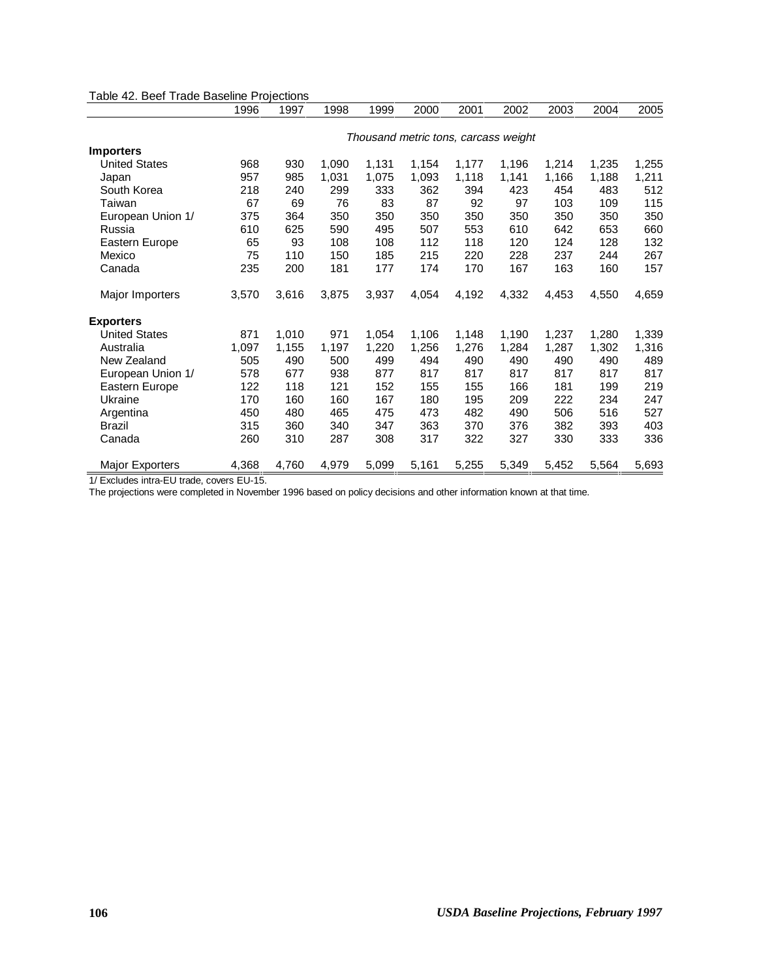|                        | 1996  | 1997  | 1998  | 1999  | 2000  | 2001  | 2002                                 | 2003  | 2004  | 2005  |
|------------------------|-------|-------|-------|-------|-------|-------|--------------------------------------|-------|-------|-------|
|                        |       |       |       |       |       |       | Thousand metric tons, carcass weight |       |       |       |
| <b>Importers</b>       |       |       |       |       |       |       |                                      |       |       |       |
| <b>United States</b>   | 968   | 930   | 1,090 | 1,131 | 1,154 | 1,177 | 1,196                                | 1,214 | 1,235 | 1,255 |
| Japan                  | 957   | 985   | 1,031 | 1,075 | 1,093 | 1,118 | 1,141                                | 1,166 | 1,188 | 1,211 |
| South Korea            | 218   | 240   | 299   | 333   | 362   | 394   | 423                                  | 454   | 483   | 512   |
| Taiwan                 | 67    | 69    | 76    | 83    | 87    | 92    | 97                                   | 103   | 109   | 115   |
| European Union 1/      | 375   | 364   | 350   | 350   | 350   | 350   | 350                                  | 350   | 350   | 350   |
| Russia                 | 610   | 625   | 590   | 495   | 507   | 553   | 610                                  | 642   | 653   | 660   |
| Eastern Europe         | 65    | 93    | 108   | 108   | 112   | 118   | 120                                  | 124   | 128   | 132   |
| Mexico                 | 75    | 110   | 150   | 185   | 215   | 220   | 228                                  | 237   | 244   | 267   |
| Canada                 | 235   | 200   | 181   | 177   | 174   | 170   | 167                                  | 163   | 160   | 157   |
| Major Importers        | 3,570 | 3,616 | 3,875 | 3,937 | 4,054 | 4,192 | 4,332                                | 4,453 | 4,550 | 4,659 |
| <b>Exporters</b>       |       |       |       |       |       |       |                                      |       |       |       |
| <b>United States</b>   | 871   | 1,010 | 971   | 1,054 | 1,106 | 1,148 | 1,190                                | 1,237 | 1,280 | 1,339 |
| Australia              | 1,097 | 1,155 | 1,197 | 1,220 | 1,256 | 1,276 | 1,284                                | 1,287 | 1,302 | 1,316 |
| New Zealand            | 505   | 490   | 500   | 499   | 494   | 490   | 490                                  | 490   | 490   | 489   |
| European Union 1/      | 578   | 677   | 938   | 877   | 817   | 817   | 817                                  | 817   | 817   | 817   |
| Eastern Europe         | 122   | 118   | 121   | 152   | 155   | 155   | 166                                  | 181   | 199   | 219   |
| Ukraine                | 170   | 160   | 160   | 167   | 180   | 195   | 209                                  | 222   | 234   | 247   |
| Argentina              | 450   | 480   | 465   | 475   | 473   | 482   | 490                                  | 506   | 516   | 527   |
| <b>Brazil</b>          | 315   | 360   | 340   | 347   | 363   | 370   | 376                                  | 382   | 393   | 403   |
| Canada                 | 260   | 310   | 287   | 308   | 317   | 322   | 327                                  | 330   | 333   | 336   |
| <b>Major Exporters</b> | 4,368 | 4,760 | 4,979 | 5,099 | 5,161 | 5,255 | 5,349                                | 5,452 | 5,564 | 5,693 |

Table 42. Beef Trade Baseline Projections

1/ Excludes intra-EU trade, covers EU-15.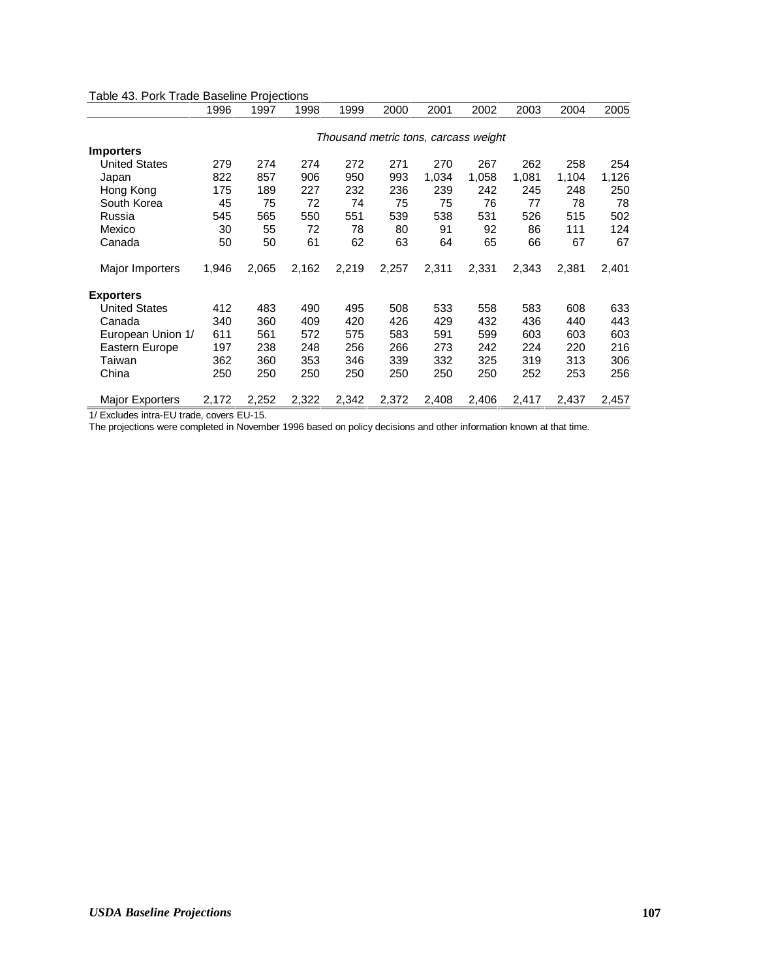|                        | 1996  | 1997  | 1998  | 1999  | 2000  | 2001  | 2002                                 | 2003  | 2004  | 2005  |
|------------------------|-------|-------|-------|-------|-------|-------|--------------------------------------|-------|-------|-------|
|                        |       |       |       |       |       |       | Thousand metric tons, carcass weight |       |       |       |
| <b>Importers</b>       |       |       |       |       |       |       |                                      |       |       |       |
| <b>United States</b>   | 279   | 274   | 274   | 272   | 271   | 270   | 267                                  | 262   | 258   | 254   |
| Japan                  | 822   | 857   | 906   | 950   | 993   | 1,034 | 1,058                                | 1,081 | 1,104 | 1,126 |
| Hong Kong              | 175   | 189   | 227   | 232   | 236   | 239   | 242                                  | 245   | 248   | 250   |
| South Korea            | 45    | 75    | 72    | 74    | 75    | 75    | 76                                   | 77    | 78    | 78    |
| Russia                 | 545   | 565   | 550   | 551   | 539   | 538   | 531                                  | 526   | 515   | 502   |
| Mexico                 | 30    | 55    | 72    | 78    | 80    | 91    | 92                                   | 86    | 111   | 124   |
| Canada                 | 50    | 50    | 61    | 62    | 63    | 64    | 65                                   | 66    | 67    | 67    |
| Major Importers        | 1,946 | 2,065 | 2,162 | 2,219 | 2,257 | 2,311 | 2,331                                | 2,343 | 2,381 | 2,401 |
| <b>Exporters</b>       |       |       |       |       |       |       |                                      |       |       |       |
| <b>United States</b>   | 412   | 483   | 490   | 495   | 508   | 533   | 558                                  | 583   | 608   | 633   |
| Canada                 | 340   | 360   | 409   | 420   | 426   | 429   | 432                                  | 436   | 440   | 443   |
| European Union 1/      | 611   | 561   | 572   | 575   | 583   | 591   | 599                                  | 603   | 603   | 603   |
| Eastern Europe         | 197   | 238   | 248   | 256   | 266   | 273   | 242                                  | 224   | 220   | 216   |
| Taiwan                 | 362   | 360   | 353   | 346   | 339   | 332   | 325                                  | 319   | 313   | 306   |
| China                  | 250   | 250   | 250   | 250   | 250   | 250   | 250                                  | 252   | 253   | 256   |
| <b>Major Exporters</b> | 2,172 | 2,252 | 2,322 | 2,342 | 2,372 | 2,408 | 2,406                                | 2,417 | 2,437 | 2,457 |

### Table 43. Pork Trade Baseline Projections

1/ Excludes intra-EU trade, covers EU-15.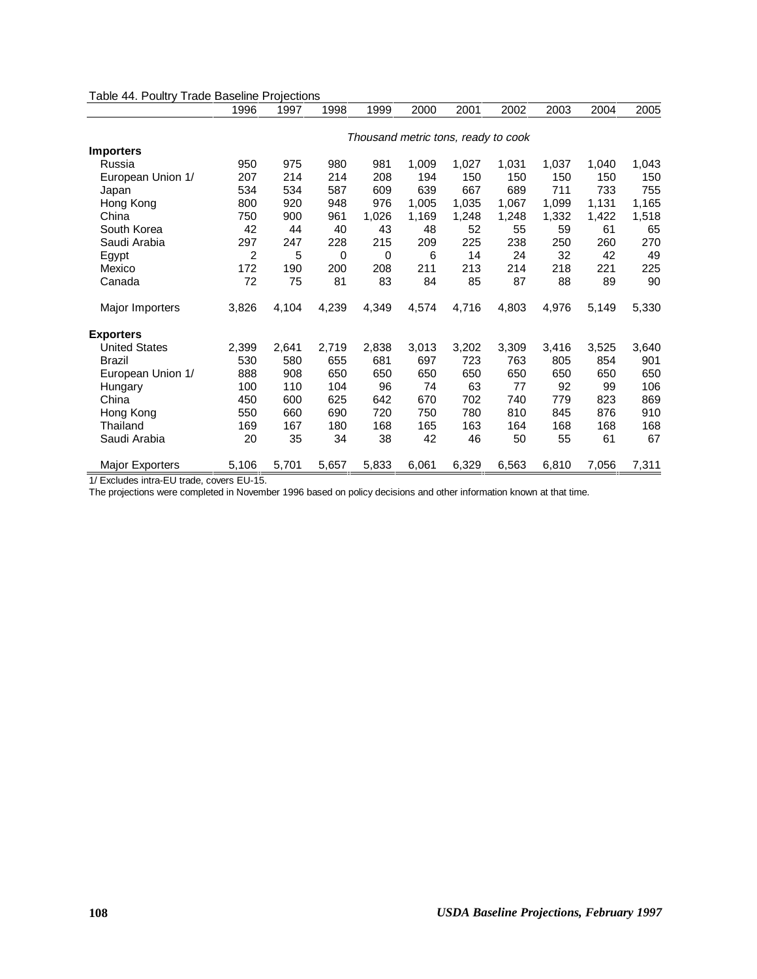|                        | 1996           | 1997  | 1998  | 1999                                | 2000  | 2001  | 2002  | 2003  | 2004  | 2005  |
|------------------------|----------------|-------|-------|-------------------------------------|-------|-------|-------|-------|-------|-------|
|                        |                |       |       | Thousand metric tons, ready to cook |       |       |       |       |       |       |
| <b>Importers</b>       |                |       |       |                                     |       |       |       |       |       |       |
| Russia                 | 950            | 975   | 980   | 981                                 | 1,009 | 1,027 | 1,031 | 1,037 | 1,040 | 1,043 |
| European Union 1/      | 207            | 214   | 214   | 208                                 | 194   | 150   | 150   | 150   | 150   | 150   |
|                        | 534            | 534   | 587   | 609                                 | 639   | 667   | 689   | 711   | 733   | 755   |
| Japan                  |                |       |       |                                     |       |       |       |       |       |       |
| Hong Kong              | 800            | 920   | 948   | 976                                 | 1,005 | 1,035 | 1,067 | 1,099 | 1,131 | 1,165 |
| China                  | 750            | 900   | 961   | 1,026                               | 1,169 | 1,248 | 1,248 | 1,332 | 1,422 | 1,518 |
| South Korea            | 42             | 44    | 40    | 43                                  | 48    | 52    | 55    | 59    | 61    | 65    |
| Saudi Arabia           | 297            | 247   | 228   | 215                                 | 209   | 225   | 238   | 250   | 260   | 270   |
| Egypt                  | $\overline{2}$ | 5     | 0     | 0                                   | 6     | 14    | 24    | 32    | 42    | 49    |
| Mexico                 | 172            | 190   | 200   | 208                                 | 211   | 213   | 214   | 218   | 221   | 225   |
| Canada                 | 72             | 75    | 81    | 83                                  | 84    | 85    | 87    | 88    | 89    | 90    |
| Major Importers        | 3,826          | 4,104 | 4,239 | 4,349                               | 4,574 | 4,716 | 4,803 | 4,976 | 5,149 | 5,330 |
| <b>Exporters</b>       |                |       |       |                                     |       |       |       |       |       |       |
| <b>United States</b>   | 2,399          | 2,641 | 2,719 | 2,838                               | 3,013 | 3,202 | 3,309 | 3,416 | 3,525 | 3,640 |
| <b>Brazil</b>          | 530            | 580   | 655   | 681                                 | 697   | 723   | 763   | 805   | 854   | 901   |
| European Union 1/      | 888            | 908   | 650   | 650                                 | 650   | 650   | 650   | 650   | 650   | 650   |
| Hungary                | 100            | 110   | 104   | 96                                  | 74    | 63    | 77    | 92    | 99    | 106   |
| China                  | 450            | 600   | 625   | 642                                 | 670   | 702   | 740   | 779   | 823   | 869   |
| Hong Kong              | 550            | 660   | 690   | 720                                 | 750   | 780   | 810   | 845   | 876   | 910   |
| Thailand               | 169            | 167   | 180   | 168                                 | 165   | 163   | 164   | 168   | 168   | 168   |
| Saudi Arabia           | 20             | 35    | 34    | 38                                  | 42    | 46    | 50    | 55    | 61    | 67    |
| <b>Major Exporters</b> | 5,106          | 5,701 | 5,657 | 5,833                               | 6,061 | 6,329 | 6,563 | 6,810 | 7,056 | 7,311 |

Table 44. Poultry Trade Baseline Projections

1/ Excludes intra-EU trade, covers EU-15.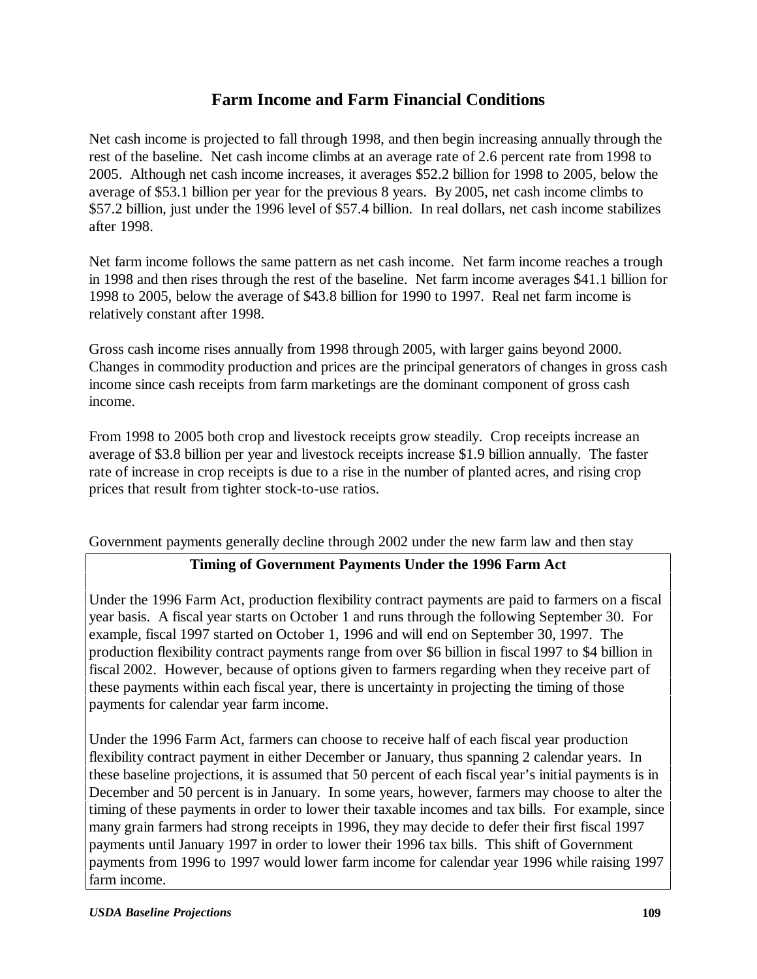# **Farm Income and Farm Financial Conditions**

Net cash income is projected to fall through 1998, and then begin increasing annually through the rest of the baseline. Net cash income climbs at an average rate of 2.6 percent rate from 1998 to 2005. Although net cash income increases, it averages \$52.2 billion for 1998 to 2005, below the average of \$53.1 billion per year for the previous 8 years. By 2005, net cash income climbs to \$57.2 billion, just under the 1996 level of \$57.4 billion. In real dollars, net cash income stabilizes after 1998.

Net farm income follows the same pattern as net cash income. Net farm income reaches a trough in 1998 and then rises through the rest of the baseline. Net farm income averages \$41.1 billion for 1998 to 2005, below the average of \$43.8 billion for 1990 to 1997. Real net farm income is relatively constant after 1998.

Gross cash income rises annually from 1998 through 2005, with larger gains beyond 2000. Changes in commodity production and prices are the principal generators of changes in gross cash income since cash receipts from farm marketings are the dominant component of gross cash income.

From 1998 to 2005 both crop and livestock receipts grow steadily. Crop receipts increase an average of \$3.8 billion per year and livestock receipts increase \$1.9 billion annually. The faster rate of increase in crop receipts is due to a rise in the number of planted acres, and rising crop prices that result from tighter stock-to-use ratios.

## Government payments generally decline through 2002 under the new farm law and then stay

## **Timing of Government Payments Under the 1996 Farm Act**

Under the 1996 Farm Act, production flexibility contract payments are paid to farmers on a fiscal year basis. A fiscal year starts on October 1 and runs through the following September 30. For example, fiscal 1997 started on October 1, 1996 and will end on September 30, 1997. The production flexibility contract payments range from over \$6 billion in fiscal 1997 to \$4 billion in fiscal 2002. However, because of options given to farmers regarding when they receive part of these payments within each fiscal year, there is uncertainty in projecting the timing of those payments for calendar year farm income.

Under the 1996 Farm Act, farmers can choose to receive half of each fiscal year production flexibility contract payment in either December or January, thus spanning 2 calendar years. In these baseline projections, it is assumed that 50 percent of each fiscal year's initial payments is in December and 50 percent is in January. In some years, however, farmers may choose to alter the timing of these payments in order to lower their taxable incomes and tax bills. For example, since many grain farmers had strong receipts in 1996, they may decide to defer their first fiscal 1997 payments until January 1997 in order to lower their 1996 tax bills. This shift of Government payments from 1996 to 1997 would lower farm income for calendar year 1996 while raising 1997 farm income.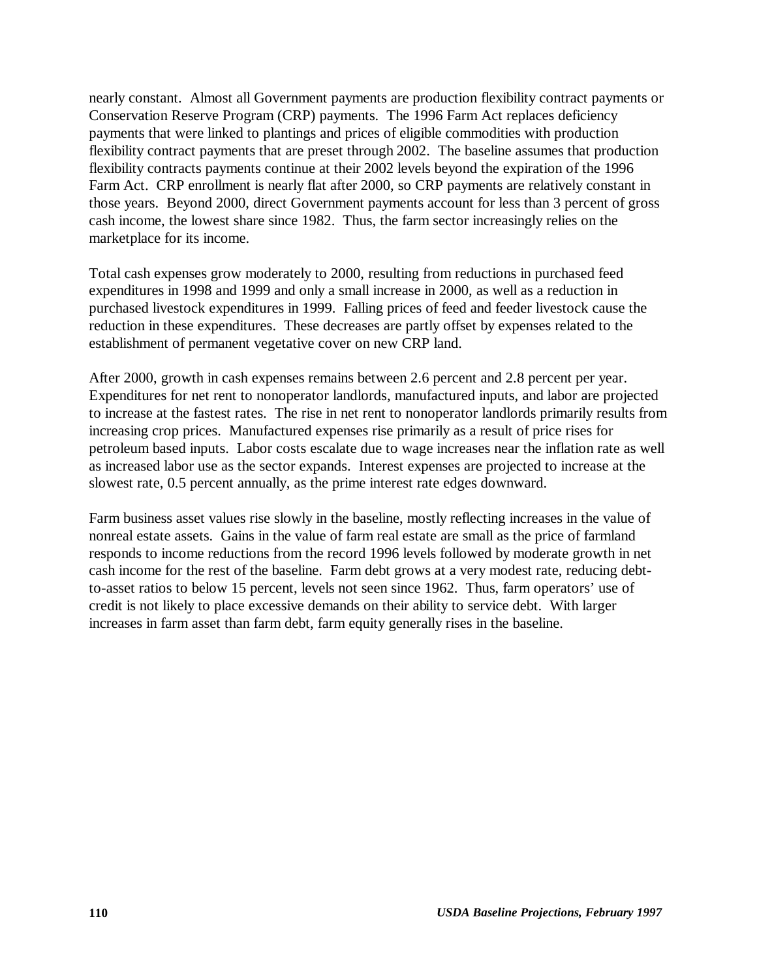nearly constant. Almost all Government payments are production flexibility contract payments or Conservation Reserve Program (CRP) payments. The 1996 Farm Act replaces deficiency payments that were linked to plantings and prices of eligible commodities with production flexibility contract payments that are preset through 2002. The baseline assumes that production flexibility contracts payments continue at their 2002 levels beyond the expiration of the 1996 Farm Act. CRP enrollment is nearly flat after 2000, so CRP payments are relatively constant in those years. Beyond 2000, direct Government payments account for less than 3 percent of gross cash income, the lowest share since 1982. Thus, the farm sector increasingly relies on the marketplace for its income.

Total cash expenses grow moderately to 2000, resulting from reductions in purchased feed expenditures in 1998 and 1999 and only a small increase in 2000, as well as a reduction in purchased livestock expenditures in 1999. Falling prices of feed and feeder livestock cause the reduction in these expenditures. These decreases are partly offset by expenses related to the establishment of permanent vegetative cover on new CRP land.

After 2000, growth in cash expenses remains between 2.6 percent and 2.8 percent per year. Expenditures for net rent to nonoperator landlords, manufactured inputs, and labor are projected to increase at the fastest rates. The rise in net rent to nonoperator landlords primarily results from increasing crop prices. Manufactured expenses rise primarily as a result of price rises for petroleum based inputs. Labor costs escalate due to wage increases near the inflation rate as well as increased labor use as the sector expands. Interest expenses are projected to increase at the slowest rate, 0.5 percent annually, as the prime interest rate edges downward.

Farm business asset values rise slowly in the baseline, mostly reflecting increases in the value of nonreal estate assets. Gains in the value of farm real estate are small as the price of farmland responds to income reductions from the record 1996 levels followed by moderate growth in net cash income for the rest of the baseline. Farm debt grows at a very modest rate, reducing debtto-asset ratios to below 15 percent, levels not seen since 1962. Thus, farm operators' use of credit is not likely to place excessive demands on their ability to service debt. With larger increases in farm asset than farm debt, farm equity generally rises in the baseline.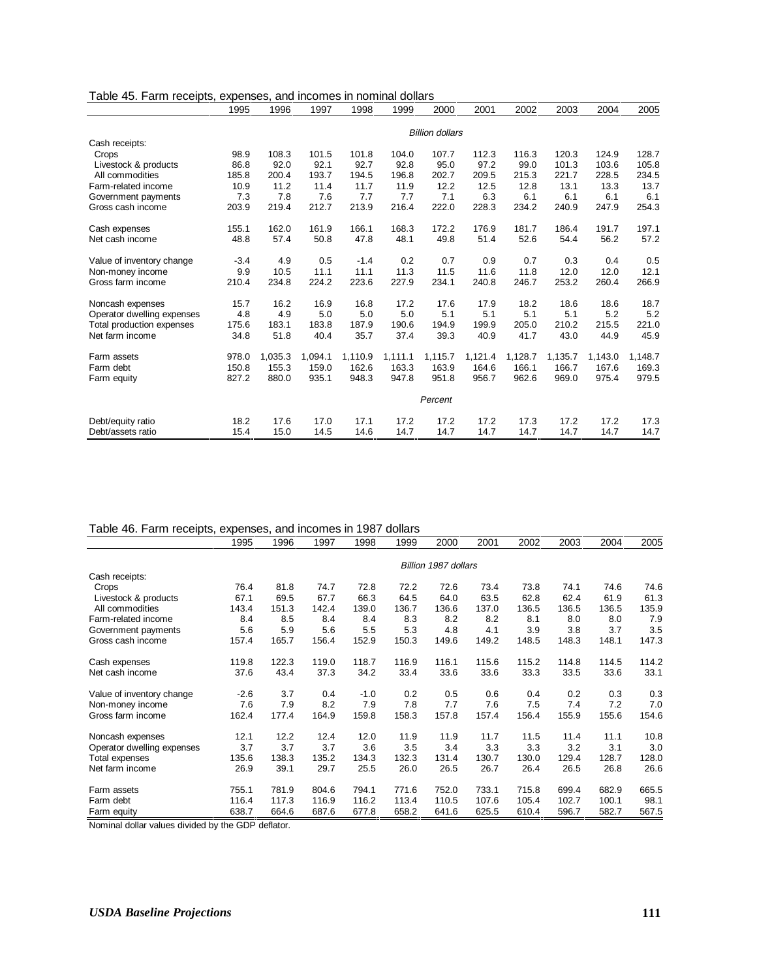| Table 45. Farm receipts, expenses, and incomes in nominal dollars |  |  |  |  |  |  |  |  |
|-------------------------------------------------------------------|--|--|--|--|--|--|--|--|
|-------------------------------------------------------------------|--|--|--|--|--|--|--|--|

|                            | 1995   | 1996    | 1997    | 1998    | 1999    | 2000                   | 2001    | 2002    | 2003    | 2004    | 2005    |
|----------------------------|--------|---------|---------|---------|---------|------------------------|---------|---------|---------|---------|---------|
|                            |        |         |         |         |         | <b>Billion dollars</b> |         |         |         |         |         |
| Cash receipts:             |        |         |         |         |         |                        |         |         |         |         |         |
| Crops                      | 98.9   | 108.3   | 101.5   | 101.8   | 104.0   | 107.7                  | 112.3   | 116.3   | 120.3   | 124.9   | 128.7   |
| Livestock & products       | 86.8   | 92.0    | 92.1    | 92.7    | 92.8    | 95.0                   | 97.2    | 99.0    | 101.3   | 103.6   | 105.8   |
| All commodities            | 185.8  | 200.4   | 193.7   | 194.5   | 196.8   | 202.7                  | 209.5   | 215.3   | 221.7   | 228.5   | 234.5   |
| Farm-related income        | 10.9   | 11.2    | 11.4    | 11.7    | 11.9    | 12.2                   | 12.5    | 12.8    | 13.1    | 13.3    | 13.7    |
| Government payments        | 7.3    | 7.8     | 7.6     | 7.7     | 7.7     | 7.1                    | 6.3     | 6.1     | 6.1     | 6.1     | 6.1     |
| Gross cash income          | 203.9  | 219.4   | 212.7   | 213.9   | 216.4   | 222.0                  | 228.3   | 234.2   | 240.9   | 247.9   | 254.3   |
| Cash expenses              | 155.1  | 162.0   | 161.9   | 166.1   | 168.3   | 172.2                  | 176.9   | 181.7   | 186.4   | 191.7   | 197.1   |
| Net cash income            | 48.8   | 57.4    | 50.8    | 47.8    | 48.1    | 49.8                   | 51.4    | 52.6    | 54.4    | 56.2    | 57.2    |
| Value of inventory change  | $-3.4$ | 4.9     | 0.5     | $-1.4$  | 0.2     | 0.7                    | 0.9     | 0.7     | 0.3     | 0.4     | 0.5     |
| Non-money income           | 9.9    | 10.5    | 11.1    | 11.1    | 11.3    | 11.5                   | 11.6    | 11.8    | 12.0    | 12.0    | 12.1    |
| Gross farm income          | 210.4  | 234.8   | 224.2   | 223.6   | 227.9   | 234.1                  | 240.8   | 246.7   | 253.2   | 260.4   | 266.9   |
| Noncash expenses           | 15.7   | 16.2    | 16.9    | 16.8    | 17.2    | 17.6                   | 17.9    | 18.2    | 18.6    | 18.6    | 18.7    |
| Operator dwelling expenses | 4.8    | 4.9     | 5.0     | 5.0     | 5.0     | 5.1                    | 5.1     | 5.1     | 5.1     | 5.2     | 5.2     |
| Total production expenses  | 175.6  | 183.1   | 183.8   | 187.9   | 190.6   | 194.9                  | 199.9   | 205.0   | 210.2   | 215.5   | 221.0   |
| Net farm income            | 34.8   | 51.8    | 40.4    | 35.7    | 37.4    | 39.3                   | 40.9    | 41.7    | 43.0    | 44.9    | 45.9    |
| Farm assets                | 978.0  | 1,035.3 | 1,094.1 | 1,110.9 | 1,111.1 | 1,115.7                | 1,121.4 | 1,128.7 | 1,135.7 | 1,143.0 | 1,148.7 |
| Farm debt                  | 150.8  | 155.3   | 159.0   | 162.6   | 163.3   | 163.9                  | 164.6   | 166.1   | 166.7   | 167.6   | 169.3   |
| Farm equity                | 827.2  | 880.0   | 935.1   | 948.3   | 947.8   | 951.8                  | 956.7   | 962.6   | 969.0   | 975.4   | 979.5   |
|                            |        |         |         |         |         | Percent                |         |         |         |         |         |
| Debt/equity ratio          | 18.2   | 17.6    | 17.0    | 17.1    | 17.2    | 17.2                   | 17.2    | 17.3    | 17.2    | 17.2    | 17.3    |
| Debt/assets ratio          | 15.4   | 15.0    | 14.5    | 14.6    | 14.7    | 14.7                   | 14.7    | 14.7    | 14.7    | 14.7    | 14.7    |

### Table 46. Farm receipts, expenses, and incomes in 1987 dollars

|                            | 1995   | 1996  | 1997  | 1998   | 1999  | 2000                 | 2001  | 2002  | 2003  | 2004  | 2005  |
|----------------------------|--------|-------|-------|--------|-------|----------------------|-------|-------|-------|-------|-------|
|                            |        |       |       |        |       | Billion 1987 dollars |       |       |       |       |       |
| Cash receipts:             |        |       |       |        |       |                      |       |       |       |       |       |
| Crops                      | 76.4   | 81.8  | 74.7  | 72.8   | 72.2  | 72.6                 | 73.4  | 73.8  | 74.1  | 74.6  | 74.6  |
| Livestock & products       | 67.1   | 69.5  | 67.7  | 66.3   | 64.5  | 64.0                 | 63.5  | 62.8  | 62.4  | 61.9  | 61.3  |
| All commodities            | 143.4  | 151.3 | 142.4 | 139.0  | 136.7 | 136.6                | 137.0 | 136.5 | 136.5 | 136.5 | 135.9 |
| Farm-related income        | 8.4    | 8.5   | 8.4   | 8.4    | 8.3   | 8.2                  | 8.2   | 8.1   | 8.0   | 8.0   | 7.9   |
| Government payments        | 5.6    | 5.9   | 5.6   | 5.5    | 5.3   | 4.8                  | 4.1   | 3.9   | 3.8   | 3.7   | 3.5   |
| Gross cash income          | 157.4  | 165.7 | 156.4 | 152.9  | 150.3 | 149.6                | 149.2 | 148.5 | 148.3 | 148.1 | 147.3 |
| Cash expenses              | 119.8  | 122.3 | 119.0 | 118.7  | 116.9 | 116.1                | 115.6 | 115.2 | 114.8 | 114.5 | 114.2 |
| Net cash income            | 37.6   | 43.4  | 37.3  | 34.2   | 33.4  | 33.6                 | 33.6  | 33.3  | 33.5  | 33.6  | 33.1  |
| Value of inventory change  | $-2.6$ | 3.7   | 0.4   | $-1.0$ | 0.2   | 0.5                  | 0.6   | 0.4   | 0.2   | 0.3   | 0.3   |
| Non-money income           | 7.6    | 7.9   | 8.2   | 7.9    | 7.8   | 7.7                  | 7.6   | 7.5   | 7.4   | 7.2   | 7.0   |
| Gross farm income          | 162.4  | 177.4 | 164.9 | 159.8  | 158.3 | 157.8                | 157.4 | 156.4 | 155.9 | 155.6 | 154.6 |
| Noncash expenses           | 12.1   | 12.2  | 12.4  | 12.0   | 11.9  | 11.9                 | 11.7  | 11.5  | 11.4  | 11.1  | 10.8  |
| Operator dwelling expenses | 3.7    | 3.7   | 3.7   | 3.6    | 3.5   | 3.4                  | 3.3   | 3.3   | 3.2   | 3.1   | 3.0   |
| Total expenses             | 135.6  | 138.3 | 135.2 | 134.3  | 132.3 | 131.4                | 130.7 | 130.0 | 129.4 | 128.7 | 128.0 |
| Net farm income            | 26.9   | 39.1  | 29.7  | 25.5   | 26.0  | 26.5                 | 26.7  | 26.4  | 26.5  | 26.8  | 26.6  |
| Farm assets                | 755.1  | 781.9 | 804.6 | 794.1  | 771.6 | 752.0                | 733.1 | 715.8 | 699.4 | 682.9 | 665.5 |
| Farm debt                  | 116.4  | 117.3 | 116.9 | 116.2  | 113.4 | 110.5                | 107.6 | 105.4 | 102.7 | 100.1 | 98.1  |
| Farm equity<br>.           | 638.7  | 664.6 | 687.6 | 677.8  | 658.2 | 641.6                | 625.5 | 610.4 | 596.7 | 582.7 | 567.5 |

Nominal dollar values divided by the GDP deflator.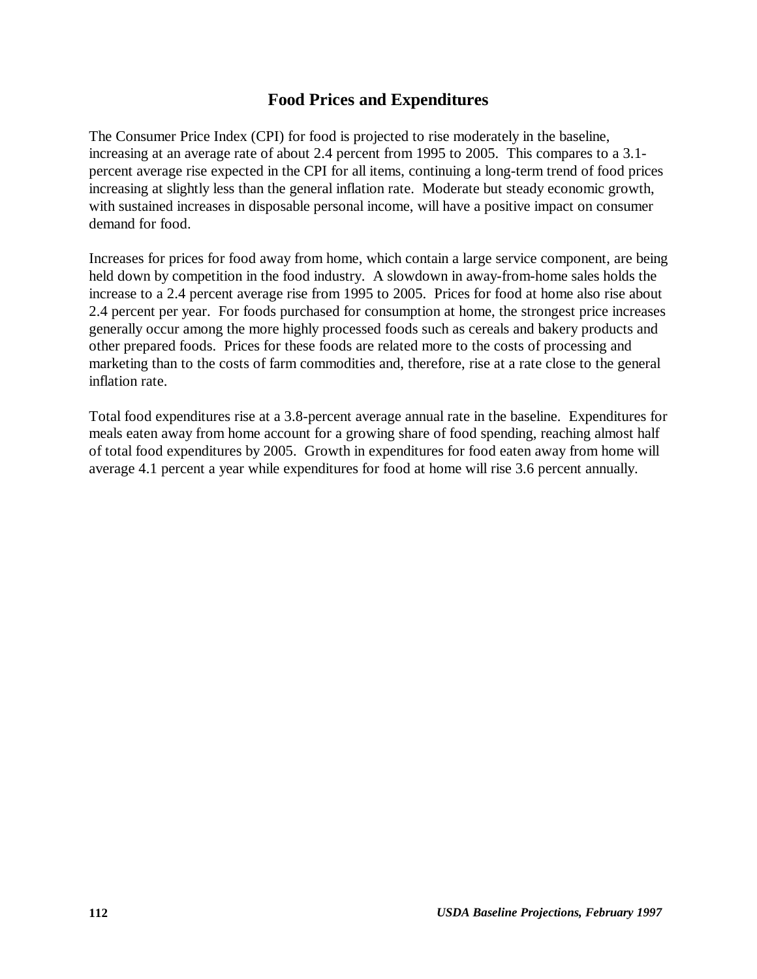# **Food Prices and Expenditures**

The Consumer Price Index (CPI) for food is projected to rise moderately in the baseline, increasing at an average rate of about 2.4 percent from 1995 to 2005. This compares to a 3.1 percent average rise expected in the CPI for all items, continuing a long-term trend of food prices increasing at slightly less than the general inflation rate. Moderate but steady economic growth, with sustained increases in disposable personal income, will have a positive impact on consumer demand for food.

Increases for prices for food away from home, which contain a large service component, are being held down by competition in the food industry. A slowdown in away-from-home sales holds the increase to a 2.4 percent average rise from 1995 to 2005. Prices for food at home also rise about 2.4 percent per year. For foods purchased for consumption at home, the strongest price increases generally occur among the more highly processed foods such as cereals and bakery products and other prepared foods. Prices for these foods are related more to the costs of processing and marketing than to the costs of farm commodities and, therefore, rise at a rate close to the general inflation rate.

Total food expenditures rise at a 3.8-percent average annual rate in the baseline. Expenditures for meals eaten away from home account for a growing share of food spending, reaching almost half of total food expenditures by 2005. Growth in expenditures for food eaten away from home will average 4.1 percent a year while expenditures for food at home will rise 3.6 percent annually.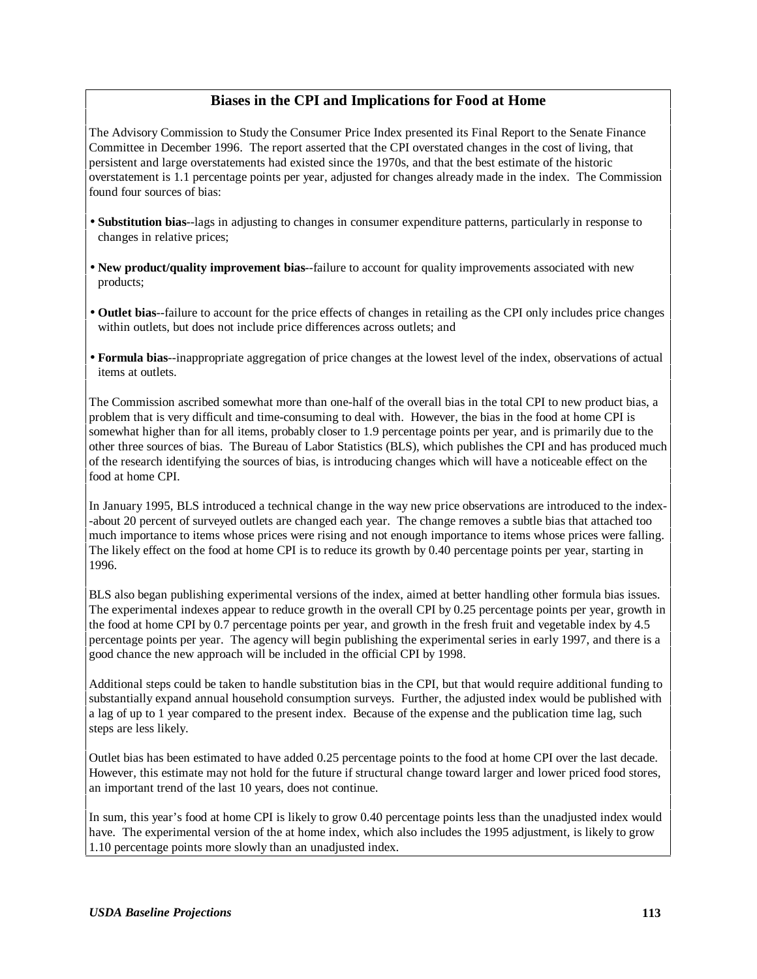### **Biases in the CPI and Implications for Food at Home**

The Advisory Commission to Study the Consumer Price Index presented its Final Report to the Senate Finance Committee in December 1996. The report asserted that the CPI overstated changes in the cost of living, that persistent and large overstatements had existed since the 1970s, and that the best estimate of the historic overstatement is 1.1 percentage points per year, adjusted for changes already made in the index. The Commission found four sources of bias:

- **Substitution bias**--lags in adjusting to changes in consumer expenditure patterns, particularly in response to changes in relative prices;
- **New product/quality improvement bias**--failure to account for quality improvements associated with new products;
- **Outlet bias**--failure to account for the price effects of changes in retailing as the CPI only includes price changes within outlets, but does not include price differences across outlets; and
- **Formula bias**--inappropriate aggregation of price changes at the lowest level of the index, observations of actual items at outlets.

The Commission ascribed somewhat more than one-half of the overall bias in the total CPI to new product bias, a problem that is very difficult and time-consuming to deal with. However, the bias in the food at home CPI is somewhat higher than for all items, probably closer to 1.9 percentage points per year, and is primarily due to the other three sources of bias. The Bureau of Labor Statistics (BLS), which publishes the CPI and has produced much of the research identifying the sources of bias, is introducing changes which will have a noticeable effect on the food at home CPI.

In January 1995, BLS introduced a technical change in the way new price observations are introduced to the index- -about 20 percent of surveyed outlets are changed each year. The change removes a subtle bias that attached too much importance to items whose prices were rising and not enough importance to items whose prices were falling. The likely effect on the food at home CPI is to reduce its growth by 0.40 percentage points per year, starting in 1996.

BLS also began publishing experimental versions of the index, aimed at better handling other formula bias issues. The experimental indexes appear to reduce growth in the overall CPI by 0.25 percentage points per year, growth in the food at home CPI by 0.7 percentage points per year, and growth in the fresh fruit and vegetable index by 4.5 percentage points per year. The agency will begin publishing the experimental series in early 1997, and there is a good chance the new approach will be included in the official CPI by 1998.

Additional steps could be taken to handle substitution bias in the CPI, but that would require additional funding to substantially expand annual household consumption surveys. Further, the adjusted index would be published with a lag of up to 1 year compared to the present index. Because of the expense and the publication time lag, such steps are less likely.

Outlet bias has been estimated to have added 0.25 percentage points to the food at home CPI over the last decade. However, this estimate may not hold for the future if structural change toward larger and lower priced food stores, an important trend of the last 10 years, does not continue.

In sum, this year's food at home CPI is likely to grow 0.40 percentage points less than the unadjusted index would have. The experimental version of the at home index, which also includes the 1995 adjustment, is likely to grow 1.10 percentage points more slowly than an unadjusted index.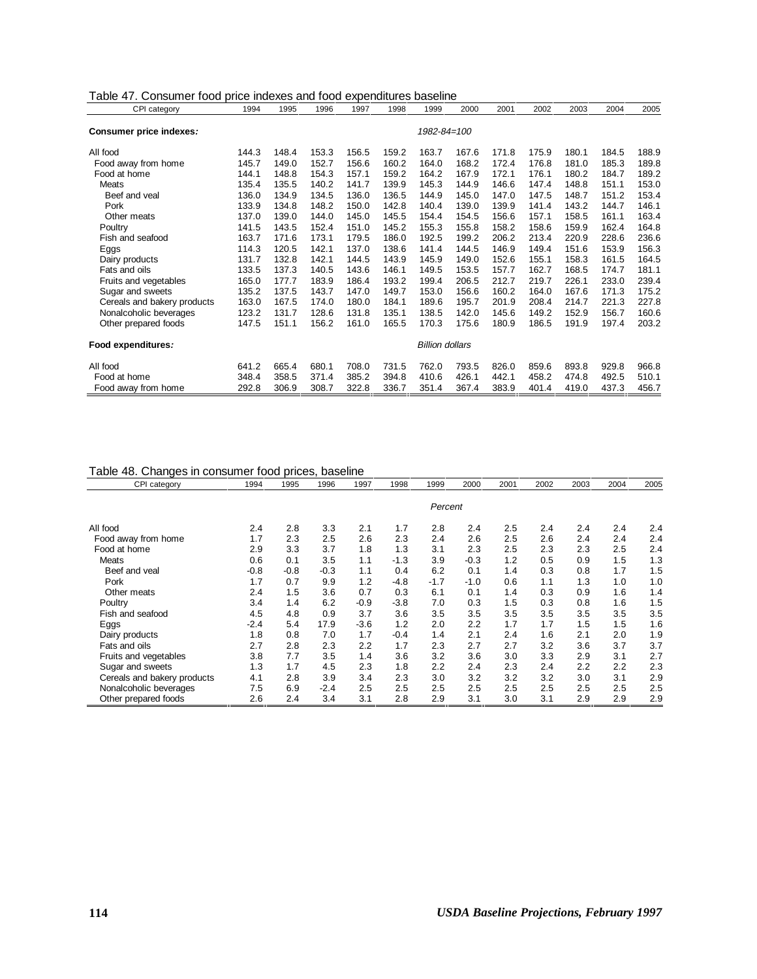| Table 47. Consumer food price indexes and food expenditures baseline |
|----------------------------------------------------------------------|
|----------------------------------------------------------------------|

| CPI category                | 1994  | 1995  | 1996  | 1997  | 1998  | 1999                   | 2000  | 2001  | 2002  | 2003  | 2004  | 2005  |
|-----------------------------|-------|-------|-------|-------|-------|------------------------|-------|-------|-------|-------|-------|-------|
| Consumer price indexes:     |       |       |       |       |       | 1982-84=100            |       |       |       |       |       |       |
| All food                    | 144.3 | 148.4 | 153.3 | 156.5 | 159.2 | 163.7                  | 167.6 | 171.8 | 175.9 | 180.1 | 184.5 | 188.9 |
| Food away from home         | 145.7 | 149.0 | 152.7 | 156.6 | 160.2 | 164.0                  | 168.2 | 172.4 | 176.8 | 181.0 | 185.3 | 189.8 |
| Food at home                | 144.1 | 148.8 | 154.3 | 157.1 | 159.2 | 164.2                  | 167.9 | 172.1 | 176.1 | 180.2 | 184.7 | 189.2 |
| <b>Meats</b>                | 135.4 | 135.5 | 140.2 | 141.7 | 139.9 | 145.3                  | 144.9 | 146.6 | 147.4 | 148.8 | 151.1 | 153.0 |
| Beef and veal               | 136.0 | 134.9 | 134.5 | 136.0 | 136.5 | 144.9                  | 145.0 | 147.0 | 147.5 | 148.7 | 151.2 | 153.4 |
| Pork                        | 133.9 | 134.8 | 148.2 | 150.0 | 142.8 | 140.4                  | 139.0 | 139.9 | 141.4 | 143.2 | 144.7 | 146.1 |
| Other meats                 | 137.0 | 139.0 | 144.0 | 145.0 | 145.5 | 154.4                  | 154.5 | 156.6 | 157.1 | 158.5 | 161.1 | 163.4 |
| Poultry                     | 141.5 | 143.5 | 152.4 | 151.0 | 145.2 | 155.3                  | 155.8 | 158.2 | 158.6 | 159.9 | 162.4 | 164.8 |
| Fish and seafood            | 163.7 | 171.6 | 173.1 | 179.5 | 186.0 | 192.5                  | 199.2 | 206.2 | 213.4 | 220.9 | 228.6 | 236.6 |
| Eggs                        | 114.3 | 120.5 | 142.1 | 137.0 | 138.6 | 141.4                  | 144.5 | 146.9 | 149.4 | 151.6 | 153.9 | 156.3 |
| Dairy products              | 131.7 | 132.8 | 142.1 | 144.5 | 143.9 | 145.9                  | 149.0 | 152.6 | 155.1 | 158.3 | 161.5 | 164.5 |
| Fats and oils               | 133.5 | 137.3 | 140.5 | 143.6 | 146.1 | 149.5                  | 153.5 | 157.7 | 162.7 | 168.5 | 174.7 | 181.1 |
| Fruits and vegetables       | 165.0 | 177.7 | 183.9 | 186.4 | 193.2 | 199.4                  | 206.5 | 212.7 | 219.7 | 226.1 | 233.0 | 239.4 |
| Sugar and sweets            | 135.2 | 137.5 | 143.7 | 147.0 | 149.7 | 153.0                  | 156.6 | 160.2 | 164.0 | 167.6 | 171.3 | 175.2 |
| Cereals and bakery products | 163.0 | 167.5 | 174.0 | 180.0 | 184.1 | 189.6                  | 195.7 | 201.9 | 208.4 | 214.7 | 221.3 | 227.8 |
| Nonalcoholic beverages      | 123.2 | 131.7 | 128.6 | 131.8 | 135.1 | 138.5                  | 142.0 | 145.6 | 149.2 | 152.9 | 156.7 | 160.6 |
| Other prepared foods        | 147.5 | 151.1 | 156.2 | 161.0 | 165.5 | 170.3                  | 175.6 | 180.9 | 186.5 | 191.9 | 197.4 | 203.2 |
| Food expenditures:          |       |       |       |       |       | <b>Billion dollars</b> |       |       |       |       |       |       |
| All food                    | 641.2 | 665.4 | 680.1 | 708.0 | 731.5 | 762.0                  | 793.5 | 826.0 | 859.6 | 893.8 | 929.8 | 966.8 |
| Food at home                | 348.4 | 358.5 | 371.4 | 385.2 | 394.8 | 410.6                  | 426.1 | 442.1 | 458.2 | 474.8 | 492.5 | 510.1 |
| Food away from home         | 292.8 | 306.9 | 308.7 | 322.8 | 336.7 | 351.4                  | 367.4 | 383.9 | 401.4 | 419.0 | 437.3 | 456.7 |

### Table 48. Changes in consumer food prices, baseline

| CPI category                | 1994   | 1995   | 1996   | 1997   | 1998   | 1999    | 2000   | 2001 | 2002 | 2003 | 2004 | 2005 |
|-----------------------------|--------|--------|--------|--------|--------|---------|--------|------|------|------|------|------|
|                             |        |        |        |        |        | Percent |        |      |      |      |      |      |
| All food                    | 2.4    | 2.8    | 3.3    | 2.1    | 1.7    | 2.8     | 2.4    | 2.5  | 2.4  | 2.4  | 2.4  | 2.4  |
| Food away from home         | 1.7    | 2.3    | 2.5    | 2.6    | 2.3    | 2.4     | 2.6    | 2.5  | 2.6  | 2.4  | 2.4  | 2.4  |
| Food at home                | 2.9    | 3.3    | 3.7    | 1.8    | 1.3    | 3.1     | 2.3    | 2.5  | 2.3  | 2.3  | 2.5  | 2.4  |
| Meats                       | 0.6    | 0.1    | 3.5    | 1.1    | $-1.3$ | 3.9     | $-0.3$ | 1.2  | 0.5  | 0.9  | 1.5  | 1.3  |
| Beef and yeal               | $-0.8$ | $-0.8$ | $-0.3$ | 1.1    | 0.4    | 6.2     | 0.1    | 1.4  | 0.3  | 0.8  | 1.7  | 1.5  |
| Pork                        | 1.7    | 0.7    | 9.9    | 1.2    | $-4.8$ | $-1.7$  | $-1.0$ | 0.6  | 1.1  | 1.3  | 1.0  | 1.0  |
| Other meats                 | 2.4    | 1.5    | 3.6    | 0.7    | 0.3    | 6.1     | 0.1    | 1.4  | 0.3  | 0.9  | 1.6  | 1.4  |
| Poultry                     | 3.4    | 1.4    | 6.2    | $-0.9$ | $-3.8$ | 7.0     | 0.3    | 1.5  | 0.3  | 0.8  | 1.6  | 1.5  |
| Fish and seafood            | 4.5    | 4.8    | 0.9    | 3.7    | 3.6    | 3.5     | 3.5    | 3.5  | 3.5  | 3.5  | 3.5  | 3.5  |
| Eggs                        | $-2.4$ | 5.4    | 17.9   | $-3.6$ | 1.2    | 2.0     | 2.2    | 1.7  | 1.7  | 1.5  | 1.5  | 1.6  |
| Dairy products              | 1.8    | 0.8    | 7.0    | 1.7    | $-0.4$ | 1.4     | 2.1    | 2.4  | 1.6  | 2.1  | 2.0  | 1.9  |
| Fats and oils               | 2.7    | 2.8    | 2.3    | 2.2    | 1.7    | 2.3     | 2.7    | 2.7  | 3.2  | 3.6  | 3.7  | 3.7  |
| Fruits and vegetables       | 3.8    | 7.7    | 3.5    | 1.4    | 3.6    | 3.2     | 3.6    | 3.0  | 3.3  | 2.9  | 3.1  | 2.7  |
| Sugar and sweets            | 1.3    | 1.7    | 4.5    | 2.3    | 1.8    | 2.2     | 2.4    | 2.3  | 2.4  | 2.2  | 2.2  | 2.3  |
| Cereals and bakery products | 4.1    | 2.8    | 3.9    | 3.4    | 2.3    | 3.0     | 3.2    | 3.2  | 3.2  | 3.0  | 3.1  | 2.9  |
| Nonalcoholic beverages      | 7.5    | 6.9    | $-2.4$ | 2.5    | 2.5    | 2.5     | 2.5    | 2.5  | 2.5  | 2.5  | 2.5  | 2.5  |
| Other prepared foods        | 2.6    | 2.4    | 3.4    | 3.1    | 2.8    | 2.9     | 3.1    | 3.0  | 3.1  | 2.9  | 2.9  | 2.9  |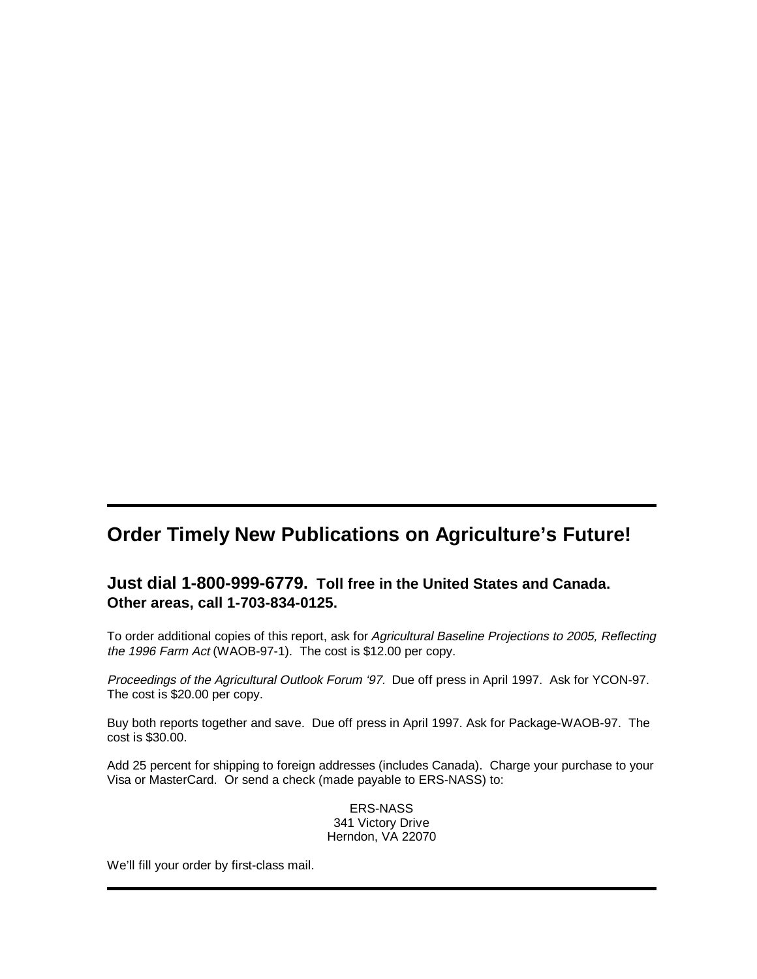# **Order Timely New Publications on Agriculture's Future!**

## **Just dial 1-800-999-6779. Toll free in the United States and Canada. Other areas, call 1-703-834-0125.**

To order additional copies of this report, ask for Agricultural Baseline Projections to 2005, Reflecting the 1996 Farm Act (WAOB-97-1). The cost is \$12.00 per copy.

Proceedings of the Agricultural Outlook Forum '97. Due off press in April 1997. Ask for YCON-97. The cost is \$20.00 per copy.

Buy both reports together and save. Due off press in April 1997. Ask for Package-WAOB-97. The cost is \$30.00.

Add 25 percent for shipping to foreign addresses (includes Canada). Charge your purchase to your Visa or MasterCard. Or send a check (made payable to ERS-NASS) to:

> ERS-NASS 341 Victory Drive Herndon, VA 22070

We'll fill your order by first-class mail.